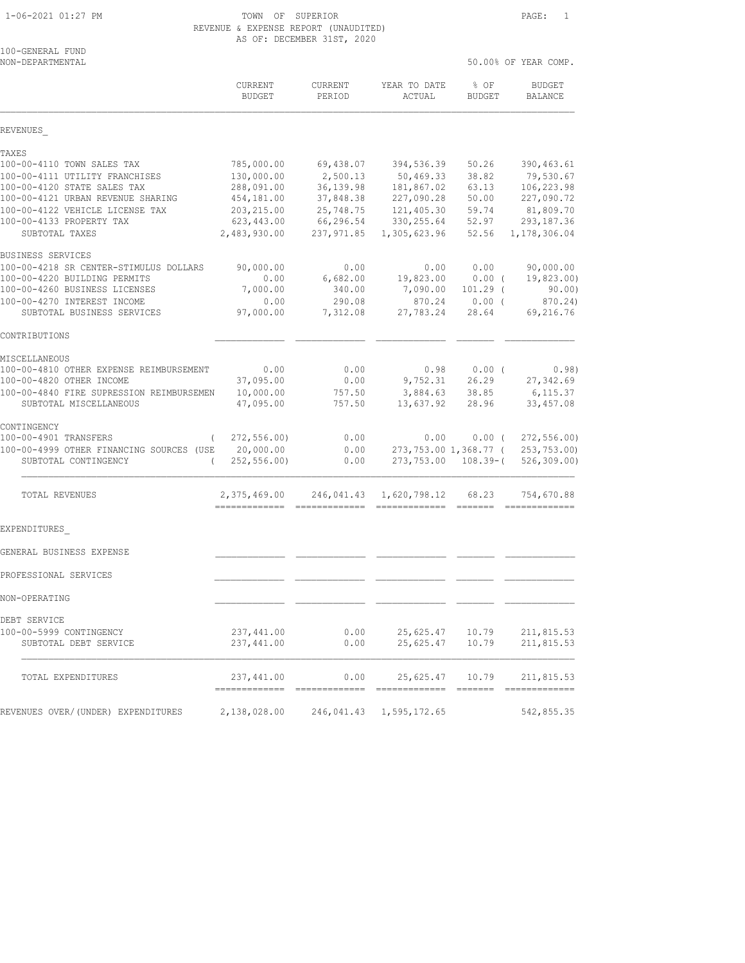### 1-06-2021 01:27 PM TOWN OF SUPERIOR PAGE: 1 REVENUE & EXPENSE REPORT (UNAUDITED) AS OF: DECEMBER 31ST, 2020

| 100-GENERAL FUND             |  |
|------------------------------|--|
| זו החוויה אוהות הרחיה ווו∩וו |  |

| NON-DEPARTMENTAL                                                             |                               |                        |                                     |                                                                                                                                                                                                                                                                                                                                                                                                                                                                                      | 50.00% OF YEAR COMP.       |
|------------------------------------------------------------------------------|-------------------------------|------------------------|-------------------------------------|--------------------------------------------------------------------------------------------------------------------------------------------------------------------------------------------------------------------------------------------------------------------------------------------------------------------------------------------------------------------------------------------------------------------------------------------------------------------------------------|----------------------------|
|                                                                              | CURRENT<br><b>BUDGET</b>      | CURRENT<br>PERIOD      | YEAR TO DATE<br>ACTUAL              | % OF<br><b>BUDGET</b>                                                                                                                                                                                                                                                                                                                                                                                                                                                                | BUDGET<br>BALANCE          |
| REVENUES                                                                     |                               |                        |                                     |                                                                                                                                                                                                                                                                                                                                                                                                                                                                                      |                            |
| TAXES                                                                        |                               |                        |                                     |                                                                                                                                                                                                                                                                                                                                                                                                                                                                                      |                            |
| 100-00-4110 TOWN SALES TAX                                                   | 785,000.00                    | 69,438.07              | 394,536.39                          | 50.26                                                                                                                                                                                                                                                                                                                                                                                                                                                                                | 390, 463.61                |
| 100-00-4111 UTILITY FRANCHISES                                               | 130,000.00                    | 2,500.13               | 50,469.33                           | 38.82                                                                                                                                                                                                                                                                                                                                                                                                                                                                                | 79,530.67                  |
| 100-00-4120 STATE SALES TAX                                                  | 288,091.00                    | 36, 139.98             | 181,867.02                          | 63.13                                                                                                                                                                                                                                                                                                                                                                                                                                                                                | 106,223.98                 |
| 100-00-4121 URBAN REVENUE SHARING<br>100-00-4122 VEHICLE LICENSE TAX         | 454,181.00<br>203, 215.00     | 37,848.38<br>25,748.75 | 227,090.28                          | 50.00<br>59.74                                                                                                                                                                                                                                                                                                                                                                                                                                                                       | 227,090.72                 |
| 100-00-4133 PROPERTY TAX                                                     | 623,443.00                    | 66,296.54              | 121,405.30<br>330, 255.64           | 52.97                                                                                                                                                                                                                                                                                                                                                                                                                                                                                | 81,809.70<br>293, 187.36   |
| SUBTOTAL TAXES                                                               | 2,483,930.00                  | 237,971.85             | 1,305,623.96                        | 52.56                                                                                                                                                                                                                                                                                                                                                                                                                                                                                | 1,178,306.04               |
| BUSINESS SERVICES                                                            |                               |                        |                                     |                                                                                                                                                                                                                                                                                                                                                                                                                                                                                      |                            |
| 100-00-4218 SR CENTER-STIMULUS DOLLARS                                       | 90,000.00                     | 0.00                   | 0.00                                | 0.00                                                                                                                                                                                                                                                                                                                                                                                                                                                                                 | 90,000.00                  |
| 100-00-4220 BUILDING PERMITS                                                 | 0.00                          | 6,682.00               | 19,823.00                           | $0.00$ (                                                                                                                                                                                                                                                                                                                                                                                                                                                                             | 19,823.00)                 |
| 100-00-4260 BUSINESS LICENSES                                                | 7,000.00                      | 340.00                 | 7,090.00                            | $101.29$ (                                                                                                                                                                                                                                                                                                                                                                                                                                                                           | 90.00)                     |
| 100-00-4270 INTEREST INCOME                                                  | 0.00                          | 290.08                 | 870.24                              | 0.00(                                                                                                                                                                                                                                                                                                                                                                                                                                                                                | 870.24)                    |
| SUBTOTAL BUSINESS SERVICES                                                   | 97,000.00                     | 7,312.08               | 27,783.24                           | 28.64                                                                                                                                                                                                                                                                                                                                                                                                                                                                                | 69,216.76                  |
| CONTRIBUTIONS                                                                |                               |                        |                                     |                                                                                                                                                                                                                                                                                                                                                                                                                                                                                      |                            |
| MISCELLANEOUS                                                                |                               |                        |                                     |                                                                                                                                                                                                                                                                                                                                                                                                                                                                                      |                            |
| 100-00-4810 OTHER EXPENSE REIMBURSEMENT                                      | 0.00                          | 0.00                   | 0.98                                | 0.00(                                                                                                                                                                                                                                                                                                                                                                                                                                                                                | 0.98)                      |
| 100-00-4820 OTHER INCOME                                                     | 37,095.00                     | 0.00                   | 9,752.31                            | 26.29                                                                                                                                                                                                                                                                                                                                                                                                                                                                                | 27,342.69                  |
| 100-00-4840 FIRE SUPRESSION REIMBURSEMEN                                     | 10,000.00                     | 757.50                 | 3,884.63                            | 38.85                                                                                                                                                                                                                                                                                                                                                                                                                                                                                | 6, 115.37                  |
| SUBTOTAL MISCELLANEOUS                                                       | 47,095.00                     | 757.50                 | 13,637.92                           | 28.96                                                                                                                                                                                                                                                                                                                                                                                                                                                                                | 33, 457.08                 |
| CONTINGENCY                                                                  |                               |                        |                                     |                                                                                                                                                                                                                                                                                                                                                                                                                                                                                      |                            |
| 100-00-4901 TRANSFERS                                                        | 272, 556.00                   | 0.00                   | 0.00                                | $0.00$ (                                                                                                                                                                                                                                                                                                                                                                                                                                                                             | 272, 556.00                |
| 100-00-4999 OTHER FINANCING SOURCES (USE<br>SUBTOTAL CONTINGENCY<br>$\left($ | 20,000.00<br>252, 556.00      | 0.00<br>0.00           | 273,753.00 1,368.77 (<br>273,753.00 | $108.39-$ (                                                                                                                                                                                                                                                                                                                                                                                                                                                                          | 253,753.00)<br>526, 309.00 |
| TOTAL REVENUES                                                               | 2,375,469.00<br>------------- | =============          | 246,041.43 1,620,798.12             | 68.23                                                                                                                                                                                                                                                                                                                                                                                                                                                                                | 754,670.88<br>=========    |
| EXPENDITURES                                                                 |                               |                        |                                     |                                                                                                                                                                                                                                                                                                                                                                                                                                                                                      |                            |
| GENERAL BUSINESS EXPENSE                                                     |                               |                        |                                     |                                                                                                                                                                                                                                                                                                                                                                                                                                                                                      |                            |
|                                                                              |                               |                        |                                     |                                                                                                                                                                                                                                                                                                                                                                                                                                                                                      |                            |
| PROFESSIONAL SERVICES                                                        |                               |                        |                                     |                                                                                                                                                                                                                                                                                                                                                                                                                                                                                      |                            |
| NON-OPERATING                                                                |                               |                        |                                     |                                                                                                                                                                                                                                                                                                                                                                                                                                                                                      |                            |
| DEBT SERVICE                                                                 |                               |                        |                                     |                                                                                                                                                                                                                                                                                                                                                                                                                                                                                      |                            |
| 100-00-5999 CONTINGENCY                                                      | 237, 441.00                   | 0.00                   | 25,625.47                           | 10.79                                                                                                                                                                                                                                                                                                                                                                                                                                                                                | 211,815.53                 |
| SUBTOTAL DEBT SERVICE                                                        | 237,441.00                    | 0.00                   | 25,625.47                           | 10.79                                                                                                                                                                                                                                                                                                                                                                                                                                                                                | 211,815.53                 |
| TOTAL EXPENDITURES                                                           | 237,441.00                    | 0.00                   | 25,625.47                           | 10.79                                                                                                                                                                                                                                                                                                                                                                                                                                                                                | 211,815.53                 |
|                                                                              | ------------                  |                        | -----------                         | $\begin{array}{cccccc} \multicolumn{2}{c}{} & \multicolumn{2}{c}{} & \multicolumn{2}{c}{} & \multicolumn{2}{c}{} & \multicolumn{2}{c}{} & \multicolumn{2}{c}{} & \multicolumn{2}{c}{} & \multicolumn{2}{c}{} & \multicolumn{2}{c}{} & \multicolumn{2}{c}{} & \multicolumn{2}{c}{} & \multicolumn{2}{c}{} & \multicolumn{2}{c}{} & \multicolumn{2}{c}{} & \multicolumn{2}{c}{} & \multicolumn{2}{c}{} & \multicolumn{2}{c}{} & \multicolumn{2}{c}{} & \multicolumn{2}{c}{} & \multic$ | -------------              |
| REVENUES OVER/(UNDER) EXPENDITURES                                           | 2,138,028.00                  |                        | 246,041.43 1,595,172.65             |                                                                                                                                                                                                                                                                                                                                                                                                                                                                                      | 542,855.35                 |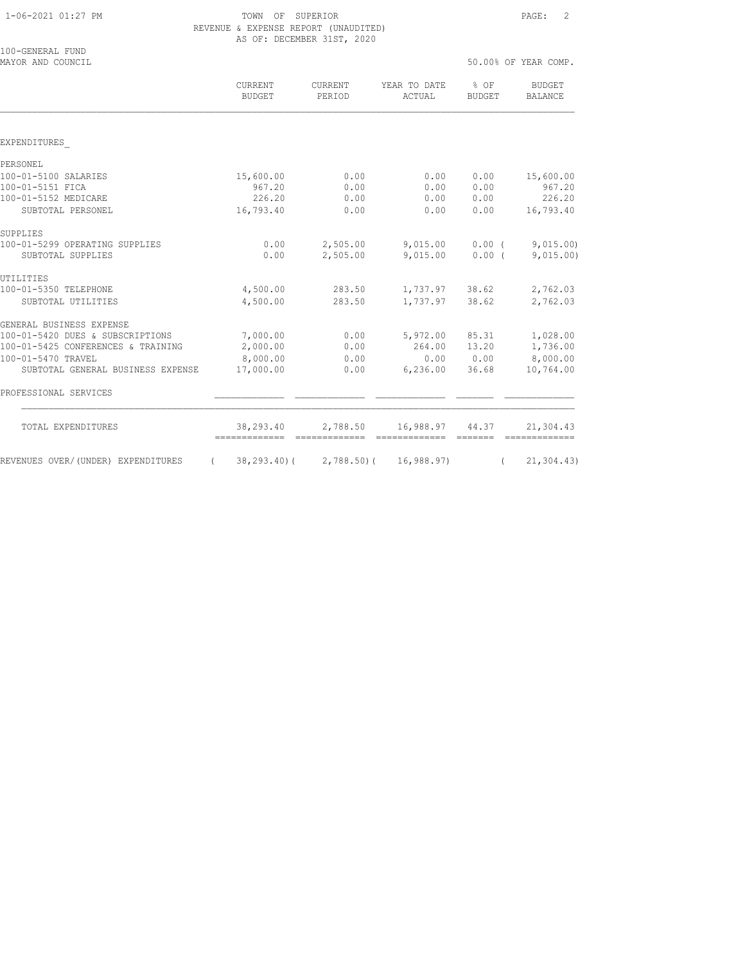# $1-06-2021$   $01:27$  PM  $\hbox{TOWN}$  of SUPERIOR  $\hbox{PAGE:}$  2 REVENUE & EXPENSE REPORT (UNAUDITED)

|                                       | novonoo w ontonoo notont (onnopitop)<br>AS OF: DECEMBER 31ST, 2020 |                   |                        |                         |                                 |
|---------------------------------------|--------------------------------------------------------------------|-------------------|------------------------|-------------------------|---------------------------------|
| 100-GENERAL FUND<br>MAYOR AND COUNCIL |                                                                    |                   |                        |                         | 50.00% OF YEAR COMP.            |
|                                       | CURRENT<br><b>BUDGET</b>                                           | CURRENT<br>PERIOD | YEAR TO DATE<br>ACTUAL | $8$ OF<br><b>BUDGET</b> | <b>BUDGET</b><br><b>BALANCE</b> |
|                                       |                                                                    |                   |                        |                         |                                 |
| EXPENDITURES                          |                                                                    |                   |                        |                         |                                 |
| PERSONEL                              |                                                                    |                   |                        |                         |                                 |
| 100-01-5100 SALARIES                  | 15,600.00                                                          | 0.00              | 0.00                   | 0.00                    | 15,600.00                       |
| 100-01-5151 FICA                      | 967.20                                                             | 0.00              | 0.00                   | 0.00                    | 967.20                          |
| 100-01-5152 MEDICARE                  | 226.20                                                             | 0.00              | 0.00                   | 0.00                    | 226.20                          |
| SUBTOTAL PERSONEL                     | 16,793.40                                                          | 0.00              | 0.00                   | 0.00                    | 16,793.40                       |
| SUPPLIES                              |                                                                    |                   |                        |                         |                                 |
| 100-01-5299 OPERATING SUPPLIES        | 0.00                                                               | 2,505.00          | 9,015.00               | $0.00$ (                | 9,015.00                        |
| SUBTOTAL SUPPLIES                     | 0.00                                                               | 2,505.00          | 9,015.00               | $0.00$ (                | 9,015.00                        |
| UTILITIES                             |                                                                    |                   |                        |                         |                                 |
| 100-01-5350 TELEPHONE                 | 4,500.00                                                           | 283.50            | 1,737.97 38.62         |                         | 2,762.03                        |
| SUBTOTAL UTILITIES                    | 4,500.00                                                           | 283.50            | 1,737.97               | 38.62                   | 2,762.03                        |
| GENERAL BUSINESS EXPENSE              |                                                                    |                   |                        |                         |                                 |
| 100-01-5420 DUES & SUBSCRIPTIONS      | 7,000.00                                                           | 0.00              | 5,972.00               | 85.31                   | 1,028.00                        |
| 100-01-5425 CONFERENCES & TRAINING    | 2,000.00                                                           | 0.00              | 264.00                 | 13.20                   | 1,736.00                        |
| 100-01-5470 TRAVEL                    | 8,000.00                                                           | 0.00              | 0.00                   | 0.00                    | 8,000.00                        |
| SUBTOTAL GENERAL BUSINESS EXPENSE     | 17,000.00                                                          | 0.00              | 6,236.00               | 36.68                   | 10,764.00                       |
| PROFESSIONAL SERVICES                 |                                                                    |                   |                        |                         |                                 |

| TOTAL EXPENDITURES                 | 38,293.40 | 2,788.50                            | 16,988.97 44.37 |  | 21,304.43  |
|------------------------------------|-----------|-------------------------------------|-----------------|--|------------|
| REVENUES OVER/(UNDER) EXPENDITURES |           | 38,293.40) ( 2,788.50) ( 16,988.97) |                 |  | 21,304.43) |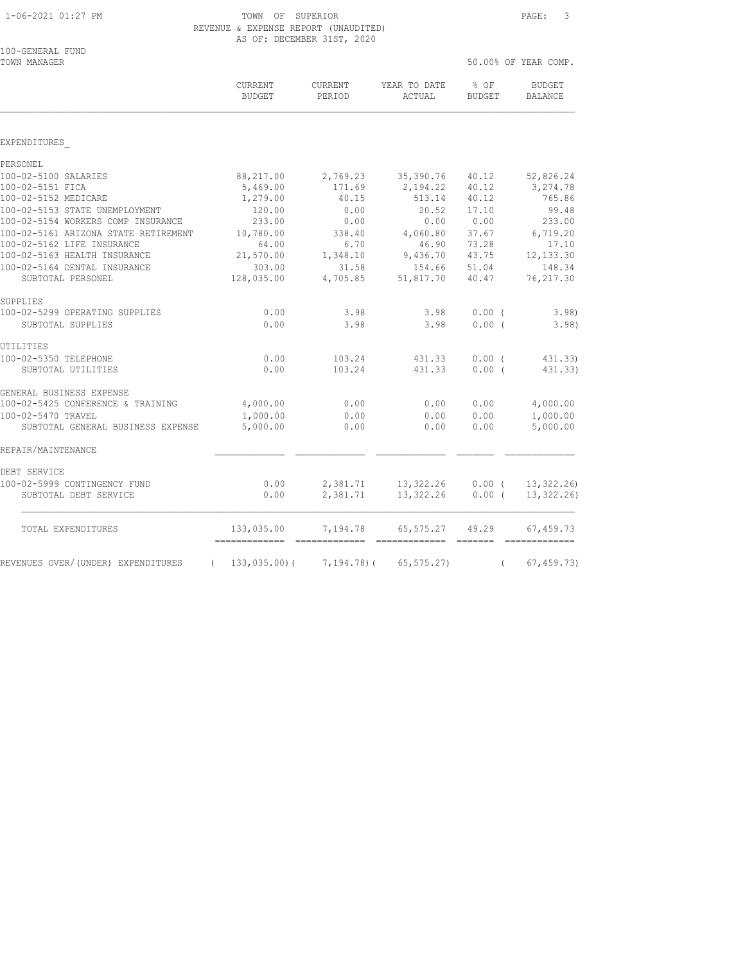TOWN OF SUPERIOR PAGE: 3 REVENUE & EXPENSE REPORT (UNAUDITED) AS OF: DECEMBER 31ST, 2020

| 100-GENERAL FUND<br>TOWN MANAGER               |                          |                   |                        |                       | 50.00% OF YEAR COMP.            |
|------------------------------------------------|--------------------------|-------------------|------------------------|-----------------------|---------------------------------|
|                                                | CURRENT<br><b>BUDGET</b> | CURRENT<br>PERIOD | YEAR TO DATE<br>ACTUAL | % OF<br><b>BUDGET</b> | <b>BUDGET</b><br><b>BALANCE</b> |
|                                                |                          |                   |                        |                       |                                 |
| EXPENDITURES                                   |                          |                   |                        |                       |                                 |
| PERSONEL                                       |                          |                   |                        |                       |                                 |
| 100-02-5100 SALARIES                           | 88,217.00                | 2,769.23          | 35,390.76              | 40.12                 | 52,826.24                       |
| 100-02-5151 FICA                               | 5,469.00                 | 171.69            | 2,194.22               | 40.12                 | 3,274.78                        |
| 100-02-5152 MEDICARE                           | 1,279.00                 | 40.15             | 513.14                 | 40.12                 | 765.86                          |
| 100-02-5153 STATE UNEMPLOYMENT                 | 120.00                   | 0.00              | 20.52                  | 17.10                 | 99.48                           |
| 100-02-5154 WORKERS COMP INSURANCE             | 233.00                   | 0.00              | 0.00                   | 0.00                  | 233.00                          |
| 100-02-5161 ARIZONA STATE RETIREMENT           | 10,780.00                | 338.40            | 4,060.80               | 37.67                 | 6,719.20                        |
| 100-02-5162 LIFE INSURANCE                     | 64.00                    | 6.70              | 46.90                  | 73.28                 | 17.10                           |
| 100-02-5163 HEALTH INSURANCE                   | 21,570.00                | 1,348.10          | 9,436.70               | 43.75                 | 12, 133.30                      |
| 100-02-5164 DENTAL INSURANCE                   | 303.00                   | 31.58             | 154.66                 | 51.04                 | 148.34                          |
| SUBTOTAL PERSONEL                              | 128,035.00               | 4,705.85          | 51,817.70              | 40.47                 | 76, 217.30                      |
| SUPPLIES                                       |                          |                   |                        |                       |                                 |
| 100-02-5299 OPERATING SUPPLIES                 | 0.00                     | 3.98              | 3.98                   | $0.00$ (              | 3.98)                           |
| SUBTOTAL SUPPLIES                              | 0.00                     | 3.98              | 3.98                   | 0.00(                 | 3.98)                           |
| UTILITIES                                      |                          |                   |                        |                       |                                 |
| 100-02-5350 TELEPHONE                          | 0.00                     | 103.24            | 431.33                 | 0.00(                 | 431.33)                         |
| SUBTOTAL UTILITIES                             | 0.00                     | 103.24            | 431.33                 | 0.00(                 | 431.33)                         |
| GENERAL BUSINESS EXPENSE                       |                          |                   |                        |                       |                                 |
| 100-02-5425 CONFERENCE & TRAINING              | 4,000.00                 | 0.00              | 0.00                   | 0.00                  | 4,000.00                        |
| 100-02-5470 TRAVEL                             | 1,000.00                 | 0.00              | 0.00                   | 0.00                  | 1,000.00                        |
| SUBTOTAL GENERAL BUSINESS EXPENSE              | 5,000.00                 | 0.00              | 0.00                   | 0.00                  | 5,000.00                        |
| REPAIR/MAINTENANCE                             |                          |                   |                        |                       |                                 |
| DEBT SERVICE                                   |                          |                   |                        |                       |                                 |
| 100-02-5999 CONTINGENCY FUND                   | 0.00                     | 2,381.71          | 13,322.26              | $0.00$ (              | 13,322.26                       |
| SUBTOTAL DEBT SERVICE                          | 0.00                     | 2,381.71          | 13,322.26              | $0.00$ (              | 13, 322, 26)                    |
| TOTAL EXPENDITURES                             | 133,035.00               | 7,194.78          | 65,575.27              | 49.29                 | 67,459.73                       |
| REVENUES OVER/(UNDER) EXPENDITURES<br>$\left($ | 133,035.00(              | 7,194.78)(        | 65, 575.27             | $\left($              | 67, 459.73                      |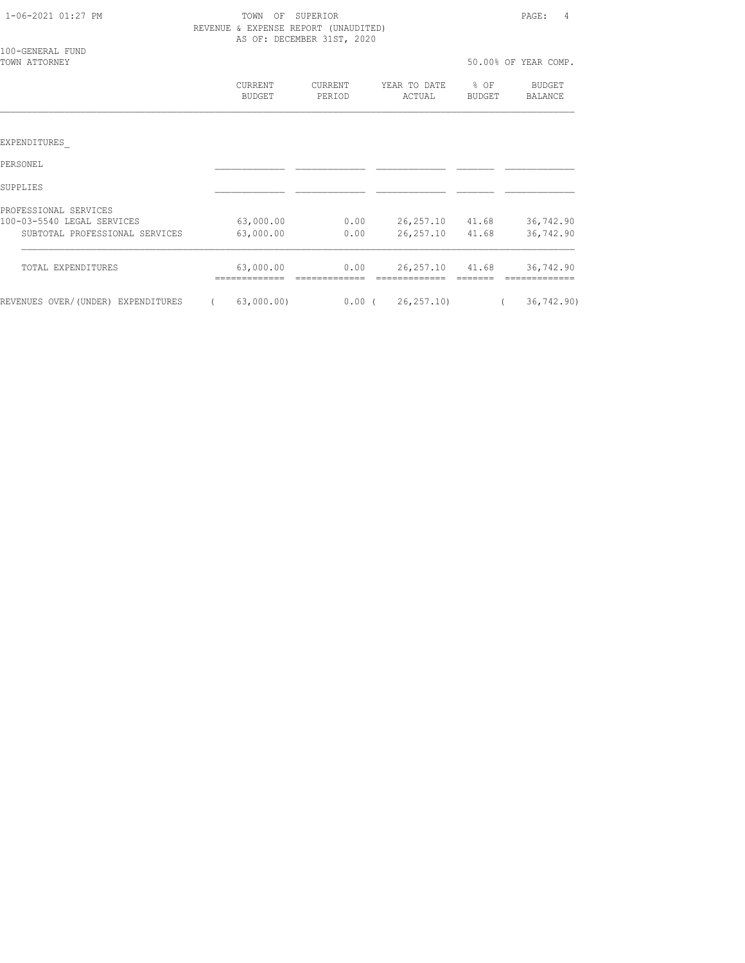| 1-06-2021 01:27 PM                 | TOWN<br>OF               | SUPERIOR<br>REVENUE & EXPENSE REPORT (UNAUDITED)<br>AS OF: DECEMBER 31ST, 2020 |                        |                  | PAGE:<br>4           |
|------------------------------------|--------------------------|--------------------------------------------------------------------------------|------------------------|------------------|----------------------|
| 100-GENERAL FUND<br>TOWN ATTORNEY  |                          |                                                                                |                        |                  | 50.00% OF YEAR COMP. |
|                                    | CURRENT<br><b>BUDGET</b> | CURRENT<br>PERIOD                                                              | YEAR TO DATE<br>ACTUAL | $8$ OF<br>BUDGET | BUDGET<br>BALANCE    |
|                                    |                          |                                                                                |                        |                  |                      |
| EXPENDITURES                       |                          |                                                                                |                        |                  |                      |
| PERSONEL                           |                          |                                                                                |                        |                  |                      |
| SUPPLIES                           |                          |                                                                                |                        |                  |                      |
| PROFESSIONAL SERVICES              |                          |                                                                                |                        |                  |                      |
| 100-03-5540 LEGAL SERVICES         | 63,000.00                | 0.00                                                                           | 26,257.10 41.68        |                  | 36,742.90            |
| SUBTOTAL PROFESSIONAL SERVICES     | 63,000.00                | 0.00                                                                           | 26,257.10 41.68        |                  | 36,742.90            |
| TOTAL EXPENDITURES                 | 63,000.00                | 0.00                                                                           | 26,257.10 41.68        |                  | 36,742.90            |
| REVENUES OVER/(UNDER) EXPENDITURES | 63,000.00)               | $0.00$ (                                                                       | 26, 257, 10            |                  | 36, 742.90           |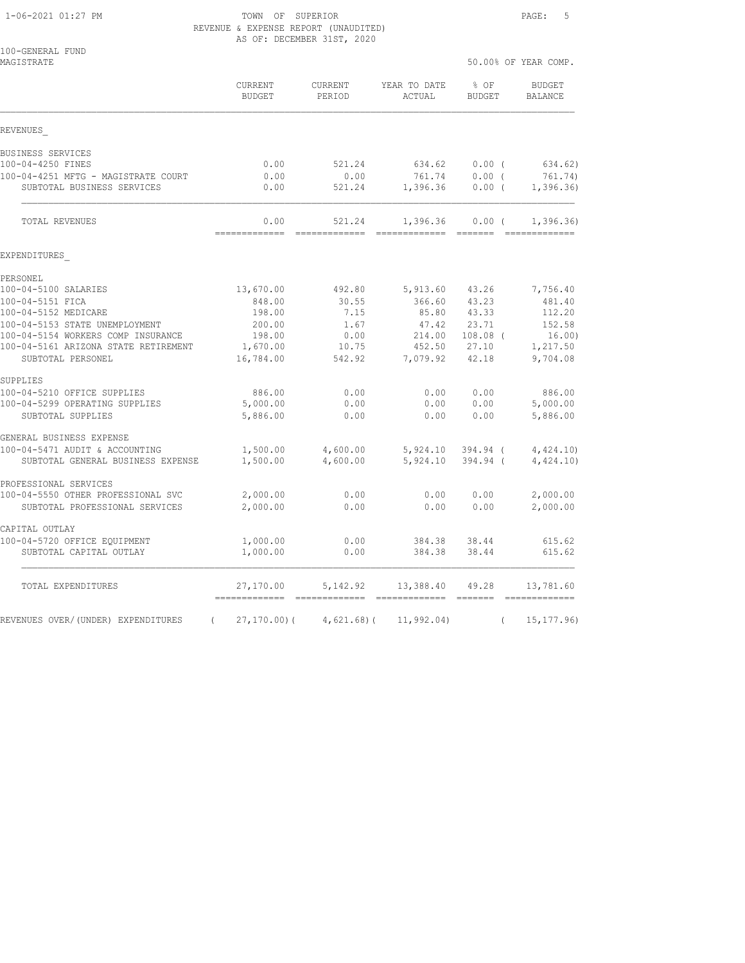#### 1-06-2021 01:27 PM TOWN OF SUPERIOR PAGE: 5 REVENUE & EXPENSE REPORT (UNAUDITED) AS OF: DECEMBER 31ST, 2020

| 100-GENERAL FUND<br>MAGISTRATE                                       |                          |                      |                        |                        | 50.00% OF YEAR COMP.                                                                                                                                                                                                                                                                                                                                                                                                                                                                                |
|----------------------------------------------------------------------|--------------------------|----------------------|------------------------|------------------------|-----------------------------------------------------------------------------------------------------------------------------------------------------------------------------------------------------------------------------------------------------------------------------------------------------------------------------------------------------------------------------------------------------------------------------------------------------------------------------------------------------|
|                                                                      | CURRENT<br><b>BUDGET</b> | CURRENT<br>PERIOD    | YEAR TO DATE<br>ACTUAL | % OF<br><b>BUDGET</b>  | <b>BUDGET</b><br><b>BALANCE</b>                                                                                                                                                                                                                                                                                                                                                                                                                                                                     |
| REVENUES                                                             |                          |                      |                        |                        |                                                                                                                                                                                                                                                                                                                                                                                                                                                                                                     |
| BUSINESS SERVICES                                                    |                          |                      |                        |                        |                                                                                                                                                                                                                                                                                                                                                                                                                                                                                                     |
| 100-04-4250 FINES                                                    | 0.00                     | 521.24               | 634.62                 | $0.00$ (               | 634.62)                                                                                                                                                                                                                                                                                                                                                                                                                                                                                             |
| 100-04-4251 MFTG - MAGISTRATE COURT<br>SUBTOTAL BUSINESS SERVICES    | 0.00<br>0.00             | 0.00<br>521.24       | 761.74<br>1,396.36     | 0.00(<br>$0.00$ (      | 761.74)<br>1,396.36)                                                                                                                                                                                                                                                                                                                                                                                                                                                                                |
| <b>TOTAL REVENUES</b>                                                | 0.00<br>-------------    | 521.24               | 1,396.36               | 0.00(                  | 1,396.36)                                                                                                                                                                                                                                                                                                                                                                                                                                                                                           |
| EXPENDITURES                                                         |                          |                      |                        |                        |                                                                                                                                                                                                                                                                                                                                                                                                                                                                                                     |
| PERSONEL                                                             |                          |                      |                        |                        |                                                                                                                                                                                                                                                                                                                                                                                                                                                                                                     |
| 100-04-5100 SALARIES                                                 | 13,670.00                | 492.80               | 5,913.60               | 43.26                  | 7,756.40                                                                                                                                                                                                                                                                                                                                                                                                                                                                                            |
| 100-04-5151 FICA                                                     | 848.00                   | 30.55                | 366.60                 | 43.23                  | 481.40                                                                                                                                                                                                                                                                                                                                                                                                                                                                                              |
| 100-04-5152 MEDICARE                                                 | 198.00                   | 7.15                 | 85.80                  | 43.33                  | 112.20                                                                                                                                                                                                                                                                                                                                                                                                                                                                                              |
| 100-04-5153 STATE UNEMPLOYMENT<br>100-04-5154 WORKERS COMP INSURANCE | 200.00<br>198.00         | 1.67<br>0.00         | 47.42<br>214.00        | 23.71<br>$108.08$ (    | 152.58<br>16.00)                                                                                                                                                                                                                                                                                                                                                                                                                                                                                    |
| 100-04-5161 ARIZONA STATE RETIREMENT                                 | 1,670.00                 | 10.75                | 452.50                 | 27.10                  | 1,217.50                                                                                                                                                                                                                                                                                                                                                                                                                                                                                            |
| SUBTOTAL PERSONEL                                                    | 16,784.00                | 542.92               | 7,079.92               | 42.18                  | 9,704.08                                                                                                                                                                                                                                                                                                                                                                                                                                                                                            |
| SUPPLIES                                                             |                          |                      |                        |                        |                                                                                                                                                                                                                                                                                                                                                                                                                                                                                                     |
| 100-04-5210 OFFICE SUPPLIES                                          | 886.00                   | 0.00                 | 0.00                   | 0.00                   | 886.00                                                                                                                                                                                                                                                                                                                                                                                                                                                                                              |
| 100-04-5299 OPERATING SUPPLIES                                       | 5,000.00                 | 0.00                 | 0.00                   | 0.00                   | 5,000.00                                                                                                                                                                                                                                                                                                                                                                                                                                                                                            |
| SUBTOTAL SUPPLIES                                                    | 5,886.00                 | 0.00                 | 0.00                   | 0.00                   | 5,886.00                                                                                                                                                                                                                                                                                                                                                                                                                                                                                            |
| GENERAL BUSINESS EXPENSE                                             |                          |                      |                        |                        |                                                                                                                                                                                                                                                                                                                                                                                                                                                                                                     |
| 100-04-5471 AUDIT & ACCOUNTING<br>SUBTOTAL GENERAL BUSINESS EXPENSE  | 1,500.00<br>1,500.00     | 4,600.00<br>4,600.00 | 5,924.10<br>5,924.10   | $394.94$ (<br>394.94 ( | 4,424.10<br>4,424.10                                                                                                                                                                                                                                                                                                                                                                                                                                                                                |
| PROFESSIONAL SERVICES                                                |                          |                      |                        |                        |                                                                                                                                                                                                                                                                                                                                                                                                                                                                                                     |
| 100-04-5550 OTHER PROFESSIONAL SVC                                   | 2,000.00                 | 0.00                 | 0.00                   | 0.00                   | 2,000.00                                                                                                                                                                                                                                                                                                                                                                                                                                                                                            |
| SUBTOTAL PROFESSIONAL SERVICES                                       | 2,000.00                 | 0.00                 | 0.00                   | 0.00                   | 2,000.00                                                                                                                                                                                                                                                                                                                                                                                                                                                                                            |
| CAPITAL OUTLAY                                                       |                          |                      |                        |                        |                                                                                                                                                                                                                                                                                                                                                                                                                                                                                                     |
| 100-04-5720 OFFICE EOUIPMENT                                         | 1,000.00                 | 0.00                 | 384.38                 | 38.44                  | 615.62                                                                                                                                                                                                                                                                                                                                                                                                                                                                                              |
| SUBTOTAL CAPITAL OUTLAY                                              | 1,000.00                 | 0.00                 | 384.38                 | 38.44                  | 615.62                                                                                                                                                                                                                                                                                                                                                                                                                                                                                              |
| TOTAL EXPENDITURES                                                   | 27,170.00                | 5, 142.92            | 13,388.40              | 49.28                  | 13,781.60<br>$\begin{array}{cccccccccc} \multicolumn{2}{c}{} & \multicolumn{2}{c}{} & \multicolumn{2}{c}{} & \multicolumn{2}{c}{} & \multicolumn{2}{c}{} & \multicolumn{2}{c}{} & \multicolumn{2}{c}{} & \multicolumn{2}{c}{} & \multicolumn{2}{c}{} & \multicolumn{2}{c}{} & \multicolumn{2}{c}{} & \multicolumn{2}{c}{} & \multicolumn{2}{c}{} & \multicolumn{2}{c}{} & \multicolumn{2}{c}{} & \multicolumn{2}{c}{} & \multicolumn{2}{c}{} & \multicolumn{2}{c}{} & \multicolumn{2}{c}{} & \mult$ |
| REVENUES OVER/(UNDER) EXPENDITURES<br>$\left($                       | $27, 170.00$ ) (         | $4,621.68$ ) (       | 11, 992.04)            | $\left($               | 15, 177.96                                                                                                                                                                                                                                                                                                                                                                                                                                                                                          |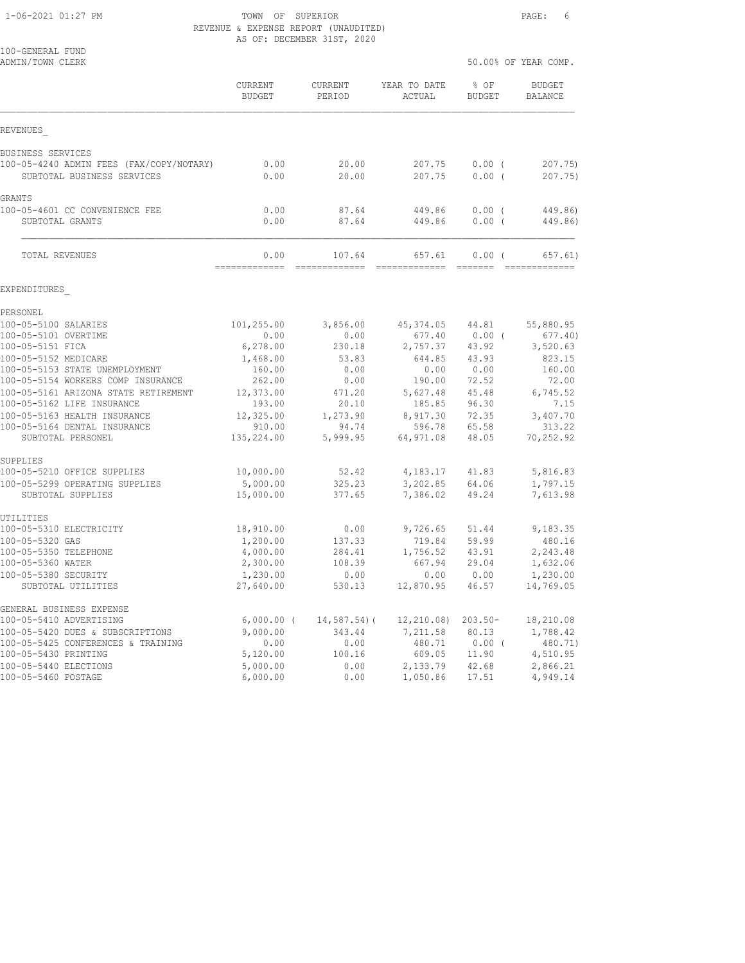1-06-2021 01:27 PM TOWN OF SUPERIOR PAGE: 6 REVENUE & EXPENSE REPORT (UNAUDITED) AS OF: DECEMBER 31ST, 2020

|                                                                        | VI. DECEMBER JIDI, 2020  |                          |                         |                       |                       |
|------------------------------------------------------------------------|--------------------------|--------------------------|-------------------------|-----------------------|-----------------------|
| 100-GENERAL FUND<br>ADMIN/TOWN CLERK                                   |                          |                          |                         |                       | 50.00% OF YEAR COMP.  |
|                                                                        | CURRENT<br><b>BUDGET</b> | <b>CURRENT</b><br>PERIOD | YEAR TO DATE<br>ACTUAL  | % OF<br><b>BUDGET</b> | BUDGET<br>BALANCE     |
| REVENUES                                                               |                          |                          |                         |                       |                       |
| BUSINESS SERVICES                                                      |                          |                          |                         |                       |                       |
| 100-05-4240 ADMIN FEES (FAX/COPY/NOTARY)                               | 0.00                     | 20.00                    | 207.75                  | $0.00$ (              | 207.75                |
| SUBTOTAL BUSINESS SERVICES                                             | 0.00                     | 20.00                    | 207.75                  | 0.00(                 | 207.75)               |
| GRANTS                                                                 |                          |                          |                         |                       |                       |
| 100-05-4601 CC CONVENIENCE FEE                                         | 0.00                     | 87.64                    | 449.86                  | $0.00$ (              | 449.86)               |
| SUBTOTAL GRANTS                                                        | 0.00                     | 87.64                    | 449.86                  | $0.00$ (              | 449.86)               |
| TOTAL REVENUES                                                         | 0.00<br>-------------    | 107.64<br>-------------  | 657.61<br>============= | 0.00(                 | 657.61)<br>---------- |
| EXPENDITURES                                                           |                          |                          |                         |                       |                       |
| PERSONEL                                                               |                          |                          |                         |                       |                       |
| 100-05-5100 SALARIES                                                   | 101,255.00               | 3,856.00                 | 45,374.05               | 44.81                 | 55,880.95             |
| 100-05-5101 OVERTIME                                                   | 0.00                     | 0.00                     | 677.40                  | $0.00$ (              | 677.40                |
| 100-05-5151 FICA                                                       | 6,278.00                 | 230.18                   | 2,757.37                | 43.92                 | 3,520.63              |
| 100-05-5152 MEDICARE                                                   | 1,468.00                 | 53.83                    | 644.85                  | 43.93                 | 823.15                |
| 100-05-5153 STATE UNEMPLOYMENT<br>100-05-5154 WORKERS COMP INSURANCE   | 160.00<br>262.00         | 0.00<br>0.00             | 0.00<br>190.00          | 0.00<br>72.52         | 160.00<br>72.00       |
| 100-05-5161 ARIZONA STATE RETIREMENT                                   | 12,373.00                | 471.20                   | 5,627.48                | 45.48                 | 6,745.52              |
| 100-05-5162 LIFE INSURANCE                                             | 193.00                   | 20.10                    | 185.85                  | 96.30                 | 7.15                  |
| 100-05-5163 HEALTH INSURANCE                                           | 12,325.00                | 1,273.90                 | 8,917.30                | 72.35                 | 3,407.70              |
| 100-05-5164 DENTAL INSURANCE                                           | 910.00                   | 94.74                    | 596.78                  | 65.58                 | 313.22                |
| SUBTOTAL PERSONEL                                                      | 135,224.00               | 5,999.95                 | 64,971.08               | 48.05                 | 70,252.92             |
| SUPPLIES                                                               |                          |                          |                         |                       |                       |
| 100-05-5210 OFFICE SUPPLIES                                            | 10,000.00                | 52.42                    | 4,183.17                | 41.83                 | 5,816.83              |
| 100-05-5299 OPERATING SUPPLIES<br>SUBTOTAL SUPPLIES                    | 5,000.00<br>15,000.00    | 325.23<br>377.65         | 3,202.85<br>7,386.02    | 64.06<br>49.24        | 1,797.15<br>7,613.98  |
|                                                                        |                          |                          |                         |                       |                       |
| UTILITIES<br>100-05-5310 ELECTRICITY                                   | 18,910.00                | 0.00                     | 9,726.65                | 51.44                 | 9,183.35              |
| 100-05-5320 GAS                                                        | 1,200.00                 | 137.33                   | 719.84                  | 59.99                 | 480.16                |
| 100-05-5350 TELEPHONE                                                  | 4,000.00                 | 284.41                   | 1,756.52                | 43.91                 | 2,243.48              |
| 100-05-5360 WATER                                                      | 2,300.00                 | 108.39                   | 667.94                  | 29.04                 | 1,632.06              |
| 100-05-5380 SECURITY                                                   | 1,230.00                 | 0.00                     | 0.00                    | 0.00                  | 1,230.00              |
| SUBTOTAL UTILITIES                                                     | 27,640.00                | 530.13                   | 12,870.95               | 46.57                 | 14,769.05             |
| GENERAL BUSINESS EXPENSE                                               |                          |                          |                         |                       |                       |
| 100-05-5410 ADVERTISING                                                | $6,000.00$ (             | $14,587.54$ ) (          | 12, 210.08              | $203.50 -$<br>80.13   | 18,210.08             |
| 100-05-5420 DUES & SUBSCRIPTIONS<br>100-05-5425 CONFERENCES & TRAINING | 9,000.00<br>0.00         | 343.44<br>0.00           | 7,211.58<br>480.71      | $0.00$ (              | 1,788.42<br>480.71)   |
| 100-05-5430 PRINTING                                                   | 5,120.00                 | 100.16                   | 609.05                  | 11.90                 | 4,510.95              |
| 100-05-5440 ELECTIONS                                                  | 5,000.00                 | 0.00                     | 2,133.79                | 42.68                 | 2,866.21              |
| 100-05-5460 POSTAGE                                                    | 6,000.00                 | 0.00                     | 1,050.86                | 17.51                 | 4,949.14              |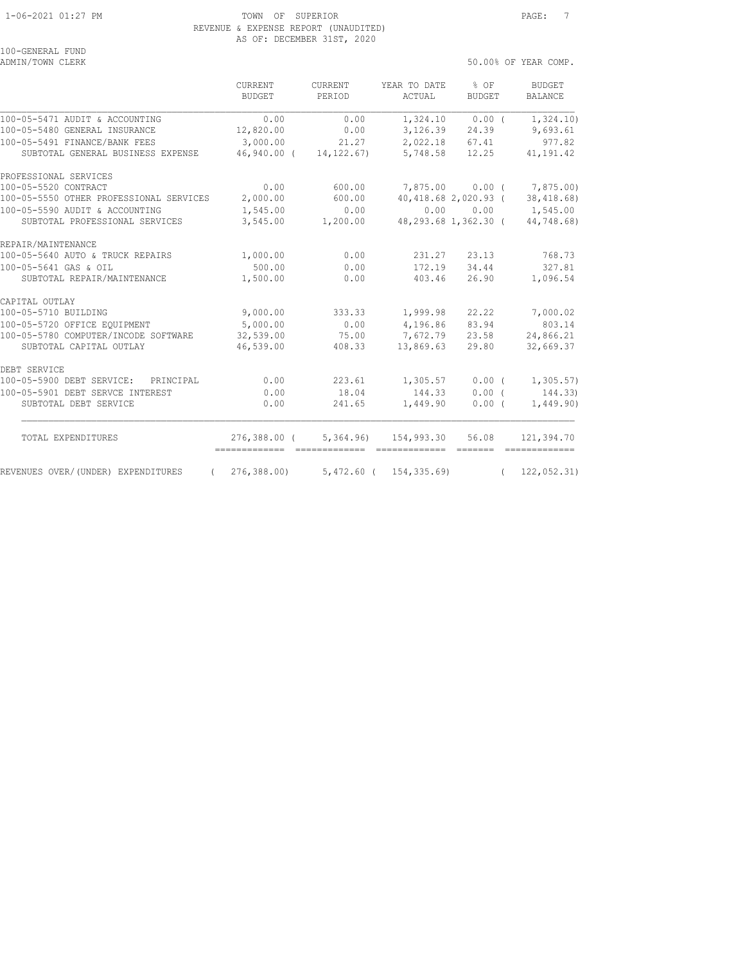100-GENERAL FUND<br>ADMIN/TOWN CLERK

50.00% OF YEAR COMP.

|                                         | <b>CURRENT</b><br>BUDGET       | <b>CURRENT</b><br>PERIOD | YEAR TO DATE<br>ACTUAL                | $8$ OF<br>BUDGET     | <b>BUDGET</b><br><b>BALANCE</b> |
|-----------------------------------------|--------------------------------|--------------------------|---------------------------------------|----------------------|---------------------------------|
| 100-05-5471 AUDIT & ACCOUNTING          | 0.00                           | 0.00                     | 1,324.10                              | $0.00$ (             | 1,324.10)                       |
| 100-05-5480 GENERAL INSURANCE           | 12,820.00                      | 0.00                     | 3,126.39                              | 24.39                | 9,693.61                        |
| 100-05-5491 FINANCE/BANK FEES           | 3,000.00                       | 21.27                    | 2,022.18                              | 67.41                | 977.82                          |
| SUBTOTAL GENERAL BUSINESS EXPENSE       | 46,940.00 (                    | 14, 122, 67)             | 5,748.58                              | 12.25                | 41, 191.42                      |
| PROFESSIONAL SERVICES                   |                                |                          |                                       |                      |                                 |
| 100-05-5520 CONTRACT                    | 0.00                           | 600.00                   |                                       | 7,875.00 0.00 (      | 7,875.00)                       |
| 100-05-5550 OTHER PROFESSIONAL SERVICES | 2,000.00                       | 600.00                   |                                       | 40,418.68 2,020.93 ( | 38,418.68                       |
| 100-05-5590 AUDIT & ACCOUNTING          | 1,545.00                       | 0.00                     |                                       | 0.00 0.00            | 1,545.00                        |
| SUBTOTAL PROFESSIONAL SERVICES          | 3,545.00                       | 1,200.00                 |                                       | 48,293.68 1,362.30 ( | 44,748.68)                      |
| REPAIR/MAINTENANCE                      |                                |                          |                                       |                      |                                 |
| 100-05-5640 AUTO & TRUCK REPAIRS        | 1,000.00                       | 0.00                     | 231.27                                | 23.13                | 768.73                          |
| 100-05-5641 GAS & OIL                   | 500.00                         | 0.00                     | 172.19                                | 34.44                | 327.81                          |
| SUBTOTAL REPAIR/MAINTENANCE             | 1,500.00                       | 0.00                     | 403.46                                | 26.90                | 1,096.54                        |
| CAPITAL OUTLAY                          |                                |                          |                                       |                      |                                 |
| 100-05-5710 BUILDING                    | 9,000.00                       | 333.33                   | 1,999.98                              | 22.22                | 7,000.02                        |
| 100-05-5720 OFFICE EQUIPMENT            | 5,000.00                       | 0.00                     | 4,196.86                              | 83.94                | 803.14                          |
| 100-05-5780 COMPUTER/INCODE SOFTWARE    | 32,539.00                      | 75.00                    | 7,672.79                              | 23.58                | 24,866.21                       |
| SUBTOTAL CAPITAL OUTLAY                 | 46,539.00                      | 408.33                   | 13,869.63                             | 29.80                | 32,669.37                       |
| DEBT SERVICE                            |                                |                          |                                       |                      |                                 |
| 100-05-5900 DEBT SERVICE:<br>PRINCIPAL  | 0.00                           | 223.61                   | 1,305.57                              | $0.00$ (             | 1,305.57)                       |
| 100-05-5901 DEBT SERVCE INTEREST        | 0.00                           | 18.04                    | 144.33                                | 0.00(                | 144.33)                         |
| SUBTOTAL DEBT SERVICE                   | 0.00                           | 241.65                   | 1,449.90                              | 0.00(                | 1,449.90)                       |
| TOTAL EXPENDITURES                      | 276,388.00 (<br>-------------- | =============            | 5,364.96) 154,993.30<br>============= | 56.08                | 121,394.70<br>=============     |
| REVENUES OVER/(UNDER) EXPENDITURES      | 276, 388.00                    | $5,472.60$ (             | 154, 335.69)                          |                      | 122,052.31)                     |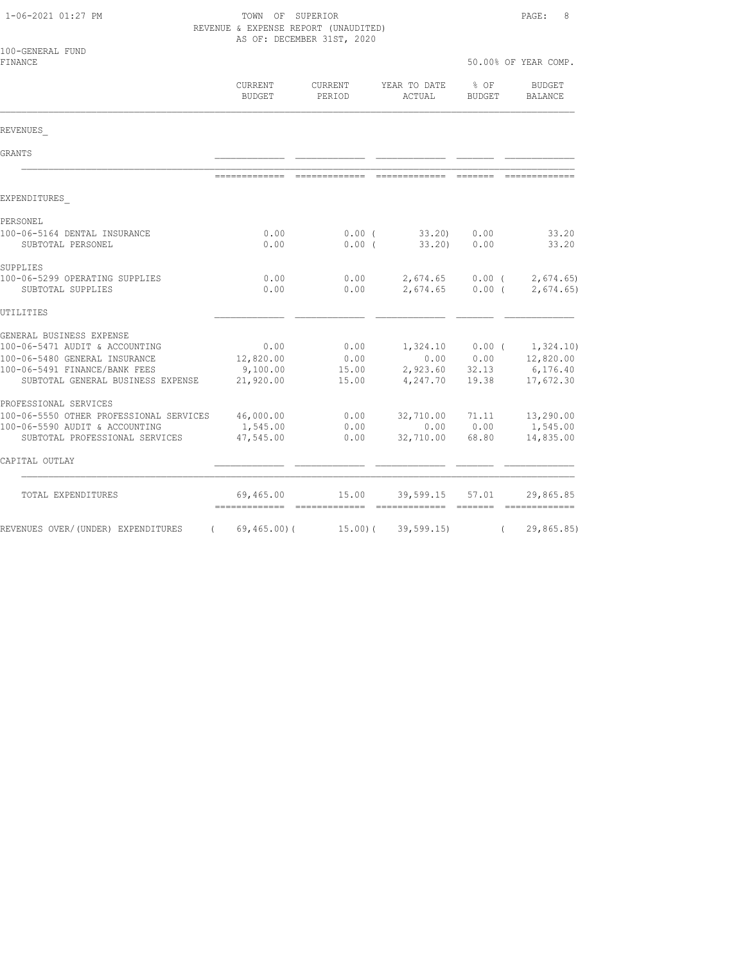| 1-06-2021 01:27 PM                                                 | TOWN OF SUPERIOR<br>REVENUE & EXPENSE REPORT (UNAUDITED)<br>AS OF: DECEMBER 31ST, 2020 | PAGE:<br>8           |                               |                         |                          |
|--------------------------------------------------------------------|----------------------------------------------------------------------------------------|----------------------|-------------------------------|-------------------------|--------------------------|
| 100-GENERAL FUND<br>FINANCE                                        |                                                                                        |                      |                               |                         | 50.00% OF YEAR COMP.     |
|                                                                    | CURRENT<br>BUDGET                                                                      | CURRENT<br>PERIOD    | YEAR TO DATE<br>ACTUAL        | $8$ OF<br><b>BUDGET</b> | <b>BUDGET</b><br>BALANCE |
| REVENUES                                                           |                                                                                        |                      |                               |                         |                          |
| GRANTS                                                             |                                                                                        |                      |                               |                         |                          |
|                                                                    |                                                                                        |                      | -------------- -------------- |                         |                          |
| EXPENDITURES                                                       |                                                                                        |                      |                               |                         |                          |
| PERSONEL                                                           |                                                                                        |                      |                               |                         |                          |
| 100-06-5164 DENTAL INSURANCE<br>SUBTOTAL PERSONEL                  | 0.00<br>0.00                                                                           | $0.00$ (<br>$0.00$ ( | 33.20<br>33.20)               | 0.00<br>0.00            | 33.20<br>33.20           |
| SUPPLIES                                                           |                                                                                        |                      |                               |                         |                          |
| 100-06-5299 OPERATING SUPPLIES<br>SUBTOTAL SUPPLIES                | 0.00<br>0.00                                                                           | 0.00<br>0.00         | 2,674.65<br>2,674.65          | $0.00$ (<br>0.00(       | 2,674.65<br>2,674.65     |
| UTILITIES                                                          |                                                                                        |                      |                               |                         |                          |
| GENERAL BUSINESS EXPENSE                                           |                                                                                        |                      |                               |                         |                          |
| 100-06-5471 AUDIT & ACCOUNTING                                     | 0.00                                                                                   | 0.00                 | 1,324.10                      | $0.00$ (                | 1,324.10)                |
| 100-06-5480 GENERAL INSURANCE                                      | 12,820.00                                                                              | 0.00                 | 0.00                          | 0.00                    | 12,820.00                |
| 100-06-5491 FINANCE/BANK FEES<br>SUBTOTAL GENERAL BUSINESS EXPENSE | 9,100.00<br>21,920.00                                                                  | 15.00<br>15.00       | 2,923.60<br>4,247.70          | 32.13<br>19.38          | 6,176.40<br>17,672.30    |
| PROFESSIONAL SERVICES                                              |                                                                                        |                      |                               |                         |                          |
| 100-06-5550 OTHER PROFESSIONAL SERVICES                            | 46,000.00                                                                              | 0.00                 | 32,710.00                     | 71.11                   | 13,290.00                |
| 100-06-5590 AUDIT & ACCOUNTING                                     | 1,545.00                                                                               | 0.00                 | 0.00                          | 0.00                    | 1,545.00                 |
| SUBTOTAL PROFESSIONAL SERVICES                                     | 47,545.00                                                                              | 0.00                 | 32,710.00                     | 68.80                   | 14,835.00                |
| CAPITAL OUTLAY                                                     |                                                                                        |                      |                               |                         |                          |
| TOTAL EXPENDITURES                                                 | 69,465.00                                                                              | 15.00                | 39,599.15                     | 57.01                   | 29,865.85                |
| REVENUES OVER/(UNDER) EXPENDITURES                                 | (69, 465, 00)                                                                          | 15.00(               | 39, 599.15                    | $\left($                | 29,865.85)               |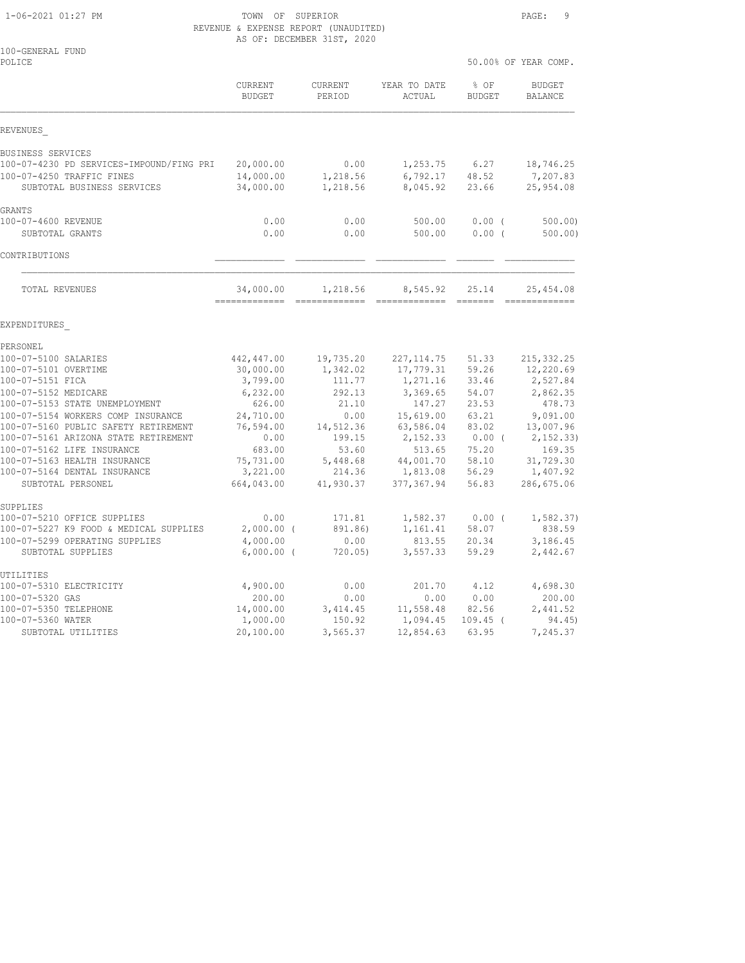1-06-2021 01:27 PM TOWN OF SUPERIOR PAGE: 9 REVENUE & EXPENSE REPORT (UNAUDITED) AS OF: DECEMBER 31ST, 2020

| 100-GENERAL FUND<br>POLICE                                   |                            |                          |                         | 50.00% OF YEAR COMP.  |                           |  |
|--------------------------------------------------------------|----------------------------|--------------------------|-------------------------|-----------------------|---------------------------|--|
|                                                              | CURRENT<br><b>BUDGET</b>   | <b>CURRENT</b><br>PERIOD | YEAR TO DATE<br>ACTUAL  | % OF<br><b>BUDGET</b> | <b>BUDGET</b><br>BALANCE  |  |
| REVENUES                                                     |                            |                          |                         |                       |                           |  |
| BUSINESS SERVICES                                            |                            |                          |                         |                       |                           |  |
| 100-07-4230 PD SERVICES-IMPOUND/FING PRI                     | 20,000.00                  | 0.00                     | 1,253.75                | 6.27                  | 18,746.25                 |  |
| 100-07-4250 TRAFFIC FINES                                    | 14,000.00                  | 1,218.56                 | 6,792.17                | 48.52                 | 7,207.83                  |  |
| SUBTOTAL BUSINESS SERVICES                                   | 34,000.00                  | 1,218.56                 | 8,045.92                | 23.66                 | 25,954.08                 |  |
| <b>GRANTS</b>                                                |                            |                          |                         |                       |                           |  |
| 100-07-4600 REVENUE                                          | 0.00                       | 0.00                     | 500.00                  | 0.00(                 | 500.00                    |  |
| SUBTOTAL GRANTS                                              | 0.00                       | 0.00                     | 500.00                  | 0.00(                 | 500.00)                   |  |
| CONTRIBUTIONS                                                |                            |                          |                         |                       |                           |  |
| TOTAL REVENUES                                               | 34,000.00<br>============= | 1,218.56                 | 8,545.92                | 25.14<br>=======      | 25, 454.08<br>___________ |  |
| EXPENDITURES                                                 |                            |                          |                         |                       |                           |  |
| PERSONEL                                                     |                            |                          |                         |                       |                           |  |
| 100-07-5100 SALARIES                                         | 442,447.00                 | 19,735.20                | 227, 114.75             | 51.33                 | 215, 332.25               |  |
| 100-07-5101 OVERTIME                                         | 30,000.00                  | 1,342.02                 | 17,779.31               | 59.26                 | 12,220.69                 |  |
| 100-07-5151 FICA                                             | 3,799.00                   | 111.77                   | 1,271.16                | 33.46                 | 2,527.84                  |  |
| 100-07-5152 MEDICARE                                         | 6,232.00                   | 292.13                   | 3,369.65                | 54.07                 | 2,862.35                  |  |
| 100-07-5153 STATE UNEMPLOYMENT                               | 626.00                     | 21.10                    | 147.27                  | 23.53                 | 478.73                    |  |
| 100-07-5154 WORKERS COMP INSURANCE                           | 24,710.00                  | 0.00                     | 15,619.00               | 63.21                 | 9,091.00                  |  |
| 100-07-5160 PUBLIC SAFETY RETIREMENT                         | 76,594.00                  | 14,512.36                | 63,586.04               | 83.02                 | 13,007.96                 |  |
| 100-07-5161 ARIZONA STATE RETIREMENT                         | 0.00                       | 199.15                   | 2,152.33                | $0.00$ (              | 2, 152.33)                |  |
| 100-07-5162 LIFE INSURANCE                                   | 683.00                     | 53.60                    | 513.65                  | 75.20                 | 169.35                    |  |
| 100-07-5163 HEALTH INSURANCE<br>100-07-5164 DENTAL INSURANCE | 75,731.00<br>3,221.00      | 5,448.68                 | 44,001.70               | 58.10<br>56.29        | 31,729.30                 |  |
| SUBTOTAL PERSONEL                                            | 664,043.00                 | 214.36<br>41,930.37      | 1,813.08<br>377, 367.94 | 56.83                 | 1,407.92<br>286,675.06    |  |
|                                                              |                            |                          |                         |                       |                           |  |
| SUPPLIES<br>100-07-5210 OFFICE SUPPLIES                      | 0.00                       | 171.81                   | 1,582.37                | $0.00$ (              | 1, 582.37)                |  |
| 100-07-5227 K9 FOOD & MEDICAL SUPPLIES                       | $2,000.00$ (               | 891.86)                  | 1,161.41                | 58.07                 | 838.59                    |  |
| 100-07-5299 OPERATING SUPPLIES                               | 4,000.00                   | 0.00                     | 813.55                  | 20.34                 | 3,186.45                  |  |
| SUBTOTAL SUPPLIES                                            | $6,000.00$ (               | 720.05)                  | 3,557.33                | 59.29                 | 2,442.67                  |  |
| UTILITIES                                                    |                            |                          |                         |                       |                           |  |
| 100-07-5310 ELECTRICITY                                      | 4,900.00                   | 0.00                     | 201.70                  | 4.12                  | 4,698.30                  |  |
| 100-07-5320 GAS                                              | 200.00                     | 0.00                     | 0.00                    | 0.00                  | 200.00                    |  |
| 100-07-5350 TELEPHONE                                        | 14,000.00                  | 3,414.45                 | 11,558.48               | 82.56                 | 2,441.52                  |  |
| 100-07-5360 WATER                                            | 1,000.00                   | 150.92                   | 1,094.45                | $109.45$ (            | 94.45)                    |  |

SUBTOTAL UTILITIES 20,100.00 3,565.37 12,854.63 63.95 7,245.37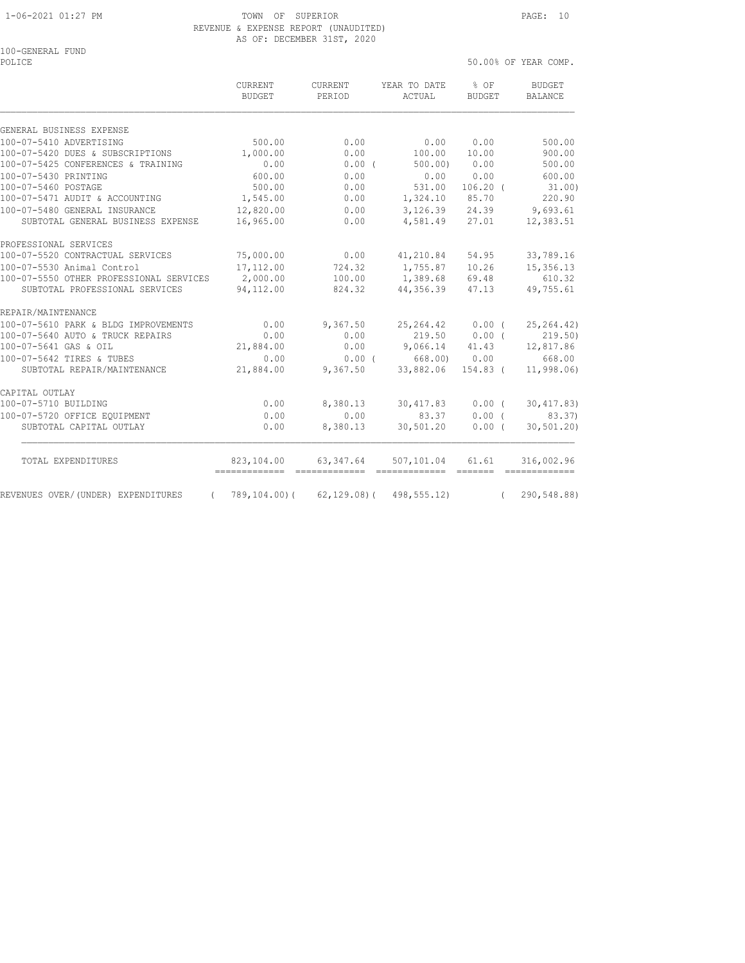#### 1-06-2021 01:27 PM TOWN OF SUPERIOR PAGE: 10 REVENUE & EXPENSE REPORT (UNAUDITED) AS OF: DECEMBER 31ST, 2020

100-GENERAL FUND<br>POLICE

50.00% OF YEAR COMP.

|                                         | <b>CURRENT</b><br><b>BUDGET</b> | <b>CURRENT</b><br>PERIOD     | YEAR TO DATE<br>ACTUAL                | $8$ OF<br><b>BUDGET</b> | <b>BUDGET</b><br><b>BALANCE</b>                                                                                                                                                                                                                                                                                                                                                                                                                                                                       |
|-----------------------------------------|---------------------------------|------------------------------|---------------------------------------|-------------------------|-------------------------------------------------------------------------------------------------------------------------------------------------------------------------------------------------------------------------------------------------------------------------------------------------------------------------------------------------------------------------------------------------------------------------------------------------------------------------------------------------------|
| GENERAL BUSINESS EXPENSE                |                                 |                              |                                       |                         |                                                                                                                                                                                                                                                                                                                                                                                                                                                                                                       |
| 100-07-5410 ADVERTISING                 | 500.00                          | 0.00                         | 0.00                                  | 0.00                    | 500.00                                                                                                                                                                                                                                                                                                                                                                                                                                                                                                |
| 100-07-5420 DUES & SUBSCRIPTIONS        | 1,000.00                        | 0.00                         | 100.00                                | 10.00                   | 900.00                                                                                                                                                                                                                                                                                                                                                                                                                                                                                                |
| 100-07-5425 CONFERENCES & TRAINING      | 0.00                            | $0.00$ (                     | 500.00                                | 0.00                    | 500.00                                                                                                                                                                                                                                                                                                                                                                                                                                                                                                |
| 100-07-5430 PRINTING                    | 600.00                          | 0.00                         | 0.00                                  | 0.00                    | 600.00                                                                                                                                                                                                                                                                                                                                                                                                                                                                                                |
| 100-07-5460 POSTAGE                     | 500.00                          | 0.00                         | 531.00                                | $106.20$ (              | 31.00)                                                                                                                                                                                                                                                                                                                                                                                                                                                                                                |
| 100-07-5471 AUDIT & ACCOUNTING          | 1,545.00                        | 0.00                         | 1,324.10                              | 85.70                   | 220.90                                                                                                                                                                                                                                                                                                                                                                                                                                                                                                |
| 100-07-5480 GENERAL INSURANCE           | 12,820.00                       | 0.00                         | 3,126.39                              | 24.39                   | 9,693.61                                                                                                                                                                                                                                                                                                                                                                                                                                                                                              |
| SUBTOTAL GENERAL BUSINESS EXPENSE       | 16,965.00                       | 0.00                         | 4,581.49                              | 27.01                   | 12,383.51                                                                                                                                                                                                                                                                                                                                                                                                                                                                                             |
| PROFESSIONAL SERVICES                   |                                 |                              |                                       |                         |                                                                                                                                                                                                                                                                                                                                                                                                                                                                                                       |
| 100-07-5520 CONTRACTUAL SERVICES        | 75,000.00                       | 0.00                         | 41,210.84                             | 54.95                   | 33,789.16                                                                                                                                                                                                                                                                                                                                                                                                                                                                                             |
| 100-07-5530 Animal Control              | 17,112.00                       | 724.32                       | 1,755.87                              | 10.26                   | 15, 356.13                                                                                                                                                                                                                                                                                                                                                                                                                                                                                            |
| 100-07-5550 OTHER PROFESSIONAL SERVICES | 2,000.00                        | 100.00                       | 1,389.68                              | 69.48                   | 610.32                                                                                                                                                                                                                                                                                                                                                                                                                                                                                                |
| SUBTOTAL PROFESSIONAL SERVICES          | 94,112.00                       | 824.32                       | 44,356.39                             | 47.13                   | 49,755.61                                                                                                                                                                                                                                                                                                                                                                                                                                                                                             |
| REPAIR/MAINTENANCE                      |                                 |                              |                                       |                         |                                                                                                                                                                                                                                                                                                                                                                                                                                                                                                       |
| 100-07-5610 PARK & BLDG IMPROVEMENTS    | 0.00                            | 9,367.50                     | 25, 264.42                            | 0.00(                   | 25, 264.42)                                                                                                                                                                                                                                                                                                                                                                                                                                                                                           |
| 100-07-5640 AUTO & TRUCK REPAIRS        | 0.00                            | 0.00                         | 219.50                                | $0.00$ (                | 219.50)                                                                                                                                                                                                                                                                                                                                                                                                                                                                                               |
| 100-07-5641 GAS & OIL                   | 21,884.00                       | 0.00                         | 9,066.14                              | 41.43                   | 12,817.86                                                                                                                                                                                                                                                                                                                                                                                                                                                                                             |
| 100-07-5642 TIRES & TUBES               | 0.00                            | 0.00(                        | 668.00) 0.00                          |                         | 668.00                                                                                                                                                                                                                                                                                                                                                                                                                                                                                                |
| SUBTOTAL REPAIR/MAINTENANCE             | 21,884.00                       | 9,367.50                     | 33,882.06                             | $154.83$ (              | 11,998.06)                                                                                                                                                                                                                                                                                                                                                                                                                                                                                            |
| CAPITAL OUTLAY                          |                                 |                              |                                       |                         |                                                                                                                                                                                                                                                                                                                                                                                                                                                                                                       |
| 100-07-5710 BUILDING                    | 0.00                            | 8,380.13                     | 30,417.83                             | $0.00$ (                | 30, 417.83)                                                                                                                                                                                                                                                                                                                                                                                                                                                                                           |
| 100-07-5720 OFFICE EQUIPMENT            | 0.00                            | 0.00                         | 83.37                                 | 0.00(                   | 83.37)                                                                                                                                                                                                                                                                                                                                                                                                                                                                                                |
| SUBTOTAL CAPITAL OUTLAY                 | 0.00                            | 8,380.13                     | 30,501.20                             | 0.00(                   | 30, 501, 20                                                                                                                                                                                                                                                                                                                                                                                                                                                                                           |
| TOTAL EXPENDITURES                      | 823,104.00                      | 63,347.64                    | 507,101.04                            | 61.61                   | 316,002.96                                                                                                                                                                                                                                                                                                                                                                                                                                                                                            |
| REVENUES OVER/(UNDER) EXPENDITURES      | -------------<br>789,104.00)(   | -------------<br>62,129.08)( | -------------- ------<br>498, 555.12) |                         | $\begin{array}{cccccccccc} \multicolumn{2}{c}{} & \multicolumn{2}{c}{} & \multicolumn{2}{c}{} & \multicolumn{2}{c}{} & \multicolumn{2}{c}{} & \multicolumn{2}{c}{} & \multicolumn{2}{c}{} & \multicolumn{2}{c}{} & \multicolumn{2}{c}{} & \multicolumn{2}{c}{} & \multicolumn{2}{c}{} & \multicolumn{2}{c}{} & \multicolumn{2}{c}{} & \multicolumn{2}{c}{} & \multicolumn{2}{c}{} & \multicolumn{2}{c}{} & \multicolumn{2}{c}{} & \multicolumn{2}{c}{} & \multicolumn{2}{c}{} & \mult$<br>290,548.88) |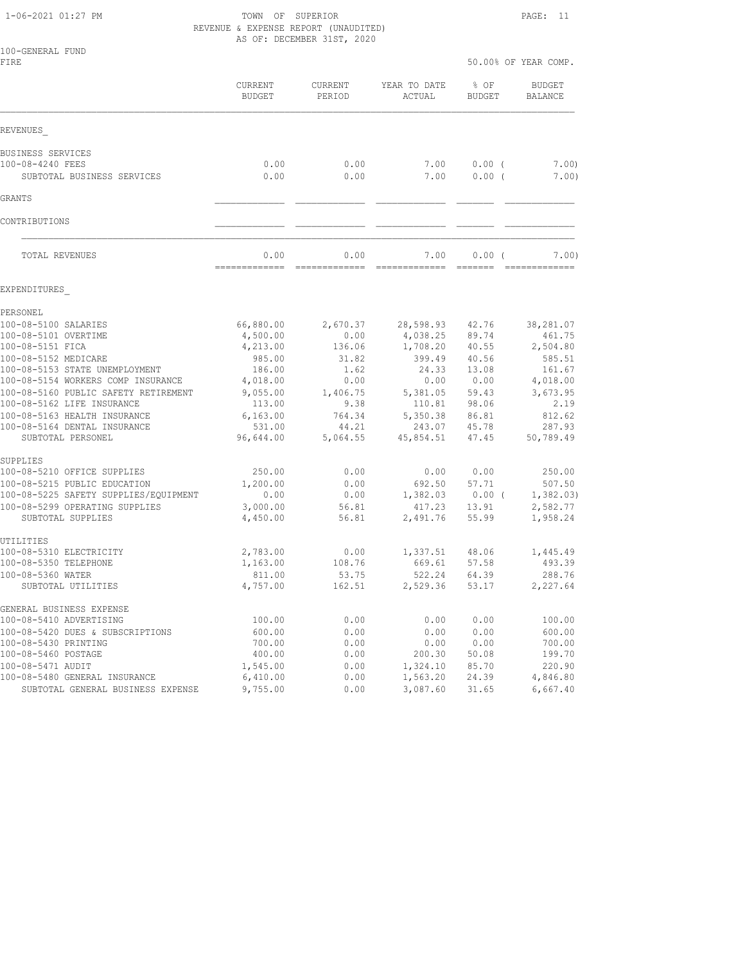1-06-2021 01:27 PM TOWN OF SUPERIOR PAGE: 11 REVENUE & EXPENSE REPORT (UNAUDITED) AS OF: DECEMBER 31ST, 2020

| 100-GENERAL FUND<br>FIRE                          |                          |                          |                        | 50.00% OF YEAR COMP.  |                                 |  |
|---------------------------------------------------|--------------------------|--------------------------|------------------------|-----------------------|---------------------------------|--|
|                                                   | CURRENT<br><b>BUDGET</b> | <b>CURRENT</b><br>PERIOD | YEAR TO DATE<br>ACTUAL | % OF<br><b>BUDGET</b> | <b>BUDGET</b><br><b>BALANCE</b> |  |
| REVENUES                                          |                          |                          |                        |                       |                                 |  |
| BUSINESS SERVICES                                 |                          |                          |                        |                       |                                 |  |
| 100-08-4240 FEES                                  | 0.00                     | 0.00                     | 7.00                   | $0.00$ (              | 7.00)                           |  |
| SUBTOTAL BUSINESS SERVICES                        | 0.00                     | 0.00                     | 7.00                   | $0.00$ (              | 7.00)                           |  |
| GRANTS                                            |                          |                          |                        |                       |                                 |  |
| CONTRIBUTIONS                                     |                          |                          |                        |                       |                                 |  |
| TOTAL REVENUES                                    | 0.00<br>=============    | 0.00                     | 7.00                   | 0.00(<br>=======      | 7.00)                           |  |
| EXPENDITURES                                      |                          |                          |                        |                       |                                 |  |
| PERSONEL                                          |                          |                          |                        |                       |                                 |  |
| 100-08-5100 SALARIES                              | 66,880.00                | 2,670.37                 | 28,598.93              | 42.76                 | 38,281.07                       |  |
| 100-08-5101 OVERTIME                              | 4,500.00                 | 0.00                     | 4,038.25               | 89.74                 | 461.75                          |  |
| 100-08-5151 FICA<br>100-08-5152 MEDICARE          | 4,213.00<br>985.00       | 136.06<br>31.82          | 1,708.20<br>399.49     | 40.55<br>40.56        | 2,504.80<br>585.51              |  |
| 100-08-5153 STATE UNEMPLOYMENT                    | 186.00                   | 1.62                     | 24.33                  | 13.08                 | 161.67                          |  |
| 100-08-5154 WORKERS COMP INSURANCE                | 4,018.00                 | 0.00                     | 0.00                   | 0.00                  | 4,018.00                        |  |
| 100-08-5160 PUBLIC SAFETY RETIREMENT              | 9,055.00                 | 1,406.75                 | 5,381.05               | 59.43                 | 3,673.95                        |  |
| 100-08-5162 LIFE INSURANCE                        | 113.00                   | 9.38                     | 110.81                 | 98.06                 | 2.19                            |  |
| 100-08-5163 HEALTH INSURANCE                      | 6, 163.00                | 764.34                   | 5,350.38               | 86.81                 | 812.62                          |  |
| 100-08-5164 DENTAL INSURANCE<br>SUBTOTAL PERSONEL | 531.00<br>96,644.00      | 44.21<br>5,064.55        | 243.07<br>45,854.51    | 45.78<br>47.45        | 287.93<br>50,789.49             |  |
| SUPPLIES                                          |                          |                          |                        |                       |                                 |  |
| 100-08-5210 OFFICE SUPPLIES                       | 250.00                   | 0.00                     | 0.00                   | 0.00                  | 250.00                          |  |
| 100-08-5215 PUBLIC EDUCATION                      | 1,200.00                 | 0.00                     | 692.50                 | 57.71                 | 507.50                          |  |
| 100-08-5225 SAFETY SUPPLIES/EQUIPMENT             | 0.00                     | 0.00                     | 1,382.03               | 0.00(                 | 1,382.03)                       |  |
| 100-08-5299 OPERATING SUPPLIES                    | 3,000.00                 | 56.81                    | 417.23                 | 13.91                 | 2,582.77                        |  |
| SUBTOTAL SUPPLIES                                 | 4,450.00                 | 56.81                    | 2,491.76               | 55.99                 | 1,958.24                        |  |
| UTILITIES                                         |                          |                          |                        |                       |                                 |  |
| 100-08-5310 ELECTRICITY                           | 2,783.00<br>1,163.00     | 0.00                     | 1,337.51               | 48.06                 | 1,445.49                        |  |
| 100-08-5350 TELEPHONE<br>100-08-5360 WATER        | 811.00                   | 108.76<br>53.75          | 669.61<br>522.24       | 57.58<br>64.39        | 493.39<br>288.76                |  |
| SUBTOTAL UTILITIES                                | 4,757.00                 | 162.51                   | 2,529.36               | 53.17                 | 2,227.64                        |  |
| GENERAL BUSINESS EXPENSE                          |                          |                          |                        |                       |                                 |  |
| 100-08-5410 ADVERTISING                           | 100.00                   | 0.00                     | 0.00                   | 0.00                  | 100.00                          |  |
| 100-08-5420 DUES & SUBSCRIPTIONS                  | 600.00                   | 0.00                     | 0.00                   | 0.00                  | 600.00                          |  |
| 100-08-5430 PRINTING                              | 700.00                   | 0.00                     | 0.00                   | 0.00                  | 700.00                          |  |
| 100-08-5460 POSTAGE<br>100-08-5471 AUDIT          | 400.00<br>1,545.00       | 0.00<br>0.00             | 200.30<br>1,324.10     | 50.08<br>85.70        | 199.70<br>220.90                |  |
| 100-08-5480 GENERAL INSURANCE                     | 6,410.00                 | 0.00                     | 1,563.20               | 24.39                 | 4,846.80                        |  |
| SUBTOTAL GENERAL BUSINESS EXPENSE                 | 9,755.00                 | 0.00                     | 3,087.60               | 31.65                 | 6,667.40                        |  |
|                                                   |                          |                          |                        |                       |                                 |  |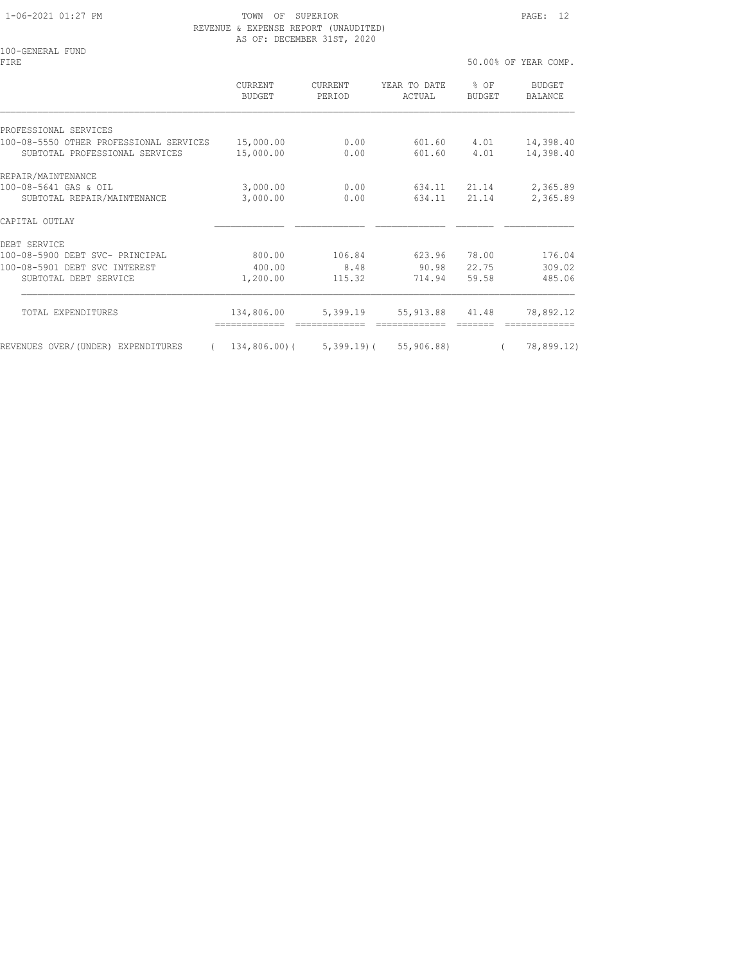# REVENUE & EXPENSE REPORT (UNAUDITED) AS OF: DECEMBER 31ST, 2020

100-GENERAL FUND FIRE 50.00% OF YEAR COMP.

 CURRENT CURRENT YEAR TO DATE % OF BUDGET BUDGET PERIOD ACTUAL BUDGET BALANCE PROFESSIONAL SERVICES 100-08-5550 OTHER PROFESSIONAL SERVICES 15,000.00 0.00 601.60 4.01 14,398.40 SUBTOTAL PROFESSIONAL SERVICES 15,000.00 0.00 601.60 4.01 14,398.40 REPAIR/MAINTENANCE<br>100-08-5641 GAS & OIL 100-08-5641 GAS & OIL 3,000.00 0.00 634.11 21.14 2,365.89 SUBTOTAL REPAIR/MAINTENANCE 3,000.00 0.00 634.11 21.14 2,365.89 CAPITAL OUTLAY \_\_\_\_\_\_\_\_\_\_\_\_\_ \_\_\_\_\_\_\_\_\_\_\_\_\_ \_\_\_\_\_\_\_\_\_\_\_\_\_ \_\_\_\_\_\_\_ \_\_\_\_\_\_\_\_\_\_\_\_\_ DEBT SERVICE 100-08-5900 DEBT SVC- PRINCIPAL 800.00 106.84 623.96 78.00 176.04 100-08-5901 DEBT SVC INTEREST 400.00 8.48 90.98 22.75 309.02 SUBTOTAL DEBT SERVICE 1,200.00 115.32 714.94 59.58 485.06 TOTAL EXPENDITURES 134,806.00 5,399.19 55,913.88 41.48 78,892.12 ============= ============= ============= ======= ============= REVENUES OVER/(UNDER) EXPENDITURES ( 134,806.00)( 5,399.19)( 55,906.88) ( 78,899.12)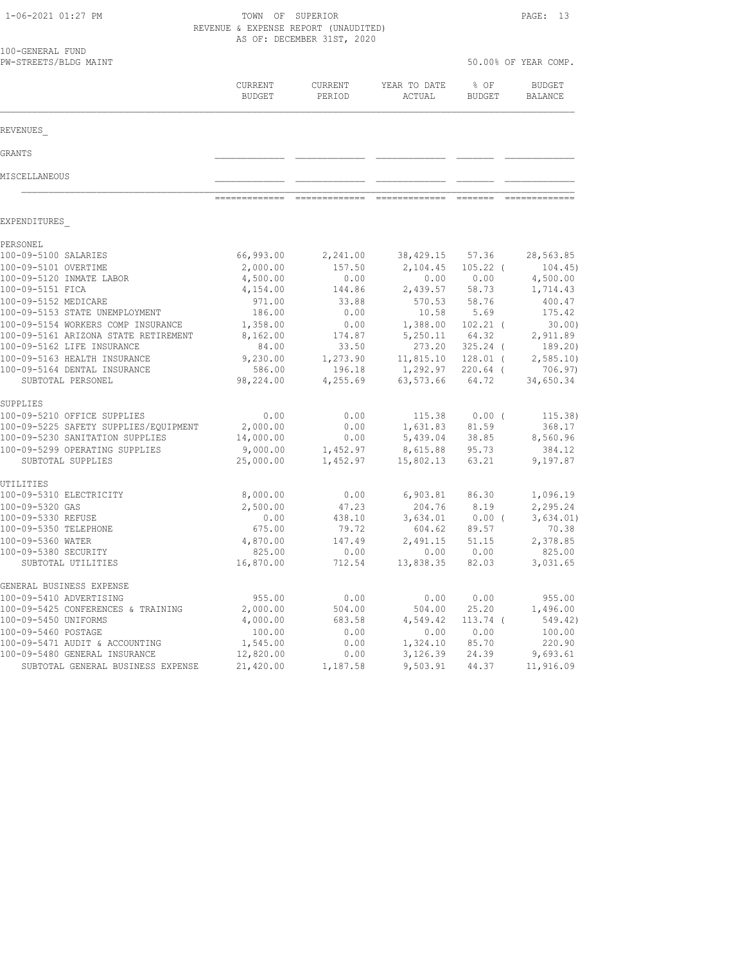| 1-06-2021 01:27 PM                                                       |                       | TOWN OF SUPERIOR<br>REVENUE & EXPENSE REPORT (UNAUDITED)<br>AS OF: DECEMBER 31ST, 2020 |                        |                     |                          |  |
|--------------------------------------------------------------------------|-----------------------|----------------------------------------------------------------------------------------|------------------------|---------------------|--------------------------|--|
| 100-GENERAL FUND<br>PW-STREETS/BLDG MAINT                                |                       |                                                                                        |                        |                     | 50.00% OF YEAR COMP.     |  |
|                                                                          | CURRENT<br>BUDGET     | CURRENT<br>PERIOD                                                                      | YEAR TO DATE<br>ACTUAL | % OF<br>BUDGET      | <b>BUDGET</b><br>BALANCE |  |
| REVENUES                                                                 |                       |                                                                                        |                        |                     |                          |  |
| GRANTS                                                                   |                       |                                                                                        |                        |                     |                          |  |
| MISCELLANEOUS                                                            |                       |                                                                                        |                        |                     |                          |  |
|                                                                          |                       | =============                                                                          | =============          |                     |                          |  |
| EXPENDITURES                                                             |                       |                                                                                        |                        |                     |                          |  |
| PERSONEL<br>100-09-5100 SALARIES                                         | 66,993.00             | 2,241.00                                                                               | 38,429.15              | 57.36               | 28,563.85                |  |
| 100-09-5101 OVERTIME                                                     | 2,000.00              | 157.50                                                                                 | 2,104.45               | $105.22$ (          | 104.45                   |  |
| 100-09-5120 INMATE LABOR                                                 | 4,500.00              | 0.00                                                                                   | 0.00                   | 0.00                | 4,500.00                 |  |
| 100-09-5151 FICA                                                         | 4,154.00              | 144.86                                                                                 | 2,439.57               | 58.73               | 1,714.43                 |  |
| 100-09-5152 MEDICARE<br>100-09-5153 STATE UNEMPLOYMENT                   | 971.00<br>186.00      | 33.88<br>0.00                                                                          | 570.53<br>10.58        | 58.76<br>5.69       | 400.47<br>175.42         |  |
| 100-09-5154 WORKERS COMP INSURANCE                                       | 1,358.00              | 0.00                                                                                   | 1,388.00               | $102.21$ (          | 30.00                    |  |
| 100-09-5161 ARIZONA STATE RETIREMENT                                     | 8,162.00              | 174.87                                                                                 | 5,250.11               | 64.32               | 2,911.89                 |  |
| 100-09-5162 LIFE INSURANCE                                               | 84.00                 | 33.50                                                                                  | 273.20                 | $325.24$ (          | 189.20)                  |  |
| 100-09-5163 HEALTH INSURANCE                                             | 9,230.00              | 1,273.90                                                                               |                        | 11,815.10 128.01 (  | 2,585.10                 |  |
| 100-09-5164 DENTAL INSURANCE<br>SUBTOTAL PERSONEL                        | 586.00<br>98,224.00   | 196.18<br>4,255.69                                                                     | 1,292.97<br>63,573.66  | $220.64$ (<br>64.72 | 706.97)<br>34,650.34     |  |
| SUPPLIES                                                                 |                       |                                                                                        |                        |                     |                          |  |
| 100-09-5210 OFFICE SUPPLIES                                              | 0.00                  | 0.00                                                                                   | 115.38                 | 0.00(               | 115.38)                  |  |
| 100-09-5225 SAFETY SUPPLIES/EQUIPMENT<br>100-09-5230 SANITATION SUPPLIES | 2,000.00<br>14,000.00 | 0.00<br>0.00                                                                           | 1,631.83<br>5,439.04   | 81.59<br>38.85      | 368.17<br>8,560.96       |  |
| 100-09-5299 OPERATING SUPPLIES                                           | 9,000.00              | 1,452.97                                                                               | 8,615.88               | 95.73               | 384.12                   |  |
| SUBTOTAL SUPPLIES                                                        | 25,000.00             | 1,452.97                                                                               | 15,802.13              | 63.21               | 9,197.87                 |  |
| UTILITIES                                                                |                       |                                                                                        |                        |                     | 1,096.19                 |  |
| 100-09-5310 ELECTRICITY<br>100-09-5320 GAS                               | 8,000.00<br>2,500.00  | 0.00<br>47.23                                                                          | 6,903.81<br>204.76     | 86.30<br>8.19       | 2,295.24                 |  |
| 100-09-5330 REFUSE                                                       | 0.00                  | 438.10                                                                                 | 3,634.01               | $0.00$ (            | 3,634.01)                |  |
| 100-09-5350 TELEPHONE                                                    | 675.00                | 79.72                                                                                  | 604.62                 | 89.57               | 70.38                    |  |
| 100-09-5360 WATER                                                        | 4,870.00              | 147.49                                                                                 | 2,491.15               | 51.15               | 2,378.85                 |  |
| 100-09-5380 SECURITY                                                     | 825.00                | 0.00                                                                                   | 0.00 0.00              |                     | 825.00                   |  |
| SUBTOTAL UTILITIES                                                       | 16,870.00             | 712.54                                                                                 |                        | 13,838.35 82.03     | 3,031.65                 |  |
| GENERAL BUSINESS EXPENSE                                                 |                       |                                                                                        |                        |                     |                          |  |
| 100-09-5410 ADVERTISING                                                  | 955.00                | 0.00                                                                                   | 0.00                   | 0.00                | 955.00                   |  |
| 100-09-5425 CONFERENCES & TRAINING                                       | 2,000.00              | 504.00                                                                                 | 504.00                 | 25.20               | 1,496.00                 |  |
| 100-09-5450 UNIFORMS<br>100-09-5460 POSTAGE                              | 4,000.00<br>100.00    | 683.58<br>0.00                                                                         | 4,549.42<br>0.00       | $113.74$ (<br>0.00  | 549.42)<br>100.00        |  |
| 100-09-5471 AUDIT & ACCOUNTING                                           | 1,545.00              | 0.00                                                                                   | 1,324.10               | 85.70               | 220.90                   |  |
| 100-09-5480 GENERAL INSURANCE                                            | 12,820.00             | 0.00                                                                                   | 3,126.39               | 24.39               | 9,693.61                 |  |
| SUBTOTAL GENERAL BUSINESS EXPENSE                                        | 21,420.00             | 1,187.58                                                                               | 9,503.91               | 44.37               | 11,916.09                |  |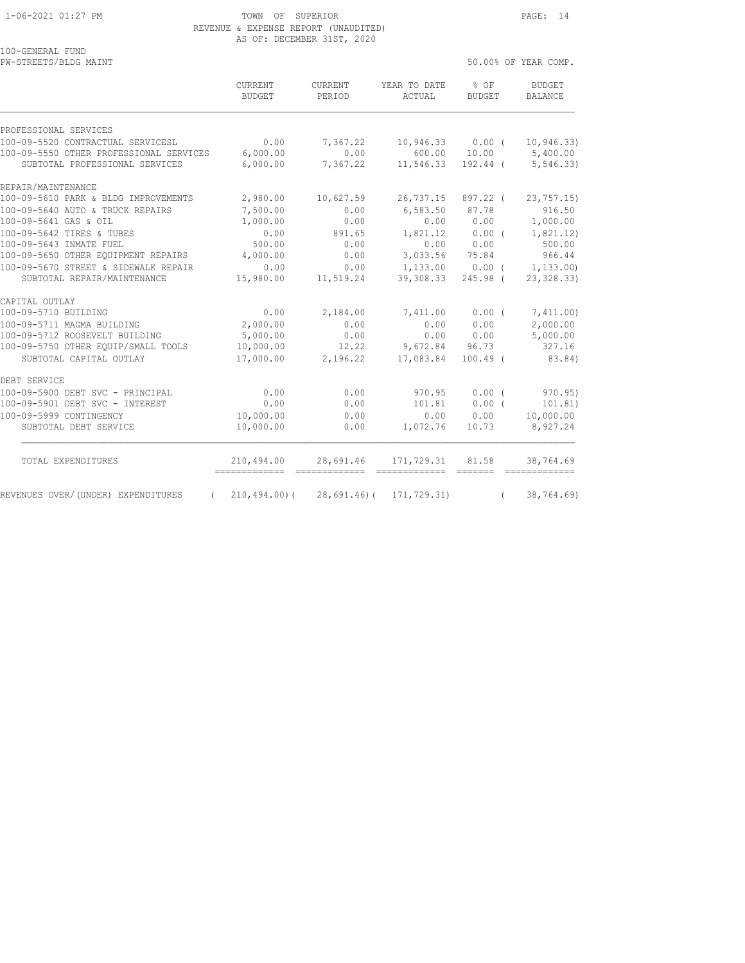100-GENERAL FUND

#### 1-06-2021 01:27 PM TOWN OF SUPERIOR PAGE: 14 REVENUE & EXPENSE REPORT (UNAUDITED) AS OF: DECEMBER 31ST, 2020

PW-STREETS/BLDG MAINT  $50.00\%$  OF YEAR COMP.

|                                         | <b>CURRENT</b><br><b>BUDGET</b> | <b>CURRENT</b><br>PERIOD | YEAR TO DATE<br>ACTUAL | % OF<br><b>BUDGET</b> | <b>BUDGET</b><br>BALANCE   |
|-----------------------------------------|---------------------------------|--------------------------|------------------------|-----------------------|----------------------------|
| PROFESSIONAL SERVICES                   |                                 |                          |                        |                       |                            |
| 100-09-5520 CONTRACTUAL SERVICESL       | 0.00                            | 7,367.22                 | 10,946.33              | $0.00$ (              | 10, 946.33)                |
| 100-09-5550 OTHER PROFESSIONAL SERVICES | 6,000.00                        | 0.00                     | 600.00                 | 10.00                 | 5,400.00                   |
| SUBTOTAL PROFESSIONAL SERVICES          | 6,000.00                        | 7,367.22                 | 11,546.33              | 192.44 (              | 5, 546.33)                 |
| REPAIR/MAINTENANCE                      |                                 |                          |                        |                       |                            |
| 100-09-5610 PARK & BLDG IMPROVEMENTS    | 2,980.00                        | 10,627.59                | 26,737.15              | 897.22 (              | 23, 757.15                 |
| 100-09-5640 AUTO & TRUCK REPAIRS        | 7,500.00                        | 0.00                     | 6,583.50               | 87.78                 | 916.50                     |
| 100-09-5641 GAS & OIL                   | 1,000.00                        | 0.00                     | 0.00                   | 0.00                  | 1,000.00                   |
| 100-09-5642 TIRES & TUBES               | 0.00                            | 891.65                   | 1,821.12               | 0.00(                 | 1,821.12)                  |
| 100-09-5643 INMATE FUEL                 | 500.00                          | 0.00                     | 0.00                   | 0.00                  | 500.00                     |
| 100-09-5650 OTHER EQUIPMENT REPAIRS     | 4,000.00                        | 0.00                     | 3,033.56               | 75.84                 | 966.44                     |
| 100-09-5670 STREET & SIDEWALK REPAIR    | 0.00                            | 0.00                     | 1,133.00               | 0.00(                 | 1, 133.00                  |
| SUBTOTAL REPAIR/MAINTENANCE             | 15,980.00                       | 11,519.24                | 39,308.33              | 245.98 (              | 23, 328.33)                |
| CAPITAL OUTLAY                          |                                 |                          |                        |                       |                            |
| 100-09-5710 BUILDING                    | 0.00                            | 2,184.00                 | 7,411.00               | $0.00$ (              | 7,411.00)                  |
| 100-09-5711 MAGMA BUILDING              | 2,000.00                        | 0.00                     | 0.00                   | 0.00                  | 2,000.00                   |
| 100-09-5712 ROOSEVELT BUILDING          | 5,000.00                        | 0.00                     | 0.00                   | 0.00                  | 5,000.00                   |
| 100-09-5750 OTHER EQUIP/SMALL TOOLS     | 10,000.00                       | 12.22                    | 9,672.84               | 96.73                 | 327.16                     |
| SUBTOTAL CAPITAL OUTLAY                 | 17,000.00                       | 2,196.22                 | 17,083.84              | $100.49$ $($          | 83.84)                     |
| DEBT SERVICE                            |                                 |                          |                        |                       |                            |
| 100-09-5900 DEBT SVC - PRINCIPAL        | 0.00                            | 0.00                     | 970.95                 | 0.00(                 | 970.95)                    |
| 100-09-5901 DEBT SVC - INTEREST         | 0.00                            | 0.00                     | 101.81                 | $0.00$ (              | 101.81)                    |
| 100-09-5999 CONTINGENCY                 | 10,000.00                       | 0.00                     | 0.00                   | 0.00                  | 10,000.00                  |
| SUBTOTAL DEBT SERVICE                   | 10,000.00                       | 0.00                     | 1,072.76               | 10.73                 | 8,927.24                   |
| TOTAL EXPENDITURES                      | 210,494.00<br>--------------    | 28,691.46                | 171,729.31             | 81.58                 | 38,764.69<br>============= |
| REVENUES OVER/(UNDER) EXPENDITURES      | $210, 494.00$ (                 | $28,691.46$ ) (          | 171,729.31)            | $\left($              | 38,764.69)                 |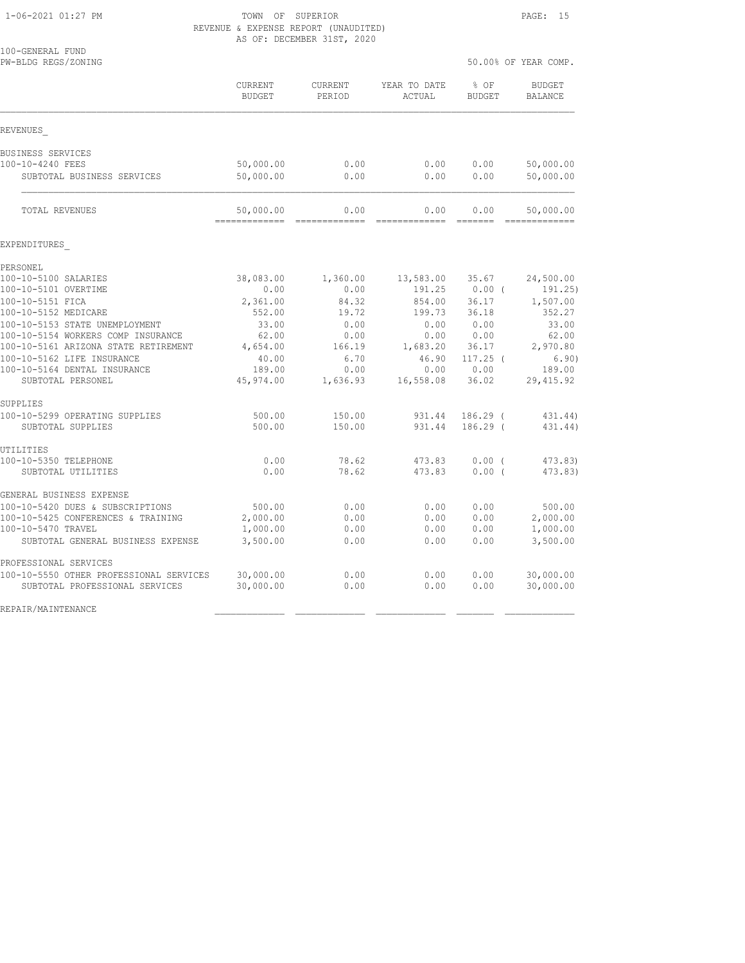## 1-06-2021 01:27 PM TOWN OF SUPERIOR PAGE: 15 REVENUE & EXPENSE REPORT (UNAUDITED) AS OF: DECEMBER 31ST, 2020

| 100-GENERAL FUND<br>PW-BLDG REGS/ZONING                                   |                             |                   |                        | 50.00% OF YEAR COMP. |                                                                                                                                                                                                                                                                                                                                                                                                                                                                                                     |  |
|---------------------------------------------------------------------------|-----------------------------|-------------------|------------------------|----------------------|-----------------------------------------------------------------------------------------------------------------------------------------------------------------------------------------------------------------------------------------------------------------------------------------------------------------------------------------------------------------------------------------------------------------------------------------------------------------------------------------------------|--|
|                                                                           | CURRENT<br>BUDGET           | CURRENT<br>PERIOD | YEAR TO DATE<br>ACTUAL | % OF<br>BUDGET       | <b>BUDGET</b><br>BALANCE                                                                                                                                                                                                                                                                                                                                                                                                                                                                            |  |
| REVENUES                                                                  |                             |                   |                        |                      |                                                                                                                                                                                                                                                                                                                                                                                                                                                                                                     |  |
| BUSINESS SERVICES                                                         |                             |                   |                        |                      |                                                                                                                                                                                                                                                                                                                                                                                                                                                                                                     |  |
| 100-10-4240 FEES                                                          | 50,000.00                   | 0.00              | 0.00                   | 0.00                 | 50,000.00                                                                                                                                                                                                                                                                                                                                                                                                                                                                                           |  |
| SUBTOTAL BUSINESS SERVICES                                                | 50,000.00                   | 0.00              | 0.00                   | 0.00                 | 50,000.00                                                                                                                                                                                                                                                                                                                                                                                                                                                                                           |  |
| TOTAL REVENUES                                                            | 50,000.00<br>-------------- | 0.00<br>--------- | 0.00                   | 0.00<br>--------     | 50,000.00<br>$\begin{array}{cccccccccccccc} \multicolumn{2}{c}{} & \multicolumn{2}{c}{} & \multicolumn{2}{c}{} & \multicolumn{2}{c}{} & \multicolumn{2}{c}{} & \multicolumn{2}{c}{} & \multicolumn{2}{c}{} & \multicolumn{2}{c}{} & \multicolumn{2}{c}{} & \multicolumn{2}{c}{} & \multicolumn{2}{c}{} & \multicolumn{2}{c}{} & \multicolumn{2}{c}{} & \multicolumn{2}{c}{} & \multicolumn{2}{c}{} & \multicolumn{2}{c}{} & \multicolumn{2}{c}{} & \multicolumn{2}{c}{} & \multicolumn{2}{c}{} & \$ |  |
| EXPENDITURES                                                              |                             |                   |                        |                      |                                                                                                                                                                                                                                                                                                                                                                                                                                                                                                     |  |
| PERSONEL                                                                  |                             |                   |                        |                      |                                                                                                                                                                                                                                                                                                                                                                                                                                                                                                     |  |
| 100-10-5100 SALARIES                                                      | 38,083.00                   | 1,360.00          | 13,583.00              | 35.67                | 24,500.00                                                                                                                                                                                                                                                                                                                                                                                                                                                                                           |  |
| 100-10-5101 OVERTIME                                                      | 0.00                        | 0.00              | 191.25                 | $0.00$ (             | 191.25)                                                                                                                                                                                                                                                                                                                                                                                                                                                                                             |  |
| 100-10-5151 FICA                                                          | 2,361.00                    | 84.32             | 854.00                 | 36.17                | 1,507.00                                                                                                                                                                                                                                                                                                                                                                                                                                                                                            |  |
| 100-10-5152 MEDICARE                                                      | 552.00                      | 19.72             | 199.73                 | 36.18                | 352.27                                                                                                                                                                                                                                                                                                                                                                                                                                                                                              |  |
| 100-10-5153 STATE UNEMPLOYMENT                                            | 33.00                       | 0.00              | 0.00                   | 0.00                 | 33.00                                                                                                                                                                                                                                                                                                                                                                                                                                                                                               |  |
| 100-10-5154 WORKERS COMP INSURANCE                                        | 62.00                       | 0.00              | 0.00                   | 0.00                 | 62.00                                                                                                                                                                                                                                                                                                                                                                                                                                                                                               |  |
| 100-10-5161 ARIZONA STATE RETIREMENT                                      | 4,654.00                    | 166.19            | 1,683.20               | 36.17                | 2,970.80                                                                                                                                                                                                                                                                                                                                                                                                                                                                                            |  |
| 100-10-5162 LIFE INSURANCE                                                | 40.00                       | 6.70              | 46.90                  | $117.25$ (           | 6.90)                                                                                                                                                                                                                                                                                                                                                                                                                                                                                               |  |
| 100-10-5164 DENTAL INSURANCE                                              | 189.00                      | 0.00              | 0.00                   | 0.00                 | 189.00                                                                                                                                                                                                                                                                                                                                                                                                                                                                                              |  |
| SUBTOTAL PERSONEL                                                         | 45,974.00                   | 1,636.93          | 16,558.08              | 36.02                | 29, 415.92                                                                                                                                                                                                                                                                                                                                                                                                                                                                                          |  |
| SUPPLIES                                                                  |                             |                   |                        |                      |                                                                                                                                                                                                                                                                                                                                                                                                                                                                                                     |  |
| 100-10-5299 OPERATING SUPPLIES                                            | 500.00                      | 150.00            | 931.44                 | 186.29 (             | 431.44)                                                                                                                                                                                                                                                                                                                                                                                                                                                                                             |  |
| SUBTOTAL SUPPLIES                                                         | 500.00                      | 150.00            | 931.44                 | $186.29$ $($         | 431.44)                                                                                                                                                                                                                                                                                                                                                                                                                                                                                             |  |
| UTILITIES                                                                 |                             |                   |                        |                      |                                                                                                                                                                                                                                                                                                                                                                                                                                                                                                     |  |
| 100-10-5350 TELEPHONE<br>SUBTOTAL UTILITIES                               | 0.00<br>0.00                | 78.62<br>78.62    | 473.83<br>473.83       | 0.00(<br>0.00(       | 473.83)<br>473.83)                                                                                                                                                                                                                                                                                                                                                                                                                                                                                  |  |
| GENERAL BUSINESS EXPENSE                                                  |                             |                   |                        |                      |                                                                                                                                                                                                                                                                                                                                                                                                                                                                                                     |  |
| 100-10-5420 DUES & SUBSCRIPTIONS                                          | 500.00                      | 0.00              | 0.00                   | 0.00                 | 500.00                                                                                                                                                                                                                                                                                                                                                                                                                                                                                              |  |
| 100-10-5425 CONFERENCES & TRAINING                                        | 2,000.00                    | 0.00              | 0.00                   | 0.00                 | 2,000.00                                                                                                                                                                                                                                                                                                                                                                                                                                                                                            |  |
| 100-10-5470 TRAVEL                                                        | 1,000.00                    | 0.00              | 0.00                   | 0.00                 | 1,000.00                                                                                                                                                                                                                                                                                                                                                                                                                                                                                            |  |
| SUBTOTAL GENERAL BUSINESS EXPENSE                                         | 3,500.00                    | 0.00              | 0.00                   | 0.00                 | 3,500.00                                                                                                                                                                                                                                                                                                                                                                                                                                                                                            |  |
| PROFESSIONAL SERVICES                                                     |                             |                   |                        |                      |                                                                                                                                                                                                                                                                                                                                                                                                                                                                                                     |  |
| 100-10-5550 OTHER PROFESSIONAL SERVICES<br>SUBTOTAL PROFESSIONAL SERVICES | 30,000.00<br>30,000.00      | 0.00<br>0.00      | 0.00<br>0.00           | 0.00<br>0.00         | 30,000.00<br>30,000.00                                                                                                                                                                                                                                                                                                                                                                                                                                                                              |  |
| REPAIR/MAINTENANCE                                                        |                             |                   |                        |                      |                                                                                                                                                                                                                                                                                                                                                                                                                                                                                                     |  |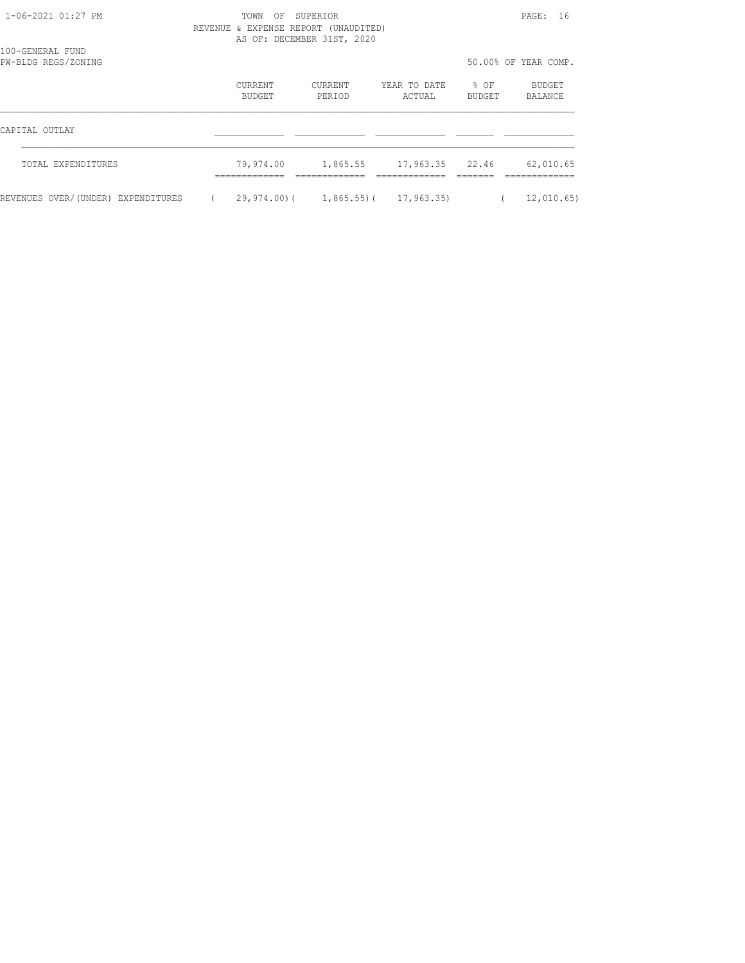# 1-06-2021 01:27 PM TOWN OF SUPERIOR PAGE: 16 REVENUE & EXPENSE REPORT (UNAUDITED)

|                                         | AS OF: DECEMBER 31ST, 2020 |                   |                   |                        |                       |                   |  |
|-----------------------------------------|----------------------------|-------------------|-------------------|------------------------|-----------------------|-------------------|--|
| 100-GENERAL FUND<br>PW-BLDG REGS/ZONING |                            |                   |                   |                        | 50.00% OF YEAR COMP.  |                   |  |
|                                         |                            | CURRENT<br>BUDGET | CURRENT<br>PERIOD | YEAR TO DATE<br>ACTUAL | % OF<br><b>BUDGET</b> | BUDGET<br>BALANCE |  |
| CAPITAL OUTLAY                          |                            |                   |                   |                        |                       |                   |  |
| TOTAL EXPENDITURES                      |                            | 79,974.00         | 1,865.55          | 17,963.35 22.46        |                       | 62,010.65         |  |
| REVENUES OVER/(UNDER) EXPENDITURES      |                            | $29,974,00$ (     | $1,865.55$ ) (    | 17,963.35)             |                       | 12,010.65         |  |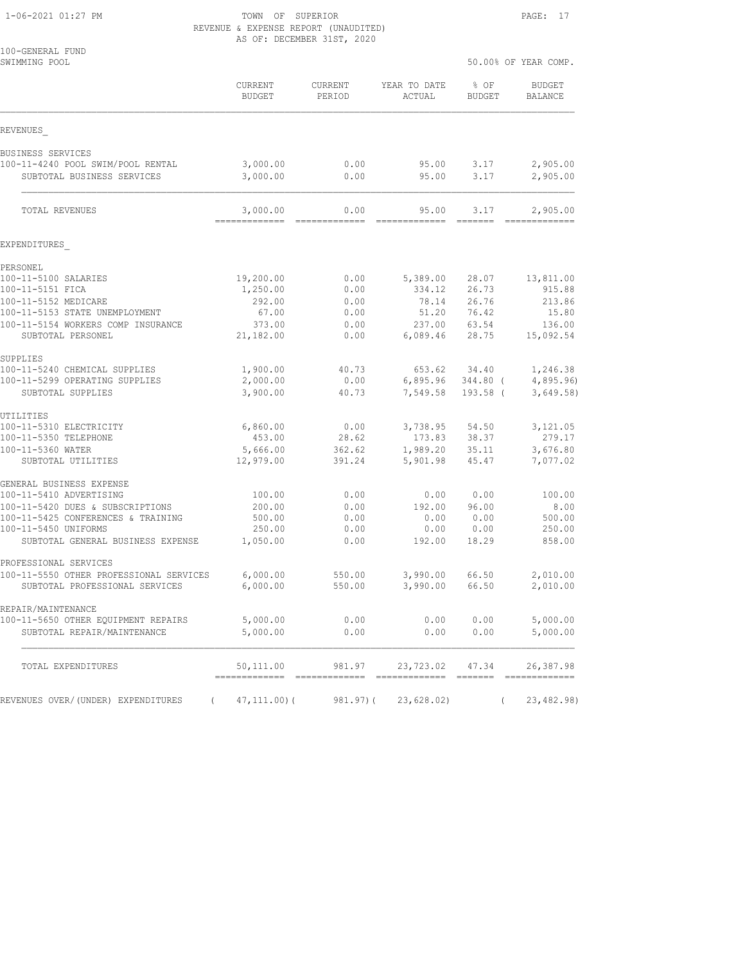#### 1-06-2021 01:27 PM TOWN OF SUPERIOR PAGE: 17 REVENUE & EXPENSE REPORT (UNAUDITED) AS OF: DECEMBER 31ST, 2020

| 100-GENERAL FUND<br>SWIMMING POOL                                         |                            |                          |                            | 50.00% OF YEAR COMP.                                                 |                                 |  |
|---------------------------------------------------------------------------|----------------------------|--------------------------|----------------------------|----------------------------------------------------------------------|---------------------------------|--|
|                                                                           | CURRENT<br><b>BUDGET</b>   | CURRENT<br>PERIOD        | YEAR TO DATE<br>ACTUAL     | % OF<br><b>BUDGET</b>                                                | <b>BUDGET</b><br><b>BALANCE</b> |  |
| REVENUES                                                                  |                            |                          |                            |                                                                      |                                 |  |
| BUSINESS SERVICES                                                         |                            |                          |                            |                                                                      |                                 |  |
| 100-11-4240 POOL SWIM/POOL RENTAL<br>SUBTOTAL BUSINESS SERVICES           | 3,000.00<br>3,000.00       | 0.00<br>0.00             | 95.00<br>95.00             | 3.17<br>3.17                                                         | 2,905.00<br>2,905.00            |  |
| TOTAL REVENUES                                                            | 3,000.00<br>-------------  | 0.00                     | 95.00                      | 3.17                                                                 | 2,905.00<br>=============       |  |
| EXPENDITURES                                                              |                            |                          |                            |                                                                      |                                 |  |
| PERSONEL                                                                  |                            |                          |                            |                                                                      |                                 |  |
| 100-11-5100 SALARIES                                                      | 19,200.00                  | 0.00                     | 5,389.00                   | 28.07                                                                | 13,811.00                       |  |
| 100-11-5151 FICA                                                          | 1,250.00                   | 0.00                     | 334.12                     | 26.73                                                                | 915.88                          |  |
| 100-11-5152 MEDICARE<br>100-11-5153 STATE UNEMPLOYMENT                    | 292.00<br>67.00            | 0.00<br>0.00             | 78.14<br>51.20             | 26.76<br>76.42                                                       | 213.86<br>15.80                 |  |
| 100-11-5154 WORKERS COMP INSURANCE                                        | 373.00                     | 0.00                     | 237.00                     | 63.54                                                                | 136.00                          |  |
| SUBTOTAL PERSONEL                                                         | 21,182.00                  | 0.00                     | 6,089.46                   | 28.75                                                                | 15,092.54                       |  |
| SUPPLIES                                                                  |                            |                          |                            |                                                                      |                                 |  |
| 100-11-5240 CHEMICAL SUPPLIES                                             | 1,900.00                   | 40.73                    | 653.62                     | 34.40                                                                | 1,246.38                        |  |
| 100-11-5299 OPERATING SUPPLIES<br>SUBTOTAL SUPPLIES                       | 2,000.00<br>3,900.00       | 0.00<br>40.73            | 6,895.96<br>7,549.58       | 344.80 (<br>$193.58$ (                                               | 4,895.96<br>3,649.58)           |  |
| UTILITIES                                                                 |                            |                          |                            |                                                                      |                                 |  |
| 100-11-5310 ELECTRICITY                                                   | 6,860.00                   | 0.00                     | 3,738.95                   | 54.50                                                                | 3,121.05                        |  |
| 100-11-5350 TELEPHONE                                                     | 453.00                     | 28.62                    | 173.83                     | 38.37                                                                | 279.17                          |  |
| 100-11-5360 WATER<br>SUBTOTAL UTILITIES                                   | 5,666.00<br>12,979.00      | 362.62<br>391.24         | 1,989.20<br>5,901.98       | 35.11<br>45.47                                                       | 3,676.80<br>7,077.02            |  |
| GENERAL BUSINESS EXPENSE                                                  |                            |                          |                            |                                                                      |                                 |  |
| 100-11-5410 ADVERTISING                                                   | 100.00                     | 0.00                     | 0.00                       | 0.00                                                                 | 100.00                          |  |
| 100-11-5420 DUES & SUBSCRIPTIONS                                          | 200.00                     | 0.00                     | 192.00                     | 96.00                                                                | 8.00                            |  |
| 100-11-5425 CONFERENCES & TRAINING<br>100-11-5450 UNIFORMS                | 500.00<br>250.00           | 0.00<br>0.00             | 0.00<br>0.00               | 0.00<br>0.00                                                         | 500.00<br>250.00                |  |
| SUBTOTAL GENERAL BUSINESS EXPENSE                                         | 1,050.00                   | 0.00                     | 192.00                     | 18.29                                                                | 858.00                          |  |
| PROFESSIONAL SERVICES                                                     |                            |                          |                            |                                                                      |                                 |  |
| 100-11-5550 OTHER PROFESSIONAL SERVICES<br>SUBTOTAL PROFESSIONAL SERVICES | 6,000.00<br>6,000.00       | 550.00<br>550.00         | 3,990.00<br>3,990.00       | 66.50<br>66.50                                                       | 2,010.00<br>2,010.00            |  |
| REPAIR/MAINTENANCE                                                        |                            |                          |                            |                                                                      |                                 |  |
| 100-11-5650 OTHER EOUIPMENT REPAIRS<br>SUBTOTAL REPAIR/MAINTENANCE        | 5,000.00<br>5,000.00       | 0.00<br>0.00             | 0.00<br>0.00               | 0.00<br>0.00                                                         | 5,000.00<br>5,000.00            |  |
|                                                                           |                            |                          |                            |                                                                      |                                 |  |
| TOTAL EXPENDITURES                                                        | 50,111.00<br>------------- | 981.97<br>-------------- | 23,723.02<br>============= | 47.34<br>$\begin{array}{cccccc} = & = & = & = & = & = & \end{array}$ | 26,387.98                       |  |
| REVENUES OVER/(UNDER) EXPENDITURES<br>$\left($                            | $47, 111.00$ ) (           | 981.97)(                 | 23,628.02)                 | $\left($                                                             | 23, 482.98)                     |  |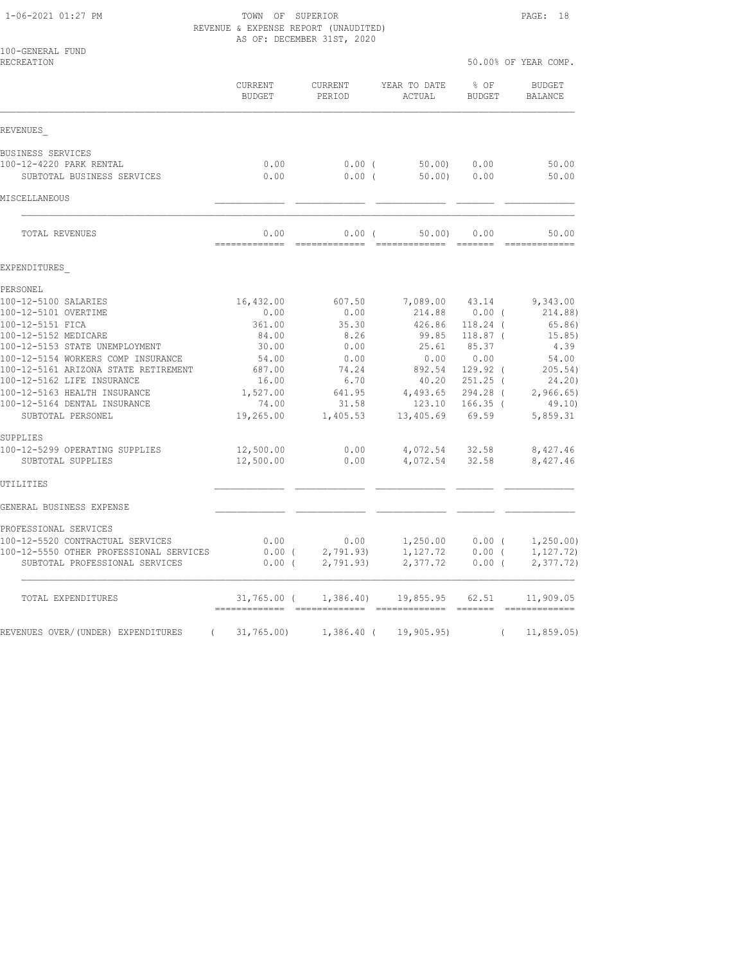#### 1-06-2021 01:27 PM TOWN OF SUPERIOR PAGE: 18 REVENUE & EXPENSE REPORT (UNAUDITED) AS OF: DECEMBER 31ST, 2020

| 100-GENERAL FUND<br>RECREATION                                       |                        |                   |                        | 50.00% OF YEAR COMP.  |                          |  |
|----------------------------------------------------------------------|------------------------|-------------------|------------------------|-----------------------|--------------------------|--|
|                                                                      | CURRENT<br>BUDGET      | CURRENT<br>PERIOD | YEAR TO DATE<br>ACTUAL | % OF<br><b>BUDGET</b> | <b>BUDGET</b><br>BALANCE |  |
| REVENUES                                                             |                        |                   |                        |                       |                          |  |
| BUSINESS SERVICES                                                    |                        |                   |                        |                       |                          |  |
| 100-12-4220 PARK RENTAL                                              | 0.00                   | $0.00$ (          | 50.00)                 | 0.00                  | 50.00                    |  |
| SUBTOTAL BUSINESS SERVICES                                           | 0.00                   | 0.00(             | 50.00                  | 0.00                  | 50.00                    |  |
| MISCELLANEOUS                                                        |                        |                   |                        |                       |                          |  |
| TOTAL REVENUES                                                       | 0.00                   | 0.00(             | 50.00                  | 0.00                  | 50.00<br>===========     |  |
| EXPENDITURES                                                         |                        |                   |                        |                       |                          |  |
| PERSONEL                                                             |                        |                   |                        |                       |                          |  |
| 100-12-5100 SALARIES                                                 | 16,432.00              | 607.50            | 7,089.00               | 43.14                 | 9,343.00                 |  |
| 100-12-5101 OVERTIME                                                 | 0.00                   | 0.00              | 214.88                 | $0.00$ (              | 214.88)                  |  |
| 100-12-5151 FICA                                                     | 361.00                 | 35.30             | 426.86                 | $118.24$ (            | 65.86)                   |  |
| 100-12-5152 MEDICARE                                                 | 84.00                  | 8.26              | 99.85                  | $118.87$ (            | 15.85)                   |  |
| 100-12-5153 STATE UNEMPLOYMENT<br>100-12-5154 WORKERS COMP INSURANCE | 30.00                  | 0.00              | 25.61<br>0.00          | 85.37<br>0.00         | 4.39<br>54.00            |  |
| 100-12-5161 ARIZONA STATE RETIREMENT                                 | 54.00<br>687.00        | 0.00<br>74.24     | 892.54                 | $129.92$ (            | 205.54)                  |  |
| 100-12-5162 LIFE INSURANCE                                           | 16.00                  | 6.70              | 40.20                  | $251.25$ (            | 24.20)                   |  |
| 100-12-5163 HEALTH INSURANCE                                         | 1,527.00               | 641.95            | 4,493.65               | 294.28 (              | 2,966.65                 |  |
| 100-12-5164 DENTAL INSURANCE                                         | 74.00                  | 31.58             | 123.10                 | $166.35$ (            | 49.10)                   |  |
| SUBTOTAL PERSONEL                                                    | 19,265.00              | 1,405.53          | 13,405.69              | 69.59                 | 5,859.31                 |  |
| SUPPLIES                                                             |                        |                   |                        |                       |                          |  |
| 100-12-5299 OPERATING SUPPLIES<br>SUBTOTAL SUPPLIES                  | 12,500.00<br>12,500.00 | 0.00<br>0.00      | 4,072.54<br>4,072.54   | 32.58<br>32.58        | 8,427.46<br>8,427.46     |  |
| UTILITIES                                                            |                        |                   |                        |                       |                          |  |
| GENERAL BUSINESS EXPENSE                                             |                        |                   |                        |                       |                          |  |
| PROFESSIONAL SERVICES                                                |                        |                   |                        |                       |                          |  |
| 100-12-5520 CONTRACTUAL SERVICES                                     | 0.00                   | 0.00              | 1,250.00               | $0.00$ (              | 1,250.00)                |  |
| 100-12-5550 OTHER PROFESSIONAL SERVICES                              | $0.00$ (               | 2,791.93          | 1,127.72               | 0.00(                 | 1, 127.72)               |  |
| SUBTOTAL PROFESSIONAL SERVICES                                       | $0.00$ (               | 2,791.93)         | 2,377.72               | $0.00$ (              | 2,377.72)                |  |
| TOTAL EXPENDITURES                                                   | 31,765.00 (            | 1,386.40          | 19,855.95              | 62.51                 | 11,909.05                |  |
| REVENUES OVER/(UNDER) EXPENDITURES<br>$\sqrt{2}$                     | 31,765.00              | $1,386.40$ (      | 19,905.95)             | $\left($              | 11, 859.05               |  |
|                                                                      |                        |                   |                        |                       |                          |  |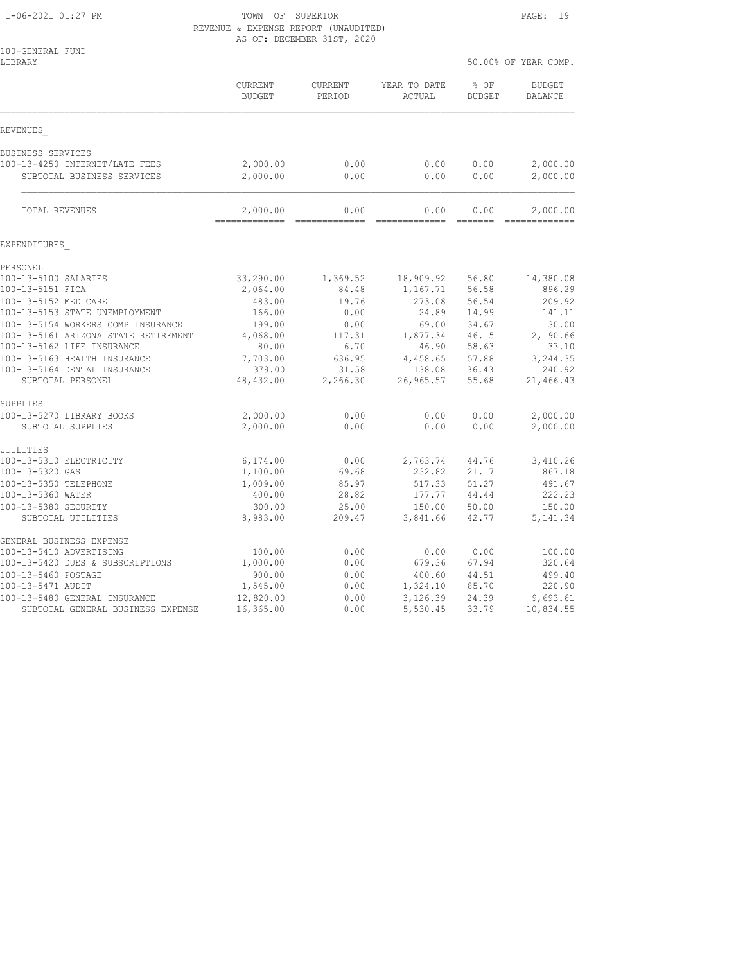1-06-2021 01:27 PM TOWN OF SUPERIOR PAGE: 19 REVENUE & EXPENSE REPORT (UNAUDITED) AS OF: DECEMBER 31ST, 2020

| 100-GENERAL FUND<br>LIBRARY                    |                            |                       |                        | 50.00% OF YEAR COMP.  |                                 |
|------------------------------------------------|----------------------------|-----------------------|------------------------|-----------------------|---------------------------------|
|                                                | CURRENT<br><b>BUDGET</b>   | CURRENT<br>PERIOD     | YEAR TO DATE<br>ACTUAL | % OF<br><b>BUDGET</b> | <b>BUDGET</b><br><b>BALANCE</b> |
| REVENUES                                       |                            |                       |                        |                       |                                 |
| BUSINESS SERVICES                              |                            |                       |                        |                       |                                 |
| 100-13-4250 INTERNET/LATE FEES                 | 2,000.00                   | 0.00                  | 0.00                   | 0.00                  | 2,000.00                        |
| SUBTOTAL BUSINESS SERVICES                     | 2,000.00                   | 0.00                  | 0.00                   | 0.00                  | 2,000.00                        |
| TOTAL REVENUES                                 | 2,000.00<br>============== | 0.00<br>------------- | 0.00<br>-------------- | 0.00                  | 2,000.00<br>-------------       |
| EXPENDITURES                                   |                            |                       |                        |                       |                                 |
| PERSONEL                                       |                            |                       |                        |                       |                                 |
| 100-13-5100 SALARIES                           | 33,290.00                  | 1,369.52              | 18,909.92              | 56.80                 | 14,380.08                       |
| 100-13-5151 FICA                               | 2,064.00                   | 84.48                 | 1,167.71               | 56.58                 | 896.29                          |
| 100-13-5152 MEDICARE                           | 483.00                     | 19.76                 | 273.08                 | 56.54                 | 209.92                          |
| 100-13-5153 STATE UNEMPLOYMENT                 | 166.00                     | 0.00                  | 24.89                  | 14.99                 | 141.11                          |
| 100-13-5154 WORKERS COMP INSURANCE             | 199.00                     | 0.00                  | 69.00                  | 34.67                 | 130.00                          |
| 100-13-5161 ARIZONA STATE RETIREMENT           | 4,068.00                   | 117.31                | 1,877.34               | 46.15                 | 2,190.66                        |
| 100-13-5162 LIFE INSURANCE                     | 80.00                      | 6.70                  | 46.90                  | 58.63                 | 33.10                           |
| 100-13-5163 HEALTH INSURANCE                   | 7,703.00                   | 636.95                | 4,458.65               | 57.88                 | 3,244.35                        |
| 100-13-5164 DENTAL INSURANCE                   | 379.00                     | 31.58                 | 138.08                 | 36.43                 | 240.92                          |
| SUBTOTAL PERSONEL                              | 48,432.00                  | 2,266.30              | 26,965.57              | 55.68                 | 21,466.43                       |
| SUPPLIES                                       |                            |                       |                        |                       |                                 |
| 100-13-5270 LIBRARY BOOKS<br>SUBTOTAL SUPPLIES | 2,000.00<br>2,000.00       | 0.00<br>0.00          | 0.00<br>0.00           | 0.00<br>0.00          | 2,000.00<br>2,000.00            |
|                                                |                            |                       |                        |                       |                                 |
| UTILITIES                                      |                            |                       |                        |                       |                                 |
| 100-13-5310 ELECTRICITY                        | 6,174.00                   | 0.00                  | 2,763.74               | 44.76                 | 3,410.26                        |
| 100-13-5320 GAS                                | 1,100.00                   | 69.68                 | 232.82                 | 21.17                 | 867.18                          |
| 100-13-5350 TELEPHONE                          | 1,009.00                   | 85.97                 | 517.33                 | 51.27                 | 491.67                          |
| 100-13-5360 WATER                              | 400.00                     | 28.82                 | 177.77                 | 44.44                 | 222.23                          |
| 100-13-5380 SECURITY                           | 300.00                     | 25.00                 | 150.00                 | 50.00                 | 150.00                          |
| SUBTOTAL UTILITIES                             | 8,983.00                   | 209.47                | 3,841.66               | 42.77                 | 5, 141.34                       |
| GENERAL BUSINESS EXPENSE                       |                            |                       |                        |                       |                                 |
| 100-13-5410 ADVERTISING                        | 100.00                     | 0.00                  | 0.00                   | 0.00                  | 100.00                          |
| 100-13-5420 DUES & SUBSCRIPTIONS               | 1,000.00                   | 0.00                  | 679.36                 | 67.94                 | 320.64                          |
| 100-13-5460 POSTAGE                            | 900.00                     | 0.00                  | 400.60                 | 44.51                 | 499.40                          |
| 100-13-5471 AUDIT                              | 1,545.00                   | 0.00                  | 1,324.10               | 85.70                 | 220.90                          |
| 100-13-5480 GENERAL INSURANCE                  | 12,820.00                  | 0.00                  | 3,126.39               | 24.39                 | 9,693.61                        |
| SUBTOTAL GENERAL BUSINESS EXPENSE              | 16,365.00                  | 0.00                  | 5,530.45               | 33.79                 | 10,834.55                       |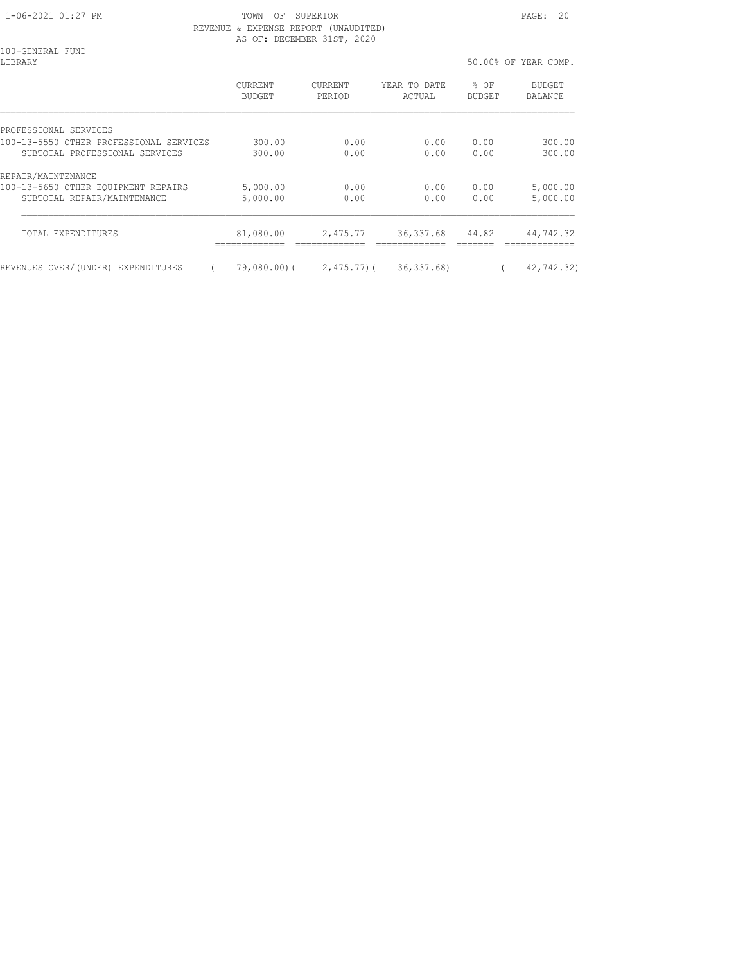#### 1-06-2021 01:27 PM TOWN OF SUPERIOR PAGE: 20 REVENUE & EXPENSE REPORT (UNAUDITED) AS OF: DECEMBER 31ST, 2020

100-GENERAL FUND<br>LIBRARY

50.00% OF YEAR COMP.

|                                              | <b>CURRENT</b><br>BUDGET | <b>CURRENT</b><br>PERIOD | YEAR TO DATE<br>ACTUAL | % OF<br><b>BUDGET</b> | <b>BUDGET</b><br>BALANCE |
|----------------------------------------------|--------------------------|--------------------------|------------------------|-----------------------|--------------------------|
| PROFESSIONAL SERVICES                        |                          |                          |                        |                       |                          |
| 100-13-5550 OTHER PROFESSIONAL SERVICES      | 300.00                   | 0.00                     | 0.00                   | 0.00                  | 300.00                   |
| SUBTOTAL PROFESSIONAL SERVICES               | 300.00                   | 0.00                     | 0.00                   | 0.00                  | 300.00                   |
| REPAIR/MAINTENANCE                           |                          |                          |                        |                       |                          |
| 100-13-5650 OTHER EQUIPMENT REPAIRS          | 5,000.00                 | 0.00                     | 0.00                   | 0.00                  | 5,000.00                 |
| SUBTOTAL REPAIR/MAINTENANCE                  | 5,000.00                 | 0.00                     | 0.00                   | 0.00                  | 5,000.00                 |
| TOTAL EXPENDITURES                           | 81,080.00                | 2,475.77                 | 36, 337.68             | 44.82                 | 44,742.32                |
| REVENUES OVER/(UNDER)<br><b>EXPENDITURES</b> | $79,080.00$ ) (          | $2,475,77$ ) (           | 36, 337.68)            |                       | 42,742.32)               |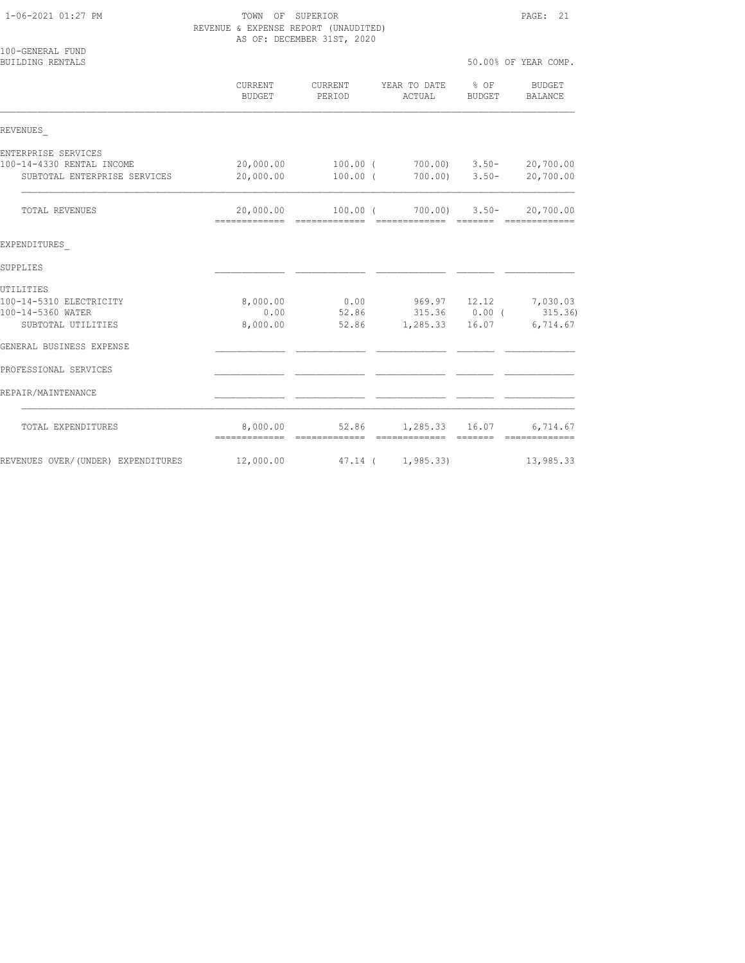1-06-2021 01:27 PM TOWN OF SUPERIOR PAGE: 21 REVENUE & EXPENSE REPORT (UNAUDITED) AS OF: DECEMBER 31ST, 2020

| 100-GENERAL FUND<br>BUILDING RENTALS |                                              |                   |                                                                       |                  | 50.00% OF YEAR COMP.       |
|--------------------------------------|----------------------------------------------|-------------------|-----------------------------------------------------------------------|------------------|----------------------------|
|                                      | CURRENT<br>BUDGET                            | CURRENT<br>PERIOD | YEAR TO DATE<br>ACTUAL                                                | $8$ OF<br>BUDGET | BUDGET<br>BALANCE          |
| REVENUES                             |                                              |                   |                                                                       |                  |                            |
| ENTERPRISE SERVICES                  |                                              |                   |                                                                       |                  |                            |
| 100-14-4330 RENTAL INCOME            | 20,000.00                                    | 100.00 (          | $700.00$ $3.50 -$                                                     |                  | 20,700.00                  |
| SUBTOTAL ENTERPRISE SERVICES         | 20,000.00                                    | 100.00 (          | $700.00$ ) $3.50-$                                                    |                  | 20,700.00                  |
| <b>TOTAL REVENUES</b>                | 20,000.00<br>=============================== |                   | $100.00$ ( $700.00$ ) 3.50-<br>====================================== |                  | 20,700.00                  |
| EXPENDITURES                         |                                              |                   |                                                                       |                  |                            |
| SUPPLIES                             |                                              |                   |                                                                       |                  |                            |
| UTILITIES                            |                                              |                   |                                                                       |                  |                            |
| 100-14-5310 ELECTRICITY              | 8,000.00                                     |                   | $0.00$ 969.97 12.12 7,030.03                                          |                  |                            |
| 100-14-5360 WATER                    | 0.00                                         |                   | 52.86 315.36 0.00 (315.36)                                            |                  |                            |
| SUBTOTAL UTILITIES                   | 8,000.00                                     | 52.86             | 1,285.33                                                              | 16.07            | 6,714.67                   |
| GENERAL BUSINESS EXPENSE             |                                              |                   |                                                                       |                  |                            |
| PROFESSIONAL SERVICES                |                                              |                   |                                                                       |                  |                            |
| REPAIR/MAINTENANCE                   |                                              |                   |                                                                       |                  |                            |
| TOTAL EXPENDITURES                   | 8,000.00<br>===============================  | 52.86             | 1,285.33 16.07<br>=============                                       | =======          | 6,714.67<br>-------------- |
| REVENUES OVER/(UNDER) EXPENDITURES   | 12,000.00                                    | 47.14 (           | 1, 985.33                                                             |                  | 13,985.33                  |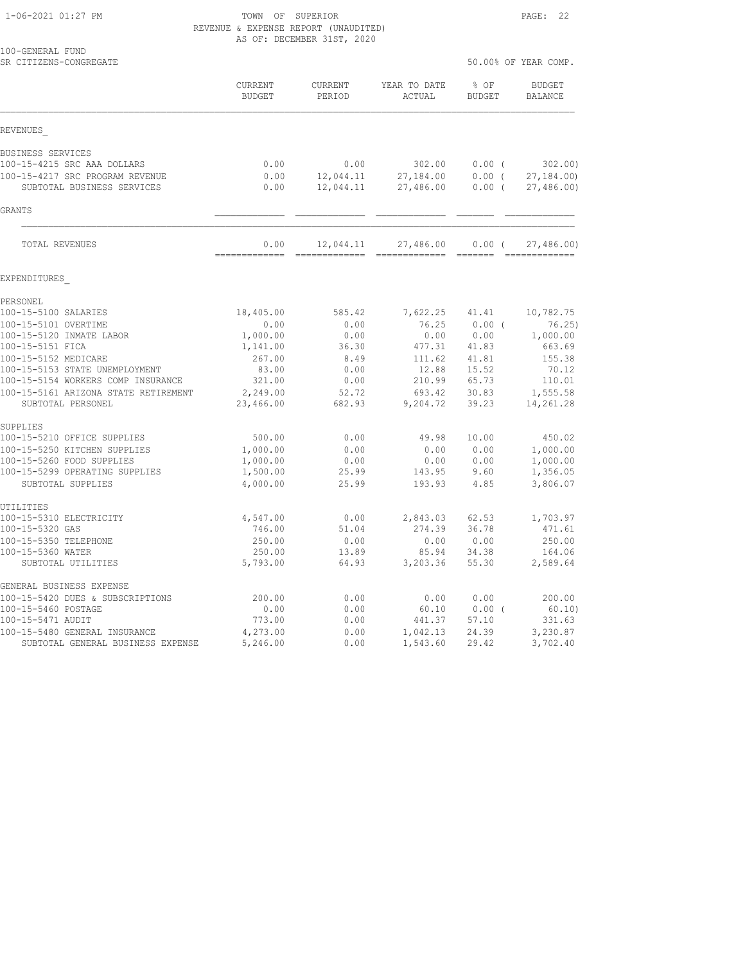## 1-06-2021 01:27 PM TOWN OF SUPERIOR PAGE: 22 REVENUE & EXPENSE REPORT (UNAUDITED) AS OF: DECEMBER 31ST, 2020

| 100-GENERAL FUND<br>SR CITIZENS-CONGREGATE                                                                                                                                                                                                                                                                                                                                                                                           |                                                                                                                                                           |                                                                                                                                                                                                                                                                                                                                                                                                                                                                                                     |                                                                                                                                           | 50.00% OF YEAR COMP.                                                                                            |                                                                                                                                                           |  |
|--------------------------------------------------------------------------------------------------------------------------------------------------------------------------------------------------------------------------------------------------------------------------------------------------------------------------------------------------------------------------------------------------------------------------------------|-----------------------------------------------------------------------------------------------------------------------------------------------------------|-----------------------------------------------------------------------------------------------------------------------------------------------------------------------------------------------------------------------------------------------------------------------------------------------------------------------------------------------------------------------------------------------------------------------------------------------------------------------------------------------------|-------------------------------------------------------------------------------------------------------------------------------------------|-----------------------------------------------------------------------------------------------------------------|-----------------------------------------------------------------------------------------------------------------------------------------------------------|--|
|                                                                                                                                                                                                                                                                                                                                                                                                                                      | CURRENT<br>BUDGET                                                                                                                                         | CURRENT<br>PERIOD                                                                                                                                                                                                                                                                                                                                                                                                                                                                                   | YEAR TO DATE<br>ACTUAL                                                                                                                    | % OF<br><b>BUDGET</b>                                                                                           | <b>BUDGET</b><br>BALANCE                                                                                                                                  |  |
| REVENUES                                                                                                                                                                                                                                                                                                                                                                                                                             |                                                                                                                                                           |                                                                                                                                                                                                                                                                                                                                                                                                                                                                                                     |                                                                                                                                           |                                                                                                                 |                                                                                                                                                           |  |
| BUSINESS SERVICES<br>100-15-4215 SRC AAA DOLLARS<br>100-15-4217 SRC PROGRAM REVENUE<br>SUBTOTAL BUSINESS SERVICES                                                                                                                                                                                                                                                                                                                    | 0.00<br>0.00<br>0.00                                                                                                                                      | 0.00<br>12,044.11<br>12,044.11                                                                                                                                                                                                                                                                                                                                                                                                                                                                      | 302.00<br>27,184.00<br>27,486.00                                                                                                          | $0.00$ (<br>$0.00$ (<br>0.00(                                                                                   | 302.00<br>27, 184.00<br>27,486.00                                                                                                                         |  |
| <b>GRANTS</b>                                                                                                                                                                                                                                                                                                                                                                                                                        |                                                                                                                                                           |                                                                                                                                                                                                                                                                                                                                                                                                                                                                                                     |                                                                                                                                           |                                                                                                                 |                                                                                                                                                           |  |
| TOTAL REVENUES                                                                                                                                                                                                                                                                                                                                                                                                                       | 0.00<br>=============                                                                                                                                     | 12,044.11<br>$\begin{array}{cccccccccc} \multicolumn{2}{c}{} & \multicolumn{2}{c}{} & \multicolumn{2}{c}{} & \multicolumn{2}{c}{} & \multicolumn{2}{c}{} & \multicolumn{2}{c}{} & \multicolumn{2}{c}{} & \multicolumn{2}{c}{} & \multicolumn{2}{c}{} & \multicolumn{2}{c}{} & \multicolumn{2}{c}{} & \multicolumn{2}{c}{} & \multicolumn{2}{c}{} & \multicolumn{2}{c}{} & \multicolumn{2}{c}{} & \multicolumn{2}{c}{} & \multicolumn{2}{c}{} & \multicolumn{2}{c}{} & \multicolumn{2}{c}{} & \mult$ | 27,486.00                                                                                                                                 | $0.00$ (                                                                                                        | 27,486.00                                                                                                                                                 |  |
| EXPENDITURES                                                                                                                                                                                                                                                                                                                                                                                                                         |                                                                                                                                                           |                                                                                                                                                                                                                                                                                                                                                                                                                                                                                                     |                                                                                                                                           |                                                                                                                 |                                                                                                                                                           |  |
| PERSONEL<br>100-15-5100 SALARIES<br>100-15-5101 OVERTIME<br>100-15-5120 INMATE LABOR<br>100-15-5151 FICA<br>100-15-5152 MEDICARE<br>100-15-5153 STATE UNEMPLOYMENT<br>100-15-5154 WORKERS COMP INSURANCE<br>100-15-5161 ARIZONA STATE RETIREMENT<br>SUBTOTAL PERSONEL<br>SUPPLIES<br>100-15-5210 OFFICE SUPPLIES<br>100-15-5250 KITCHEN SUPPLIES<br>100-15-5260 FOOD SUPPLIES<br>100-15-5299 OPERATING SUPPLIES<br>SUBTOTAL SUPPLIES | 18,405.00<br>0.00<br>1,000.00<br>1,141.00<br>267.00<br>83.00<br>321.00<br>2,249.00<br>23,466.00<br>500.00<br>1,000.00<br>1,000.00<br>1,500.00<br>4,000.00 | 585.42<br>0.00<br>0.00<br>36.30<br>8.49<br>0.00<br>0.00<br>52.72<br>682.93<br>0.00<br>0.00<br>0.00<br>25.99<br>25.99                                                                                                                                                                                                                                                                                                                                                                                | 7,622.25 41.41<br>76.25<br>0.00<br>477.31<br>111.62<br>12.88<br>210.99<br>693.42<br>9,204.72<br>49.98<br>0.00<br>0.00<br>143.95<br>193.93 | $0.00$ (<br>0.00<br>41.83<br>41.81<br>15.52<br>65.73<br>30.83<br>39.23<br>10.00<br>0.00<br>0.00<br>9.60<br>4.85 | 10,782.75<br>76.25)<br>1,000.00<br>663.69<br>155.38<br>70.12<br>110.01<br>1,555.58<br>14,261.28<br>450.02<br>1,000.00<br>1,000.00<br>1,356.05<br>3,806.07 |  |
| UTILITIES<br>100-15-5310 ELECTRICITY<br>100-15-5320 GAS<br>100-15-5350 TELEPHONE<br>100-15-5360 WATER<br>SUBTOTAL UTILITIES<br>GENERAL BUSINESS EXPENSE<br>100-15-5420 DUES & SUBSCRIPTIONS<br>100-15-5460 POSTAGE<br>100-15-5471 AUDIT                                                                                                                                                                                              | 4,547.00<br>746.00<br>250.00<br>250.00<br>5,793.00<br>200.00<br>0.00<br>773.00                                                                            | 0.00<br>51.04<br>0.00<br>13.89<br>64.93<br>0.00<br>0.00<br>0.00                                                                                                                                                                                                                                                                                                                                                                                                                                     | 2,843.03<br>274.39<br>0.00<br>85.94<br>3,203.36<br>0.00<br>60.10<br>441.37                                                                | 62.53<br>36.78<br>0.00<br>34.38<br>55.30<br>0.00<br>0.00(<br>57.10                                              | 1,703.97<br>471.61<br>250.00<br>164.06<br>2,589.64<br>200.00<br>60.10<br>331.63                                                                           |  |
| 100-15-5480 GENERAL INSURANCE<br>SUBTOTAL GENERAL BUSINESS EXPENSE                                                                                                                                                                                                                                                                                                                                                                   | 4,273.00<br>5,246.00                                                                                                                                      | 0.00<br>0.00                                                                                                                                                                                                                                                                                                                                                                                                                                                                                        | 1,042.13<br>1,543.60                                                                                                                      | 24.39<br>29.42                                                                                                  | 3,230.87<br>3,702.40                                                                                                                                      |  |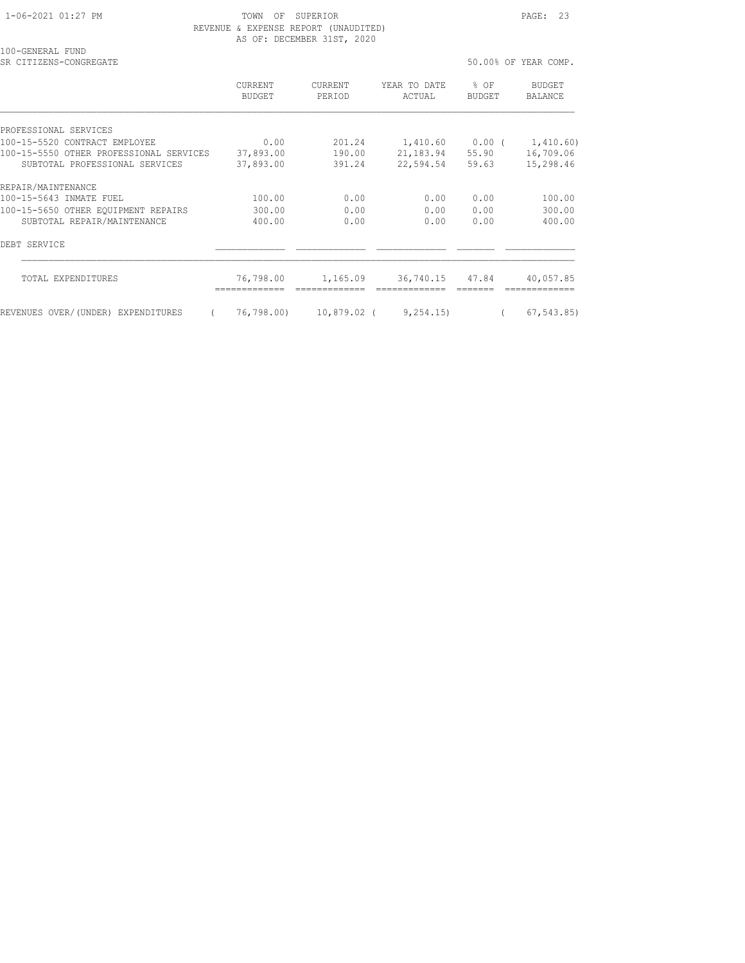100-GENERAL FUND

 1-06-2021 01:27 PM TOWN OF SUPERIOR PAGE: 23 REVENUE & EXPENSE REPORT (UNAUDITED) AS OF: DECEMBER 31ST, 2020

| SR CITIZENS-CONGREGATE                  |                   |                          |                                  |                | 50.00% OF YEAR COMP. |
|-----------------------------------------|-------------------|--------------------------|----------------------------------|----------------|----------------------|
|                                         | CURRENT<br>BUDGET | <b>CURRENT</b><br>PERIOD | YEAR TO DATE<br>ACTUAL           | % OF<br>BUDGET | BUDGET<br>BALANCE    |
| PROFESSIONAL SERVICES                   |                   |                          |                                  |                |                      |
| 100-15-5520 CONTRACT EMPLOYEE           | 0.00              | 201.24                   | $1,410.60$ $0.00$ ( $1,410.60$ ) |                |                      |
| 100-15-5550 OTHER PROFESSIONAL SERVICES | 37,893.00         | 190.00                   | 21,183.94                        | 55.90          | 16,709.06            |
| SUBTOTAL PROFESSIONAL SERVICES          | 37,893.00         | 391.24                   | 22,594.54                        | 59.63          | 15,298.46            |
| REPAIR/MAINTENANCE                      |                   |                          |                                  |                |                      |
| 100-15-5643 INMATE FUEL                 | 100.00            | 0.00                     | 0.00                             | 0.00           | 100.00               |
| 100-15-5650 OTHER EQUIPMENT REPAIRS     | 300.00            | 0.00                     | 0.00                             | 0.00           | 300.00               |
| SUBTOTAL REPAIR/MAINTENANCE             | 400.00            | 0.00                     | 0.00                             | 0.00           | 400.00               |
| DEBT SERVICE                            |                   |                          |                                  |                |                      |
| TOTAL EXPENDITURES                      | 76,798.00         | 1,165.09                 | 36,740.15                        | 47.84          | 40,057.85            |
| REVENUES OVER/(UNDER) EXPENDITURES      | 76,798.00)        | 10,879.02 (              | 9, 254, 15)                      | $\left($       | 67, 543, 85)         |
|                                         |                   |                          |                                  |                |                      |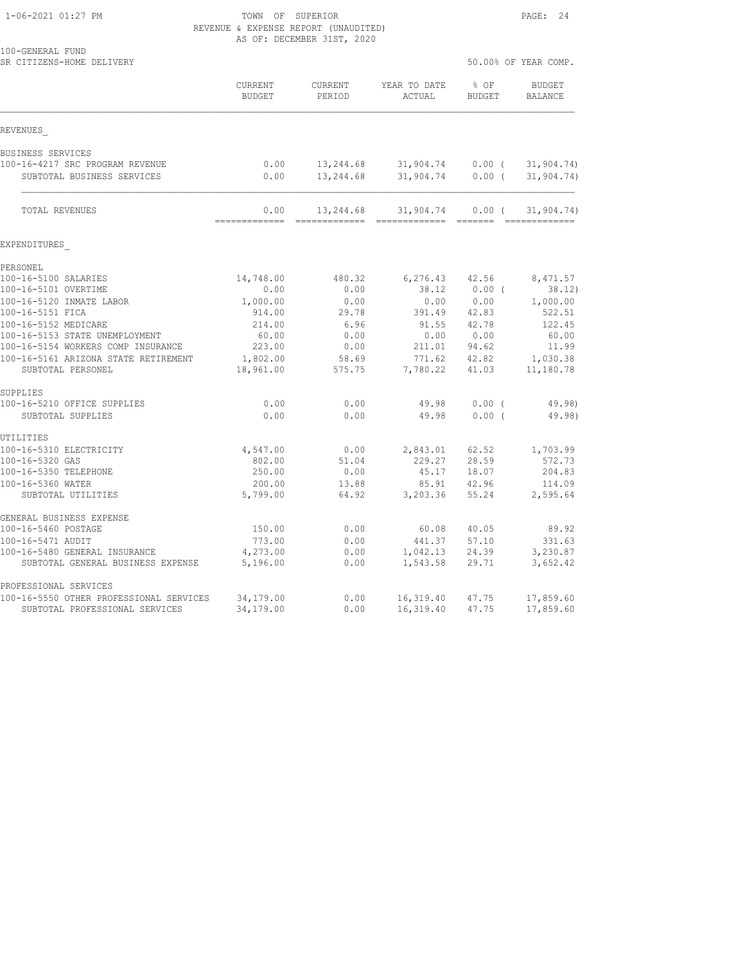#### 1-06-2021 01:27 PM TOWN OF SUPERIOR PAGE: 24 REVENUE & EXPENSE REPORT (UNAUDITED) AS OF: DECEMBER 31ST, 2020

| 100-GENERAL FUND<br>SR CITIZENS-HOME DELIVERY |                          |                            |                                                                                                                                                                                                                                                                                                                                                                                                                                                                                                     |                       | 50.00% OF YEAR COMP.            |
|-----------------------------------------------|--------------------------|----------------------------|-----------------------------------------------------------------------------------------------------------------------------------------------------------------------------------------------------------------------------------------------------------------------------------------------------------------------------------------------------------------------------------------------------------------------------------------------------------------------------------------------------|-----------------------|---------------------------------|
|                                               | CURRENT<br><b>BUDGET</b> | CURRENT<br>PERIOD          | YEAR TO DATE<br>ACTUAL                                                                                                                                                                                                                                                                                                                                                                                                                                                                              | % OF<br><b>BUDGET</b> | <b>BUDGET</b><br><b>BALANCE</b> |
| REVENUES                                      |                          |                            |                                                                                                                                                                                                                                                                                                                                                                                                                                                                                                     |                       |                                 |
| BUSINESS SERVICES                             |                          |                            |                                                                                                                                                                                                                                                                                                                                                                                                                                                                                                     |                       |                                 |
| 100-16-4217 SRC PROGRAM REVENUE               | 0.00                     | 13,244.68                  | 31,904.74 0.00 (                                                                                                                                                                                                                                                                                                                                                                                                                                                                                    |                       | 31, 904.74)                     |
| SUBTOTAL BUSINESS SERVICES                    | 0.00                     | 13,244.68                  | 31,904.74                                                                                                                                                                                                                                                                                                                                                                                                                                                                                           | $0.00$ (              | 31,904.74)                      |
| <b>TOTAL REVENUES</b>                         | 0.00<br>-------------    | 13,244.68<br>------------- | 31,904.74<br>$\begin{array}{cccccccccc} \multicolumn{2}{c}{} & \multicolumn{2}{c}{} & \multicolumn{2}{c}{} & \multicolumn{2}{c}{} & \multicolumn{2}{c}{} & \multicolumn{2}{c}{} & \multicolumn{2}{c}{} & \multicolumn{2}{c}{} & \multicolumn{2}{c}{} & \multicolumn{2}{c}{} & \multicolumn{2}{c}{} & \multicolumn{2}{c}{} & \multicolumn{2}{c}{} & \multicolumn{2}{c}{} & \multicolumn{2}{c}{} & \multicolumn{2}{c}{} & \multicolumn{2}{c}{} & \multicolumn{2}{c}{} & \multicolumn{2}{c}{} & \mult$ | 0.00(                 | 31,904.74)                      |
| EXPENDITURES                                  |                          |                            |                                                                                                                                                                                                                                                                                                                                                                                                                                                                                                     |                       |                                 |
| PERSONEL                                      |                          |                            |                                                                                                                                                                                                                                                                                                                                                                                                                                                                                                     |                       |                                 |
| 100-16-5100 SALARIES                          | 14,748.00                | 480.32                     | 6,276.43 42.56                                                                                                                                                                                                                                                                                                                                                                                                                                                                                      |                       | 8,471.57                        |
| 100-16-5101 OVERTIME                          | 0.00                     | 0.00                       | 38.12                                                                                                                                                                                                                                                                                                                                                                                                                                                                                               | $0.00$ (              | 38.12)                          |
| 100-16-5120 INMATE LABOR                      | 1,000.00                 | 0.00                       | 0.00                                                                                                                                                                                                                                                                                                                                                                                                                                                                                                | 0.00                  | 1,000.00                        |
| 100-16-5151 FICA                              | 914.00                   | 29.78                      | 391.49                                                                                                                                                                                                                                                                                                                                                                                                                                                                                              | 42.83                 | 522.51                          |
| 100-16-5152 MEDICARE                          | 214.00                   | 6.96                       | 91.55                                                                                                                                                                                                                                                                                                                                                                                                                                                                                               | 42.78                 | 122.45                          |
| 100-16-5153 STATE UNEMPLOYMENT                | 60.00                    | 0.00                       | 0.00                                                                                                                                                                                                                                                                                                                                                                                                                                                                                                | 0.00                  | 60.00                           |
| 100-16-5154 WORKERS COMP INSURANCE            | 223.00                   | 0.00                       | 211.01                                                                                                                                                                                                                                                                                                                                                                                                                                                                                              | 94.62                 | 11.99                           |
| 100-16-5161 ARIZONA STATE RETIREMENT          | 1,802.00                 | 58.69                      | 771.62                                                                                                                                                                                                                                                                                                                                                                                                                                                                                              | 42.82                 | 1,030.38                        |
| SUBTOTAL PERSONEL                             | 18,961.00                | 575.75                     | 7,780.22                                                                                                                                                                                                                                                                                                                                                                                                                                                                                            | 41.03                 | 11,180.78                       |
| SUPPLIES                                      |                          |                            |                                                                                                                                                                                                                                                                                                                                                                                                                                                                                                     |                       |                                 |
| 100-16-5210 OFFICE SUPPLIES                   | 0.00                     | 0.00                       | 49.98                                                                                                                                                                                                                                                                                                                                                                                                                                                                                               | $0.00$ (              | 49.98)                          |
| SUBTOTAL SUPPLIES                             | 0.00                     | 0.00                       | 49.98                                                                                                                                                                                                                                                                                                                                                                                                                                                                                               | 0.00(                 | 49.98)                          |
| UTILITIES                                     |                          |                            |                                                                                                                                                                                                                                                                                                                                                                                                                                                                                                     |                       |                                 |
| 100-16-5310 ELECTRICITY                       | 4,547.00                 | 0.00                       | 2,843.01                                                                                                                                                                                                                                                                                                                                                                                                                                                                                            | 62.52                 | 1,703.99                        |
| 100-16-5320 GAS                               | 802.00                   | 51.04                      | 229.27                                                                                                                                                                                                                                                                                                                                                                                                                                                                                              | 28.59                 | 572.73                          |
| 100-16-5350 TELEPHONE                         | 250.00                   | 0.00                       | 45.17                                                                                                                                                                                                                                                                                                                                                                                                                                                                                               | 18.07                 | 204.83                          |
| 100-16-5360 WATER<br>SUBTOTAL UTILITIES       | 200.00<br>5,799.00       | 13.88<br>64.92             | 85.91<br>3,203.36                                                                                                                                                                                                                                                                                                                                                                                                                                                                                   | 42.96<br>55.24        | 114.09<br>2,595.64              |
| GENERAL BUSINESS EXPENSE                      |                          |                            |                                                                                                                                                                                                                                                                                                                                                                                                                                                                                                     |                       |                                 |
| 100-16-5460 POSTAGE                           | 150.00                   | 0.00                       | 60.08                                                                                                                                                                                                                                                                                                                                                                                                                                                                                               | 40.05                 | 89.92                           |
| 100-16-5471 AUDIT                             | 773.00                   | 0.00                       | 441.37                                                                                                                                                                                                                                                                                                                                                                                                                                                                                              | 57.10                 | 331.63                          |
| 100-16-5480 GENERAL INSURANCE                 | 4,273.00                 | 0.00                       | 1,042.13                                                                                                                                                                                                                                                                                                                                                                                                                                                                                            | 24.39                 | 3,230.87                        |
| SUBTOTAL GENERAL BUSINESS EXPENSE             | 5,196.00                 | 0.00                       | 1,543.58                                                                                                                                                                                                                                                                                                                                                                                                                                                                                            | 29.71                 | 3,652.42                        |
| PROFESSIONAL SERVICES                         |                          |                            |                                                                                                                                                                                                                                                                                                                                                                                                                                                                                                     |                       |                                 |
| 100-16-5550 OTHER PROFESSIONAL SERVICES       | 34,179.00                | 0.00                       | 16,319.40                                                                                                                                                                                                                                                                                                                                                                                                                                                                                           | 47.75                 | 17,859.60                       |
| SUBTOTAL PROFESSIONAL SERVICES                | 34,179.00                | 0.00                       | 16, 319.40                                                                                                                                                                                                                                                                                                                                                                                                                                                                                          | 47.75                 | 17,859.60                       |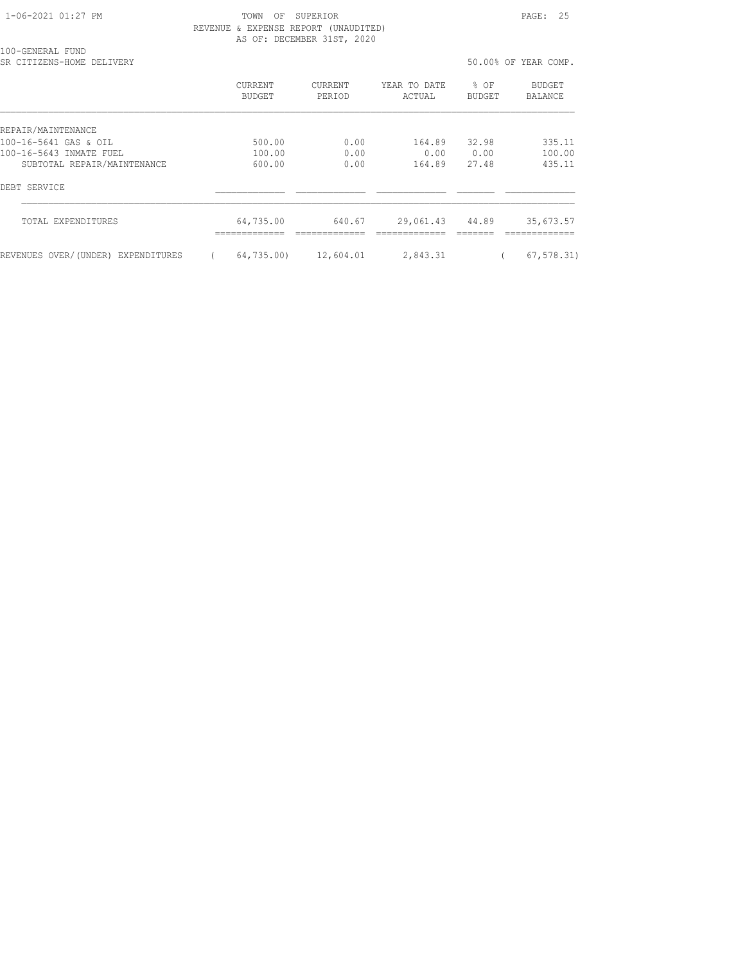1-06-2021 01:27 PM TOWN OF SUPERIOR PAGE: 25 REVENUE & EXPENSE REPORT (UNAUDITED) AS OF: DECEMBER 31ST, 2020

| 100-GENERAL FUND<br>SR CITIZENS-HOME<br>DELIVERY |                          |                          |                        | 50.00% OF YEAR COMP. |                   |
|--------------------------------------------------|--------------------------|--------------------------|------------------------|----------------------|-------------------|
|                                                  | CURRENT<br><b>BUDGET</b> | <b>CURRENT</b><br>PERIOD | YEAR TO DATE<br>ACTUAL | % OF<br>BUDGET       | BUDGET<br>BALANCE |
| REPAIR/MAINTENANCE                               |                          |                          |                        |                      |                   |
| 100-16-5641 GAS & OIL                            | 500.00                   | 0.00                     | 164.89                 | 32.98                | 335.11            |
| 100-16-5643 INMATE FUEL                          | 100.00                   | 0.00                     | 0.00                   | 0.00                 | 100.00            |
| SUBTOTAL REPAIR/MAINTENANCE                      | 600.00                   | 0.00                     | 164.89                 | 27.48                | 435.11            |
| DEBT SERVICE                                     |                          |                          |                        |                      |                   |
| TOTAL EXPENDITURES                               | 64,735.00                | 640.67                   | 29,061.43              | 44.89                | 35,673.57         |
| REVENUES OVER/(UNDER) EXPENDITURES               | 64,735.00)               | 12,604.01                | 2,843.31               | $\left($             | 67, 578.31        |
|                                                  |                          |                          |                        |                      |                   |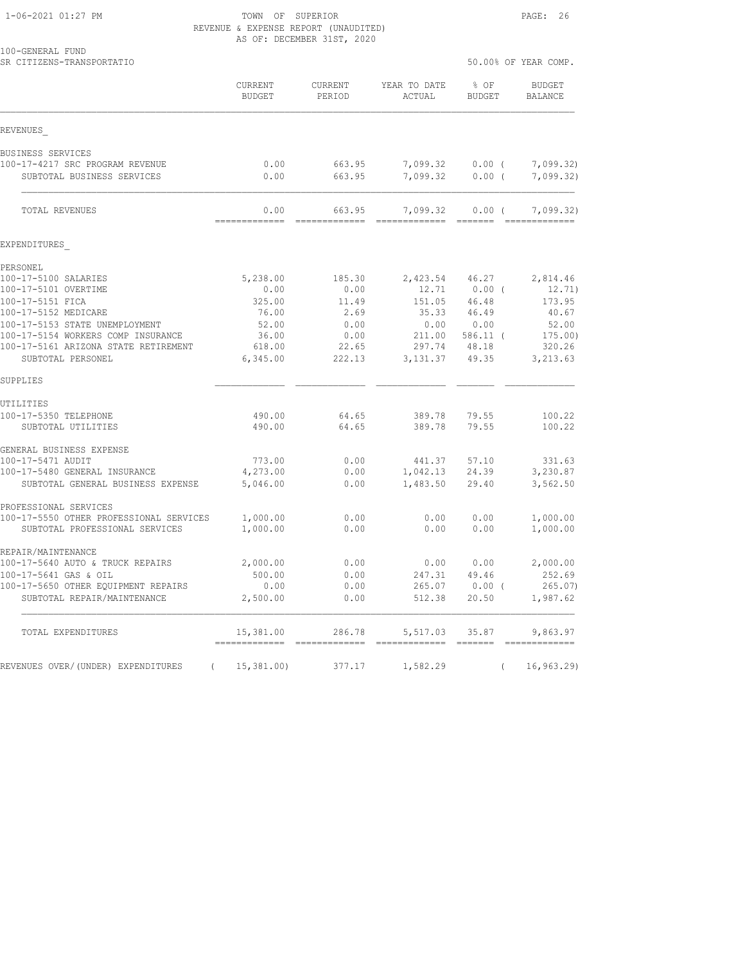1-06-2021 01:27 PM TOWN OF SUPERIOR PAGE: 26 REVENUE & EXPENSE REPORT (UNAUDITED) AS OF: DECEMBER 31ST, 2020

| 100-GENERAL FUND<br>SR CITIZENS-TRANSPORTATIO      |                                          |                   |                                                                                                                                                                                                                                                                                                                                                                                                                                                                                                    |                                                                                                                                                                                                                                                                                                                                                                                                                                                                                                                    | 50.00% OF YEAR COMP.            |
|----------------------------------------------------|------------------------------------------|-------------------|----------------------------------------------------------------------------------------------------------------------------------------------------------------------------------------------------------------------------------------------------------------------------------------------------------------------------------------------------------------------------------------------------------------------------------------------------------------------------------------------------|--------------------------------------------------------------------------------------------------------------------------------------------------------------------------------------------------------------------------------------------------------------------------------------------------------------------------------------------------------------------------------------------------------------------------------------------------------------------------------------------------------------------|---------------------------------|
|                                                    | CURRENT<br><b>BUDGET</b>                 | CURRENT<br>PERIOD | YEAR TO DATE<br>ACTUAL                                                                                                                                                                                                                                                                                                                                                                                                                                                                             | % OF<br><b>BUDGET</b>                                                                                                                                                                                                                                                                                                                                                                                                                                                                                              | <b>BUDGET</b><br><b>BALANCE</b> |
| REVENUES                                           |                                          |                   |                                                                                                                                                                                                                                                                                                                                                                                                                                                                                                    |                                                                                                                                                                                                                                                                                                                                                                                                                                                                                                                    |                                 |
| BUSINESS SERVICES                                  |                                          |                   |                                                                                                                                                                                                                                                                                                                                                                                                                                                                                                    |                                                                                                                                                                                                                                                                                                                                                                                                                                                                                                                    |                                 |
| 100-17-4217 SRC PROGRAM REVENUE                    | 0.00                                     | 663.95            | 7,099.32                                                                                                                                                                                                                                                                                                                                                                                                                                                                                           | $0.00$ (                                                                                                                                                                                                                                                                                                                                                                                                                                                                                                           | 7,099.32)                       |
| SUBTOTAL BUSINESS SERVICES                         | 0.00                                     | 663.95            | 7,099.32                                                                                                                                                                                                                                                                                                                                                                                                                                                                                           | 0.00(                                                                                                                                                                                                                                                                                                                                                                                                                                                                                                              | 7,099.32)                       |
| TOTAL REVENUES                                     | 0.00<br>=============                    | 663.95            | 7,099.32                                                                                                                                                                                                                                                                                                                                                                                                                                                                                           | $0.00$ (<br>$\begin{array}{c} \multicolumn{3}{c} {\color{blue} \textbf{1} } \multicolumn{3}{c} {\color{blue} \textbf{2} } \multicolumn{3}{c} {\color{blue} \textbf{3} } \multicolumn{3}{c} {\color{blue} \textbf{4} } \multicolumn{3}{c} {\color{blue} \textbf{5} } \multicolumn{3}{c} {\color{blue} \textbf{6} } \multicolumn{3}{c} {\color{blue} \textbf{6} } \multicolumn{3}{c} {\color{blue} \textbf{7} } \multicolumn{3}{c} {\color{blue} \textbf{8} } \multicolumn{3}{c} {\color{blue} \textbf{9} } \multic$ | 7,099.32)                       |
| EXPENDITURES                                       |                                          |                   |                                                                                                                                                                                                                                                                                                                                                                                                                                                                                                    |                                                                                                                                                                                                                                                                                                                                                                                                                                                                                                                    |                                 |
| PERSONEL                                           |                                          |                   |                                                                                                                                                                                                                                                                                                                                                                                                                                                                                                    |                                                                                                                                                                                                                                                                                                                                                                                                                                                                                                                    |                                 |
| 100-17-5100 SALARIES                               | 5,238.00                                 | 185.30            | 2,423.54                                                                                                                                                                                                                                                                                                                                                                                                                                                                                           | 46.27                                                                                                                                                                                                                                                                                                                                                                                                                                                                                                              | 2,814.46                        |
| 100-17-5101 OVERTIME                               | 0.00                                     | 0.00              | 12.71                                                                                                                                                                                                                                                                                                                                                                                                                                                                                              | $0.00$ (                                                                                                                                                                                                                                                                                                                                                                                                                                                                                                           | 12.71)                          |
| 100-17-5151 FICA                                   | 325.00                                   | 11.49             | 151.05                                                                                                                                                                                                                                                                                                                                                                                                                                                                                             | 46.48                                                                                                                                                                                                                                                                                                                                                                                                                                                                                                              | 173.95                          |
| 100-17-5152 MEDICARE                               | 76.00                                    | 2.69              | 35.33                                                                                                                                                                                                                                                                                                                                                                                                                                                                                              | 46.49                                                                                                                                                                                                                                                                                                                                                                                                                                                                                                              | 40.67                           |
| 100-17-5153 STATE UNEMPLOYMENT                     | 52.00                                    | 0.00              | 0.00                                                                                                                                                                                                                                                                                                                                                                                                                                                                                               | 0.00                                                                                                                                                                                                                                                                                                                                                                                                                                                                                                               | 52.00                           |
| 100-17-5154 WORKERS COMP INSURANCE                 | 36.00                                    | 0.00              | 211.00                                                                                                                                                                                                                                                                                                                                                                                                                                                                                             | $586.11$ (                                                                                                                                                                                                                                                                                                                                                                                                                                                                                                         | 175.00)                         |
| 100-17-5161 ARIZONA STATE RETIREMENT               | 618.00                                   | 22.65             | 297.74                                                                                                                                                                                                                                                                                                                                                                                                                                                                                             | 48.18                                                                                                                                                                                                                                                                                                                                                                                                                                                                                                              | 320.26                          |
| SUBTOTAL PERSONEL                                  | 6,345.00                                 | 222.13            | 3, 131.37                                                                                                                                                                                                                                                                                                                                                                                                                                                                                          | 49.35                                                                                                                                                                                                                                                                                                                                                                                                                                                                                                              | 3,213.63                        |
| SUPPLIES                                           |                                          |                   |                                                                                                                                                                                                                                                                                                                                                                                                                                                                                                    |                                                                                                                                                                                                                                                                                                                                                                                                                                                                                                                    |                                 |
| UTILITIES                                          |                                          |                   |                                                                                                                                                                                                                                                                                                                                                                                                                                                                                                    |                                                                                                                                                                                                                                                                                                                                                                                                                                                                                                                    |                                 |
| 100-17-5350 TELEPHONE                              | 490.00                                   | 64.65             | 389.78                                                                                                                                                                                                                                                                                                                                                                                                                                                                                             | 79.55                                                                                                                                                                                                                                                                                                                                                                                                                                                                                                              | 100.22                          |
| SUBTOTAL UTILITIES                                 | 490.00                                   | 64.65             | 389.78                                                                                                                                                                                                                                                                                                                                                                                                                                                                                             | 79.55                                                                                                                                                                                                                                                                                                                                                                                                                                                                                                              | 100.22                          |
| GENERAL BUSINESS EXPENSE                           |                                          |                   |                                                                                                                                                                                                                                                                                                                                                                                                                                                                                                    |                                                                                                                                                                                                                                                                                                                                                                                                                                                                                                                    |                                 |
| 100-17-5471 AUDIT<br>100-17-5480 GENERAL INSURANCE | 773.00                                   | 0.00<br>0.00      | 441.37                                                                                                                                                                                                                                                                                                                                                                                                                                                                                             | 57.10<br>24.39                                                                                                                                                                                                                                                                                                                                                                                                                                                                                                     | 331.63                          |
| SUBTOTAL GENERAL BUSINESS EXPENSE                  | 4,273.00<br>5,046.00                     | 0.00              | 1,042.13<br>1,483.50                                                                                                                                                                                                                                                                                                                                                                                                                                                                               | 29.40                                                                                                                                                                                                                                                                                                                                                                                                                                                                                                              | 3,230.87<br>3,562.50            |
|                                                    |                                          |                   |                                                                                                                                                                                                                                                                                                                                                                                                                                                                                                    |                                                                                                                                                                                                                                                                                                                                                                                                                                                                                                                    |                                 |
| PROFESSIONAL SERVICES                              |                                          |                   |                                                                                                                                                                                                                                                                                                                                                                                                                                                                                                    |                                                                                                                                                                                                                                                                                                                                                                                                                                                                                                                    |                                 |
| 100-17-5550 OTHER PROFESSIONAL SERVICES            | 1,000.00                                 | 0.00              | 0.00                                                                                                                                                                                                                                                                                                                                                                                                                                                                                               | 0.00                                                                                                                                                                                                                                                                                                                                                                                                                                                                                                               | 1,000.00                        |
| SUBTOTAL PROFESSIONAL SERVICES                     | 1,000.00                                 | 0.00              | 0.00                                                                                                                                                                                                                                                                                                                                                                                                                                                                                               | 0.00                                                                                                                                                                                                                                                                                                                                                                                                                                                                                                               | 1,000.00                        |
| REPAIR/MAINTENANCE                                 |                                          |                   |                                                                                                                                                                                                                                                                                                                                                                                                                                                                                                    |                                                                                                                                                                                                                                                                                                                                                                                                                                                                                                                    |                                 |
| 100-17-5640 AUTO & TRUCK REPAIRS                   | 2,000.00                                 | 0.00              | 0.00                                                                                                                                                                                                                                                                                                                                                                                                                                                                                               | 0.00                                                                                                                                                                                                                                                                                                                                                                                                                                                                                                               | 2,000.00                        |
| 100-17-5641 GAS & OIL                              | 500.00                                   | 0.00              | 247.31                                                                                                                                                                                                                                                                                                                                                                                                                                                                                             | 49.46                                                                                                                                                                                                                                                                                                                                                                                                                                                                                                              | 252.69                          |
| 100-17-5650 OTHER EQUIPMENT REPAIRS                | 0.00                                     | 0.00              | 265.07                                                                                                                                                                                                                                                                                                                                                                                                                                                                                             | $0.00$ (                                                                                                                                                                                                                                                                                                                                                                                                                                                                                                           | 265.07                          |
| SUBTOTAL REPAIR/MAINTENANCE                        | 2,500.00                                 | 0.00              | 512.38                                                                                                                                                                                                                                                                                                                                                                                                                                                                                             | 20.50                                                                                                                                                                                                                                                                                                                                                                                                                                                                                                              | 1,987.62                        |
| TOTAL EXPENDITURES                                 | 15,381.00<br>------------- ------------- | 286.78            | 5,517.03<br>$\begin{array}{cccccccccc} \multicolumn{2}{c}{} & \multicolumn{2}{c}{} & \multicolumn{2}{c}{} & \multicolumn{2}{c}{} & \multicolumn{2}{c}{} & \multicolumn{2}{c}{} & \multicolumn{2}{c}{} & \multicolumn{2}{c}{} & \multicolumn{2}{c}{} & \multicolumn{2}{c}{} & \multicolumn{2}{c}{} & \multicolumn{2}{c}{} & \multicolumn{2}{c}{} & \multicolumn{2}{c}{} & \multicolumn{2}{c}{} & \multicolumn{2}{c}{} & \multicolumn{2}{c}{} & \multicolumn{2}{c}{} & \multicolumn{2}{c}{} & \mult$ | 35.87<br>$\begin{array}{cccccccccc} \multicolumn{2}{c}{} & \multicolumn{2}{c}{} & \multicolumn{2}{c}{} & \multicolumn{2}{c}{} & \multicolumn{2}{c}{} & \multicolumn{2}{c}{} & \multicolumn{2}{c}{} & \multicolumn{2}{c}{} & \multicolumn{2}{c}{} & \multicolumn{2}{c}{} & \multicolumn{2}{c}{} & \multicolumn{2}{c}{} & \multicolumn{2}{c}{} & \multicolumn{2}{c}{} & \multicolumn{2}{c}{} & \multicolumn{2}{c}{} & \multicolumn{2}{c}{} & \multicolumn{2}{c}{} & \multicolumn{2}{c}{} & \mult$                    | 9,863.97<br>--------------      |
|                                                    |                                          |                   |                                                                                                                                                                                                                                                                                                                                                                                                                                                                                                    |                                                                                                                                                                                                                                                                                                                                                                                                                                                                                                                    |                                 |
| REVENUES OVER/(UNDER) EXPENDITURES<br>$\left($     | 15,381.00                                | 377.17            | 1,582.29                                                                                                                                                                                                                                                                                                                                                                                                                                                                                           | $\left($                                                                                                                                                                                                                                                                                                                                                                                                                                                                                                           | 16, 963.29                      |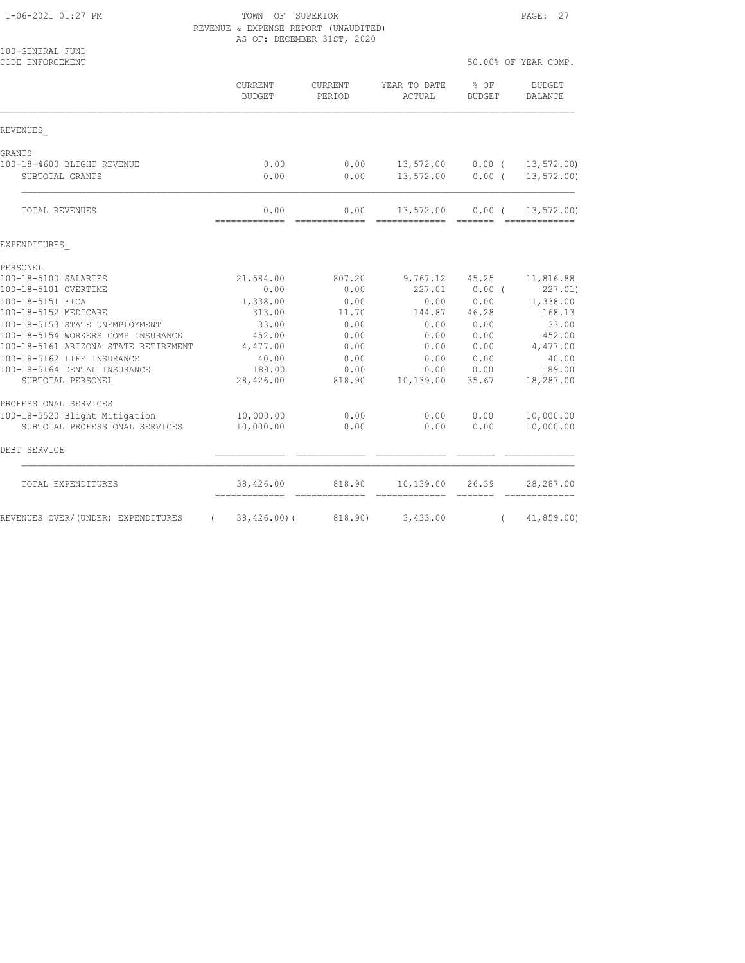#### 1-06-2021 01:27 PM TOWN OF SUPERIOR PAGE: 27 REVENUE & EXPENSE REPORT (UNAUDITED) AS OF: DECEMBER 31ST, 2020

| 100-GENERAL FUND<br>CODE ENFORCEMENT           |                          |                                                                                                                                                                                                                                                                                                                                                                                                                                                                                                  |                            |                                     | 50.00% OF YEAR COMP.                                                                                                                                                                                                                                                                                                                                                                                                                                                                                 |
|------------------------------------------------|--------------------------|--------------------------------------------------------------------------------------------------------------------------------------------------------------------------------------------------------------------------------------------------------------------------------------------------------------------------------------------------------------------------------------------------------------------------------------------------------------------------------------------------|----------------------------|-------------------------------------|------------------------------------------------------------------------------------------------------------------------------------------------------------------------------------------------------------------------------------------------------------------------------------------------------------------------------------------------------------------------------------------------------------------------------------------------------------------------------------------------------|
|                                                | CURRENT<br><b>BUDGET</b> | CURRENT<br>PERIOD                                                                                                                                                                                                                                                                                                                                                                                                                                                                                | YEAR TO DATE<br>ACTUAL     | $8$ OF<br><b>BUDGET</b>             | <b>BUDGET</b><br>BALANCE                                                                                                                                                                                                                                                                                                                                                                                                                                                                             |
| REVENUES                                       |                          |                                                                                                                                                                                                                                                                                                                                                                                                                                                                                                  |                            |                                     |                                                                                                                                                                                                                                                                                                                                                                                                                                                                                                      |
| GRANTS                                         |                          |                                                                                                                                                                                                                                                                                                                                                                                                                                                                                                  |                            |                                     |                                                                                                                                                                                                                                                                                                                                                                                                                                                                                                      |
| 100-18-4600 BLIGHT REVENUE                     | 0.00                     | 0.00                                                                                                                                                                                                                                                                                                                                                                                                                                                                                             | 13,572.00                  | $0.00$ (                            | 13, 572.00                                                                                                                                                                                                                                                                                                                                                                                                                                                                                           |
| SUBTOTAL GRANTS                                | 0.00                     | 0.00                                                                                                                                                                                                                                                                                                                                                                                                                                                                                             | 13,572.00                  | $0.00$ (                            | 13, 572.00                                                                                                                                                                                                                                                                                                                                                                                                                                                                                           |
| TOTAL REVENUES                                 | 0.00<br>-------------    | 0.00<br>=============                                                                                                                                                                                                                                                                                                                                                                                                                                                                            | 13,572.00<br>------------- | $0.00$ (<br>$=$ $=$ $=$ $=$ $=$ $=$ | 13, 572.00<br>$\begin{array}{cccccccccc} \multicolumn{2}{c}{} & \multicolumn{2}{c}{} & \multicolumn{2}{c}{} & \multicolumn{2}{c}{} & \multicolumn{2}{c}{} & \multicolumn{2}{c}{} & \multicolumn{2}{c}{} & \multicolumn{2}{c}{} & \multicolumn{2}{c}{} & \multicolumn{2}{c}{} & \multicolumn{2}{c}{} & \multicolumn{2}{c}{} & \multicolumn{2}{c}{} & \multicolumn{2}{c}{} & \multicolumn{2}{c}{} & \multicolumn{2}{c}{} & \multicolumn{2}{c}{} & \multicolumn{2}{c}{} & \multicolumn{2}{c}{} & \mult$ |
| EXPENDITURES                                   |                          |                                                                                                                                                                                                                                                                                                                                                                                                                                                                                                  |                            |                                     |                                                                                                                                                                                                                                                                                                                                                                                                                                                                                                      |
| PERSONEL                                       |                          |                                                                                                                                                                                                                                                                                                                                                                                                                                                                                                  |                            |                                     |                                                                                                                                                                                                                                                                                                                                                                                                                                                                                                      |
| 100-18-5100 SALARIES                           | 21,584.00                | 807.20                                                                                                                                                                                                                                                                                                                                                                                                                                                                                           | 9,767.12                   | 45.25                               | 11,816.88                                                                                                                                                                                                                                                                                                                                                                                                                                                                                            |
| 100-18-5101 OVERTIME                           | 0.00                     | 0.00                                                                                                                                                                                                                                                                                                                                                                                                                                                                                             | 227.01                     | $0.00$ (                            | 227.01)                                                                                                                                                                                                                                                                                                                                                                                                                                                                                              |
| 100-18-5151 FICA<br>100-18-5152 MEDICARE       | 1,338.00<br>313.00       | 0.00<br>11.70                                                                                                                                                                                                                                                                                                                                                                                                                                                                                    | 0.00<br>144.87             | 0.00<br>46.28                       | 1,338.00<br>168.13                                                                                                                                                                                                                                                                                                                                                                                                                                                                                   |
| 100-18-5153 STATE UNEMPLOYMENT                 | 33.00                    | 0.00                                                                                                                                                                                                                                                                                                                                                                                                                                                                                             | 0.00                       | 0.00                                | 33.00                                                                                                                                                                                                                                                                                                                                                                                                                                                                                                |
| 100-18-5154 WORKERS COMP INSURANCE             | 452.00                   | 0.00                                                                                                                                                                                                                                                                                                                                                                                                                                                                                             | 0.00                       | 0.00                                | 452.00                                                                                                                                                                                                                                                                                                                                                                                                                                                                                               |
| 100-18-5161 ARIZONA STATE RETIREMENT           | 4,477.00                 | 0.00                                                                                                                                                                                                                                                                                                                                                                                                                                                                                             | 0.00                       | 0.00                                | 4,477.00                                                                                                                                                                                                                                                                                                                                                                                                                                                                                             |
| 100-18-5162 LIFE INSURANCE                     | 40.00                    | 0.00                                                                                                                                                                                                                                                                                                                                                                                                                                                                                             | 0.00                       | 0.00                                | 40.00                                                                                                                                                                                                                                                                                                                                                                                                                                                                                                |
| 100-18-5164 DENTAL INSURANCE                   | 189.00                   | 0.00                                                                                                                                                                                                                                                                                                                                                                                                                                                                                             | 0.00                       | 0.00                                | 189.00                                                                                                                                                                                                                                                                                                                                                                                                                                                                                               |
| SUBTOTAL PERSONEL                              | 28,426.00                | 818.90                                                                                                                                                                                                                                                                                                                                                                                                                                                                                           | 10,139.00                  | 35.67                               | 18,287.00                                                                                                                                                                                                                                                                                                                                                                                                                                                                                            |
| PROFESSIONAL SERVICES                          |                          |                                                                                                                                                                                                                                                                                                                                                                                                                                                                                                  |                            |                                     |                                                                                                                                                                                                                                                                                                                                                                                                                                                                                                      |
| 100-18-5520 Blight Mitigation                  | 10,000.00                | 0.00                                                                                                                                                                                                                                                                                                                                                                                                                                                                                             | 0.00                       | 0.00                                | 10,000.00                                                                                                                                                                                                                                                                                                                                                                                                                                                                                            |
| SUBTOTAL PROFESSIONAL SERVICES                 | 10,000.00                | 0.00                                                                                                                                                                                                                                                                                                                                                                                                                                                                                             | 0.00                       | 0.00                                | 10,000.00                                                                                                                                                                                                                                                                                                                                                                                                                                                                                            |
| DEBT SERVICE                                   |                          |                                                                                                                                                                                                                                                                                                                                                                                                                                                                                                  |                            |                                     |                                                                                                                                                                                                                                                                                                                                                                                                                                                                                                      |
| TOTAL EXPENDITURES                             | 38,426.00                | 818.90<br>$\begin{array}{cccccccccc} \multicolumn{2}{c}{} & \multicolumn{2}{c}{} & \multicolumn{2}{c}{} & \multicolumn{2}{c}{} & \multicolumn{2}{c}{} & \multicolumn{2}{c}{} & \multicolumn{2}{c}{} & \multicolumn{2}{c}{} & \multicolumn{2}{c}{} & \multicolumn{2}{c}{} & \multicolumn{2}{c}{} & \multicolumn{2}{c}{} & \multicolumn{2}{c}{} & \multicolumn{2}{c}{} & \multicolumn{2}{c}{} & \multicolumn{2}{c}{} & \multicolumn{2}{c}{} & \multicolumn{2}{c}{} & \multicolumn{2}{c}{} & \mult$ | 10,139.00                  | 26.39                               | 28,287.00                                                                                                                                                                                                                                                                                                                                                                                                                                                                                            |
| REVENUES OVER/(UNDER) EXPENDITURES<br>$\left($ | $38,426.00$ (            | 818.90)                                                                                                                                                                                                                                                                                                                                                                                                                                                                                          | 3,433.00                   | $\left($                            | 41,859.00                                                                                                                                                                                                                                                                                                                                                                                                                                                                                            |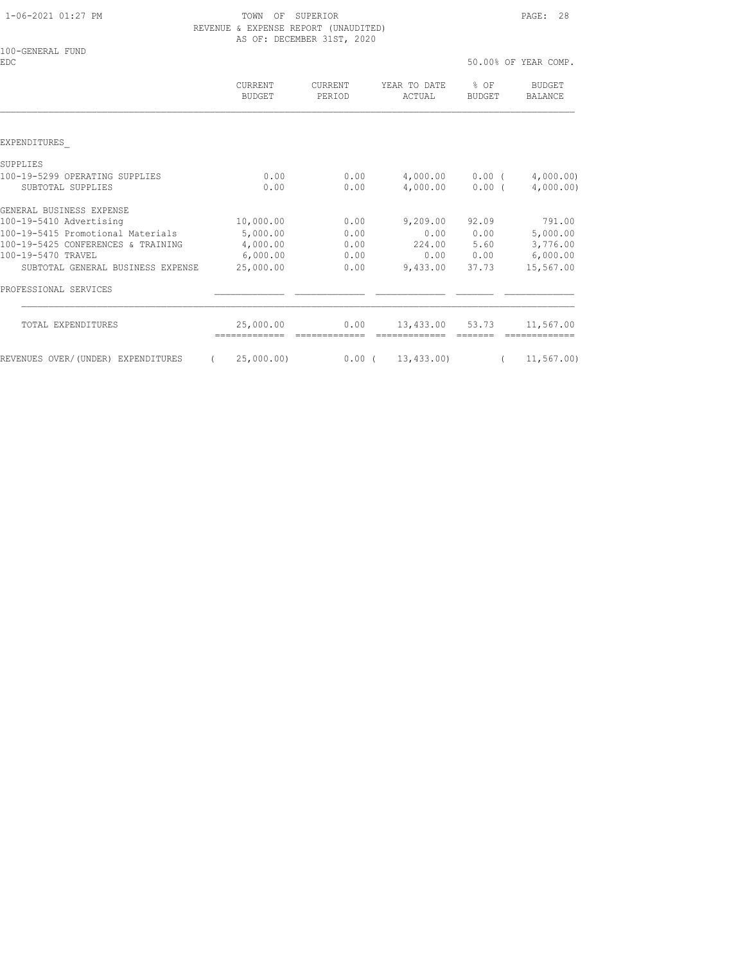1-06-2021 01:27 PM TOWN OF SUPERIOR PAGE: 28 REVENUE & EXPENSE REPORT (UNAUDITED) AS OF: DECEMBER 31ST, 2020

| 100-GENERAL FUND<br><b>EDC</b>     |                       |                   |                        |                       | 50.00% OF YEAR COMP.           |
|------------------------------------|-----------------------|-------------------|------------------------|-----------------------|--------------------------------|
|                                    | CURRENT<br>BUDGET     | CURRENT<br>PERIOD | YEAR TO DATE<br>ACTUAL | % OF<br><b>BUDGET</b> | <b>BUDGET</b><br>BALANCE       |
|                                    |                       |                   |                        |                       |                                |
| EXPENDITURES                       |                       |                   |                        |                       |                                |
| SUPPLIES                           |                       |                   |                        |                       |                                |
| 100-19-5299 OPERATING SUPPLIES     | 0.00                  | 0.00              |                        |                       | $4,000.00$ $0.00$ $(4,000.00)$ |
| SUBTOTAL SUPPLIES                  | 0.00                  | 0.00              | 4,000.00               | 0.00(                 | 4,000.00)                      |
| GENERAL BUSINESS EXPENSE           |                       |                   |                        |                       |                                |
| 100-19-5410 Advertising            | 10,000.00             | 0.00              | 9,209.00               | 92.09                 | 791.00                         |
| 100-19-5415 Promotional Materials  | 5,000.00              | 0.00              | 0.00                   | 0.00                  | 5,000.00                       |
| 100-19-5425 CONFERENCES & TRAINING | 4,000.00              | 0.00              | 224.00                 | 5.60                  | 3,776.00                       |
| 100-19-5470 TRAVEL                 | 6,000.00              | 0.00              |                        | 0.00 0.00             | 6,000.00                       |
| SUBTOTAL GENERAL BUSINESS EXPENSE  | 25,000.00             | 0.00              | 9,433.00               | 37.73                 | 15,567.00                      |
| PROFESSIONAL SERVICES              |                       |                   |                        |                       |                                |
| TOTAL EXPENDITURES                 | 25,000.00             | 0.00              | 13,433.00 53.73        |                       | 11,567.00                      |
| REVENUES OVER/(UNDER) EXPENDITURES | 25,000.00<br>$\left($ | $0.00$ (          | 13,433.00)             | $\left($              | 11,567.00)                     |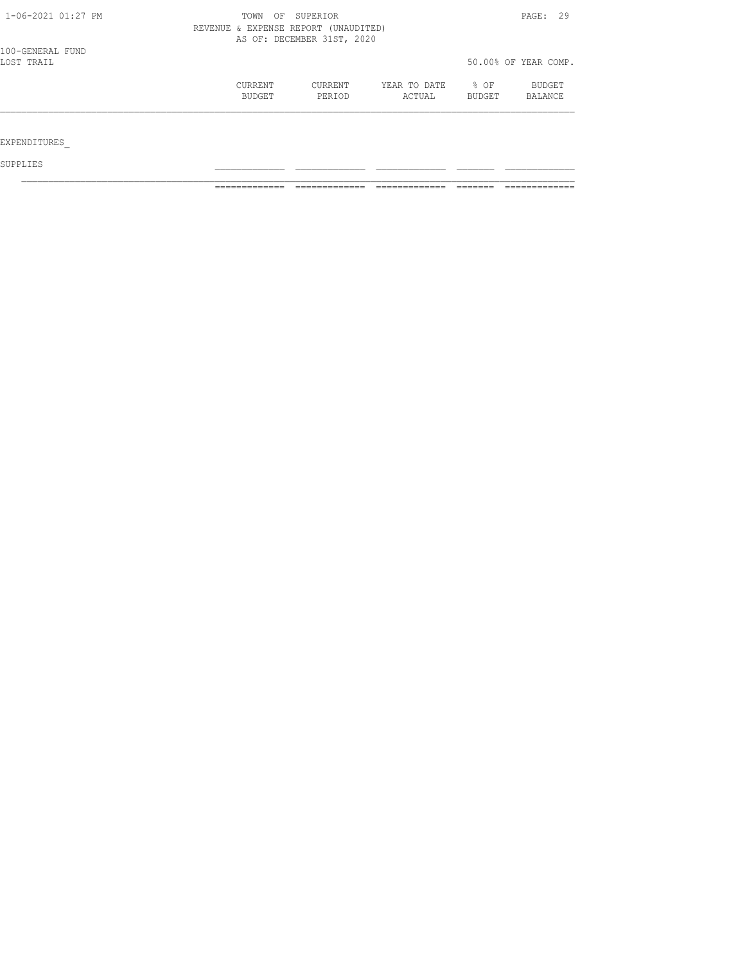| 1-06-2021 01:27 PM             | TOWN<br>REVENUE & EXPENSE REPORT (UNAUDITED) | OF SUPERIOR<br>AS OF: DECEMBER 31ST, 2020 |                        |                       | PAGE: 29                 |
|--------------------------------|----------------------------------------------|-------------------------------------------|------------------------|-----------------------|--------------------------|
| 100-GENERAL FUND<br>LOST TRAIL |                                              |                                           |                        |                       | 50.00% OF YEAR COMP.     |
|                                | CURRENT<br>BUDGET                            | CURRENT<br>PERIOD                         | YEAR TO DATE<br>ACTUAL | % OF<br><b>BUDGET</b> | BUDGET<br><b>BALANCE</b> |
| EXPENDITURES                   |                                              |                                           |                        |                       |                          |

SUPPLIES \_\_\_\_\_\_\_\_\_\_\_\_\_ \_\_\_\_\_\_\_\_\_\_\_\_\_ \_\_\_\_\_\_\_\_\_\_\_\_\_ \_\_\_\_\_\_\_ \_\_\_\_\_\_\_\_\_\_\_\_\_

============= ============= ============= ======= =============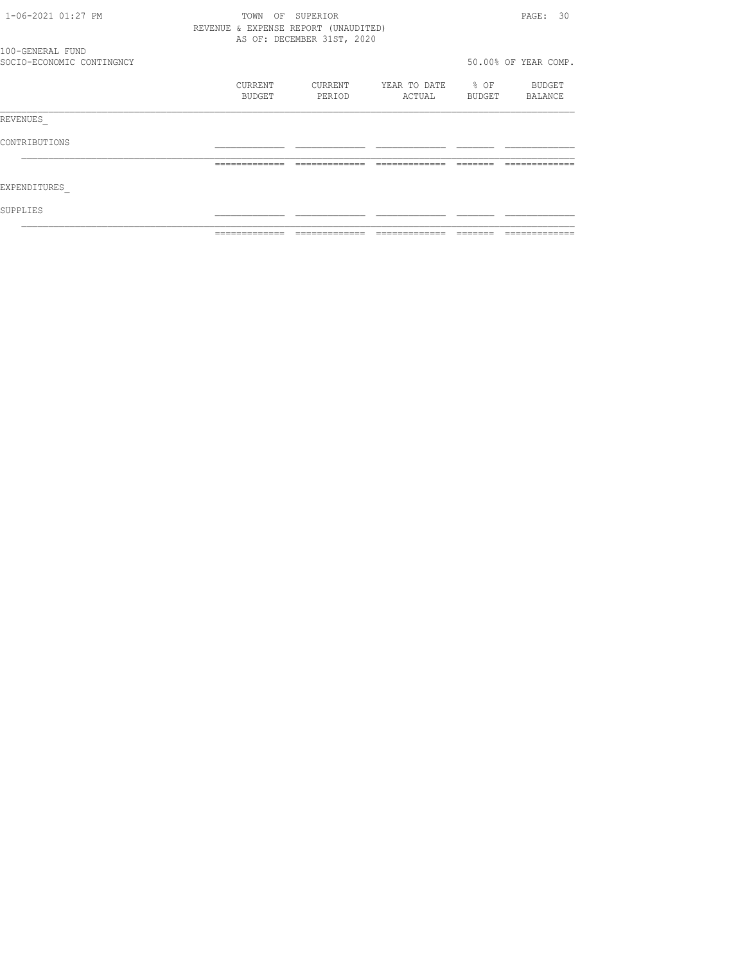| 1-06-2021 01:27 PM        | OF<br>TOWN                           | SUPERIOR                   |                   |                | PAGE: 30             |
|---------------------------|--------------------------------------|----------------------------|-------------------|----------------|----------------------|
|                           | REVENUE & EXPENSE REPORT (UNAUDITED) |                            |                   |                |                      |
|                           |                                      | AS OF: DECEMBER 31ST, 2020 |                   |                |                      |
| 100-GENERAL FUND          |                                      |                            |                   |                |                      |
| SOCIO-ECONOMIC CONTINGNCY |                                      |                            |                   |                | 50.00% OF YEAR COMP. |
|                           | CURRENT                              | CURRENT                    | YEAR TO DATE % OF |                | BUDGET               |
|                           | BUDGET                               | PERIOD                     | ACTUAL            | BUDGET BALANCE |                      |
| REVENUES                  |                                      |                            |                   |                |                      |
| CONTRIBUTIONS             |                                      |                            |                   |                |                      |
|                           | =============                        | --------------             | --------------    | --------       | -------------        |
| EXPENDITURES              |                                      |                            |                   |                |                      |
| SUPPLIES                  |                                      |                            |                   |                |                      |
|                           |                                      |                            |                   |                |                      |
|                           |                                      |                            |                   |                |                      |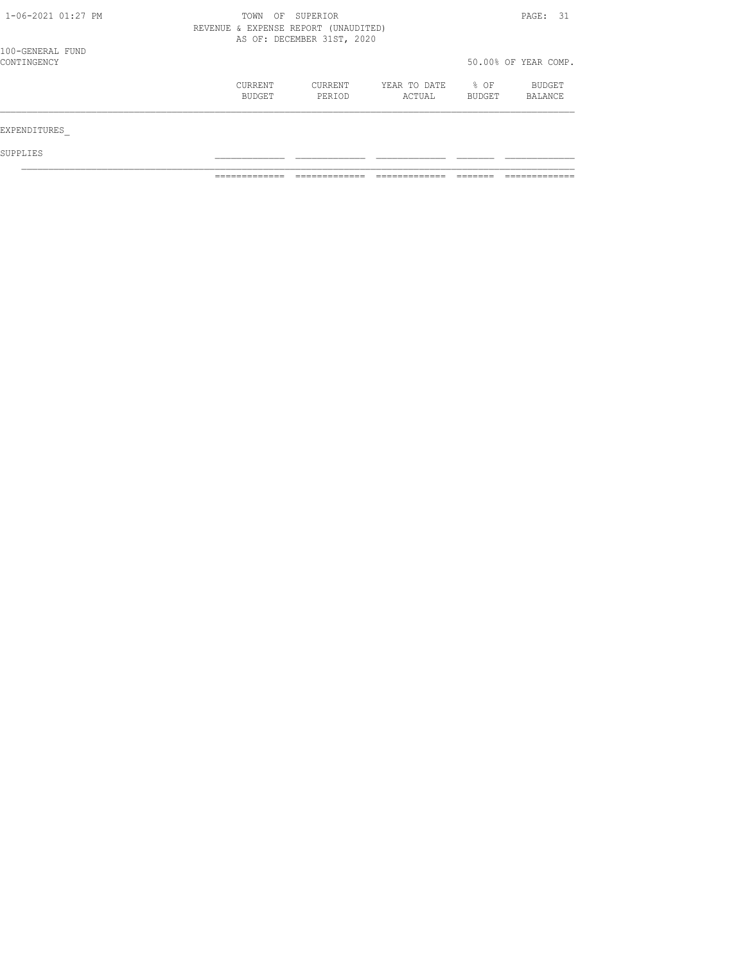| $1 - 06 - 2021$ $01:27$ PM      | TOWN<br>OF<br>REVENUE & EXPENSE REPORT (UNAUDITED) | SUPERIOR<br>AS OF: DECEMBER 31ST, 2020 |                        | PAGE: 31       |                      |
|---------------------------------|----------------------------------------------------|----------------------------------------|------------------------|----------------|----------------------|
| 100-GENERAL FUND<br>CONTINGENCY |                                                    |                                        |                        |                | 50.00% OF YEAR COMP. |
|                                 | CURRENT<br>BUDGET                                  | CURRENT<br>PERIOD                      | YEAR TO DATE<br>ACTUAL | % OF<br>BUDGET | BUDGET<br>BALANCE    |
| EXPENDITURES                    |                                                    |                                        |                        |                |                      |
| SUPPLIES                        |                                                    |                                        |                        |                |                      |

============= ============= ============= ======= =============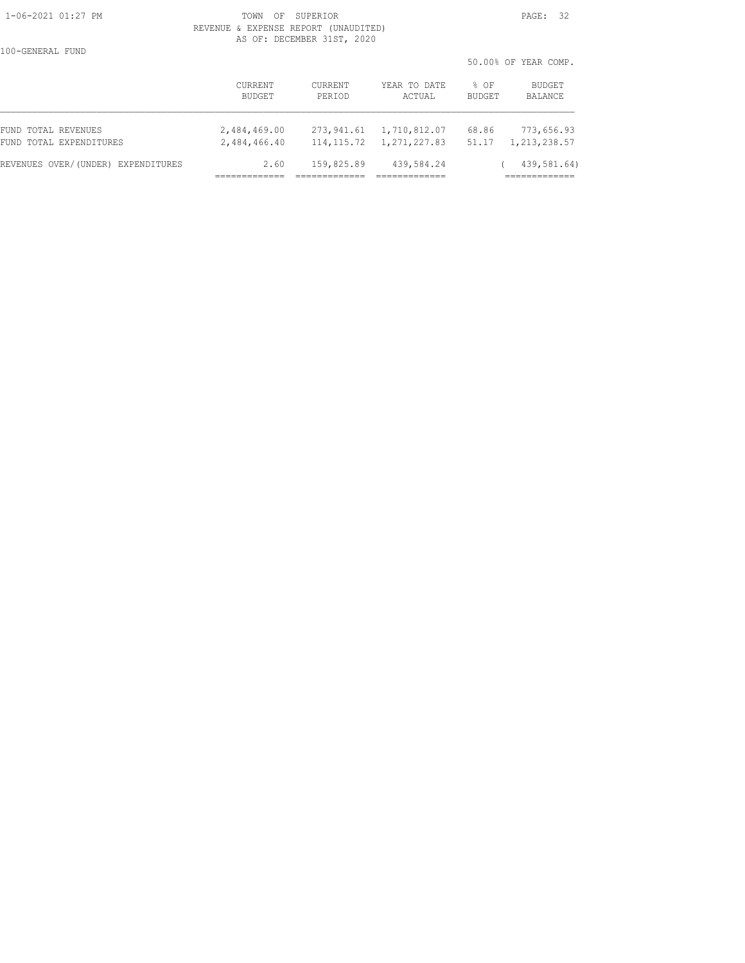#### 1-06-2021 01:27 PM TOWN OF SUPERIOR PAGE: 32 REVENUE & EXPENSE REPORT (UNAUDITED) AS OF: DECEMBER 31ST, 2020

100-GENERAL FUND

50.00% OF YEAR COMP.

|                                    | CURRENT<br>BUDGET | CURRENT<br>PERIOD | YEAR TO DATE<br>ACTUAL | BUDGET<br>% OF<br><b>BUDGET</b><br>BALANCE |
|------------------------------------|-------------------|-------------------|------------------------|--------------------------------------------|
| FUND TOTAL REVENUES                | 2,484,469.00      | 273,941.61        | 1,710,812.07           | 68.86<br>773,656.93                        |
| FUND TOTAL EXPENDITURES            | 2,484,466.40      | 114, 115.72       | 1,271,227.83           | 51.17<br>1, 213, 238.57                    |
| REVENUES OVER/(UNDER) EXPENDITURES | 2.60              | 159,825.89        | 439,584.24             | 439,581.64)                                |
|                                    |                   |                   |                        |                                            |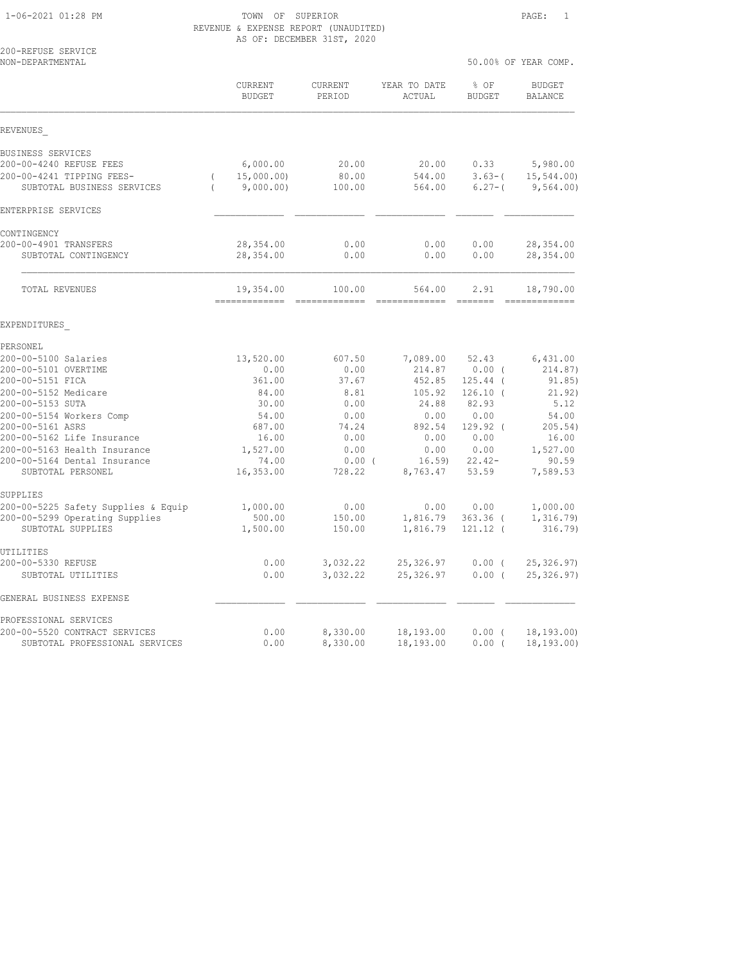# 1-06-2021 01:28 PM TOWN OF SUPERIOR PAGE: 1 REVENUE & EXPENSE REPORT (UNAUDITED) AS OF: DECEMBER 31ST, 2020

| 200-REFUSE SERVICE<br>NON-DEPARTMENTAL                  |                                                 |                          |                        |                         | 50.00% OF YEAR COMP.    |
|---------------------------------------------------------|-------------------------------------------------|--------------------------|------------------------|-------------------------|-------------------------|
|                                                         | CURRENT<br><b>BUDGET</b>                        | <b>CURRENT</b><br>PERIOD | YEAR TO DATE<br>ACTUAL | % OF<br><b>BUDGET</b>   | BUDGET<br>BALANCE       |
| REVENUES                                                |                                                 |                          |                        |                         |                         |
| BUSINESS SERVICES                                       |                                                 |                          |                        |                         |                         |
| 200-00-4240 REFUSE FEES                                 | 6,000.00                                        | 20.00                    | 20.00                  | 0.33                    | 5,980.00                |
| 200-00-4241 TIPPING FEES-<br>SUBTOTAL BUSINESS SERVICES | 15,000.00)<br>$\left($<br>9,000.00)<br>$\left($ | 80.00<br>100.00          | 544.00<br>564.00       | $3.63-$ (<br>$6.27 - ($ | 15, 544.00<br>9,564.00) |
| ENTERPRISE SERVICES                                     |                                                 |                          |                        |                         |                         |
| CONTINGENCY                                             |                                                 |                          |                        |                         |                         |
| 200-00-4901 TRANSFERS                                   | 28, 354.00                                      | 0.00                     | 0.00                   | 0.00                    | 28, 354.00              |
| SUBTOTAL CONTINGENCY                                    | 28,354.00                                       | 0.00                     | 0.00                   | 0.00                    | 28,354.00               |
| TOTAL REVENUES                                          | 19,354.00                                       | 100.00                   | 564.00                 | 2.91                    | 18,790.00               |
| EXPENDITURES                                            |                                                 |                          |                        |                         |                         |
| PERSONEL                                                |                                                 |                          |                        |                         |                         |
| 200-00-5100 Salaries                                    | 13,520.00                                       | 607.50                   | 7,089.00               | 52.43                   | 6,431.00                |
| 200-00-5101 OVERTIME                                    | 0.00                                            | 0.00                     | 214.87                 | 0.00(                   | 214.87)                 |
| 200-00-5151 FICA                                        | 361.00                                          | 37.67                    | 452.85                 | $125.44$ (              | 91.85)                  |
| 200-00-5152 Medicare                                    | 84.00                                           | 8.81                     | 105.92                 | $126.10$ (              | 21.92)                  |
| 200-00-5153 SUTA                                        | 30.00                                           | 0.00                     | 24.88                  | 82.93                   | 5.12                    |
| 200-00-5154 Workers Comp<br>200-00-5161 ASRS            | 54.00<br>687.00                                 | 0.00<br>74.24            | 0.00<br>892.54         | 0.00<br>129.92 (        | 54.00<br>205.54)        |
| 200-00-5162 Life Insurance                              | 16.00                                           | 0.00                     | 0.00                   | 0.00                    | 16.00                   |
| 200-00-5163 Health Insurance                            | 1,527.00                                        | 0.00                     | 0.00                   | 0.00                    | 1,527.00                |
| 200-00-5164 Dental Insurance                            | 74.00                                           | $0.00$ (                 | 16.59                  | $22.42-$                | 90.59                   |
| SUBTOTAL PERSONEL                                       | 16,353.00                                       | 728.22                   | 8,763.47               | 53.59                   | 7,589.53                |
| SUPPLIES                                                |                                                 |                          |                        |                         |                         |
| 200-00-5225 Safety Supplies & Equip                     | 1,000.00                                        | 0.00                     | 0.00                   | 0.00                    | 1,000.00                |
| 200-00-5299 Operating Supplies                          | 500.00                                          | 150.00                   | 1,816.79               | $363.36$ (              | 1, 316.79               |
| SUBTOTAL SUPPLIES                                       | 1,500.00                                        | 150.00                   | 1,816.79               | 121.12 (                | 316.79)                 |
| UTILITIES<br>200-00-5330 REFUSE                         | 0.00                                            | 3,032.22                 | 25,326.97              | $0.00$ (                | 25, 326, 97             |
| SUBTOTAL UTILITIES                                      | 0.00                                            | 3,032.22                 | 25,326.97              | $0.00$ (                | 25, 326.97)             |
| GENERAL BUSINESS EXPENSE                                |                                                 |                          |                        |                         |                         |
| PROFESSIONAL SERVICES                                   |                                                 |                          |                        |                         |                         |
| 200-00-5520 CONTRACT SERVICES                           | 0.00                                            | 8,330.00                 | 18,193.00              | $0.00$ (                | 18, 193.00              |
| SUBTOTAL PROFESSIONAL SERVICES                          | 0.00                                            | 8,330.00                 | 18,193.00              | 0.00(                   | 18, 193.00              |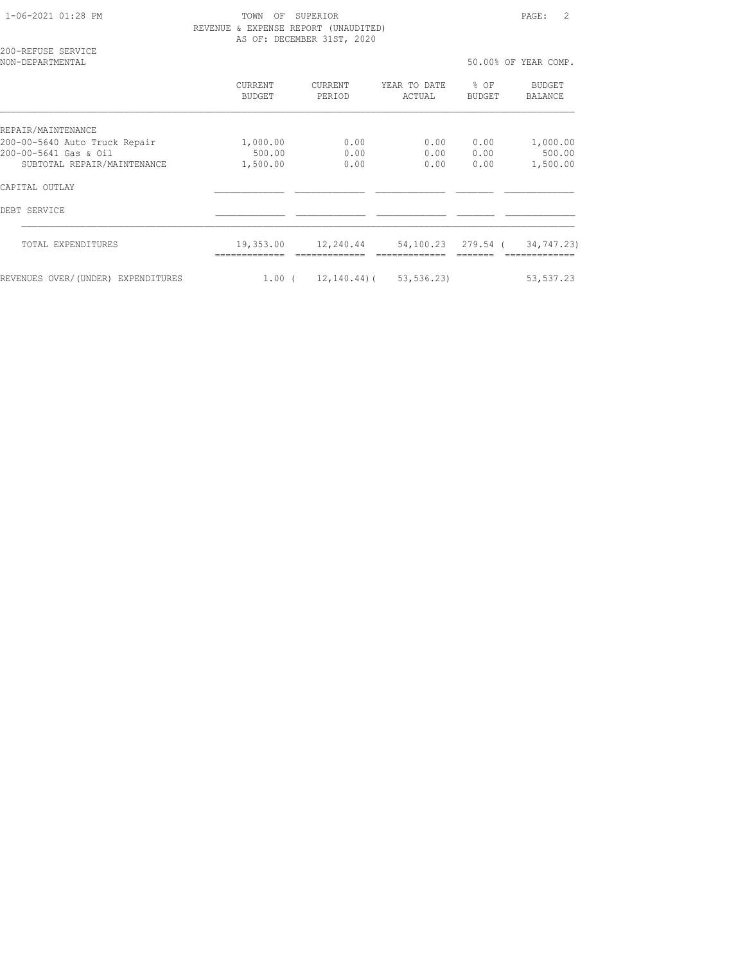1-06-2021 01:28 PM TOWN OF SUPERIOR PAGE: 2 REVENUE & EXPENSE REPORT (UNAUDITED) AS OF: DECEMBER 31ST, 2020

200-REFUSE SERVICE

| NON-DEPARTMENTAL                   |                   |                          |                             |                | 50.00% OF YEAR COMP. |
|------------------------------------|-------------------|--------------------------|-----------------------------|----------------|----------------------|
|                                    | CURRENT<br>BUDGET | <b>CURRENT</b><br>PERIOD | YEAR TO DATE<br>ACTUAL      | % OF<br>BUDGET | BUDGET<br>BALANCE    |
| REPAIR/MAINTENANCE                 |                   |                          |                             |                |                      |
| 200-00-5640 Auto Truck Repair      | 1,000.00          | 0.00                     | 0.00                        | 0.00           | 1,000.00             |
| 200-00-5641 Gas & Oil              | 500.00            | 0.00                     | 0.00                        | 0.00           | 500.00               |
| SUBTOTAL REPAIR/MAINTENANCE        | 1,500.00          | 0.00                     | 0.00                        | 0.00           | 1,500.00             |
| CAPITAL OUTLAY                     |                   |                          |                             |                |                      |
| DEBT SERVICE                       |                   |                          |                             |                |                      |
| TOTAL EXPENDITURES                 | 19,353.00         | 12,240.44                | 54,100.23 279.54 (          |                | 34,747.23)           |
| REVENUES OVER/(UNDER) EXPENDITURES | 1.00(             |                          | $12, 140, 44$ (53, 536, 23) |                | 53, 537.23           |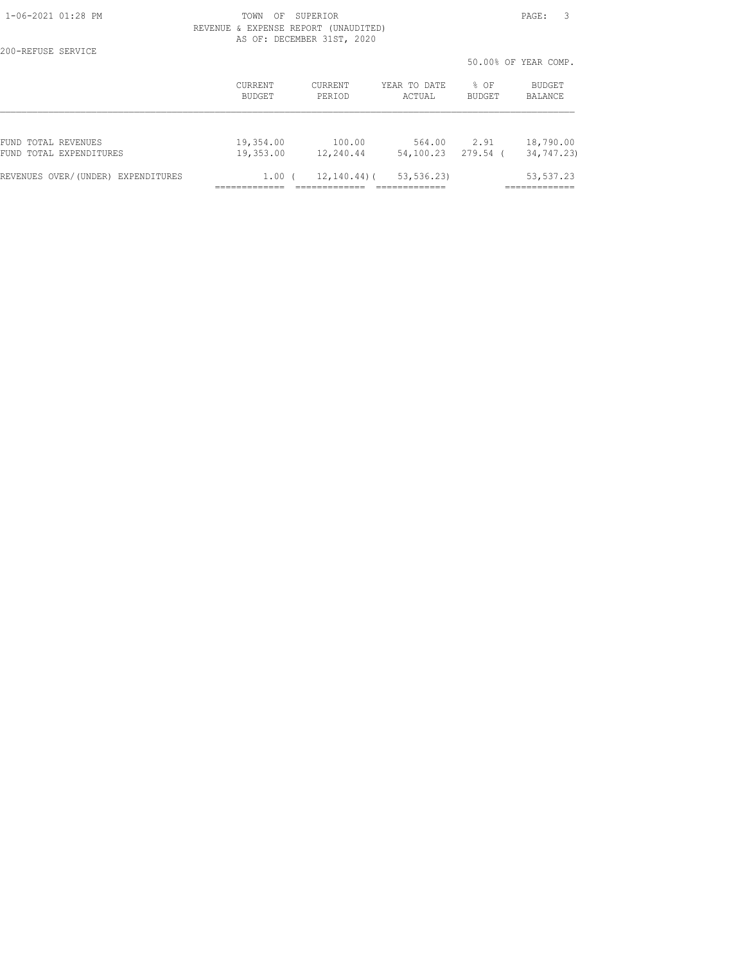200-REFUSE SERVICE

#### 1-06-2021 01:28 PM TOWN OF SUPERIOR PAGE: 3 REVENUE & EXPENSE REPORT (UNAUDITED) AS OF: DECEMBER 31ST, 2020

50.00% OF YEAR COMP.

|                                       |                |                  |              |               | ju.uu? ui ilak uume. |
|---------------------------------------|----------------|------------------|--------------|---------------|----------------------|
|                                       | <b>CURRENT</b> | <b>CURRENT</b>   | YEAR TO DATE | $%$ $OF$      | <b>BUDGET</b>        |
|                                       | BUDGET         | PERTOD           | ACTUAL       | <b>BUDGET</b> | BALANCE              |
| FUND TOTAL REVENUES                   | 19,354.00      | 100.00           | 564.00       | 2.91          | 18,790.00            |
| FUND TOTAL EXPENDITURES               | 19,353.00      | 12,240.44        | 54,100.23    | 279.54        | 34,747.23)           |
| REVENUES OVER/(UNDER)<br>EXPENDITURES | 1.00           | $12, 140, 44)$ ( | 53, 536.23)  |               | 53, 537.23           |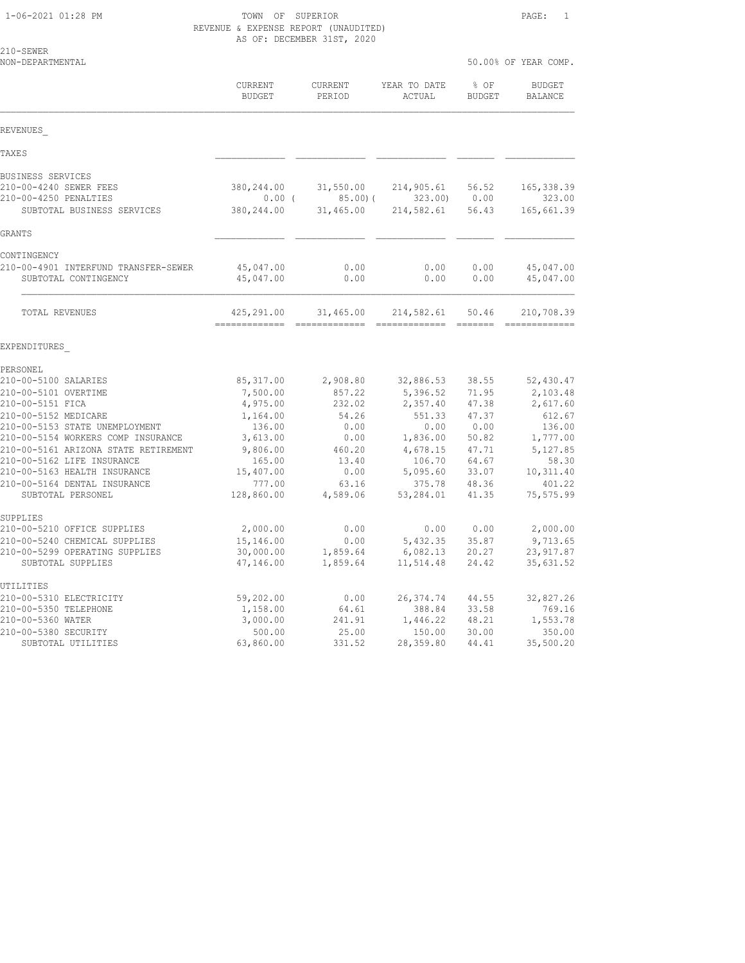1-06-2021 01:28 PM TOWN OF SUPERIOR PAGE: 1 REVENUE & EXPENSE REPORT (UNAUDITED) AS OF: DECEMBER 31ST, 2020

| 210-SEWER<br>NON-DEPARTMENTAL                                                                                       |                                                 |                                      |                                                                                                                                                                                                                                                                                                                                                                                                                                                                                                      | 50.00% OF YEAR COMP.             |                                                 |
|---------------------------------------------------------------------------------------------------------------------|-------------------------------------------------|--------------------------------------|------------------------------------------------------------------------------------------------------------------------------------------------------------------------------------------------------------------------------------------------------------------------------------------------------------------------------------------------------------------------------------------------------------------------------------------------------------------------------------------------------|----------------------------------|-------------------------------------------------|
|                                                                                                                     | CURRENT<br><b>BUDGET</b>                        | CURRENT<br>PERIOD                    | YEAR TO DATE<br>ACTUAL                                                                                                                                                                                                                                                                                                                                                                                                                                                                               | % OF<br><b>BUDGET</b>            | <b>BUDGET</b><br>BALANCE                        |
| REVENUES                                                                                                            |                                                 |                                      |                                                                                                                                                                                                                                                                                                                                                                                                                                                                                                      |                                  |                                                 |
| TAXE S                                                                                                              |                                                 |                                      |                                                                                                                                                                                                                                                                                                                                                                                                                                                                                                      |                                  |                                                 |
| BUSINESS SERVICES<br>210-00-4240 SEWER FEES<br>210-00-4250 PENALTIES<br>SUBTOTAL BUSINESS SERVICES                  | 380,244.00<br>$0.00$ (<br>380,244.00            | 31,550.00<br>85.00(<br>31,465.00     | 214,905.61<br>323.00<br>214,582.61                                                                                                                                                                                                                                                                                                                                                                                                                                                                   | 56.52<br>0.00<br>56.43           | 165, 338.39<br>323.00<br>165,661.39             |
| GRANTS                                                                                                              |                                                 |                                      |                                                                                                                                                                                                                                                                                                                                                                                                                                                                                                      |                                  |                                                 |
| CONTINGENCY<br>210-00-4901 INTERFUND TRANSFER-SEWER<br>SUBTOTAL CONTINGENCY                                         | 45,047.00<br>45,047.00                          | 0.00<br>0.00                         | 0.00<br>0.00                                                                                                                                                                                                                                                                                                                                                                                                                                                                                         | 0.00<br>0.00                     | 45,047.00<br>45,047.00                          |
| TOTAL REVENUES                                                                                                      | 425,291.00<br>-------------                     | 31,465.00<br>=============           | 214,582.61<br>$\begin{array}{cccccccccc} \multicolumn{2}{c}{} & \multicolumn{2}{c}{} & \multicolumn{2}{c}{} & \multicolumn{2}{c}{} & \multicolumn{2}{c}{} & \multicolumn{2}{c}{} & \multicolumn{2}{c}{} & \multicolumn{2}{c}{} & \multicolumn{2}{c}{} & \multicolumn{2}{c}{} & \multicolumn{2}{c}{} & \multicolumn{2}{c}{} & \multicolumn{2}{c}{} & \multicolumn{2}{c}{} & \multicolumn{2}{c}{} & \multicolumn{2}{c}{} & \multicolumn{2}{c}{} & \multicolumn{2}{c}{} & \multicolumn{2}{c}{} & \mult$ | 50.46<br>--------                | 210,708.39<br>-------------                     |
| EXPENDITURES                                                                                                        |                                                 |                                      |                                                                                                                                                                                                                                                                                                                                                                                                                                                                                                      |                                  |                                                 |
| PERSONEL<br>210-00-5100 SALARIES<br>210-00-5101 OVERTIME                                                            | 85,317.00<br>7,500.00                           | 2,908.80<br>857.22                   | 32,886.53<br>5,396.52                                                                                                                                                                                                                                                                                                                                                                                                                                                                                | 38.55<br>71.95                   | 52,430.47<br>2,103.48                           |
| 210-00-5151 FICA<br>210-00-5152 MEDICARE<br>210-00-5153 STATE UNEMPLOYMENT                                          | 4,975.00<br>1,164.00<br>136.00                  | 232.02<br>54.26<br>0.00              | 2,357.40<br>551.33<br>0.00                                                                                                                                                                                                                                                                                                                                                                                                                                                                           | 47.38<br>47.37<br>0.00           | 2,617.60<br>612.67<br>136.00                    |
| 210-00-5154 WORKERS COMP INSURANCE<br>210-00-5161 ARIZONA STATE RETIREMENT<br>210-00-5162 LIFE INSURANCE            | 3,613.00<br>9,806.00<br>165.00                  | 0.00<br>460.20<br>13.40              | 1,836.00<br>4,678.15<br>106.70                                                                                                                                                                                                                                                                                                                                                                                                                                                                       | 50.82<br>47.71<br>64.67          | 1,777.00<br>5,127.85<br>58.30                   |
| 210-00-5163 HEALTH INSURANCE<br>210-00-5164 DENTAL INSURANCE<br>SUBTOTAL PERSONEL                                   | 15,407.00<br>777.00<br>128,860.00               | 0.00<br>63.16<br>4,589.06            | 5,095.60<br>375.78<br>53,284.01                                                                                                                                                                                                                                                                                                                                                                                                                                                                      | 33.07<br>48.36<br>41.35          | 10,311.40<br>401.22<br>75,575.99                |
| SUPPLIES                                                                                                            |                                                 |                                      |                                                                                                                                                                                                                                                                                                                                                                                                                                                                                                      |                                  |                                                 |
| 210-00-5210 OFFICE SUPPLIES<br>210-00-5240 CHEMICAL SUPPLIES<br>210-00-5299 OPERATING SUPPLIES<br>SUBTOTAL SUPPLIES | 2,000.00<br>15,146.00<br>30,000.00<br>47,146.00 | 0.00<br>0.00<br>1,859.64<br>1,859.64 | 0.00<br>5,432.35<br>6,082.13<br>11,514.48                                                                                                                                                                                                                                                                                                                                                                                                                                                            | 0.00<br>35.87<br>20.27<br>24.42  | 2,000.00<br>9,713.65<br>23, 917.87<br>35,631.52 |
| UTILITIES                                                                                                           |                                                 |                                      |                                                                                                                                                                                                                                                                                                                                                                                                                                                                                                      |                                  |                                                 |
| 210-00-5310 ELECTRICITY<br>210-00-5350 TELEPHONE<br>210-00-5360 WATER<br>210-00-5380 SECURITY                       | 59,202.00<br>1,158.00<br>3,000.00<br>500.00     | 0.00<br>64.61<br>241.91<br>25.00     | 26, 374.74<br>388.84<br>1,446.22<br>150.00                                                                                                                                                                                                                                                                                                                                                                                                                                                           | 44.55<br>33.58<br>48.21<br>30.00 | 32,827.26<br>769.16<br>1,553.78<br>350.00       |

SUBTOTAL UTILITIES 63,860.00 331.52 28,359.80 44.41 35,500.20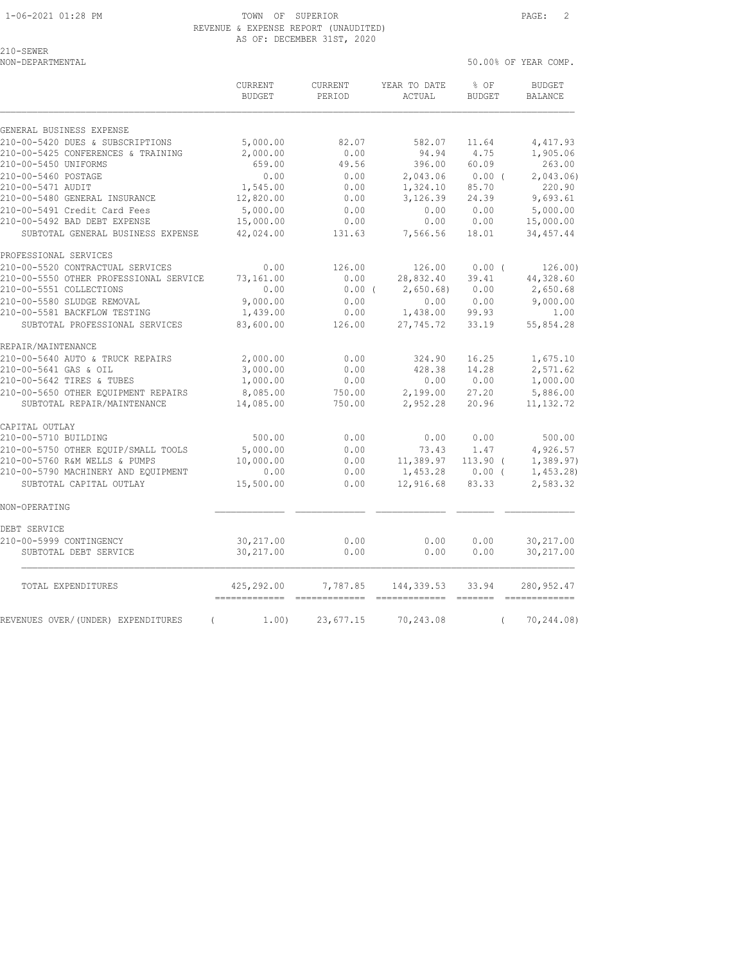50.00% OF YEAR COMP.

210-SEWER<br>NON-DEPARTMENTAL

|                                                | <b>CURRENT</b><br><b>BUDGET</b> | CURRENT<br>PERIOD | YEAR TO DATE<br>ACTUAL | % OF<br><b>BUDGET</b> | <b>BUDGET</b><br><b>BALANCE</b> |
|------------------------------------------------|---------------------------------|-------------------|------------------------|-----------------------|---------------------------------|
| GENERAL BUSINESS EXPENSE                       |                                 |                   |                        |                       |                                 |
| 210-00-5420 DUES & SUBSCRIPTIONS               | 5,000.00                        | 82.07             | 582.07                 | 11.64                 | 4,417.93                        |
| 210-00-5425 CONFERENCES & TRAINING             | 2,000.00                        | 0.00              | 94.94                  | 4.75                  | 1,905.06                        |
| 210-00-5450 UNIFORMS                           | 659.00                          | 49.56             | 396.00                 | 60.09                 | 263.00                          |
| 210-00-5460 POSTAGE                            | 0.00                            | 0.00              | 2,043.06               | $0.00$ (              | 2,043.06                        |
| 210-00-5471 AUDIT                              | 1,545.00                        | 0.00              | 1,324.10               | 85.70                 | 220.90                          |
| 210-00-5480 GENERAL INSURANCE                  | 12,820.00                       | 0.00              | 3,126.39               | 24.39                 | 9,693.61                        |
| 210-00-5491 Credit Card Fees                   | 5,000.00                        | 0.00              | 0.00                   | 0.00                  | 5,000.00                        |
| 210-00-5492 BAD DEBT EXPENSE                   | 15,000.00                       | 0.00              | 0.00                   | 0.00                  | 15,000.00                       |
| SUBTOTAL GENERAL BUSINESS EXPENSE              | 42,024.00                       | 131.63            | 7,566.56               | 18.01                 | 34, 457.44                      |
| PROFESSIONAL SERVICES                          |                                 |                   |                        |                       |                                 |
| 210-00-5520 CONTRACTUAL SERVICES               | 0.00                            | 126.00            | 126.00                 | $0.00$ (              | 126.00)                         |
| 210-00-5550 OTHER PROFESSIONAL SERVICE         | 73,161.00                       | 0.00              | 28,832.40              | 39.41                 | 44,328.60                       |
| 210-00-5551 COLLECTIONS                        | 0.00                            | $0.00$ (          | 2,650.68               | 0.00                  | 2,650.68                        |
| 210-00-5580 SLUDGE REMOVAL                     | 9,000.00                        | 0.00              | 0.00                   | 0.00                  | 9,000.00                        |
| 210-00-5581 BACKFLOW TESTING                   | 1,439.00                        | 0.00              | 1,438.00               | 99.93                 | 1.00                            |
| SUBTOTAL PROFESSIONAL SERVICES                 | 83,600.00                       | 126.00            | 27,745.72              | 33.19                 | 55,854.28                       |
| REPAIR/MAINTENANCE                             |                                 |                   |                        |                       |                                 |
| 210-00-5640 AUTO & TRUCK REPAIRS               | 2,000.00                        | 0.00              | 324.90                 | 16.25                 | 1,675.10                        |
| 210-00-5641 GAS & OIL                          | 3,000.00                        | 0.00              | 428.38                 | 14.28                 | 2,571.62                        |
| 210-00-5642 TIRES & TUBES                      | 1,000.00                        | 0.00              | 0.00                   | 0.00                  | 1,000.00                        |
| 210-00-5650 OTHER EQUIPMENT REPAIRS            | 8,085.00                        | 750.00            | 2,199.00               | 27.20                 | 5,886.00                        |
| SUBTOTAL REPAIR/MAINTENANCE                    | 14,085.00                       | 750.00            | 2,952.28               | 20.96                 | 11, 132.72                      |
| CAPITAL OUTLAY                                 |                                 |                   |                        |                       |                                 |
| 210-00-5710 BUILDING                           | 500.00                          | 0.00              | 0.00                   | 0.00                  | 500.00                          |
| 210-00-5750 OTHER EOUIP/SMALL TOOLS            | 5,000.00                        | 0.00              | 73.43                  | 1.47                  | 4,926.57                        |
| 210-00-5760 R&M WELLS & PUMPS                  | 10,000.00                       | 0.00              | 11,389.97              | $113.90$ (            | 1,389.97)                       |
| 210-00-5790 MACHINERY AND EQUIPMENT            | 0.00                            | 0.00              | 1,453.28               | 0.00(                 | 1,453.28                        |
| SUBTOTAL CAPITAL OUTLAY                        | 15,500.00                       | 0.00              | 12,916.68              | 83.33                 | 2,583.32                        |
| NON-OPERATING                                  |                                 |                   |                        |                       |                                 |
| DEBT SERVICE                                   |                                 |                   |                        |                       |                                 |
| 210-00-5999 CONTINGENCY                        | 30, 217.00                      | 0.00              | 0.00                   | 0.00                  | 30,217.00                       |
| SUBTOTAL DEBT SERVICE                          | 30,217.00                       | 0.00              | 0.00                   | 0.00                  | 30,217.00                       |
| TOTAL EXPENDITURES                             | 425,292.00                      | 7,787.85          | 144, 339.53            | 33.94                 | 280, 952.47                     |
| REVENUES OVER/(UNDER) EXPENDITURES<br>$\left($ | 1,00)                           | 23,677.15         | 70,243.08              | $\left($              | 70,244.08)                      |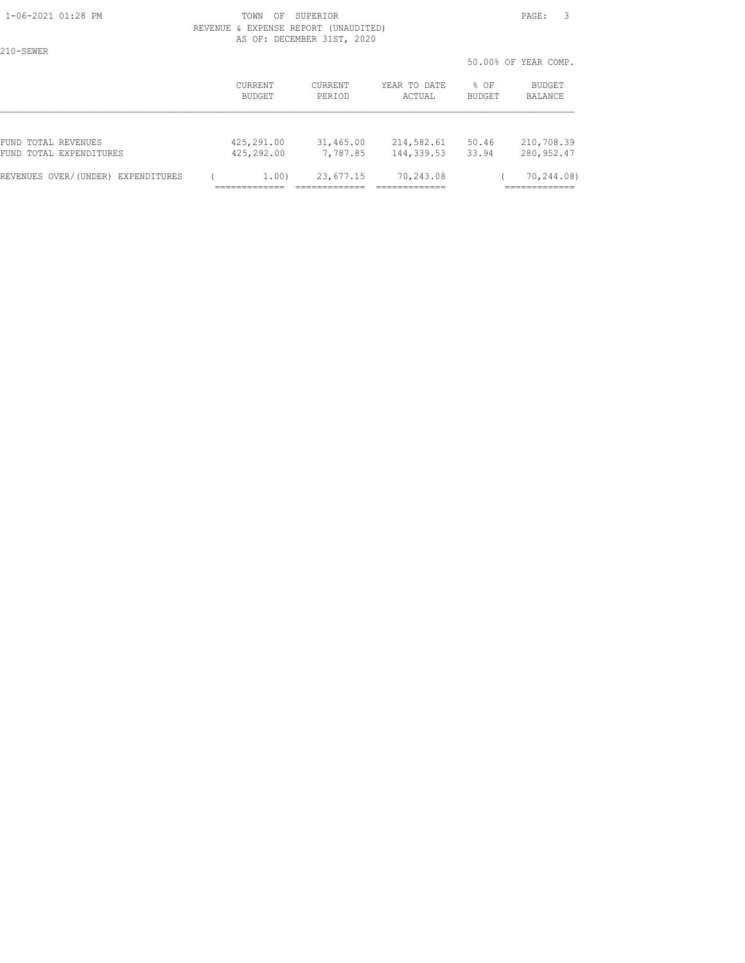210-SEWER

#### 1-06-2021 01:28 PM TOWN OF SUPERIOR PAGE: 3 REVENUE & EXPENSE REPORT (UNAUDITED) AS OF: DECEMBER 31ST, 2020

50.00% OF YEAR COMP.

|                                    |            |           |              | --------      |             |
|------------------------------------|------------|-----------|--------------|---------------|-------------|
|                                    | CURRENT    | CURRENT   | YEAR TO DATE | % OF          | BUDGET      |
|                                    | BUDGET     | PERIOD    | ACTUAL       | <b>BUDGET</b> | BALANCE     |
| FUND TOTAL REVENUES                | 425,291.00 | 31,465.00 | 214,582.61   | 50.46         | 210,708.39  |
| FUND TOTAL EXPENDITURES            | 425,292.00 | 7,787.85  | 144,339.53   | 33.94         | 280, 952.47 |
| REVENUES OVER/(UNDER) EXPENDITURES | 1.00       | 23,677.15 | 70,243.08    |               | 70,244.08)  |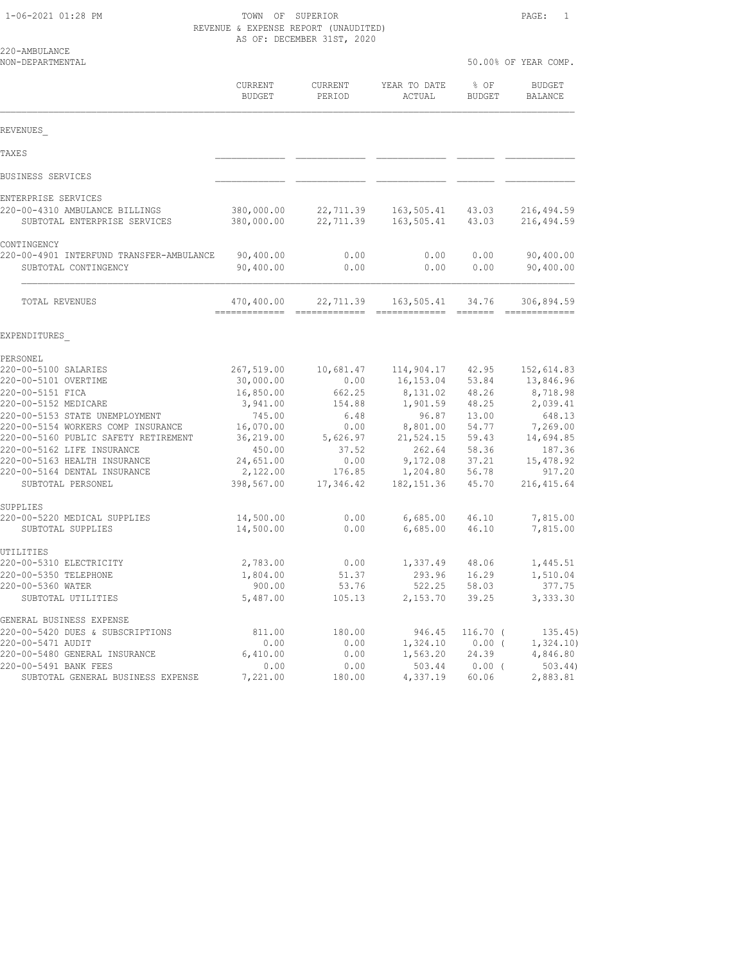220-AMBULANC<mark>E</mark><br>NON-DEPARTMENTAL

| NON-DEPARTMENTAL                                                 |                           |                        |                          |                | 50.00% OF YEAR COMP.      |  |  |
|------------------------------------------------------------------|---------------------------|------------------------|--------------------------|----------------|---------------------------|--|--|
|                                                                  | <b>CURRENT</b><br>BUDGET  | CURRENT<br>PERIOD      | YEAR TO DATE<br>ACTUAL   | % OF<br>BUDGET | <b>BUDGET</b><br>BALANCE  |  |  |
| REVENUES                                                         |                           |                        |                          |                |                           |  |  |
| TAXE S                                                           |                           |                        |                          |                |                           |  |  |
| BUSINESS SERVICES                                                |                           |                        |                          |                |                           |  |  |
| ENTERPRISE SERVICES                                              |                           |                        |                          |                |                           |  |  |
| 220-00-4310 AMBULANCE BILLINGS<br>SUBTOTAL ENTERPRISE SERVICES   | 380,000.00<br>380,000.00  | 22,711.39<br>22,711.39 | 163,505.41<br>163,505.41 | 43.03<br>43.03 | 216,494.59<br>216, 494.59 |  |  |
| CONTINGENCY                                                      |                           |                        |                          |                |                           |  |  |
| 220-00-4901 INTERFUND TRANSFER-AMBULANCE<br>SUBTOTAL CONTINGENCY | 90,400.00<br>90,400.00    | 0.00<br>0.00           | 0.00<br>0.00             | 0.00<br>0.00   | 90,400.00<br>90,400.00    |  |  |
| TOTAL REVENUES                                                   | 470,400.00<br>----------- | 22,711.39              | 163,505.41               | 34.76          | 306,894.59                |  |  |
| EXPENDITURES                                                     |                           |                        |                          |                |                           |  |  |
| PERSONEL                                                         |                           |                        |                          |                |                           |  |  |
| 220-00-5100 SALARIES                                             | 267,519.00                | 10,681.47              | 114,904.17               | 42.95          | 152,614.83                |  |  |
| 220-00-5101 OVERTIME<br>220-00-5151 FICA                         | 30,000.00<br>16,850.00    | 0.00<br>662.25         | 16,153.04<br>8,131.02    | 53.84<br>48.26 | 13,846.96<br>8,718.98     |  |  |
| 220-00-5152 MEDICARE                                             | 3,941.00                  | 154.88                 | 1,901.59                 | 48.25          | 2,039.41                  |  |  |
| 220-00-5153 STATE UNEMPLOYMENT                                   | 745.00                    | 6.48                   | 96.87                    | 13.00          | 648.13                    |  |  |
| 220-00-5154 WORKERS COMP INSURANCE                               | 16,070.00                 | 0.00                   | 8,801.00                 | 54.77          | 7,269.00                  |  |  |
| 220-00-5160 PUBLIC SAFETY RETIREMENT                             | 36,219.00                 | 5,626.97               | 21,524.15                | 59.43          | 14,694.85                 |  |  |
| 220-00-5162 LIFE INSURANCE                                       | 450.00                    | 37.52                  | 262.64                   | 58.36          | 187.36                    |  |  |
| 220-00-5163 HEALTH INSURANCE<br>220-00-5164 DENTAL INSURANCE     | 24,651.00<br>2,122.00     | 0.00<br>176.85         | 9,172.08<br>1,204.80     | 37.21<br>56.78 | 15,478.92<br>917.20       |  |  |
| SUBTOTAL PERSONEL                                                | 398,567.00                | 17,346.42              | 182, 151.36              | 45.70          | 216, 415.64               |  |  |
| SUPPLIES                                                         |                           |                        |                          |                |                           |  |  |
| 220-00-5220 MEDICAL SUPPLIES<br>SUBTOTAL SUPPLIES                | 14,500.00<br>14,500.00    | 0.00<br>0.00           | 6,685.00<br>6,685.00     | 46.10<br>46.10 | 7,815.00<br>7,815.00      |  |  |
| UTILITIES                                                        |                           |                        |                          |                |                           |  |  |
| 220-00-5310 ELECTRICITY                                          | 2,783.00                  | 0.00                   | 1,337.49                 | 48.06          | 1,445.51                  |  |  |
| 220-00-5350 TELEPHONE<br>220-00-5360 WATER                       | 1,804.00<br>900.00        | 51.37                  | 293.96<br>522.25         | 16.29<br>58.03 | 1,510.04<br>377.75        |  |  |
| SUBTOTAL UTILITIES                                               | 5,487.00                  | 53.76<br>105.13        | 2,153.70                 | 39.25          | 3,333.30                  |  |  |
| GENERAL BUSINESS EXPENSE                                         |                           |                        |                          |                |                           |  |  |
| 220-00-5420 DUES & SUBSCRIPTIONS                                 | 811.00                    | 180.00                 | 946.45                   | $116.70$ (     | 135.45)                   |  |  |
| 220-00-5471 AUDIT                                                | 0.00                      | 0.00                   | 1,324.10                 | 0.00(          | 1,324.10)                 |  |  |
| 220-00-5480 GENERAL INSURANCE                                    | 6,410.00                  | 0.00                   | 1,563.20                 | 24.39          | 4,846.80                  |  |  |
| 220-00-5491 BANK FEES                                            | 0.00                      | 0.00                   | 503.44                   | $0.00$ (       | $503.44$ )                |  |  |

SUBTOTAL GENERAL BUSINESS EXPENSE 7,221.00 180.00 4,337.19 60.06 2,883.81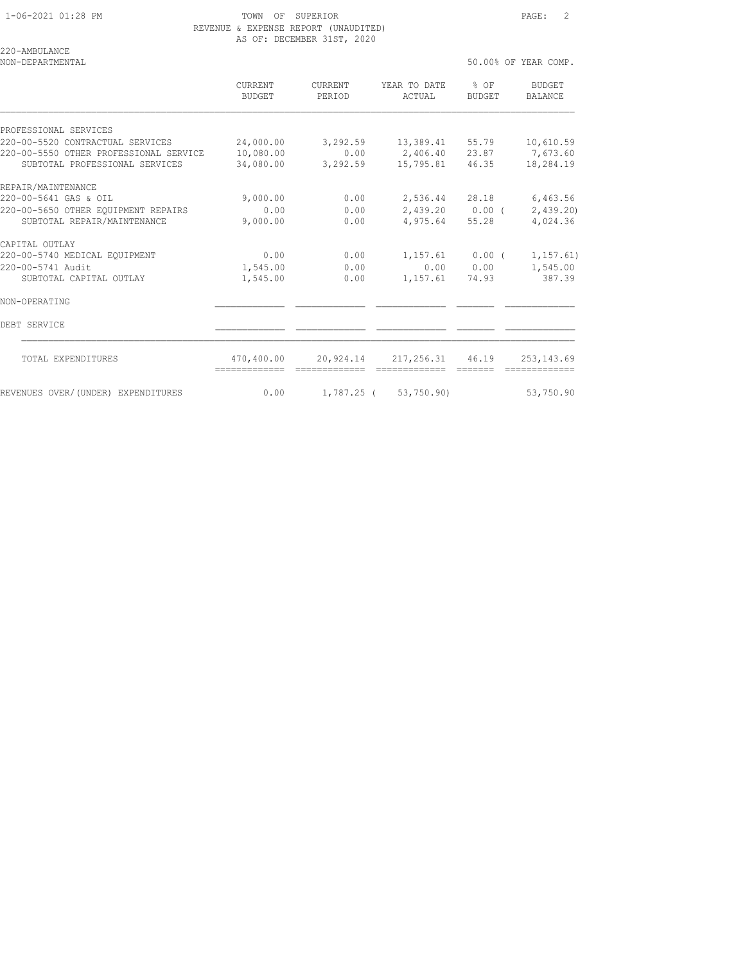50.00% OF YEAR COMP.

220-AMBULANCE<br>NON-DEPARTMENTAL

|                                        | <b>CURRENT</b><br>BUDGET | <b>CURRENT</b><br>PERIOD | YEAR TO DATE<br>ACTUAL     | $8$ OF<br>BUDGET | <b>BUDGET</b><br><b>BALANCE</b> |
|----------------------------------------|--------------------------|--------------------------|----------------------------|------------------|---------------------------------|
| PROFESSIONAL SERVICES                  |                          |                          |                            |                  |                                 |
| 220-00-5520 CONTRACTUAL SERVICES       | 24,000.00                | 3,292.59                 | 13,389.41 55.79            |                  | 10,610.59                       |
| 220-00-5550 OTHER PROFESSIONAL SERVICE | 10,080.00                | 0.00                     | 2,406.40 23.87 7,673.60    |                  |                                 |
| SUBTOTAL PROFESSIONAL SERVICES         | 34,080.00                | 3,292.59                 | 15,795.81 46.35            |                  | 18,284.19                       |
| REPAIR/MAINTENANCE                     |                          |                          |                            |                  |                                 |
| 220-00-5641 GAS & OIL                  | 9,000.00                 | 0.00                     | 2,536.44 28.18             |                  | 6,463.56                        |
| 220-00-5650 OTHER EQUIPMENT REPAIRS    | 0.00                     | 0.00                     | $2,439.20$ 0.00 (          |                  | 2,439.20)                       |
| SUBTOTAL REPAIR/MAINTENANCE            | 9,000.00                 | 0.00                     | 4,975.64                   | 55.28            | 4,024.36                        |
| CAPITAL OUTLAY                         |                          |                          |                            |                  |                                 |
| 220-00-5740 MEDICAL EQUIPMENT          | 0.00                     | 0.00                     | $1,157.61$ 0.00 (          |                  | 1, 157.61)                      |
| 220-00-5741 Audit                      | 1,545.00                 | 0.00                     |                            | 0.000000         | 1,545.00                        |
| SUBTOTAL CAPITAL OUTLAY                | 1,545.00                 | 0.00                     | 1,157.61                   | 74.93            | 387.39                          |
| NON-OPERATING                          |                          |                          |                            |                  |                                 |
| DEBT SERVICE                           |                          |                          |                            |                  |                                 |
| TOTAL EXPENDITURES                     | 470,400.00               |                          | 20,924.14 217,256.31 46.19 |                  | 253, 143.69                     |
| REVENUES OVER/(UNDER) EXPENDITURES     | 0.00                     |                          | 1,787.25 ( 53,750.90)      |                  | 53,750.90                       |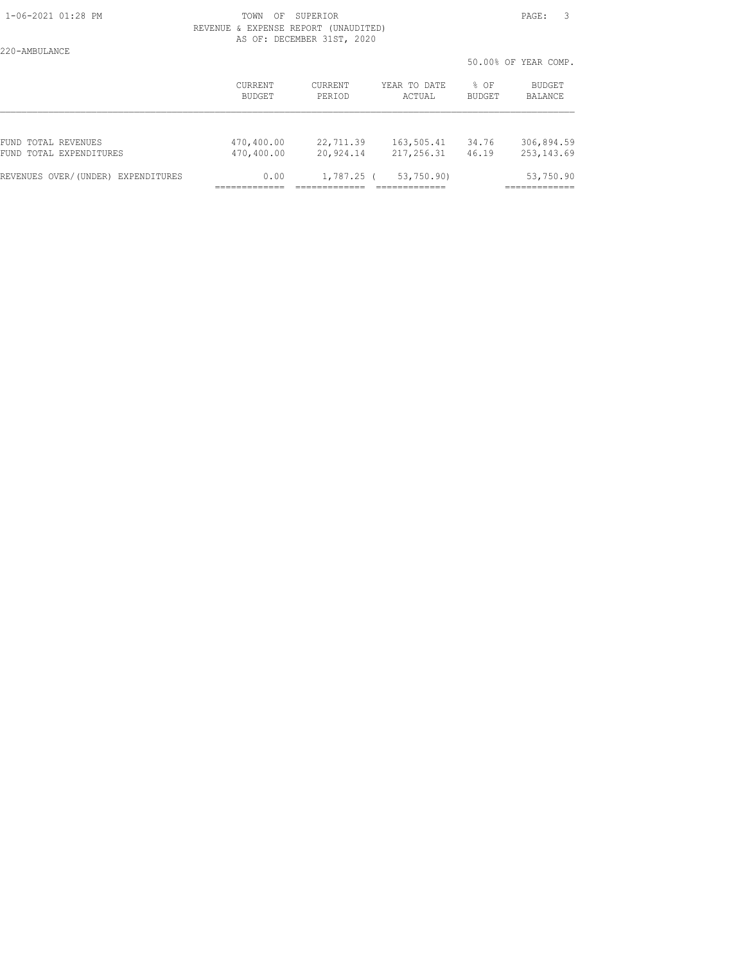|                                                |                          |                        |                          |                       | 50.00% OF YEAR COMP.      |
|------------------------------------------------|--------------------------|------------------------|--------------------------|-----------------------|---------------------------|
|                                                | CURRENT<br>BUDGET        | CURRENT<br>PERIOD      | YEAR TO DATE<br>ACTUAL   | % OF<br><b>BUDGET</b> | BUDGET<br>BALANCE         |
|                                                |                          |                        |                          |                       |                           |
| FUND TOTAL REVENUES<br>FUND TOTAL EXPENDITURES | 470,400.00<br>470,400.00 | 22,711.39<br>20,924.14 | 163,505.41<br>217,256.31 | 34.76<br>46.19        | 306,894.59<br>253, 143.69 |
| REVENUES OVER/(UNDER) EXPENDITURES             | 0.00                     | $1,787.25$ (           | 53,750.90)               |                       | 53,750.90                 |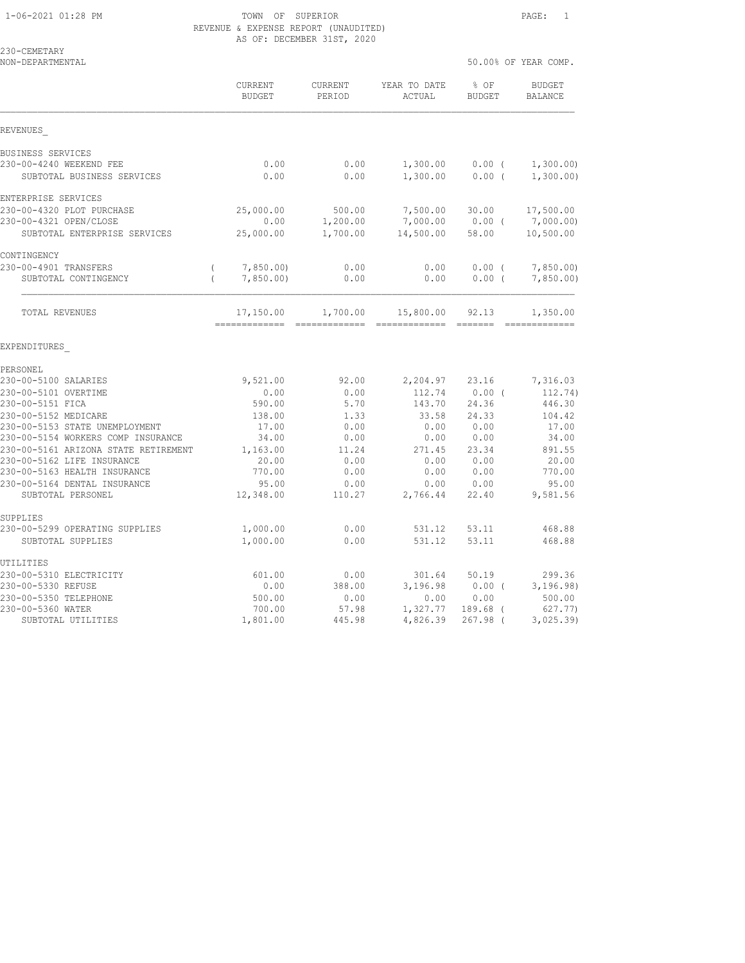| 230-CEMETARY<br>NON-DEPARTMENTAL                                     |                                              |                          |                                                          |                         | 50.00% OF YEAR COMP.                                                                                                                                                                                                                                                                                                                                                                                                                                                                               |
|----------------------------------------------------------------------|----------------------------------------------|--------------------------|----------------------------------------------------------|-------------------------|----------------------------------------------------------------------------------------------------------------------------------------------------------------------------------------------------------------------------------------------------------------------------------------------------------------------------------------------------------------------------------------------------------------------------------------------------------------------------------------------------|
|                                                                      | <b>CURRENT</b><br><b>BUDGET</b>              | <b>CURRENT</b><br>PERIOD | YEAR TO DATE<br>ACTUAL                                   | $8$ OF<br><b>BUDGET</b> | BUDGET<br><b>BALANCE</b>                                                                                                                                                                                                                                                                                                                                                                                                                                                                           |
| REVENUES                                                             |                                              |                          |                                                          |                         |                                                                                                                                                                                                                                                                                                                                                                                                                                                                                                    |
| BUSINESS SERVICES                                                    |                                              |                          |                                                          |                         |                                                                                                                                                                                                                                                                                                                                                                                                                                                                                                    |
| 230-00-4240 WEEKEND FEE<br>SUBTOTAL BUSINESS SERVICES                | 0.00<br>0.00                                 | 0.00<br>0.00             | 1,300.00<br>1,300.00                                     | $0.00$ (<br>$0.00$ (    | 1,300.00)<br>1,300.00)                                                                                                                                                                                                                                                                                                                                                                                                                                                                             |
| ENTERPRISE SERVICES                                                  |                                              |                          |                                                          |                         |                                                                                                                                                                                                                                                                                                                                                                                                                                                                                                    |
| 230-00-4320 PLOT PURCHASE                                            | 25,000.00                                    | 500.00                   | 7,500.00                                                 | 30.00                   | 17,500.00                                                                                                                                                                                                                                                                                                                                                                                                                                                                                          |
| 230-00-4321 OPEN/CLOSE                                               | 0.00                                         | 1,200.00                 | 7,000.00                                                 | $0.00$ (                | 7,000.00)                                                                                                                                                                                                                                                                                                                                                                                                                                                                                          |
| SUBTOTAL ENTERPRISE SERVICES                                         | 25,000.00                                    | 1,700.00                 | 14,500.00                                                | 58.00                   | 10,500.00                                                                                                                                                                                                                                                                                                                                                                                                                                                                                          |
| CONTINGENCY                                                          |                                              |                          |                                                          |                         |                                                                                                                                                                                                                                                                                                                                                                                                                                                                                                    |
| 230-00-4901 TRANSFERS<br>SUBTOTAL CONTINGENCY                        | 7,850.00<br>$\left($<br>7,850.00<br>$\left($ | 0.00<br>0.00             | 0.00<br>0.00                                             | 0.00(<br>0.00(          | 7,850.00<br>7,850.00                                                                                                                                                                                                                                                                                                                                                                                                                                                                               |
| TOTAL REVENUES                                                       | 17,150.00<br>------------- -------------     | 1,700.00                 | 15,800.00<br>$\begin{array}{c} \texttt{---} \end{array}$ | 92.13<br>--------       | 1,350.00<br>$\begin{array}{cccccccccc} \multicolumn{2}{c}{} & \multicolumn{2}{c}{} & \multicolumn{2}{c}{} & \multicolumn{2}{c}{} & \multicolumn{2}{c}{} & \multicolumn{2}{c}{} & \multicolumn{2}{c}{} & \multicolumn{2}{c}{} & \multicolumn{2}{c}{} & \multicolumn{2}{c}{} & \multicolumn{2}{c}{} & \multicolumn{2}{c}{} & \multicolumn{2}{c}{} & \multicolumn{2}{c}{} & \multicolumn{2}{c}{} & \multicolumn{2}{c}{} & \multicolumn{2}{c}{} & \multicolumn{2}{c}{} & \multicolumn{2}{c}{} & \mult$ |
| EXPENDITURES                                                         |                                              |                          |                                                          |                         |                                                                                                                                                                                                                                                                                                                                                                                                                                                                                                    |
| PERSONEL                                                             |                                              |                          |                                                          |                         |                                                                                                                                                                                                                                                                                                                                                                                                                                                                                                    |
| 230-00-5100 SALARIES                                                 | 9,521.00                                     | 92.00                    | 2,204.97                                                 | 23.16                   | 7,316.03                                                                                                                                                                                                                                                                                                                                                                                                                                                                                           |
| 230-00-5101 OVERTIME                                                 | 0.00                                         | 0.00                     | 112.74                                                   | $0.00$ (                | 112.74)                                                                                                                                                                                                                                                                                                                                                                                                                                                                                            |
| 230-00-5151 FICA                                                     | 590.00                                       | 5.70                     | 143.70                                                   | 24.36                   | 446.30                                                                                                                                                                                                                                                                                                                                                                                                                                                                                             |
| 230-00-5152 MEDICARE                                                 | 138.00                                       | 1.33                     | 33.58                                                    | 24.33                   | 104.42                                                                                                                                                                                                                                                                                                                                                                                                                                                                                             |
| 230-00-5153 STATE UNEMPLOYMENT<br>230-00-5154 WORKERS COMP INSURANCE | 17.00<br>34.00                               | 0.00<br>0.00             | 0.00<br>0.00                                             | 0.00<br>0.00            | 17.00<br>34.00                                                                                                                                                                                                                                                                                                                                                                                                                                                                                     |
| 230-00-5161 ARIZONA STATE RETIREMENT                                 | 1,163.00                                     | 11.24                    | 271.45                                                   | 23.34                   | 891.55                                                                                                                                                                                                                                                                                                                                                                                                                                                                                             |
| 230-00-5162 LIFE INSURANCE                                           | 20.00                                        | 0.00                     | 0.00                                                     | 0.00                    | 20.00                                                                                                                                                                                                                                                                                                                                                                                                                                                                                              |
| 230-00-5163 HEALTH INSURANCE                                         | 770.00                                       | 0.00                     | 0.00                                                     | 0.00                    | 770.00                                                                                                                                                                                                                                                                                                                                                                                                                                                                                             |
| 230-00-5164 DENTAL INSURANCE                                         | 95.00                                        | 0.00                     | 0.00                                                     | 0.00                    | 95.00                                                                                                                                                                                                                                                                                                                                                                                                                                                                                              |
| SUBTOTAL PERSONEL                                                    | 12,348.00                                    | 110.27                   | 2,766.44                                                 | 22.40                   | 9,581.56                                                                                                                                                                                                                                                                                                                                                                                                                                                                                           |
| SUPPLIES                                                             |                                              |                          |                                                          |                         |                                                                                                                                                                                                                                                                                                                                                                                                                                                                                                    |
| 230-00-5299 OPERATING SUPPLIES                                       | 1,000.00                                     | 0.00                     | 531.12                                                   | 53.11                   | 468.88                                                                                                                                                                                                                                                                                                                                                                                                                                                                                             |
| SUBTOTAL SUPPLIES                                                    | 1,000.00                                     | 0.00                     | 531.12                                                   | 53.11                   | 468.88                                                                                                                                                                                                                                                                                                                                                                                                                                                                                             |
| UTILITIES                                                            |                                              |                          |                                                          |                         |                                                                                                                                                                                                                                                                                                                                                                                                                                                                                                    |
| 230-00-5310 ELECTRICITY                                              | 601.00                                       | 0.00                     | 301.64                                                   | 50.19                   | 299.36                                                                                                                                                                                                                                                                                                                                                                                                                                                                                             |
| 230-00-5330 REFUSE                                                   | 0.00                                         | 388.00                   | 3,196.98                                                 | $0.00$ (                | 3, 196.98)                                                                                                                                                                                                                                                                                                                                                                                                                                                                                         |
| 230-00-5350 TELEPHONE                                                | 500.00                                       | 0.00                     | 0.00                                                     | 0.00                    | 500.00                                                                                                                                                                                                                                                                                                                                                                                                                                                                                             |
| 230-00-5360 WATER                                                    | 700.00                                       | 57.98                    | 1,327.77                                                 | 189.68 (                | 627.77)                                                                                                                                                                                                                                                                                                                                                                                                                                                                                            |

SUBTOTAL UTILITIES 1,801.00 445.98 4,826.39 267.98 ( 3,025.39)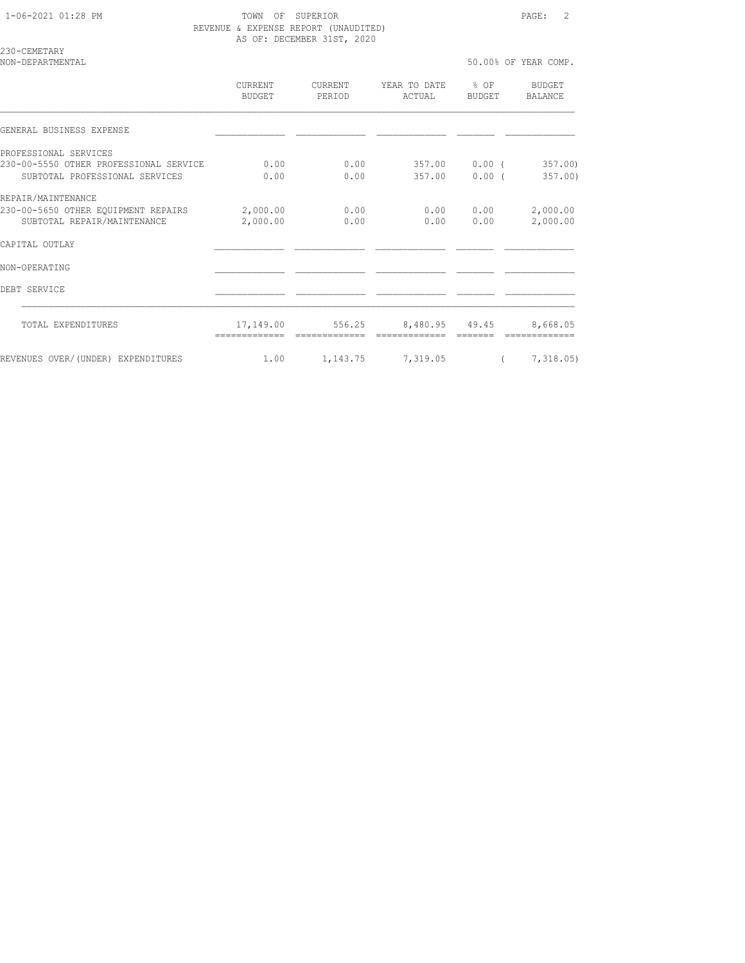230-CEMETARY

| NON-DEPARTMENTAL                       |                          |                          |                        |                  | 50.00% OF YEAR COMP.     |
|----------------------------------------|--------------------------|--------------------------|------------------------|------------------|--------------------------|
|                                        | <b>CURRENT</b><br>BUDGET | <b>CURRENT</b><br>PERIOD | YEAR TO DATE<br>ACTUAL | $8$ OF<br>BUDGET | <b>BUDGET</b><br>BALANCE |
| GENERAL BUSINESS EXPENSE               |                          |                          |                        |                  |                          |
| PROFESSIONAL SERVICES                  |                          |                          |                        |                  |                          |
| 230-00-5550 OTHER PROFESSIONAL SERVICE | 0.00                     | 0.00                     | 357.00                 | $0.00$ (         | 357.00                   |
| SUBTOTAL PROFESSIONAL SERVICES         | 0.00                     | 0.00                     | 357.00                 | $0.00$ (         | 357.00)                  |
| REPAIR/MAINTENANCE                     |                          |                          |                        |                  |                          |
| 230-00-5650 OTHER EQUIPMENT REPAIRS    | 2,000.00                 | 0.00                     | 0.00                   | 0.00             | 2,000.00                 |
| SUBTOTAL REPAIR/MAINTENANCE            | 2,000.00                 | 0.00                     | 0.00                   | 0.00             | 2,000.00                 |
| CAPITAL OUTLAY                         |                          |                          |                        |                  |                          |
| NON-OPERATING                          |                          |                          |                        |                  |                          |
| DEBT SERVICE                           |                          |                          |                        |                  |                          |
| TOTAL EXPENDITURES                     | 17,149.00                | 556.25                   | 8,480.95 49.45         |                  | 8,668.05                 |
|                                        |                          |                          |                        |                  |                          |
| REVENUES OVER/(UNDER) EXPENDITURES     | 1.00                     | 1,143.75 7,319.05        |                        |                  | 7,318.05)                |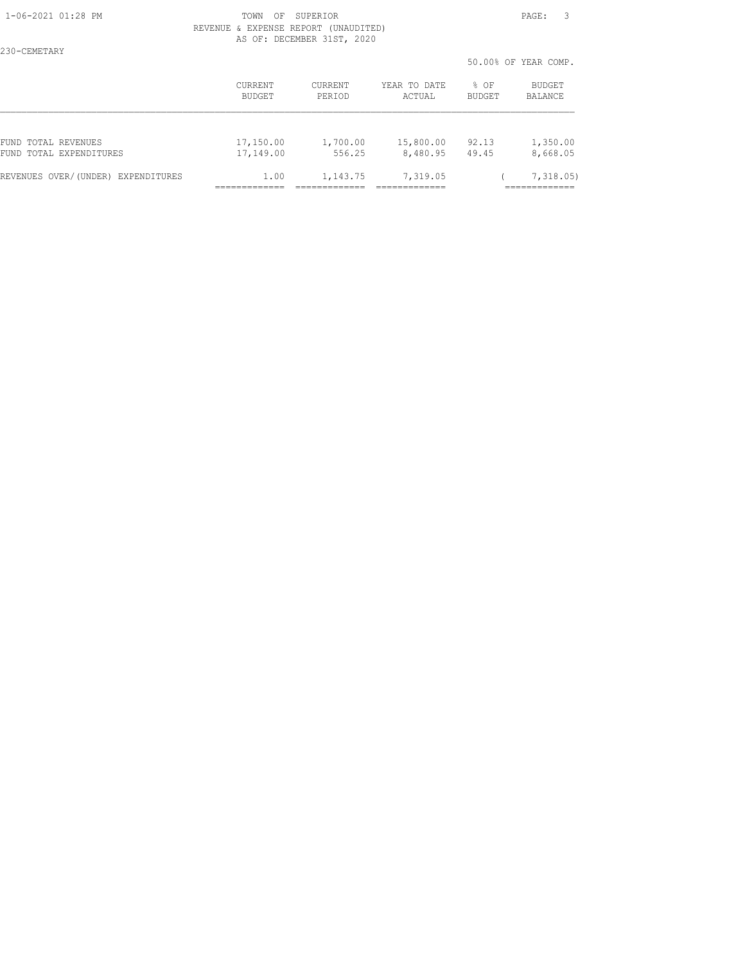230-CEMETARY

#### 1-06-2021 01:28 PM TOWN OF SUPERIOR PAGE: 3 REVENUE & EXPENSE REPORT (UNAUDITED) AS OF: DECEMBER 31ST, 2020

50.00% OF YEAR COMP.

|                                    | <b>CURRENT</b> | CURRENT  | YEAR TO DATE | $8$ OF | BUDGET   |  |
|------------------------------------|----------------|----------|--------------|--------|----------|--|
|                                    | BUDGET         | PERIOD   | ACTUAL       | BUDGET | BALANCE  |  |
| FUND TOTAL REVENUES                | 17,150.00      | 1,700.00 | 15,800.00    | 92.13  | 1,350.00 |  |
| FUND TOTAL EXPENDITURES            | 17,149.00      | 556.25   | 8,480.95     | 49.45  | 8,668.05 |  |
| REVENUES OVER/(UNDER) EXPENDITURES | 1.00           | 1,143.75 | 7,319.05     |        | 7,318.05 |  |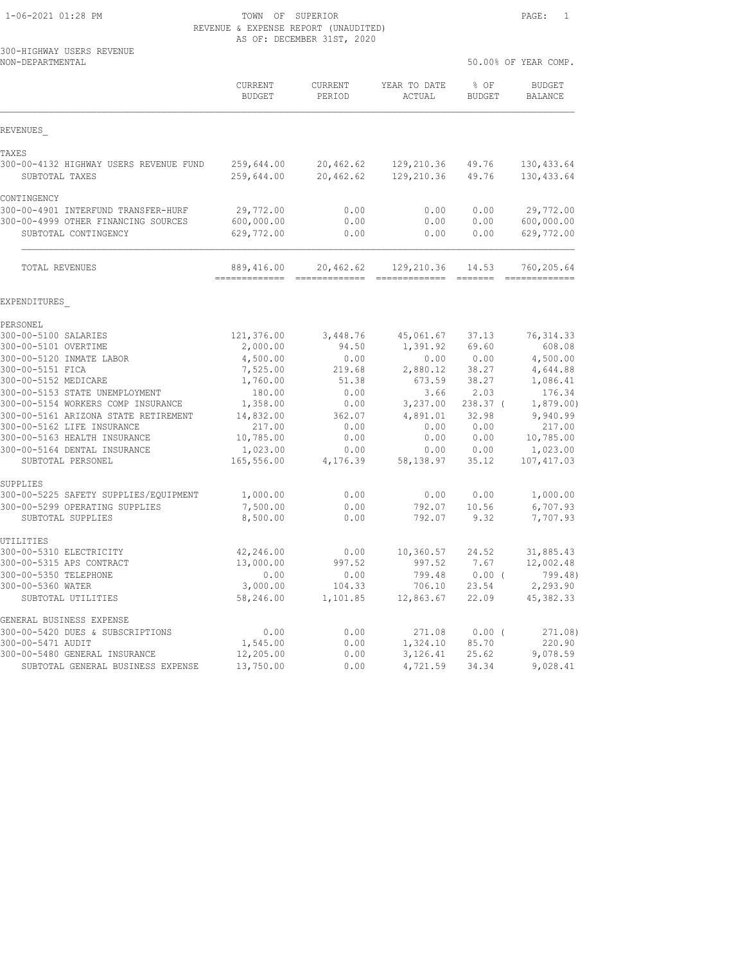|                                                     | AG VI, DEGEMBER JIJI, 2020 |                   |                        |                       |                          |
|-----------------------------------------------------|----------------------------|-------------------|------------------------|-----------------------|--------------------------|
| 300-HIGHWAY USERS REVENUE<br>NON-DEPARTMENTAL       |                            |                   |                        | 50.00% OF YEAR COMP.  |                          |
|                                                     | CURRENT<br><b>BUDGET</b>   | CURRENT<br>PERIOD | YEAR TO DATE<br>ACTUAL | % OF<br><b>BUDGET</b> | <b>BUDGET</b><br>BALANCE |
| REVENUES                                            |                            |                   |                        |                       |                          |
| TAXES                                               |                            |                   |                        |                       |                          |
| 300-00-4132 HIGHWAY USERS REVENUE FUND              | 259,644.00                 | 20,462.62         | 129,210.36             | 49.76                 | 130, 433.64              |
| SUBTOTAL TAXES                                      | 259,644.00                 | 20,462.62         | 129,210.36             | 49.76                 | 130, 433.64              |
| CONTINGENCY                                         |                            |                   |                        |                       |                          |
| 300-00-4901 INTERFUND TRANSFER-HURF                 | 29,772.00                  | 0.00              | 0.00                   | 0.00                  | 29,772.00                |
| 300-00-4999 OTHER FINANCING SOURCES                 | 600,000.00                 | 0.00              | 0.00                   | 0.00                  | 600,000.00               |
| SUBTOTAL CONTINGENCY                                | 629,772.00                 | 0.00              | 0.00                   | 0.00                  | 629,772.00               |
| TOTAL REVENUES                                      | 889,416.00                 | 20,462.62         | 129,210.36             | 14.53                 | 760,205.64               |
|                                                     |                            |                   |                        |                       |                          |
| EXPENDITURES                                        |                            |                   |                        |                       |                          |
| PERSONEL<br>300-00-5100 SALARIES                    |                            | 3,448.76          | 45,061.67              |                       |                          |
| 300-00-5101 OVERTIME                                | 121,376.00<br>2,000.00     | 94.50             | 1,391.92               | 37.13<br>69.60        | 76, 314.33<br>608.08     |
| 300-00-5120 INMATE LABOR                            | 4,500.00                   | 0.00              | 0.00                   | 0.00                  | 4,500.00                 |
| 300-00-5151 FICA                                    | 7,525.00                   | 219.68            | 2,880.12               | 38.27                 | 4,644.88                 |
| 300-00-5152 MEDICARE                                | 1,760.00                   | 51.38             | 673.59                 | 38.27                 | 1,086.41                 |
| 300-00-5153 STATE UNEMPLOYMENT                      | 180.00                     | 0.00              | 3.66                   | 2.03                  | 176.34                   |
| 300-00-5154 WORKERS COMP INSURANCE                  | 1,358.00                   | 0.00              | 3,237.00               | 238.37 (              | 1,879.00)                |
| 300-00-5161 ARIZONA STATE RETIREMENT                | 14,832.00                  | 362.07            | 4,891.01               | 32.98                 | 9,940.99                 |
| 300-00-5162 LIFE INSURANCE                          | 217.00                     | 0.00              | 0.00                   | 0.00                  | 217.00                   |
| 300-00-5163 HEALTH INSURANCE                        | 10,785.00                  | 0.00              | 0.00                   | 0.00                  | 10,785.00                |
| 300-00-5164 DENTAL INSURANCE                        | 1,023.00                   | 0.00              | 0.00                   | 0.00                  | 1,023.00                 |
| SUBTOTAL PERSONEL                                   | 165,556.00                 | 4,176.39          | 58,138.97              | 35.12                 | 107, 417.03              |
| SUPPLIES                                            |                            |                   |                        |                       |                          |
| 300-00-5225 SAFETY SUPPLIES/EQUIPMENT               | 1,000.00                   | 0.00              | 0.00                   | 0.00                  | 1,000.00                 |
| 300-00-5299 OPERATING SUPPLIES<br>SUBTOTAL SUPPLIES | 7,500.00<br>8,500.00       | 0.00<br>0.00      | 792.07<br>792.07       | 10.56<br>9.32         | 6,707.93<br>7,707.93     |
| UTILITIES                                           |                            |                   |                        |                       |                          |
| 300-00-5310 ELECTRICITY                             | 42,246.00                  | 0.00              | 10, 360.57             | 24.52                 | 31,885.43                |
| 300-00-5315 APS CONTRACT                            | 13,000.00                  | 997.52            | 997.52                 | 7.67                  | 12,002.48                |
| 300-00-5350 TELEPHONE                               | 0.00                       | 0.00              | 799.48                 | 0.00(                 | 799.48)                  |
| 300-00-5360 WATER                                   | 3,000.00                   | 104.33            | 706.10                 | 23.54                 | 2,293.90                 |
| SUBTOTAL UTILITIES                                  | 58,246.00                  | 1,101.85          | 12,863.67              | 22.09                 | 45, 382.33               |
| GENERAL BUSINESS EXPENSE                            |                            |                   |                        |                       |                          |
| 300-00-5420 DUES & SUBSCRIPTIONS                    | 0.00                       | 0.00              | 271.08                 | $0.00$ (              | 271.08)                  |
| 300-00-5471 AUDIT                                   | 1,545.00                   | 0.00              | 1,324.10               | 85.70                 | 220.90                   |
| 300-00-5480 GENERAL INSURANCE                       | 12,205.00                  | 0.00              | 3,126.41               | 25.62                 | 9,078.59                 |
| SUBTOTAL GENERAL BUSINESS EXPENSE                   | 13,750.00                  | 0.00              | 4,721.59               | 34.34                 | 9,028.41                 |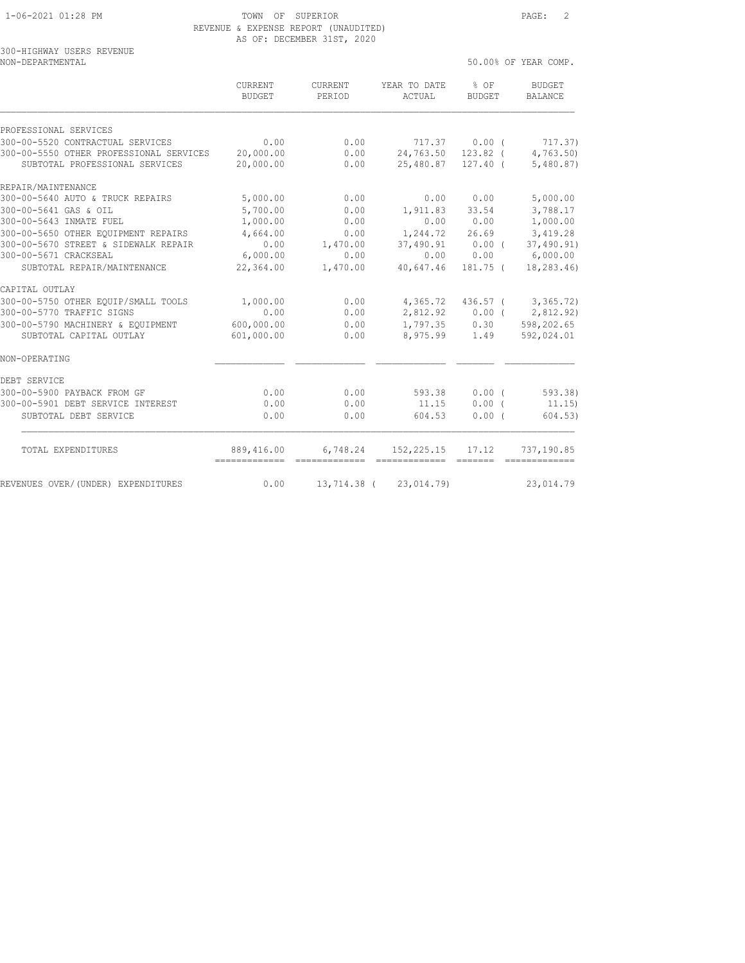300-HIGHWAY USERS REVENUE

## 1-06-2021 01:28 PM TOWN OF SUPERIOR PAGE: 2 REVENUE & EXPENSE REPORT (UNAUDITED) AS OF: DECEMBER 31ST, 2020

| NON-DEPARTMENTAL                        |                                 |                          |                                     |                       | 50.00% OF YEAR COMP.                                                                                                                                                                                                                                                                                                                                                                                                                                                                                 |
|-----------------------------------------|---------------------------------|--------------------------|-------------------------------------|-----------------------|------------------------------------------------------------------------------------------------------------------------------------------------------------------------------------------------------------------------------------------------------------------------------------------------------------------------------------------------------------------------------------------------------------------------------------------------------------------------------------------------------|
|                                         | <b>CURRENT</b><br><b>BUDGET</b> | <b>CURRENT</b><br>PERIOD | YEAR TO DATE<br>ACTUAL              | % OF<br><b>BUDGET</b> | <b>BUDGET</b><br><b>BALANCE</b>                                                                                                                                                                                                                                                                                                                                                                                                                                                                      |
| PROFESSIONAL SERVICES                   |                                 |                          |                                     |                       |                                                                                                                                                                                                                                                                                                                                                                                                                                                                                                      |
| 300-00-5520 CONTRACTUAL SERVICES        | 0.00                            | 0.00                     | 717.37                              | 0.00(                 | 717.37)                                                                                                                                                                                                                                                                                                                                                                                                                                                                                              |
| 300-00-5550 OTHER PROFESSIONAL SERVICES | 20,000.00                       | 0.00                     | 24,763.50                           | $123.82$ (            | 4,763.50                                                                                                                                                                                                                                                                                                                                                                                                                                                                                             |
| SUBTOTAL PROFESSIONAL SERVICES          | 20,000.00                       | 0.00                     | 25,480.87                           | $127.40$ (            | 5,480.87)                                                                                                                                                                                                                                                                                                                                                                                                                                                                                            |
| REPAIR/MAINTENANCE                      |                                 |                          |                                     |                       |                                                                                                                                                                                                                                                                                                                                                                                                                                                                                                      |
| 300-00-5640 AUTO & TRUCK REPAIRS        | 5,000.00                        | 0.00                     | 0.00                                | 0.00                  | 5,000.00                                                                                                                                                                                                                                                                                                                                                                                                                                                                                             |
| 300-00-5641 GAS & OIL                   | 5,700.00                        | 0.00                     | 1,911.83                            | 33.54                 | 3,788.17                                                                                                                                                                                                                                                                                                                                                                                                                                                                                             |
| 300-00-5643 INMATE FUEL                 | 1,000.00                        | 0.00                     | 0.00                                | 0.00                  | 1,000.00                                                                                                                                                                                                                                                                                                                                                                                                                                                                                             |
| 300-00-5650 OTHER EOUIPMENT REPAIRS     | 4,664.00                        | 0.00                     | 1,244.72                            | 26.69                 | 3,419.28                                                                                                                                                                                                                                                                                                                                                                                                                                                                                             |
| 300-00-5670 STREET & SIDEWALK REPAIR    | 0.00                            | 1,470.00                 | 37,490.91                           | $0.00$ (              | 37,490.91)                                                                                                                                                                                                                                                                                                                                                                                                                                                                                           |
| 300-00-5671 CRACKSEAL                   | 6,000.00                        | 0.00                     | 0.00                                | 0.00                  | 6,000.00                                                                                                                                                                                                                                                                                                                                                                                                                                                                                             |
| SUBTOTAL REPAIR/MAINTENANCE             | 22,364.00                       | 1,470.00                 | 40,647.46                           | 181.75 (              | 18,283.46)                                                                                                                                                                                                                                                                                                                                                                                                                                                                                           |
| CAPITAL OUTLAY                          |                                 |                          |                                     |                       |                                                                                                                                                                                                                                                                                                                                                                                                                                                                                                      |
| 300-00-5750 OTHER EQUIP/SMALL TOOLS     | 1,000.00                        | 0.00                     | 4,365.72                            | 436.57 (              | 3,365.72)                                                                                                                                                                                                                                                                                                                                                                                                                                                                                            |
| 300-00-5770 TRAFFIC SIGNS               | 0.00                            | 0.00                     | 2,812.92                            | $0.00$ (              | 2,812.92)                                                                                                                                                                                                                                                                                                                                                                                                                                                                                            |
| 300-00-5790 MACHINERY & EQUIPMENT       | 600,000.00                      | 0.00                     |                                     | 1,797.35 0.30         | 598,202.65                                                                                                                                                                                                                                                                                                                                                                                                                                                                                           |
| SUBTOTAL CAPITAL OUTLAY                 | 601,000.00                      | 0.00                     | 8,975.99                            | 1.49                  | 592,024.01                                                                                                                                                                                                                                                                                                                                                                                                                                                                                           |
| NON-OPERATING                           |                                 |                          |                                     |                       |                                                                                                                                                                                                                                                                                                                                                                                                                                                                                                      |
| DEBT SERVICE                            |                                 |                          |                                     |                       |                                                                                                                                                                                                                                                                                                                                                                                                                                                                                                      |
| 300-00-5900 PAYBACK FROM GF             | 0.00                            | 0.00                     | 593.38                              | 0.00(                 | 593.38                                                                                                                                                                                                                                                                                                                                                                                                                                                                                               |
| 300-00-5901 DEBT SERVICE INTEREST       | 0.00                            | 0.00                     | 11.15                               | $0.00$ (              | 11.15)                                                                                                                                                                                                                                                                                                                                                                                                                                                                                               |
| SUBTOTAL DEBT SERVICE                   | 0.00                            | 0.00                     | 604.53                              | 0.00(                 | 604.53)                                                                                                                                                                                                                                                                                                                                                                                                                                                                                              |
| TOTAL EXPENDITURES                      | 889,416.00<br>-------------     | 6,748.24                 | 152,225.15<br>-------------- ------ | 17.12                 | 737,190.85<br>$\begin{array}{cccccccccc} \multicolumn{2}{c}{} & \multicolumn{2}{c}{} & \multicolumn{2}{c}{} & \multicolumn{2}{c}{} & \multicolumn{2}{c}{} & \multicolumn{2}{c}{} & \multicolumn{2}{c}{} & \multicolumn{2}{c}{} & \multicolumn{2}{c}{} & \multicolumn{2}{c}{} & \multicolumn{2}{c}{} & \multicolumn{2}{c}{} & \multicolumn{2}{c}{} & \multicolumn{2}{c}{} & \multicolumn{2}{c}{} & \multicolumn{2}{c}{} & \multicolumn{2}{c}{} & \multicolumn{2}{c}{} & \multicolumn{2}{c}{} & \mult$ |
| REVENUES OVER/(UNDER) EXPENDITURES      | 0.00                            |                          | 13,714.38 ( 23,014.79)              |                       | 23,014.79                                                                                                                                                                                                                                                                                                                                                                                                                                                                                            |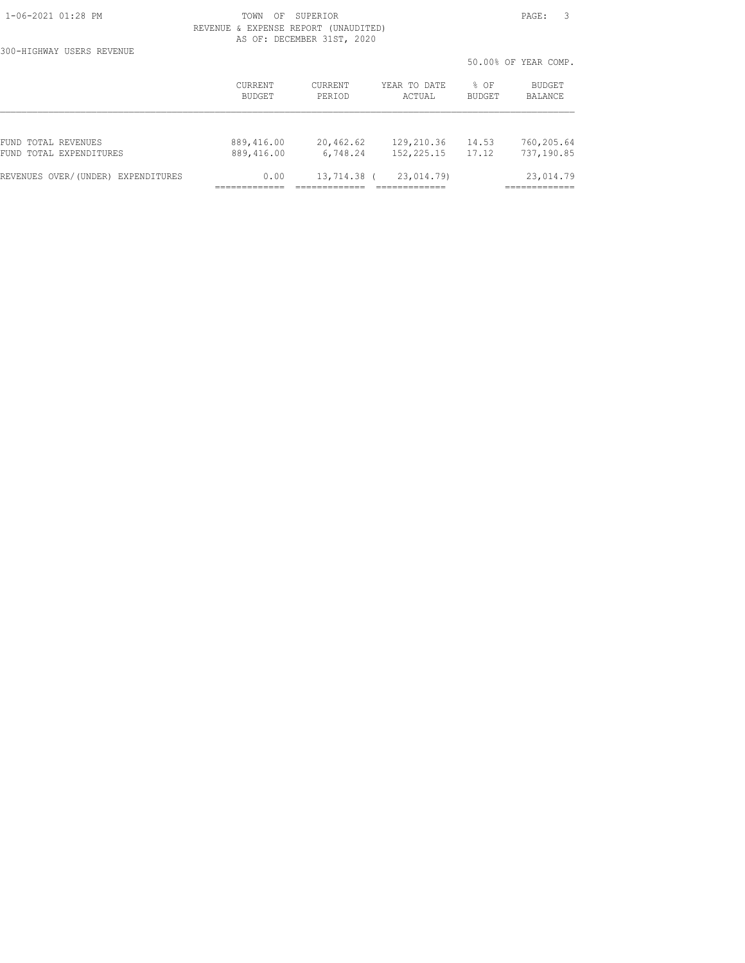300-HIGHWAY USERS REVENUE

|                                    |                          |                   |                        |                       | 50.00% OF YEAR COMP. |
|------------------------------------|--------------------------|-------------------|------------------------|-----------------------|----------------------|
|                                    | <b>CURRENT</b><br>BUDGET | CURRENT<br>PERIOD | YEAR TO DATE<br>ACTUAL | % OF<br><b>BUDGET</b> | BUDGET<br>BALANCE    |
|                                    |                          |                   |                        |                       |                      |
| FUND TOTAL REVENUES                | 889,416.00               | 20,462.62         | 129,210.36             | 14.53                 | 760,205.64           |
| FUND TOTAL EXPENDITURES            | 889,416.00               | 6,748.24          | 152,225.15             | 17.12                 | 737,190.85           |
| REVENUES OVER/(UNDER) EXPENDITURES | 0.00                     | 13,714.38 (       | 23,014.79)             |                       | 23,014.79            |
|                                    |                          |                   |                        |                       |                      |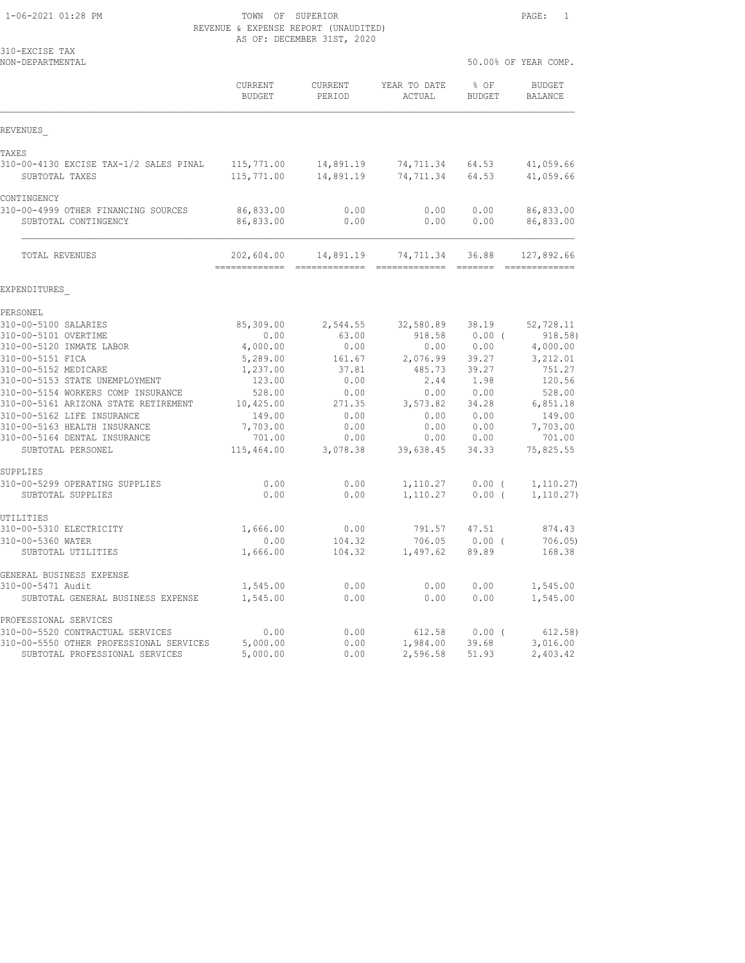| 310-EXCISE TAX<br>NON-DEPARTMENTAL                          |                             |                            |                          |                       | 50.00% OF YEAR COMP.        |
|-------------------------------------------------------------|-----------------------------|----------------------------|--------------------------|-----------------------|-----------------------------|
|                                                             | CURRENT<br>BUDGET           | CURRENT<br>PERIOD          | YEAR TO DATE<br>ACTUAL   | % OF<br><b>BUDGET</b> | <b>BUDGET</b><br>BALANCE    |
| REVENUES                                                    |                             |                            |                          |                       |                             |
| TAXES                                                       |                             |                            |                          |                       |                             |
| 310-00-4130 EXCISE TAX-1/2 SALES PINAL<br>SUBTOTAL TAXES    | 115,771.00<br>115,771.00    | 14,891.19<br>14,891.19     | 74,711.34<br>74,711.34   | 64.53<br>64.53        | 41,059.66<br>41,059.66      |
| CONTINGENCY                                                 |                             |                            |                          |                       |                             |
| 310-00-4999 OTHER FINANCING SOURCES<br>SUBTOTAL CONTINGENCY | 86,833.00<br>86,833.00      | 0.00<br>0.00               | 0.00<br>0.00             | 0.00<br>0.00          | 86,833.00<br>86,833.00      |
| TOTAL REVENUES                                              | 202,604.00<br>------------- | 14,891.19<br>------------- | 74,711.34<br>----------- | 36.88<br>$---------$  | 127,892.66<br>------------- |
| EXPENDITURES                                                |                             |                            |                          |                       |                             |
| PERSONEL                                                    |                             |                            |                          |                       |                             |
| 310-00-5100 SALARIES                                        | 85,309.00                   | 2,544.55                   | 32,580.89                | 38.19                 | 52,728.11                   |
| 310-00-5101 OVERTIME                                        | 0.00                        | 63.00                      | 918.58                   | $0.00$ (              | 918.58)                     |
| 310-00-5120 INMATE LABOR                                    | 4,000.00                    | 0.00                       | 0.00                     | 0.00                  | 4,000.00                    |
| 310-00-5151 FICA                                            | 5,289.00                    | 161.67                     | 2,076.99                 | 39.27                 | 3,212.01                    |
| 310-00-5152 MEDICARE                                        | 1,237.00                    | 37.81                      | 485.73                   | 39.27                 | 751.27                      |
| 310-00-5153 STATE UNEMPLOYMENT                              | 123.00                      | 0.00                       | 2.44                     | 1.98                  | 120.56                      |
| 310-00-5154 WORKERS COMP INSURANCE                          | 528.00                      | 0.00                       | 0.00                     | 0.00                  | 528.00                      |
| 310-00-5161 ARIZONA STATE RETIREMENT                        | 10,425.00                   | 271.35                     | 3,573.82                 | 34.28                 | 6,851.18                    |
| 310-00-5162 LIFE INSURANCE<br>310-00-5163 HEALTH INSURANCE  | 149.00                      | 0.00<br>0.00               | 0.00<br>0.00             | 0.00<br>0.00          | 149.00                      |
| 310-00-5164 DENTAL INSURANCE                                | 7,703.00<br>701.00          | 0.00                       | 0.00                     | 0.00                  | 7,703.00<br>701.00          |
| SUBTOTAL PERSONEL                                           | 115,464.00                  | 3,078.38                   | 39,638.45                | 34.33                 | 75,825.55                   |
| SUPPLIES                                                    |                             |                            |                          |                       |                             |
| 310-00-5299 OPERATING SUPPLIES<br>SUBTOTAL SUPPLIES         | 0.00<br>0.00                | 0.00<br>0.00               | 1,110.27<br>1,110.27     | $0.00$ (<br>$0.00$ (  | 1, 110.27)<br>1, 110.27)    |
| UTILITIES                                                   |                             |                            |                          |                       |                             |
| 310-00-5310 ELECTRICITY                                     | 1,666.00                    | 0.00                       | 791.57                   | 47.51                 | 874.43                      |
| 310-00-5360 WATER                                           | 0.00                        | 104.32                     | 706.05                   | $0.00$ (              | 706.05                      |
| SUBTOTAL UTILITIES                                          | 1,666.00                    | 104.32                     | 1,497.62                 | 89.89                 | 168.38                      |
| GENERAL BUSINESS EXPENSE                                    |                             |                            |                          |                       |                             |
| 310-00-5471 Audit                                           | 1,545.00                    | 0.00                       | 0.00                     | 0.00                  | 1,545.00                    |
| SUBTOTAL GENERAL BUSINESS EXPENSE                           | 1,545.00                    | 0.00                       | 0.00                     | 0.00                  | 1,545.00                    |
| PROFESSIONAL SERVICES                                       |                             |                            |                          |                       |                             |
| 310-00-5520 CONTRACTUAL SERVICES                            | 0.00                        | 0.00                       | 612.58                   | 0.00(                 | 612.58)                     |
| 310-00-5550 OTHER PROFESSIONAL SERVICES                     | 5,000.00                    | 0.00                       | 1,984.00                 | 39.68                 | 3,016.00                    |

SUBTOTAL PROFESSIONAL SERVICES 5,000.00 0.00 2,596.58 51.93 2,403.42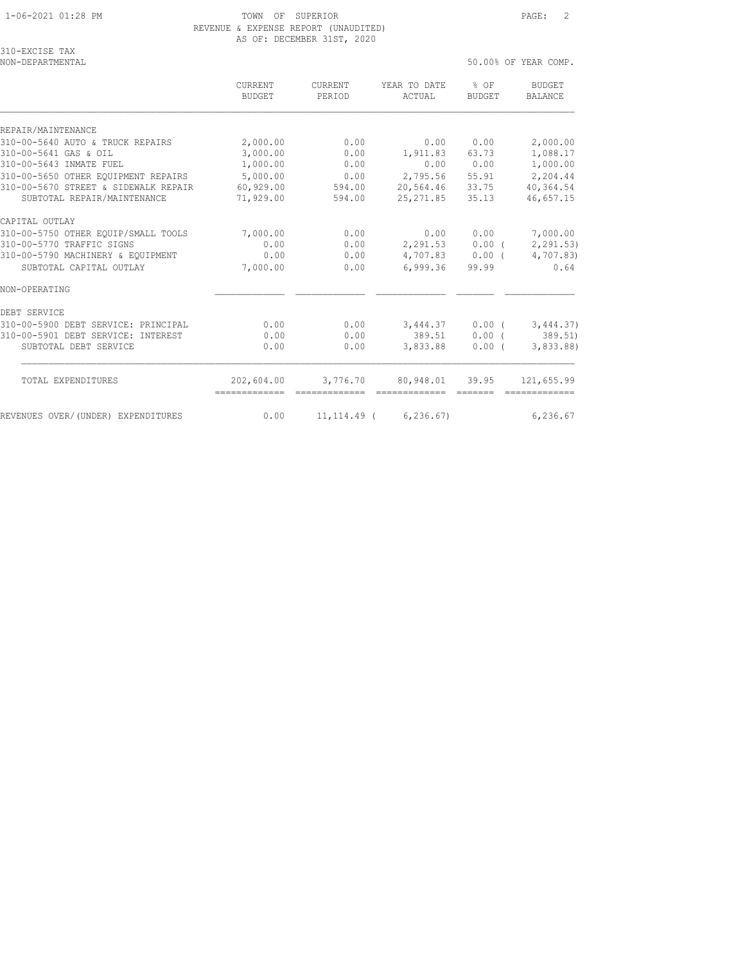# REVENUE & EXPENSE REPORT (UNAUDITED) AS OF: DECEMBER 31ST, 2020

| 310-EXCISE TAX |  |
|----------------|--|
|                |  |
| $\cdots$       |  |

NON-DEPARTMENTAL 50.00% OF YEAR COMP. CURRENT CURRENT YEAR TO DATE % OF BUDGET BUDGET PERIOD ACTUAL BUDGET BALANCE REPAIR/MAINTENANCE 310-00-5640 AUTO & TRUCK REPAIRS 2,000.00 0.00 0.00 0.00 2,000.00 310-00-5641 GAS & OIL 3,000.00 0.00 1,911.83 63.73 1,088.17 310-00-5643 INMATE FUEL 1,000.00 0.00 0.00 0.00 1,000.00 310-00-5650 OTHER EQUIPMENT REPAIRS 5,000.00 0.00 2,795.56 55.91 2,204.44 310-00-5670 STREET & SIDEWALK REPAIR 60,929.00 594.00 20,564.46 33.75 40,364.54 SUBTOTAL REPAIR/MAINTENANCE 71,929.00 594.00 25,271.85 35.13 46,657.15 CAPITAL OUTLAY 310-00-5750 OTHER EQUIP/SMALL TOOLS 7,000.00 0.00 0.00 0.00 7,000.00 310-00-5770 TRAFFIC SIGNS 0.00 0.00 2,291.53 0.00 ( 2,291.53) 310-00-5790 MACHINERY & EQUIPMENT 0.00 0.00 4,707.83 0.00 ( 4,707.83) SUBTOTAL CAPITAL OUTLAY 7,000.00 0.00 6,999.36 99.99 0.64

NON-OPERATING DEBT SERVICE 310-00-5900 DEBT SERVICE: PRINCIPAL 0.00 0.00 3,444.37 0.00 ( 3,444.37) 310-00-5901 DEBT SERVICE: INTEREST 0.00 0.00 389.51 0.00 ( 389.51) SUBTOTAL DEBT SERVICE 0.00 0.00 3,833.88 0.00 ( 3,833.88) TOTAL EXPENDITURES 202,604.00 3,776.70 80,948.01 39.95 121,655.99 ============= ============= ============= ======= ============= REVENUES OVER/(UNDER) EXPENDITURES 0.00 11,114.49 (6,236.67) 6,236.67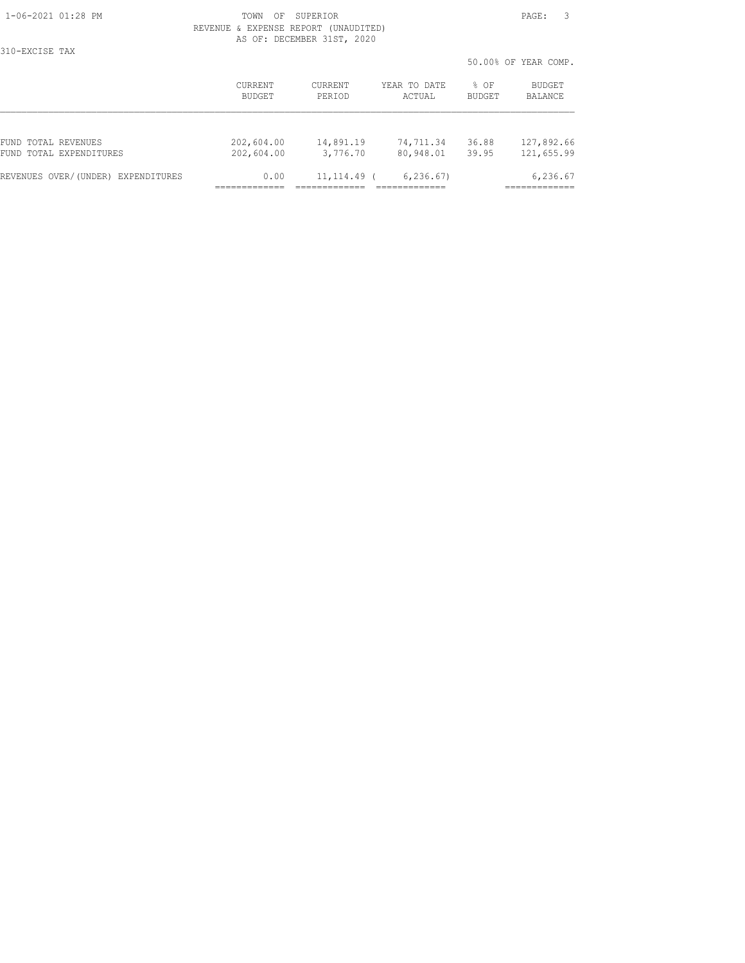310-EXCISE TAX

|                                    |                   |                   |                        |                       | 50.00% OF YEAR COMP. |
|------------------------------------|-------------------|-------------------|------------------------|-----------------------|----------------------|
|                                    | CURRENT<br>BUDGET | CURRENT<br>PERIOD | YEAR TO DATE<br>ACTUAL | % OF<br><b>BUDGET</b> | BUDGET<br>BALANCE    |
| FUND TOTAL REVENUES                | 202,604.00        | 14,891.19         | 74,711.34              | 36.88                 | 127,892.66           |
| FUND TOTAL EXPENDITURES            | 202,604.00        | 3,776.70          | 80,948.01              | 39.95                 | 121,655.99           |
| REVENUES OVER/(UNDER) EXPENDITURES | 0.00              | $11, 114.49$ (    | 6, 236.67              |                       | 6,236.67             |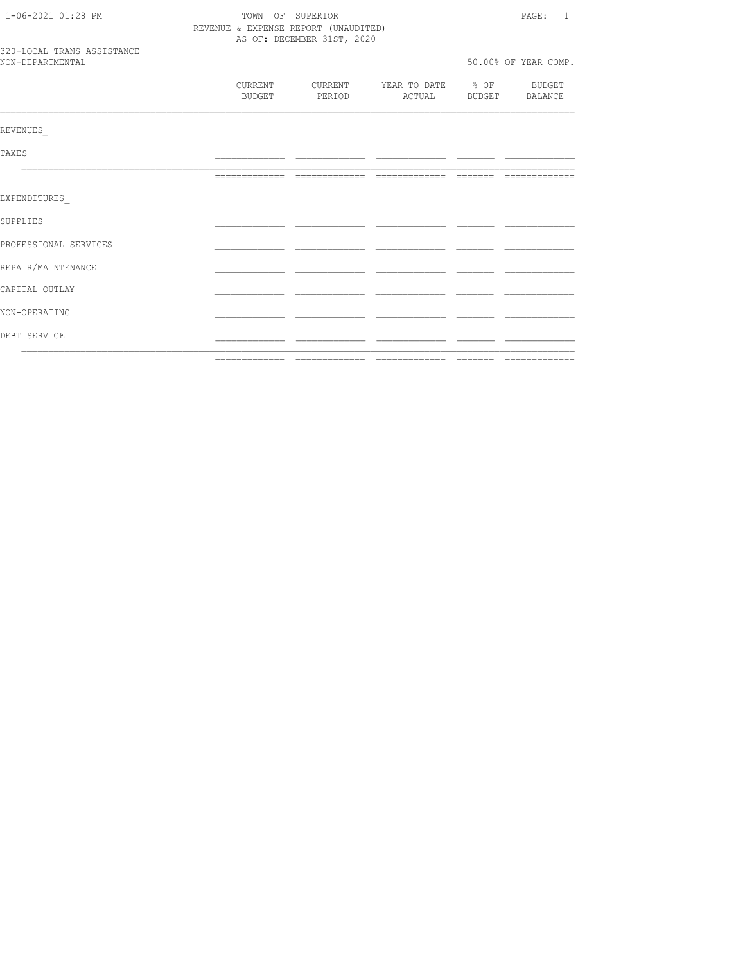| DEBT SERVICE               |                          |                                                          |                        |                  |                          |
|----------------------------|--------------------------|----------------------------------------------------------|------------------------|------------------|--------------------------|
| NON-OPERATING              |                          |                                                          |                        |                  |                          |
| CAPITAL OUTLAY             |                          |                                                          |                        |                  |                          |
| REPAIR/MAINTENANCE         |                          |                                                          |                        |                  |                          |
| PROFESSIONAL SERVICES      |                          |                                                          |                        |                  |                          |
| SUPPLIES                   |                          |                                                          |                        |                  |                          |
| EXPENDITURES               |                          |                                                          |                        |                  |                          |
|                            |                          |                                                          |                        |                  |                          |
| TAXE S                     |                          |                                                          |                        |                  |                          |
| REVENUES                   |                          |                                                          |                        |                  |                          |
|                            | CURRENT<br><b>BUDGET</b> | CURRENT<br>PERIOD                                        | YEAR TO DATE<br>ACTUAL | $\frac{8}{6}$ OF | BUDGET<br>BUDGET BALANCE |
| NON-DEPARTMENTAL           |                          |                                                          |                        |                  | 50.00% OF YEAR COMP.     |
| 320-LOCAL TRANS ASSISTANCE |                          | AS OF: DECEMBER 31ST, 2020                               |                        |                  |                          |
| 1-06-2021 01:28 PM         |                          | TOWN OF SUPERIOR<br>REVENUE & EXPENSE REPORT (UNAUDITED) |                        |                  | PAGE:<br>$\overline{1}$  |
|                            |                          |                                                          |                        |                  |                          |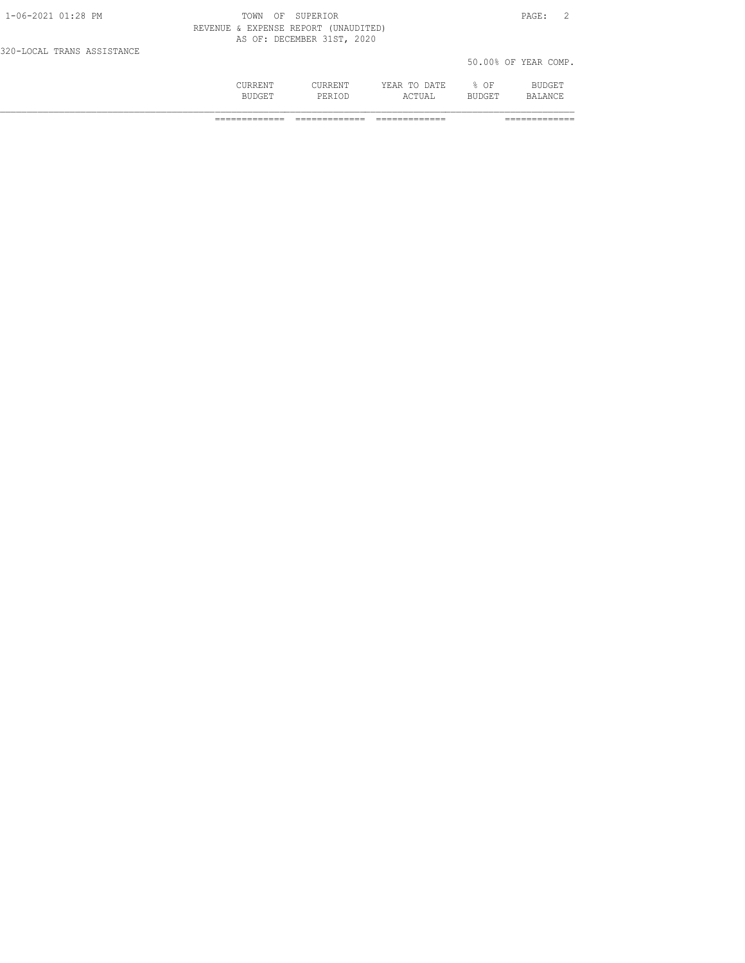|                            | <b>CURRENT</b><br><b>BUDGET</b>      | CURRENT<br>PERTOD          | YEAR TO DATE<br>ACTUAL | % OF<br><b>BUDGET</b> | BUDGET<br><b>BALANCE</b> |  |
|----------------------------|--------------------------------------|----------------------------|------------------------|-----------------------|--------------------------|--|
| 320-LOCAL TRANS ASSISTANCE |                                      |                            |                        |                       | 50.00% OF YEAR COMP.     |  |
|                            | REVENUE & EXPENSE REPORT (UNAUDITED) | AS OF: DECEMBER 31ST, 2020 |                        |                       |                          |  |
| $1 - 06 - 2021$ 01:28 PM   | TOWN                                 | OF SUPERIOR                |                        |                       | PAGE:                    |  |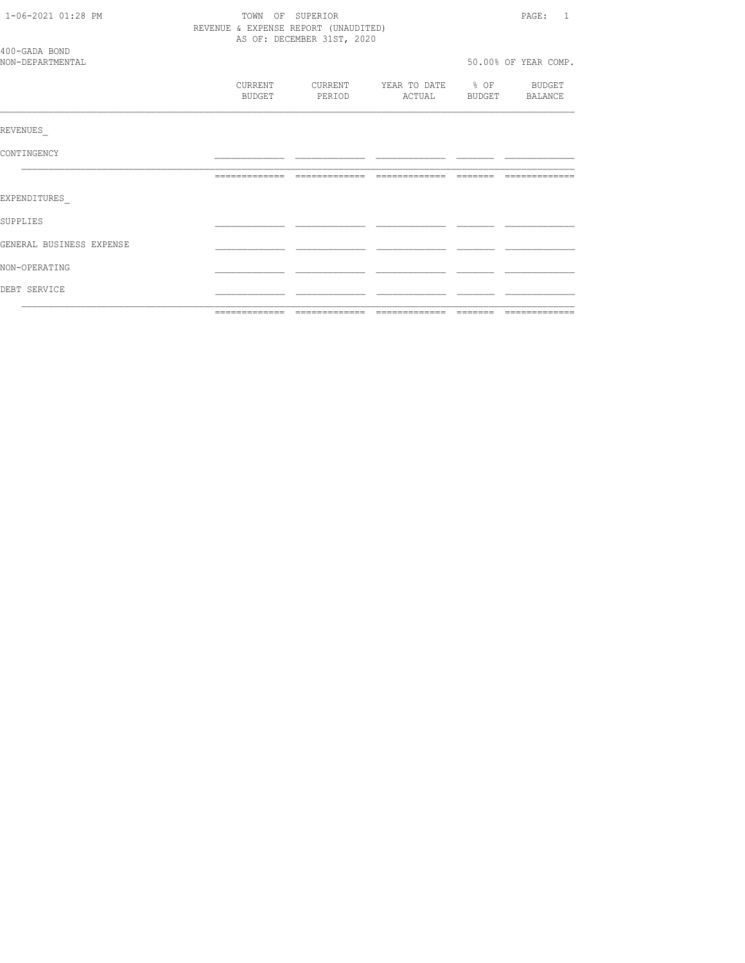| 1-06-2021 01:28 PM                | TOWN OF SUPERIOR<br>REVENUE & EXPENSE REPORT (UNAUDITED)<br>AS OF: DECEMBER 31ST, 2020 |                   |               |                                                           |  | PAGE: 1              |
|-----------------------------------|----------------------------------------------------------------------------------------|-------------------|---------------|-----------------------------------------------------------|--|----------------------|
| 400-GADA BOND<br>NON-DEPARTMENTAL |                                                                                        |                   |               |                                                           |  | 50.00% OF YEAR COMP. |
|                                   |                                                                                        | CURRENT<br>BUDGET | <b>PERIOD</b> | CURRENT YEAR TO DATE % OF BUDGET<br>ACTUAL BUDGET BALANCE |  |                      |
| REVENUES                          |                                                                                        |                   |               |                                                           |  |                      |
| CONTINGENCY                       |                                                                                        |                   |               |                                                           |  |                      |
|                                   |                                                                                        |                   |               | --------------                                            |  |                      |
| EXPENDITURES                      |                                                                                        |                   |               |                                                           |  |                      |
| <b>SUPPLIES</b>                   |                                                                                        |                   |               |                                                           |  |                      |
| GENERAL BUSINESS EXPENSE          |                                                                                        |                   |               |                                                           |  |                      |
| NON-OPERATING                     |                                                                                        |                   |               |                                                           |  |                      |
| DEBT SERVICE                      |                                                                                        |                   |               |                                                           |  |                      |
|                                   |                                                                                        |                   |               |                                                           |  |                      |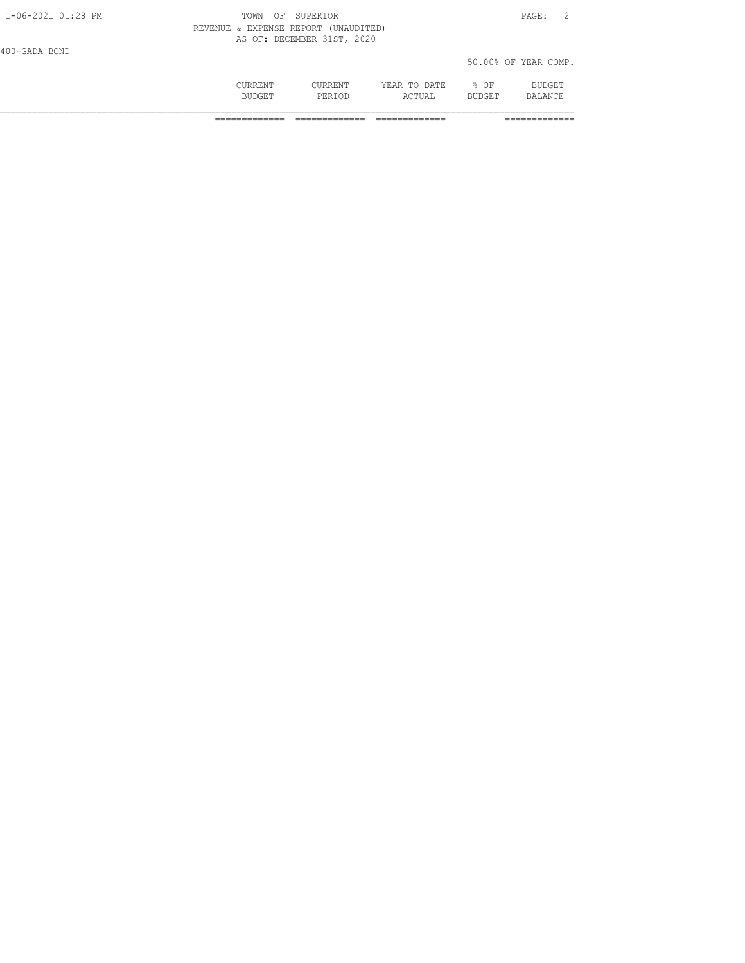|                    | CURRENT<br><b>BUDGET</b>             | CURRENT<br>PERTOD          | YEAR TO DATE<br>ACTUAL | $8$ OF<br><b>BUDGET</b> | BUDGET<br>BALANCE    |  |
|--------------------|--------------------------------------|----------------------------|------------------------|-------------------------|----------------------|--|
| 400-GADA BOND      |                                      |                            |                        |                         | 50.00% OF YEAR COMP. |  |
|                    | REVENUE & EXPENSE REPORT (UNAUDITED) | AS OF: DECEMBER 31ST, 2020 |                        |                         |                      |  |
| 1-06-2021 01:28 PM | TOWN<br>OF                           | SUPERIOR                   |                        |                         | PAGE:                |  |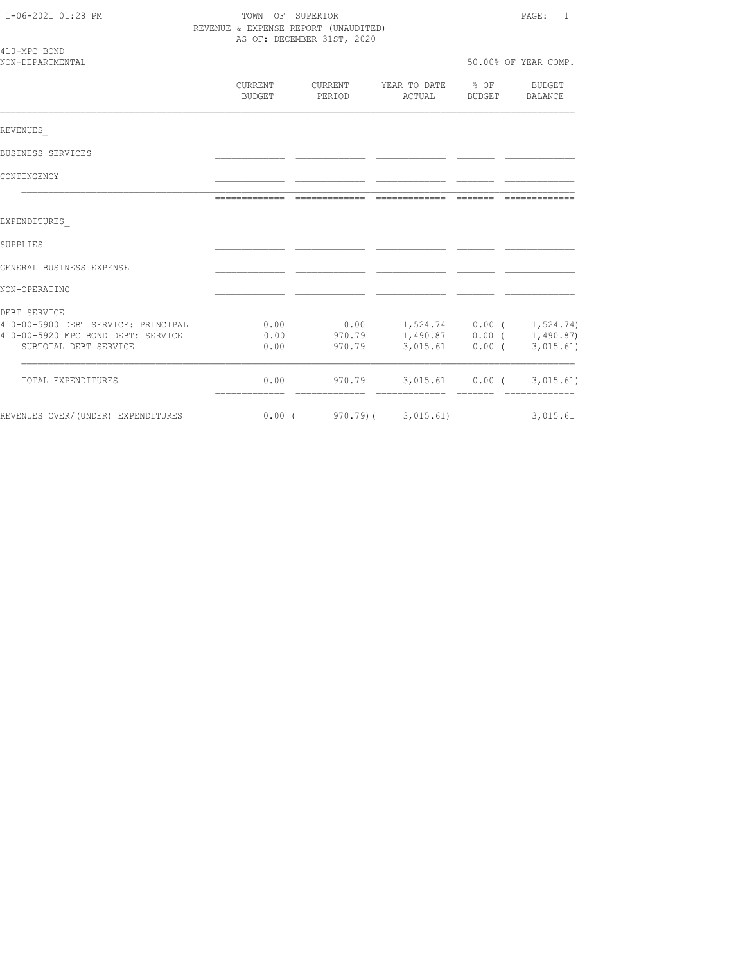| 1-06-2021 01:28 PM                                                        | TOWN OF SUPERIOR<br>REVENUE & EXPENSE REPORT (UNAUDITED) | PAGE:<br>1                 |                                |                                        |                        |
|---------------------------------------------------------------------------|----------------------------------------------------------|----------------------------|--------------------------------|----------------------------------------|------------------------|
|                                                                           |                                                          | AS OF: DECEMBER 31ST, 2020 |                                |                                        |                        |
| 410-MPC BOND<br>NON-DEPARTMENTAL                                          |                                                          |                            |                                |                                        | 50.00% OF YEAR COMP.   |
|                                                                           | CURRENT<br>BUDGET                                        | PERIOD                     | CURRENT YEAR TO DATE<br>ACTUAL | % OF<br>BUDGET                         | BUDGET<br>BALANCE      |
| REVENUES                                                                  |                                                          |                            |                                |                                        |                        |
| BUSINESS SERVICES                                                         |                                                          |                            |                                |                                        |                        |
| CONTINGENCY                                                               |                                                          |                            |                                |                                        |                        |
|                                                                           |                                                          | =============              | =============                  | --------                               |                        |
| EXPENDITURES                                                              |                                                          |                            |                                |                                        |                        |
| SUPPLIES                                                                  |                                                          |                            |                                |                                        |                        |
| GENERAL BUSINESS EXPENSE                                                  |                                                          |                            |                                |                                        |                        |
| NON-OPERATING                                                             |                                                          |                            |                                |                                        |                        |
| DEBT SERVICE                                                              |                                                          |                            |                                |                                        |                        |
| 410-00-5900 DEBT SERVICE: PRINCIPAL<br>410-00-5920 MPC BOND DEBT: SERVICE | 0.00<br>0.00                                             | 0.00<br>970.79             |                                | $1,524.74$ 0.00 (<br>$1,490.87$ 0.00 ( | 1,524.74)<br>1,490.87) |
| SUBTOTAL DEBT SERVICE                                                     | 0.00                                                     | 970.79                     |                                | $3,015.61$ 0.00 (                      | 3,015.61)              |
| TOTAL EXPENDITURES                                                        | 0.00                                                     | 970.79                     |                                | 3,015.61 0.00 (                        | 3,015.61)              |
| REVENUES OVER/(UNDER) EXPENDITURES                                        | $0.00$ (                                                 | 970.79)(                   | 3,015.61)                      |                                        | 3,015.61               |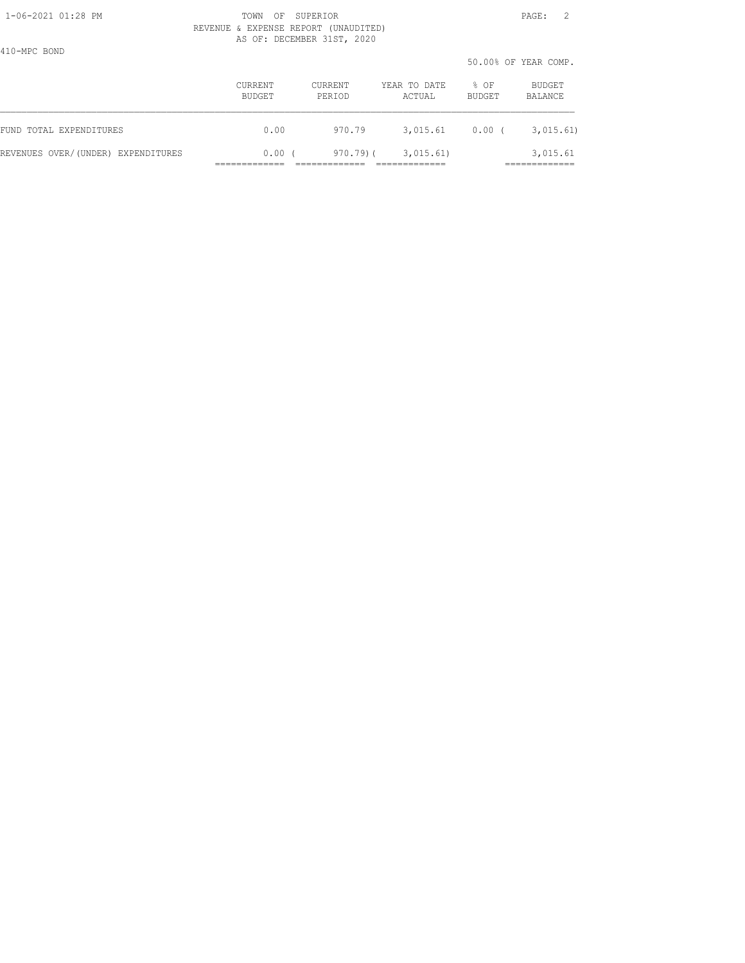410-MPC BOND

 1-06-2021 01:28 PM TOWN OF SUPERIOR PAGE: 2 REVENUE & EXPENSE REPORT (UNAUDITED) AS OF: DECEMBER 31ST, 2020

50.00% OF YEAR COMP.

|                                    |                   |                   |                        |                | JU.VUG UI ILAN COMI. |
|------------------------------------|-------------------|-------------------|------------------------|----------------|----------------------|
|                                    | CURRENT<br>BUDGET | CURRENT<br>PERIOD | YEAR TO DATE<br>ACTUAL | % OF<br>BUDGET | BUDGET<br>BALANCE    |
| FUND TOTAL EXPENDITURES            | 0.00              | 970.79            | 3,015.61               | 0.00(          | 3,015.61)            |
| REVENUES OVER/(UNDER) EXPENDITURES | $0.00$ (          | 970.79)(          | 3,015.61)              |                | 3,015.61             |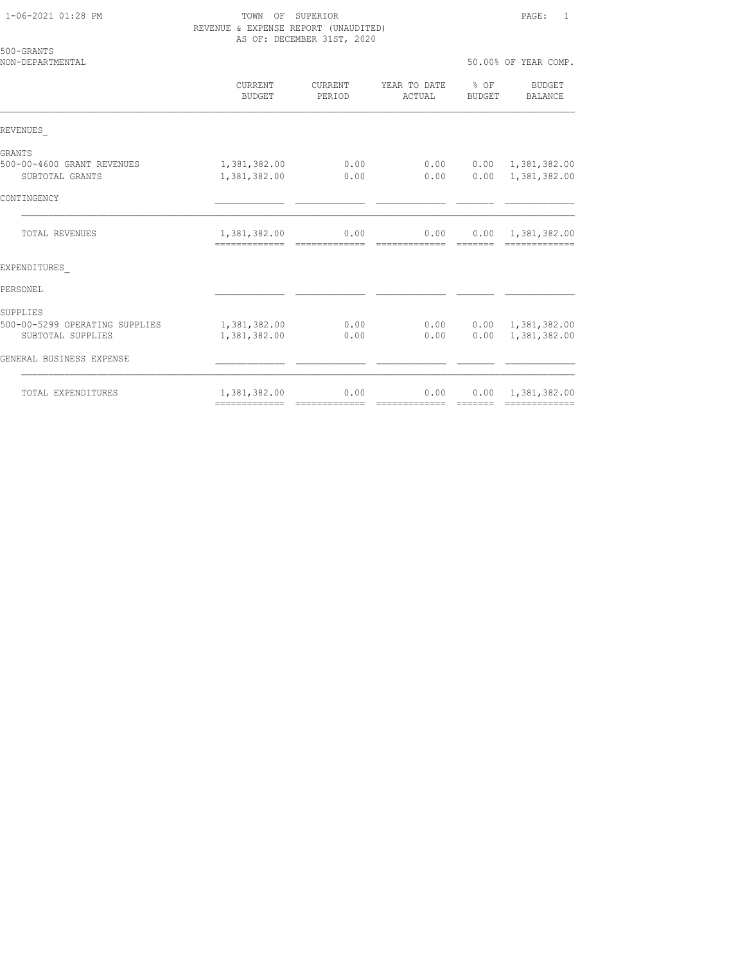| 500-GRANTS<br>NON-DEPARTMENTAL                                  |                                               |                   |                        |                  | 50.00% OF YEAR COMP.                                      |
|-----------------------------------------------------------------|-----------------------------------------------|-------------------|------------------------|------------------|-----------------------------------------------------------|
|                                                                 | CURRENT<br>BUDGET                             | CURRENT<br>PERIOD | YEAR TO DATE<br>ACTUAL | $8$ OF<br>BUDGET | <b>BUDGET</b><br>BALANCE                                  |
| REVENUES                                                        |                                               |                   |                        |                  |                                                           |
| GRANTS                                                          |                                               |                   |                        |                  |                                                           |
| 500-00-4600 GRANT REVENUES<br>SUBTOTAL GRANTS                   | 1,381,382.00<br>1,381,382.00                  | 0.00<br>0.00      | 0.00<br>0.00           | 0.00             | 1,381,382.00<br>$0.00 \quad 1,381,382.00$                 |
| CONTINGENCY                                                     |                                               |                   |                        |                  |                                                           |
| <b>TOTAL REVENUES</b>                                           | 1,381,382.00                                  | 0.00              | 0.00                   |                  | $0.00 \quad 1,381,382.00$                                 |
| EXPENDITURES                                                    |                                               |                   |                        |                  |                                                           |
| PERSONEL                                                        |                                               |                   |                        |                  |                                                           |
| SUPPLIES<br>500-00-5299 OPERATING SUPPLIES<br>SUBTOTAL SUPPLIES | 1,381,382.00<br>1,381,382.00                  | 0.00<br>0.00      | 0.00                   |                  | $0.00$ $0.00$ $1,381,382.00$<br>$0.00 \quad 1,381,382.00$ |
| GENERAL BUSINESS EXPENSE                                        |                                               |                   |                        |                  |                                                           |
| TOTAL EXPENDITURES                                              | 1,381,382.00<br>-------------- -------------- | 0.00              | 0.00<br>=============  | =======          | $0.00 \quad 1,381,382.00$                                 |
|                                                                 |                                               |                   |                        |                  |                                                           |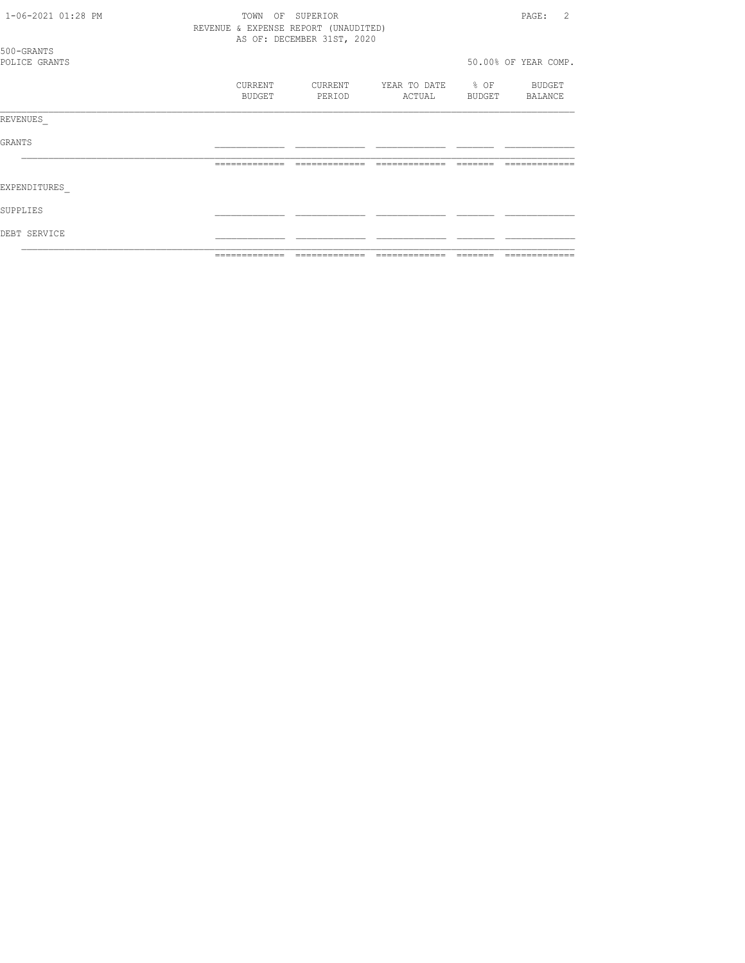| 1-06-2021 01:28 PM          | TOWN<br>OF<br>REVENUE & EXPENSE REPORT (UNAUDITED) | SUPERIOR<br>AS OF: DECEMBER 31ST, 2020 |                        |                     | $\mathfrak{D}$<br>PAGE: |
|-----------------------------|----------------------------------------------------|----------------------------------------|------------------------|---------------------|-------------------------|
| 500-GRANTS<br>POLICE GRANTS |                                                    |                                        |                        |                     | 50.00% OF YEAR COMP.    |
|                             | CURRENT<br>BUDGET                                  | CURRENT<br>PERIOD                      | YEAR TO DATE<br>ACTUAL | $\div$ OF<br>BUDGET | BUDGET<br>BALANCE       |
| REVENUES                    |                                                    |                                        |                        |                     |                         |
| <b>GRANTS</b>               |                                                    |                                        |                        |                     |                         |
|                             | -------------                                      |                                        |                        |                     |                         |
| <b>EXPENDITURES</b>         |                                                    |                                        |                        |                     |                         |
| SUPPLIES                    |                                                    |                                        |                        |                     |                         |
| DEBT SERVICE                |                                                    |                                        |                        |                     |                         |
|                             | -------------                                      |                                        |                        |                     |                         |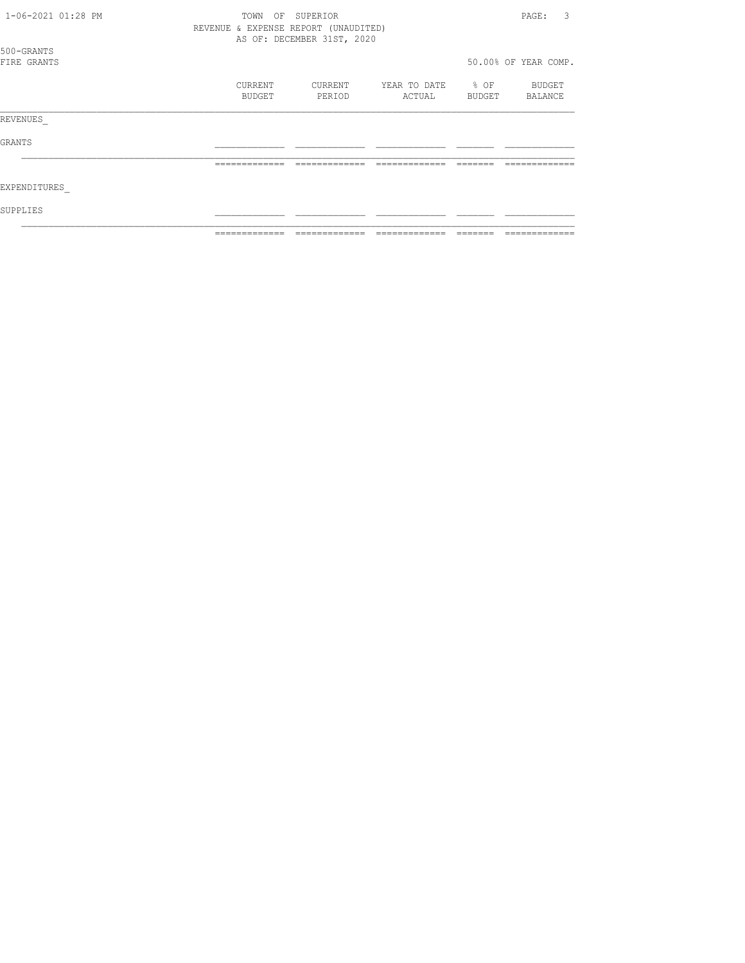| 1-06-2021 01:28 PM        | TOWN<br>OF                           | SUPERIOR                   |                        |                | 3<br>PAGE:           |
|---------------------------|--------------------------------------|----------------------------|------------------------|----------------|----------------------|
|                           | REVENUE & EXPENSE REPORT (UNAUDITED) | AS OF: DECEMBER 31ST, 2020 |                        |                |                      |
| 500-GRANTS<br>FIRE GRANTS |                                      |                            |                        |                | 50.00% OF YEAR COMP. |
|                           | CURRENT<br>BUDGET                    | CURRENT<br>PERIOD          | YEAR TO DATE<br>ACTUAL | % OF<br>BUDGET | BUDGET<br>BALANCE    |
| REVENUES                  |                                      |                            |                        |                |                      |
| GRANTS                    |                                      |                            |                        |                |                      |
|                           | =============                        |                            |                        |                |                      |
| EXPENDITURES              |                                      |                            |                        |                |                      |
| SUPPLIES                  |                                      |                            |                        |                |                      |
|                           |                                      |                            |                        |                |                      |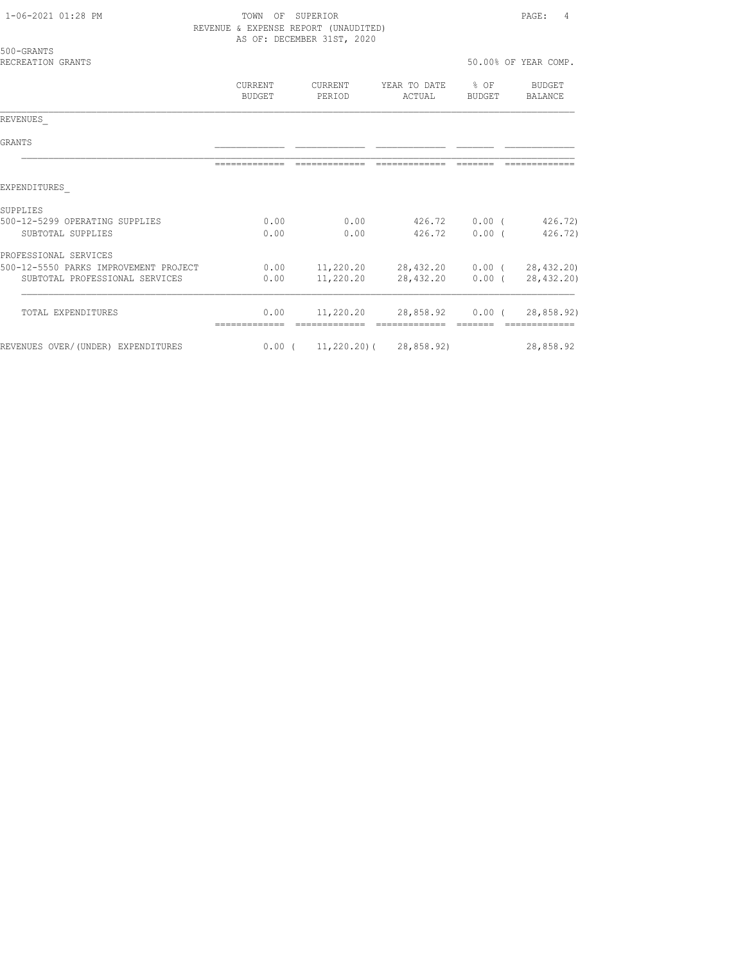1-06-2021 01:28 PM TOWN OF SUPERIOR PAGE: 4 REVENUE & EXPENSE REPORT (UNAUDITED)

|                                       |                          | AS OF: DECEMBER 31ST, 2020                  |                        |                            |                          |
|---------------------------------------|--------------------------|---------------------------------------------|------------------------|----------------------------|--------------------------|
| 500-GRANTS<br>RECREATION GRANTS       |                          |                                             |                        |                            | 50.00% OF YEAR COMP.     |
|                                       | CURRENT<br><b>BUDGET</b> | CURRENT<br>PERIOD                           | YEAR TO DATE<br>ACTUAL | $\frac{6}{3}$ OF<br>BUDGET | BUDGET<br><b>BALANCE</b> |
| REVENUES                              |                          |                                             |                        |                            |                          |
| <b>GRANTS</b>                         |                          |                                             |                        |                            |                          |
|                                       | -------------            |                                             |                        |                            |                          |
| EXPENDITURES                          |                          |                                             |                        |                            |                          |
| <b>SUPPLIES</b>                       |                          |                                             |                        |                            |                          |
| 500-12-5299 OPERATING SUPPLIES        | 0.00                     | 0.00                                        | 426.72                 | $0.00$ (                   | 426.72)                  |
| SUBTOTAL SUPPLIES                     | 0.00                     | 0.00                                        | 426.72                 | 0.00(                      | 426.72)                  |
| PROFESSIONAL SERVICES                 |                          |                                             |                        |                            |                          |
| 500-12-5550 PARKS IMPROVEMENT PROJECT |                          | $0.00$ 11,220.20 28,432.20 0.00 (28,432.20) |                        |                            |                          |
| SUBTOTAL PROFESSIONAL SERVICES        | 0.00                     | 11,220.20                                   | 28,432.20              | $0.00$ (                   | 28, 432.20)              |
| TOTAL EXPENDITURES                    | 0.00                     |                                             | 11,220.20 28,858.92    | $0.00$ (                   | 28,858.92)               |
| REVENUES OVER/(UNDER) EXPENDITURES    |                          | $0.00$ ( $11,220.20$ ) ( $28,858.92$ )      |                        |                            | 28,858.92                |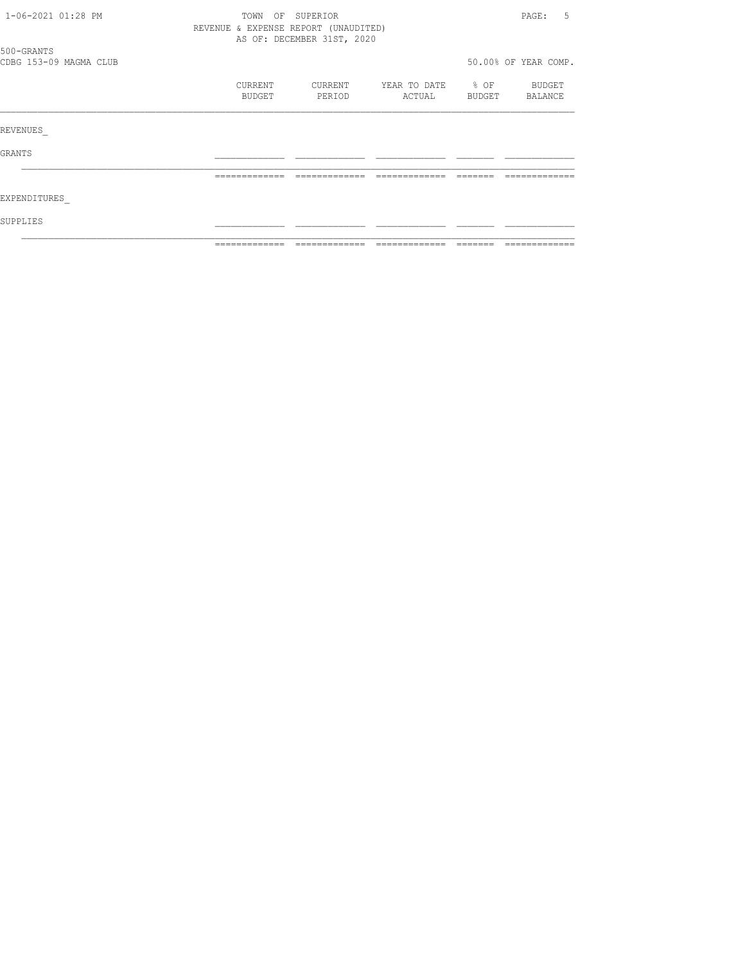| 1-06-2021 01:28 PM                   | TOWN<br>OF<br>REVENUE & EXPENSE REPORT (UNAUDITED) | SUPERIOR<br>AS OF: DECEMBER 31ST, 2020 |              |                  | 5<br>PAGE:           |
|--------------------------------------|----------------------------------------------------|----------------------------------------|--------------|------------------|----------------------|
| 500-GRANTS<br>CDBG 153-09 MAGMA CLUB |                                                    |                                        |              |                  | 50.00% OF YEAR COMP. |
|                                      |                                                    |                                        |              |                  |                      |
|                                      | CURRENT                                            | CURRENT                                | YEAR TO DATE | $\textdegree$ OF | BUDGET               |
|                                      | BUDGET                                             | PERIOD                                 | ACTUAL       | BUDGET           | BALANCE              |
| REVENUES                             |                                                    |                                        |              |                  |                      |
| <b>GRANTS</b>                        |                                                    |                                        |              |                  |                      |
|                                      |                                                    |                                        |              |                  |                      |
| EXPENDITURES                         |                                                    |                                        |              |                  |                      |
| SUPPLIES                             |                                                    |                                        |              |                  |                      |
|                                      |                                                    |                                        |              |                  |                      |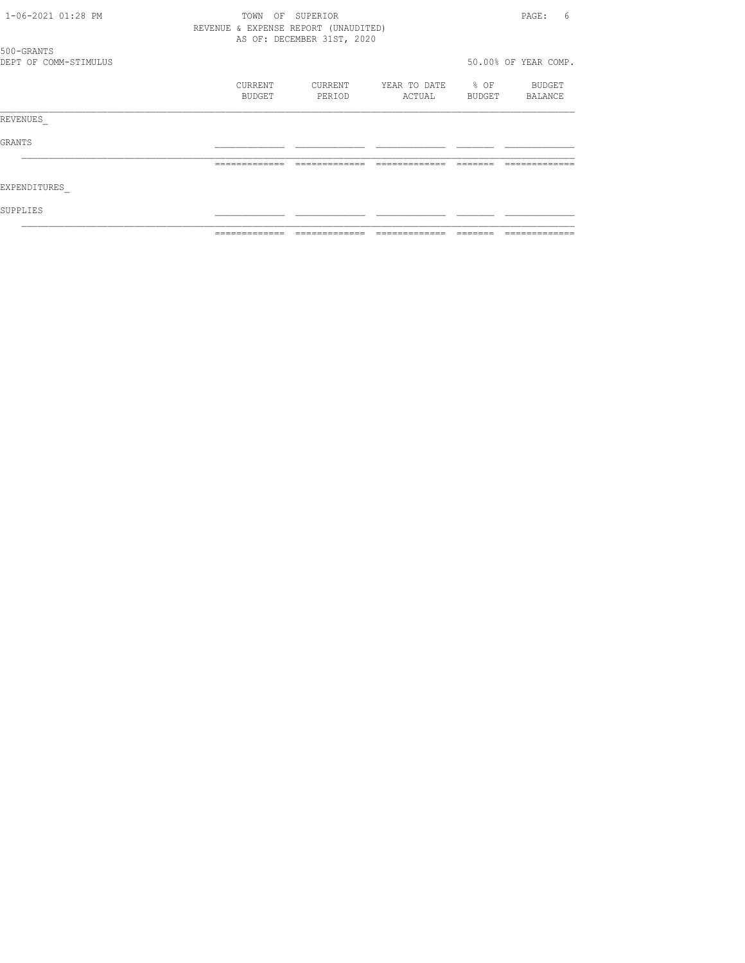| 1-06-2021 01:28 PM    | TOWN<br>OF                           | SUPERIOR                   |              |           | 6<br>PAGE:           |
|-----------------------|--------------------------------------|----------------------------|--------------|-----------|----------------------|
|                       | REVENUE & EXPENSE REPORT (UNAUDITED) | AS OF: DECEMBER 31ST, 2020 |              |           |                      |
| 500-GRANTS            |                                      |                            |              |           |                      |
| DEPT OF COMM-STIMULUS |                                      |                            |              |           | 50.00% OF YEAR COMP. |
|                       | CURRENT                              | CURRENT                    | YEAR TO DATE | $\div$ OF | BUDGET               |
|                       | BUDGET                               | PERIOD                     | ACTUAL       | BUDGET    | BALANCE              |
| REVENUES              |                                      |                            |              |           |                      |
| GRANTS                |                                      |                            |              |           |                      |
|                       |                                      |                            |              |           |                      |
| EXPENDITURES          |                                      |                            |              |           |                      |
| SUPPLIES              |                                      |                            |              |           |                      |
|                       |                                      |                            |              |           |                      |
|                       |                                      |                            |              |           |                      |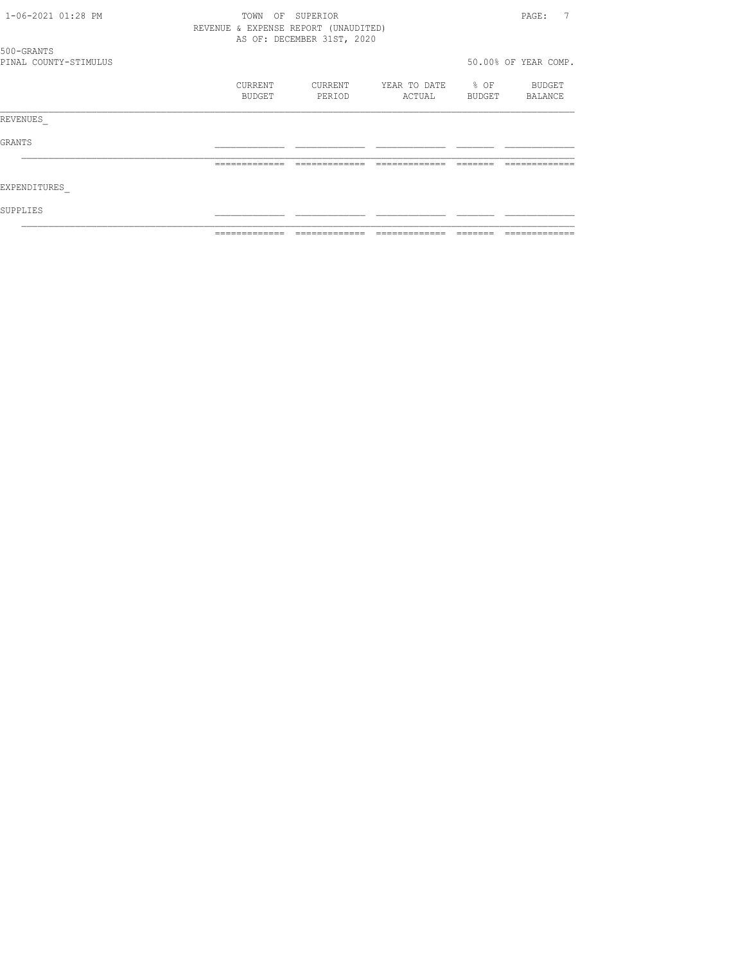| 1-06-2021 01:28 PM    | TOWN<br>OF                           | SUPERIOR                   |              |        | 7<br>PAGE:           |
|-----------------------|--------------------------------------|----------------------------|--------------|--------|----------------------|
|                       | REVENUE & EXPENSE REPORT (UNAUDITED) | AS OF: DECEMBER 31ST, 2020 |              |        |                      |
| 500-GRANTS            |                                      |                            |              |        |                      |
| PINAL COUNTY-STIMULUS |                                      |                            |              |        | 50.00% OF YEAR COMP. |
|                       | CURRENT                              | CURRENT                    | YEAR TO DATE | % OF   | <b>BUDGET</b>        |
|                       | BUDGET                               | PERIOD                     | ACTUAL       | BUDGET | BALANCE              |
| REVENUES              |                                      |                            |              |        |                      |
| GRANTS                |                                      |                            |              |        |                      |
|                       |                                      |                            |              |        |                      |
| EXPENDITURES          |                                      |                            |              |        |                      |
| SUPPLIES              |                                      |                            |              |        |                      |
|                       |                                      |                            |              |        |                      |
|                       |                                      |                            |              |        |                      |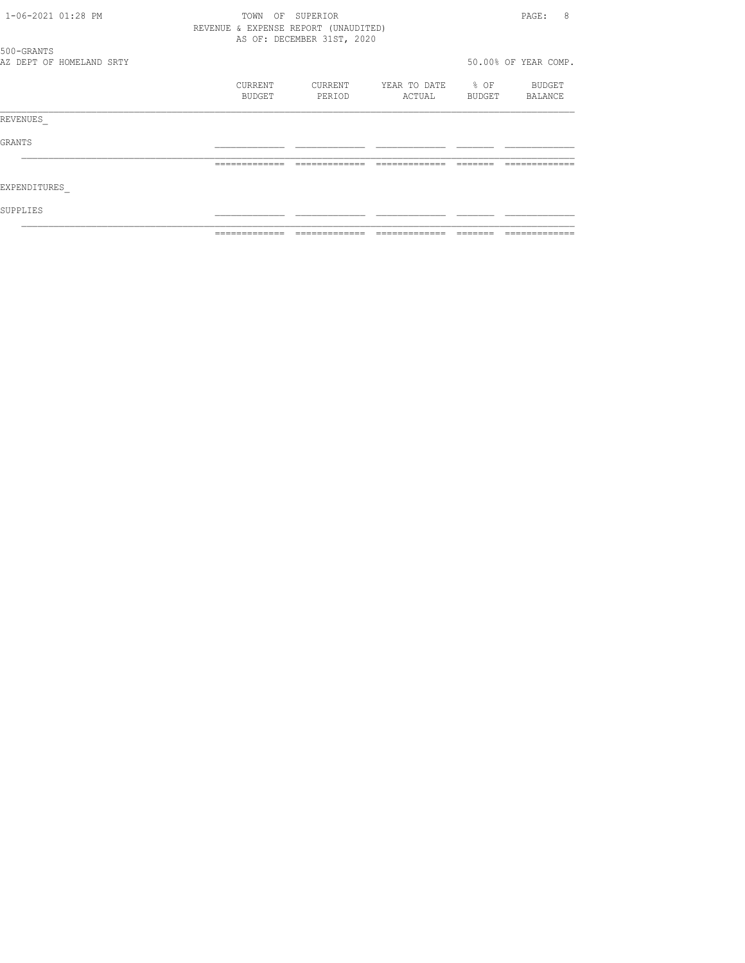| 1-06-2021 01:28 PM |                          | OF<br>TOWN                           | SUPERIOR                   |              |        | 8<br>PAGE:           |
|--------------------|--------------------------|--------------------------------------|----------------------------|--------------|--------|----------------------|
|                    |                          | REVENUE & EXPENSE REPORT (UNAUDITED) | AS OF: DECEMBER 31ST, 2020 |              |        |                      |
| 500-GRANTS         |                          |                                      |                            |              |        | 50.00% OF YEAR COMP. |
|                    | AZ DEPT OF HOMELAND SRTY |                                      |                            |              |        |                      |
|                    |                          | CURRENT                              | CURRENT                    | YEAR TO DATE | % OF   | BUDGET               |
|                    |                          | BUDGET                               | PERIOD                     | ACTUAL       | BUDGET | BALANCE              |
| REVENUES           |                          |                                      |                            |              |        |                      |
| GRANTS             |                          |                                      |                            |              |        |                      |
|                    |                          |                                      |                            |              |        |                      |
| EXPENDITURES       |                          |                                      |                            |              |        |                      |
| SUPPLIES           |                          |                                      |                            |              |        |                      |
|                    |                          |                                      |                            |              |        |                      |
|                    |                          |                                      |                            |              |        |                      |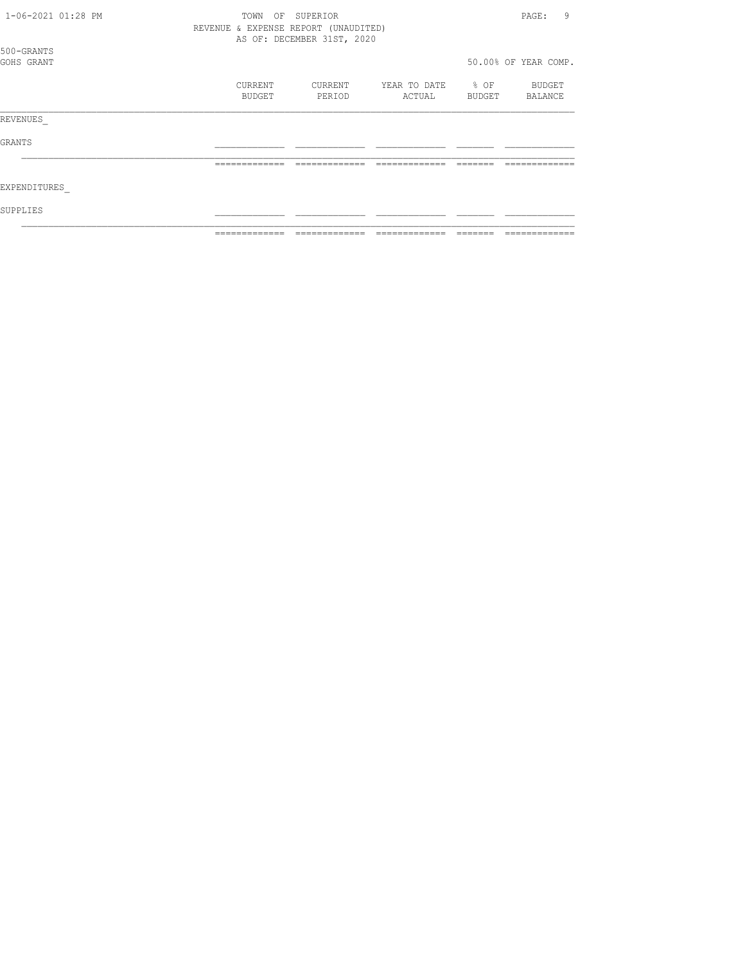| 1-06-2021 01:28 PM       | TOWN<br>OF<br>REVENUE & EXPENSE REPORT (UNAUDITED) | SUPERIOR<br>AS OF: DECEMBER 31ST, 2020 |                        |                     | 9<br>PAGE:           |
|--------------------------|----------------------------------------------------|----------------------------------------|------------------------|---------------------|----------------------|
| 500-GRANTS<br>GOHS GRANT |                                                    |                                        |                        |                     | 50.00% OF YEAR COMP. |
|                          | CURRENT<br><b>BUDGET</b>                           | CURRENT<br>PERIOD                      | YEAR TO DATE<br>ACTUAL | $\div$ OF<br>BUDGET | BUDGET<br>BALANCE    |
| REVENUES                 |                                                    |                                        |                        |                     |                      |
| GRANTS                   |                                                    |                                        |                        |                     |                      |
|                          | -------------                                      |                                        |                        |                     |                      |
| EXPENDITURES             |                                                    |                                        |                        |                     |                      |
| SUPPLIES                 |                                                    |                                        |                        |                     |                      |
|                          |                                                    |                                        |                        |                     |                      |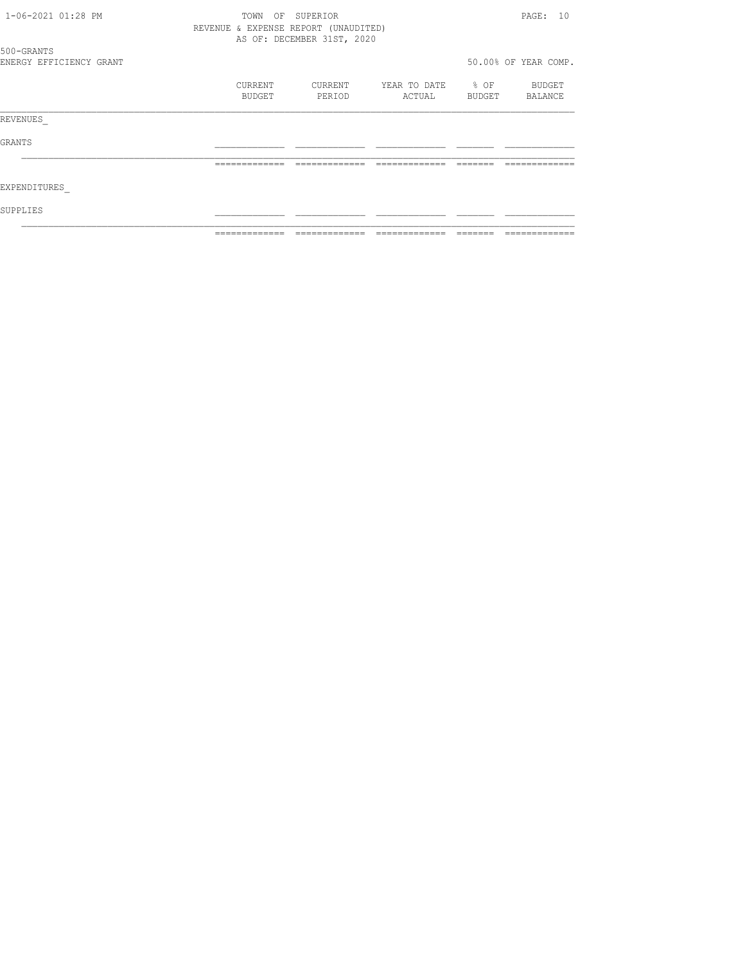|                                       | -------------                        | -------------              |              |                  |                      |
|---------------------------------------|--------------------------------------|----------------------------|--------------|------------------|----------------------|
| SUPPLIES                              |                                      |                            |              |                  |                      |
| EXPENDITURES                          |                                      |                            |              |                  |                      |
|                                       |                                      |                            |              |                  |                      |
| GRANTS                                |                                      |                            |              |                  |                      |
| REVENUES                              |                                      |                            |              |                  |                      |
|                                       | BUDGET                               | PERIOD                     | ACTUAL       | BUDGET           | BALANCE              |
|                                       | CURRENT                              | CURRENT                    | YEAR TO DATE | $\frac{1}{2}$ OF | BUDGET               |
| 500-GRANTS<br>ENERGY EFFICIENCY GRANT |                                      |                            |              |                  | 50.00% OF YEAR COMP. |
|                                       | REVENUE & EXPENSE REPORT (UNAUDITED) | AS OF: DECEMBER 31ST, 2020 |              |                  |                      |
| 1-06-2021 01:28 PM                    | TOWN<br>OF                           | SUPERIOR                   |              |                  | PAGE: 10             |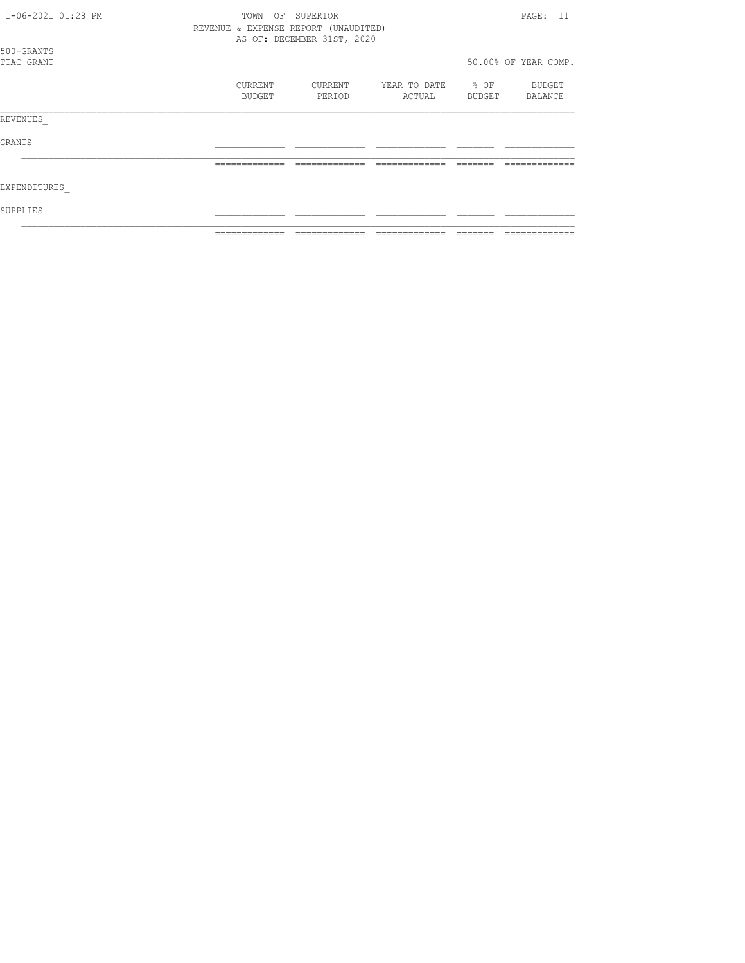| 1-06-2021 01:28 PM       |  | TOWN<br>OF        | SUPERIOR<br>REVENUE & EXPENSE REPORT (UNAUDITED) |                        |                | PAGE: 11             |
|--------------------------|--|-------------------|--------------------------------------------------|------------------------|----------------|----------------------|
| 500-GRANTS<br>TTAC GRANT |  |                   | AS OF: DECEMBER 31ST, 2020                       |                        |                | 50.00% OF YEAR COMP. |
|                          |  | CURRENT<br>BUDGET | CURRENT<br>PERIOD                                | YEAR TO DATE<br>ACTUAL | % OF<br>BUDGET | BUDGET<br>BALANCE    |
| REVENUES                 |  |                   |                                                  |                        |                |                      |
| GRANTS                   |  |                   |                                                  |                        |                |                      |
|                          |  | =============     |                                                  |                        |                |                      |
| EXPENDITURES             |  |                   |                                                  |                        |                |                      |
| SUPPLIES                 |  |                   |                                                  |                        |                |                      |
|                          |  |                   |                                                  |                        |                |                      |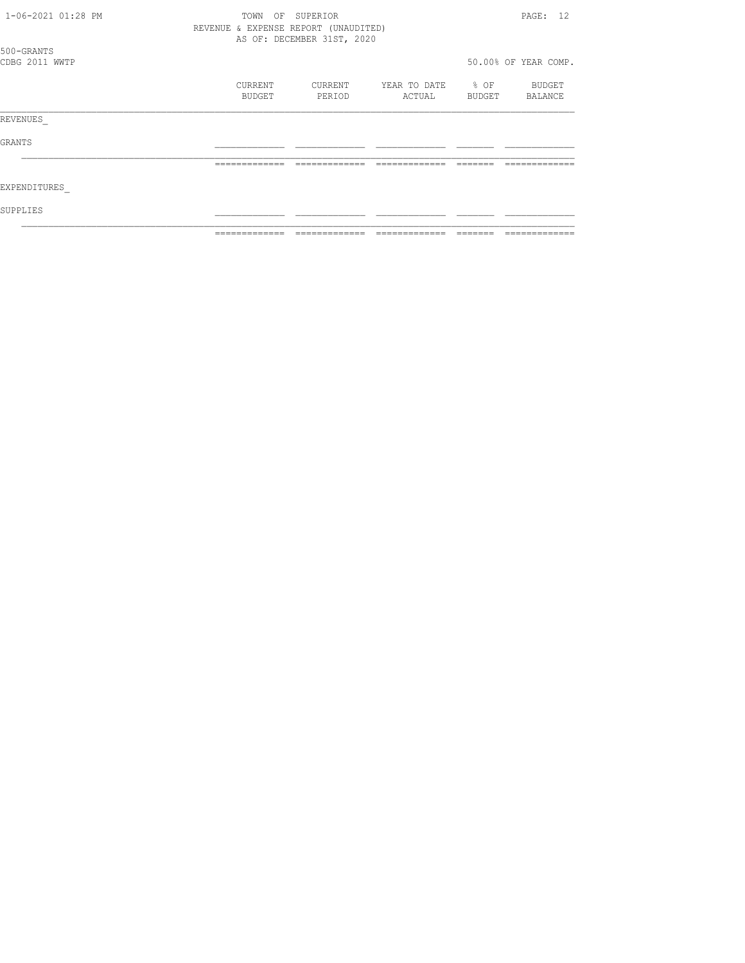| 1-06-2021 01:28 PM | TOWN                                 | OF SUPERIOR                |              |                  | PAGE: 12             |
|--------------------|--------------------------------------|----------------------------|--------------|------------------|----------------------|
|                    | REVENUE & EXPENSE REPORT (UNAUDITED) |                            |              |                  |                      |
|                    |                                      | AS OF: DECEMBER 31ST, 2020 |              |                  |                      |
| 500-GRANTS         |                                      |                            |              |                  |                      |
| CDBG 2011 WWTP     |                                      |                            |              |                  | 50.00% OF YEAR COMP. |
|                    | CURRENT                              | CURRENT                    | YEAR TO DATE | $\frac{1}{2}$ OF | <b>BUDGET</b>        |
|                    | BUDGET                               | PERIOD                     | ACTUAL       | BUDGET           | BALANCE              |
|                    |                                      |                            |              |                  |                      |
| REVENUES           |                                      |                            |              |                  |                      |
| GRANTS             |                                      |                            |              |                  |                      |
|                    |                                      |                            |              |                  |                      |
| EXPENDITURES       |                                      |                            |              |                  |                      |
| SUPPLIES           |                                      |                            |              |                  |                      |
|                    |                                      |                            |              |                  |                      |
|                    |                                      |                            |              |                  |                      |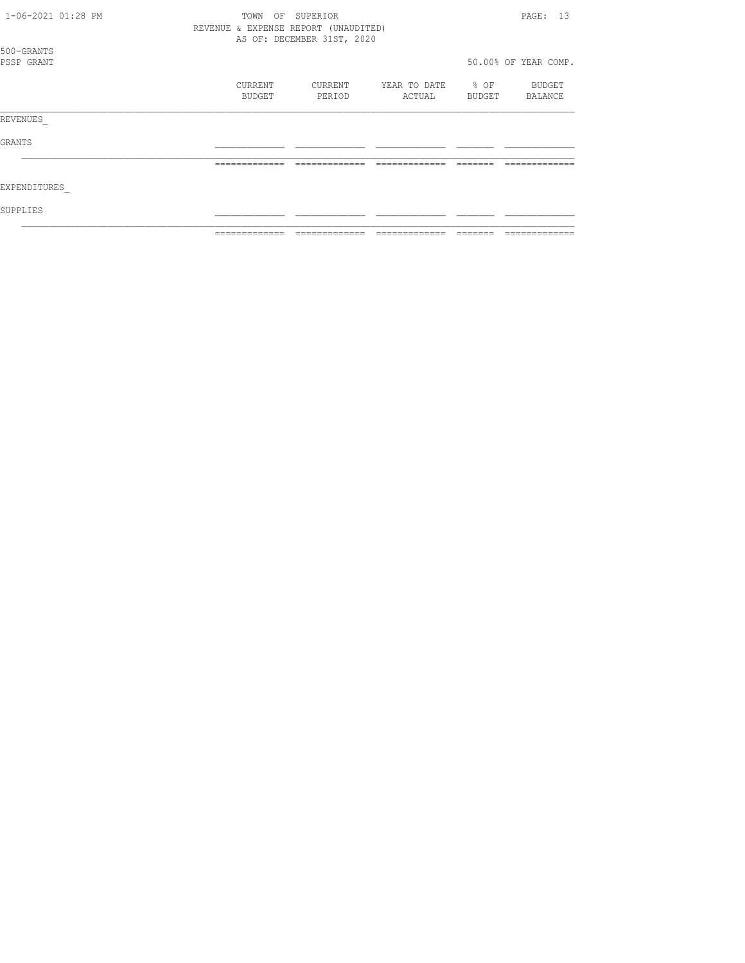| 1-06-2021 01:28 PM       | TOWN<br>OF<br>REVENUE & EXPENSE REPORT (UNAUDITED) | SUPERIOR<br>AS OF: DECEMBER 31ST, 2020 |                        |                     | PAGE: 13             |
|--------------------------|----------------------------------------------------|----------------------------------------|------------------------|---------------------|----------------------|
| 500-GRANTS<br>PSSP GRANT |                                                    |                                        |                        |                     | 50.00% OF YEAR COMP. |
|                          | CURRENT<br><b>BUDGET</b>                           | CURRENT<br>PERIOD                      | YEAR TO DATE<br>ACTUAL | $\div$ OF<br>BUDGET | BUDGET<br>BALANCE    |
| REVENUES                 |                                                    |                                        |                        |                     |                      |
| GRANTS                   |                                                    |                                        |                        |                     |                      |
|                          | -------------                                      |                                        |                        |                     |                      |
| EXPENDITURES             |                                                    |                                        |                        |                     |                      |
| SUPPLIES                 |                                                    |                                        |                        |                     |                      |
|                          |                                                    |                                        |                        |                     |                      |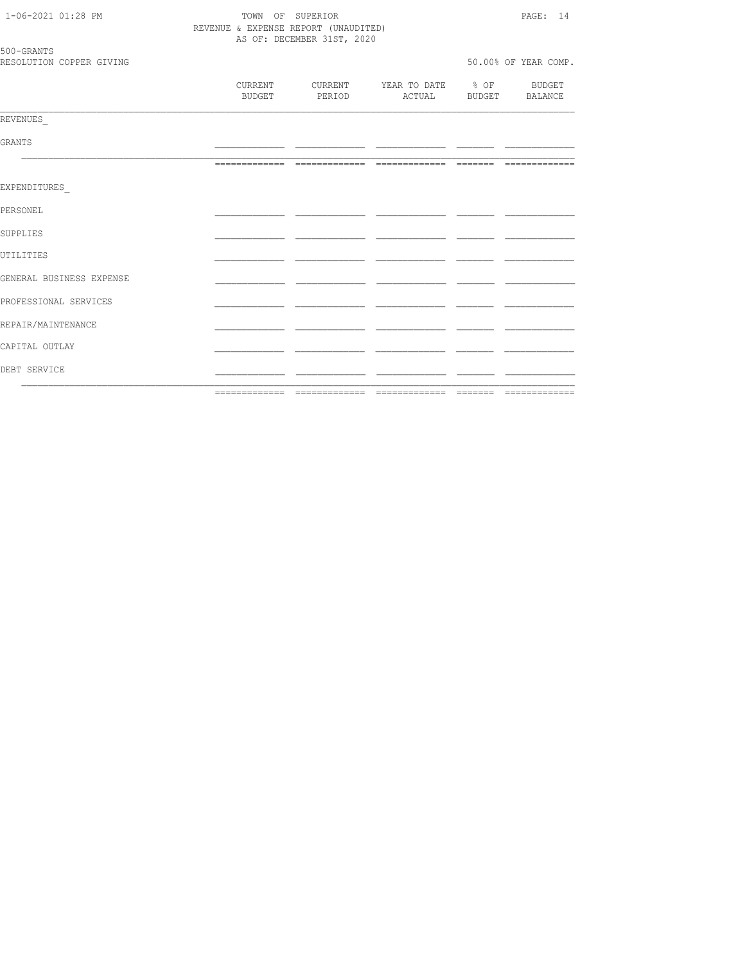| 1-06-2021 01:28 PM       | TOWN OF SUPERIOR                     | PAGE: 14                                                                        |                      |  |  |
|--------------------------|--------------------------------------|---------------------------------------------------------------------------------|----------------------|--|--|
|                          | REVENUE & EXPENSE REPORT (UNAUDITED) |                                                                                 |                      |  |  |
| 500-GRANTS               | AS OF: DECEMBER 31ST, 2020           |                                                                                 |                      |  |  |
| RESOLUTION COPPER GIVING |                                      |                                                                                 | 50.00% OF YEAR COMP. |  |  |
|                          |                                      | CURRENT CURRENT YEAR TO DATE % OF BUDGET<br>BUDGET PERIOD ACTUAL BUDGET BALANCE |                      |  |  |
| REVENUES                 |                                      |                                                                                 |                      |  |  |
| <b>GRANTS</b>            |                                      |                                                                                 |                      |  |  |
|                          |                                      |                                                                                 |                      |  |  |
| EXPENDITURES             |                                      |                                                                                 |                      |  |  |
| PERSONEL                 |                                      |                                                                                 |                      |  |  |
| SUPPLIES                 |                                      |                                                                                 |                      |  |  |
| UTILITIES                |                                      |                                                                                 |                      |  |  |
| GENERAL BUSINESS EXPENSE |                                      |                                                                                 |                      |  |  |
| PROFESSIONAL SERVICES    |                                      |                                                                                 |                      |  |  |
| REPAIR/MAINTENANCE       |                                      |                                                                                 |                      |  |  |
| CAPITAL OUTLAY           |                                      |                                                                                 |                      |  |  |
| DEBT SERVICE             |                                      |                                                                                 |                      |  |  |
|                          |                                      |                                                                                 |                      |  |  |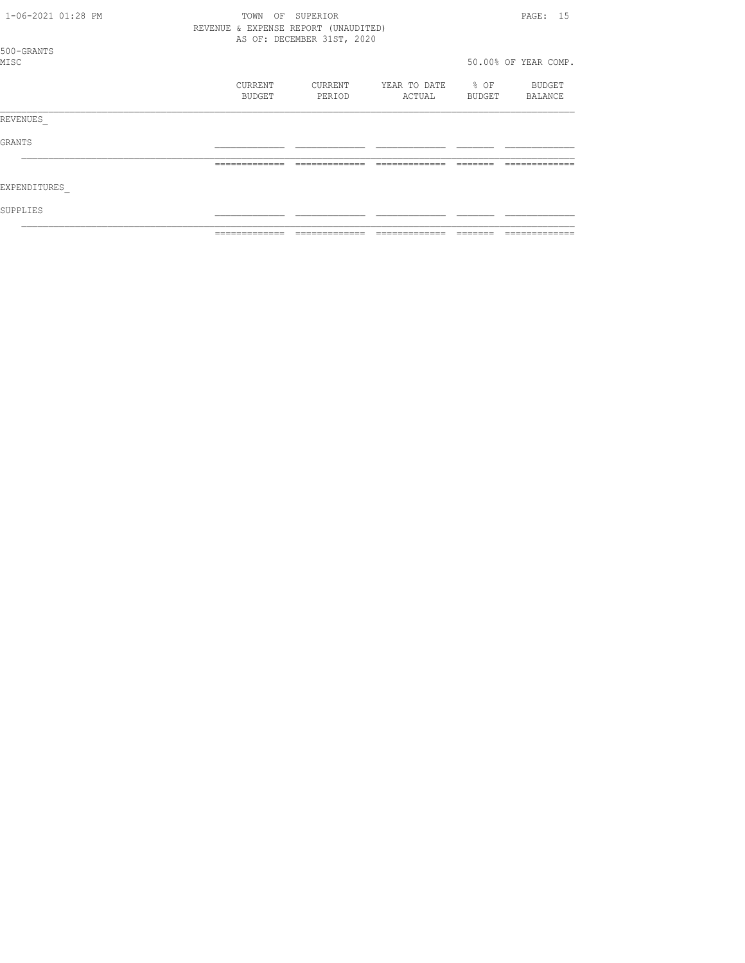| 1-06-2021 01:28 PM |  | TOWN<br>OF        | SUPERIOR<br>REVENUE & EXPENSE REPORT (UNAUDITED)<br>AS OF: DECEMBER 31ST, 2020 |                        |                  | PAGE: 15             |
|--------------------|--|-------------------|--------------------------------------------------------------------------------|------------------------|------------------|----------------------|
| 500-GRANTS<br>MISC |  |                   |                                                                                |                        |                  | 50.00% OF YEAR COMP. |
|                    |  | CURRENT<br>BUDGET | CURRENT<br>PERIOD                                                              | YEAR TO DATE<br>ACTUAL | $8$ OF<br>BUDGET | BUDGET<br>BALANCE    |
| REVENUES           |  |                   |                                                                                |                        |                  |                      |
| GRANTS             |  |                   |                                                                                |                        |                  |                      |
|                    |  | =============     | -------------                                                                  |                        |                  | ----------           |
| EXPENDITURES       |  |                   |                                                                                |                        |                  |                      |
| SUPPLIES           |  |                   |                                                                                |                        |                  |                      |
|                    |  |                   |                                                                                |                        |                  |                      |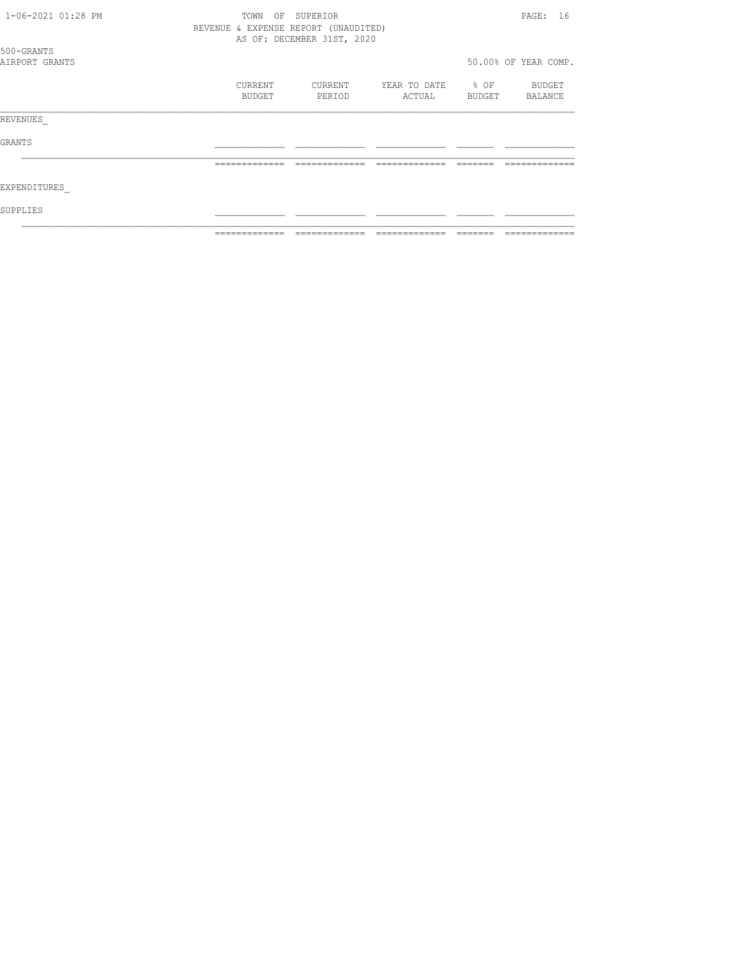| 1-06-2021 01:28 PM | TOWN                                 | OF SUPERIOR                |              |                      |         |  |
|--------------------|--------------------------------------|----------------------------|--------------|----------------------|---------|--|
|                    | REVENUE & EXPENSE REPORT (UNAUDITED) |                            |              |                      |         |  |
|                    |                                      | AS OF: DECEMBER 31ST, 2020 |              |                      |         |  |
| 500-GRANTS         |                                      |                            |              |                      |         |  |
| AIRPORT GRANTS     |                                      |                            |              | 50.00% OF YEAR COMP. |         |  |
|                    | CURRENT                              | CURRENT                    | YEAR TO DATE | $\textdegree$ OF     | BUDGET  |  |
|                    | BUDGET                               | PERIOD                     | ACTUAL       | BUDGET               | BALANCE |  |
| REVENUES           |                                      |                            |              |                      |         |  |
| GRANTS             |                                      |                            |              |                      |         |  |
|                    | =============                        |                            |              |                      |         |  |
| EXPENDITURES       |                                      |                            |              |                      |         |  |
| SUPPLIES           |                                      |                            |              |                      |         |  |
|                    |                                      |                            |              |                      |         |  |
|                    |                                      |                            |              |                      |         |  |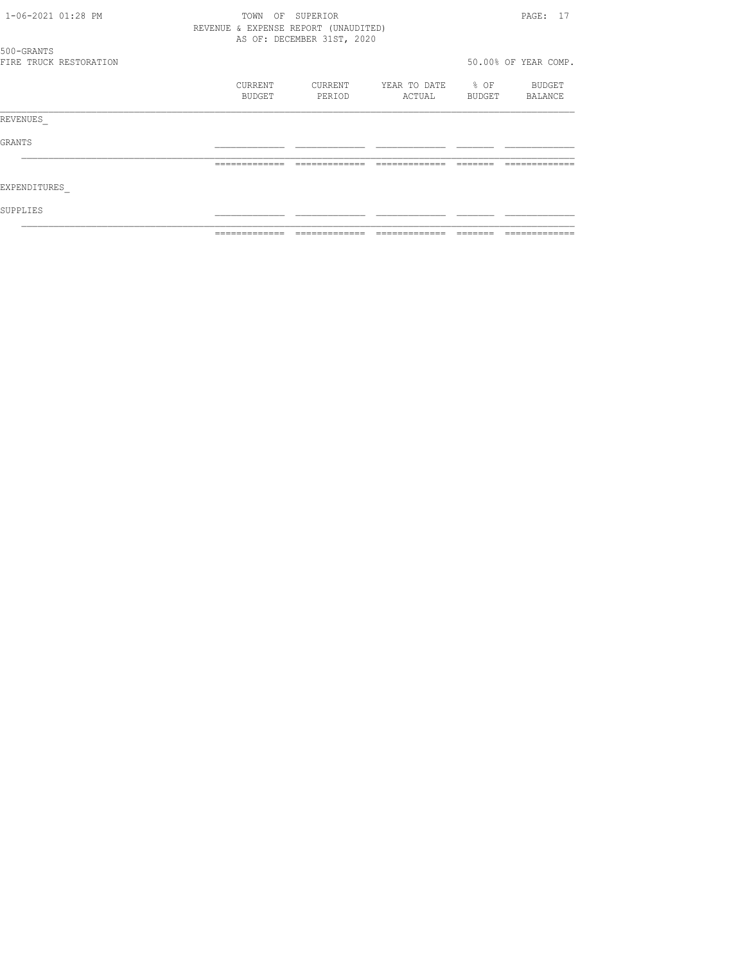| 1-06-2021 01:28 PM |                        | TOWN                                 | OF SUPERIOR                |                   |        | PAGE: 17             |
|--------------------|------------------------|--------------------------------------|----------------------------|-------------------|--------|----------------------|
|                    |                        | REVENUE & EXPENSE REPORT (UNAUDITED) |                            |                   |        |                      |
|                    |                        |                                      | AS OF: DECEMBER 31ST, 2020 |                   |        |                      |
| 500-GRANTS         |                        |                                      |                            |                   |        |                      |
|                    | FIRE TRUCK RESTORATION |                                      |                            |                   |        | 50.00% OF YEAR COMP. |
|                    |                        | CURRENT                              | CURRENT                    | YEAR TO DATE % OF |        | BUDGET               |
|                    |                        | BUDGET                               | PERIOD                     | ACTUAL            | BUDGET | BALANCE              |
| REVENUES           |                        |                                      |                            |                   |        |                      |
| GRANTS             |                        |                                      |                            |                   |        |                      |
|                    |                        |                                      |                            |                   |        |                      |
| EXPENDITURES       |                        |                                      |                            |                   |        |                      |
| SUPPLIES           |                        |                                      |                            |                   |        |                      |
|                    |                        |                                      |                            |                   |        |                      |
|                    |                        |                                      |                            |                   |        |                      |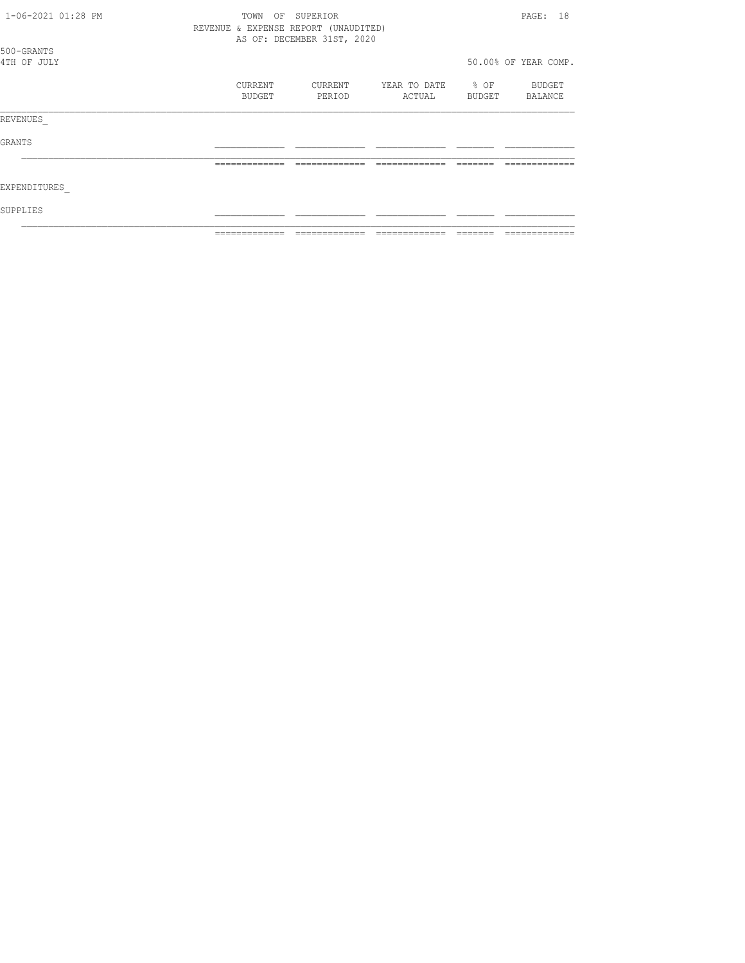| 1-06-2021 01:28 PM        | TOWN<br>OF                           | SUPERIOR                   |                        |                | PAGE: 18             |
|---------------------------|--------------------------------------|----------------------------|------------------------|----------------|----------------------|
|                           | REVENUE & EXPENSE REPORT (UNAUDITED) | AS OF: DECEMBER 31ST, 2020 |                        |                |                      |
| 500-GRANTS<br>4TH OF JULY |                                      |                            |                        |                | 50.00% OF YEAR COMP. |
|                           |                                      |                            |                        |                |                      |
|                           | CURRENT<br>BUDGET                    | CURRENT<br>PERIOD          | YEAR TO DATE<br>ACTUAL | % OF<br>BUDGET | BUDGET<br>BALANCE    |
| REVENUES                  |                                      |                            |                        |                |                      |
| GRANTS                    |                                      |                            |                        |                |                      |
|                           | =============                        |                            |                        |                |                      |
| EXPENDITURES              |                                      |                            |                        |                |                      |
| SUPPLIES                  |                                      |                            |                        |                |                      |
|                           |                                      |                            |                        |                |                      |
|                           |                                      |                            |                        |                |                      |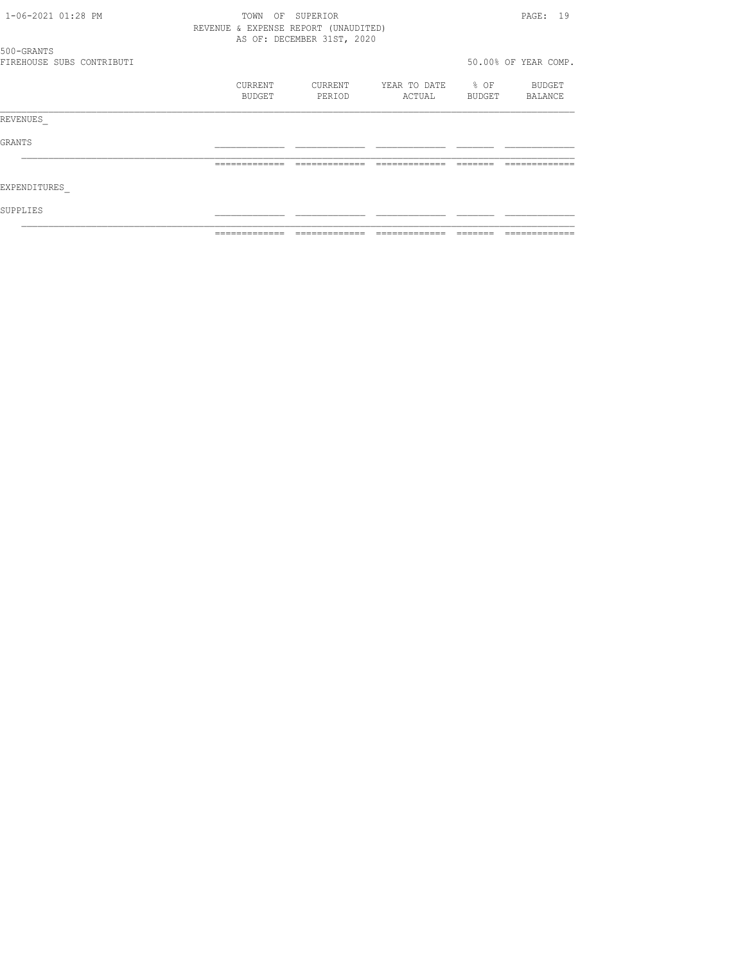| 1-06-2021 01:28 PM        | TOWN                                 | OF SUPERIOR                |                   |        | PAGE: 19             |
|---------------------------|--------------------------------------|----------------------------|-------------------|--------|----------------------|
|                           | REVENUE & EXPENSE REPORT (UNAUDITED) |                            |                   |        |                      |
|                           |                                      | AS OF: DECEMBER 31ST, 2020 |                   |        |                      |
| 500-GRANTS                |                                      |                            |                   |        |                      |
| FIREHOUSE SUBS CONTRIBUTI |                                      |                            |                   |        | 50.00% OF YEAR COMP. |
|                           | CURRENT                              | CURRENT                    | YEAR TO DATE % OF |        | BUDGET               |
|                           | BUDGET                               | PERIOD                     | ACTUAL            | BUDGET | BALANCE              |
| REVENUES                  |                                      |                            |                   |        |                      |
| GRANTS                    |                                      |                            |                   |        |                      |
|                           |                                      |                            |                   |        |                      |
| EXPENDITURES              |                                      |                            |                   |        |                      |
| SUPPLIES                  |                                      |                            |                   |        |                      |
|                           |                                      |                            |                   |        |                      |
|                           |                                      |                            |                   |        |                      |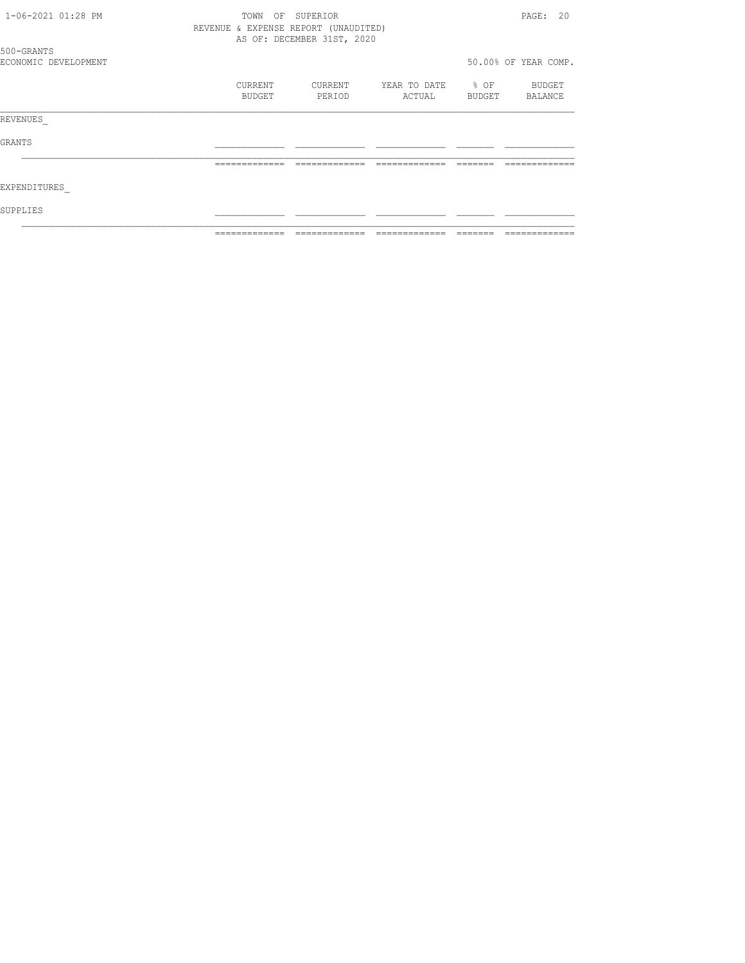| 1-06-2021 01:28 PM   | TOWN                                 | OF SUPERIOR                |                   |               | PAGE: 20             |
|----------------------|--------------------------------------|----------------------------|-------------------|---------------|----------------------|
|                      | REVENUE & EXPENSE REPORT (UNAUDITED) |                            |                   |               |                      |
|                      |                                      | AS OF: DECEMBER 31ST, 2020 |                   |               |                      |
| 500-GRANTS           |                                      |                            |                   |               |                      |
| ECONOMIC DEVELOPMENT |                                      |                            |                   |               | 50.00% OF YEAR COMP. |
|                      | CURRENT                              | CURRENT                    | YEAR TO DATE % OF |               | BUDGET               |
|                      | BUDGET                               | PERIOD                     | ACTUAL            | <b>BUDGET</b> | BALANCE              |
| REVENUES             |                                      |                            |                   |               |                      |
| GRANTS               |                                      |                            |                   |               |                      |
|                      |                                      |                            |                   |               |                      |
| EXPENDITURES         |                                      |                            |                   |               |                      |
| SUPPLIES             |                                      |                            |                   |               |                      |
|                      |                                      |                            |                   |               |                      |
|                      |                                      |                            |                   |               |                      |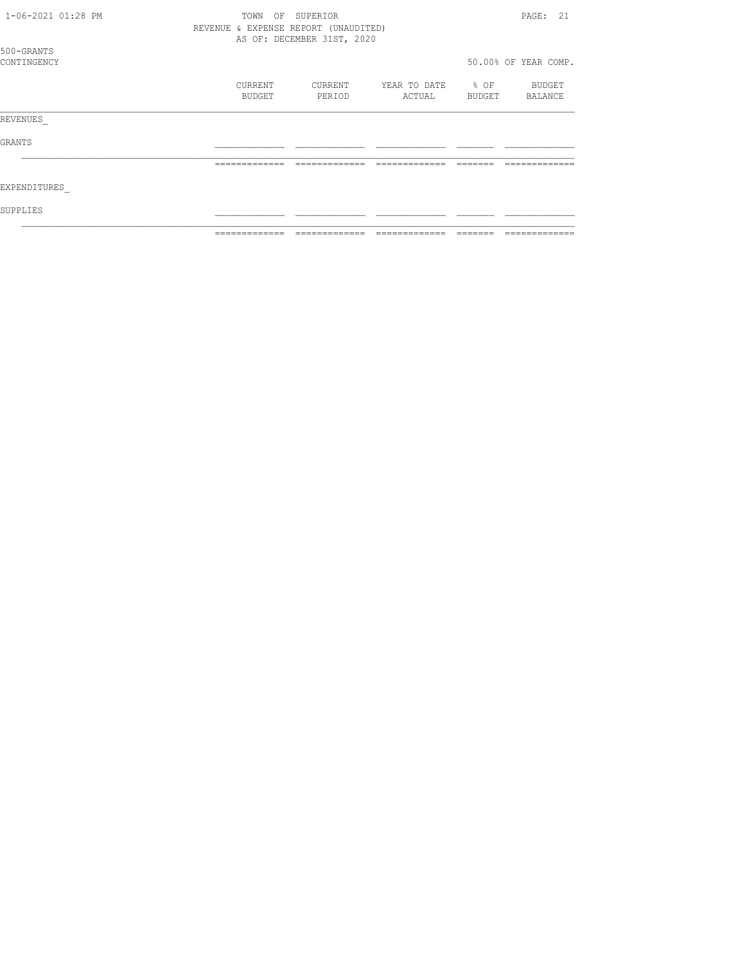| 1-06-2021 01:28 PM | OF<br>TOWN                           | SUPERIOR                   |              |        | PAGE: 21             |
|--------------------|--------------------------------------|----------------------------|--------------|--------|----------------------|
|                    | REVENUE & EXPENSE REPORT (UNAUDITED) |                            |              |        |                      |
|                    |                                      | AS OF: DECEMBER 31ST, 2020 |              |        |                      |
| 500-GRANTS         |                                      |                            |              |        |                      |
| CONTINGENCY        |                                      |                            |              |        | 50.00% OF YEAR COMP. |
|                    | CURRENT                              | CURRENT                    | YEAR TO DATE | $8$ OF | BUDGET               |
|                    | BUDGET                               | PERIOD                     | ACTUAL       | BUDGET | BALANCE              |
|                    |                                      |                            |              |        |                      |
| REVENUES           |                                      |                            |              |        |                      |
| GRANTS             |                                      |                            |              |        |                      |
|                    |                                      |                            |              |        |                      |
| EXPENDITURES       |                                      |                            |              |        |                      |
| SUPPLIES           |                                      |                            |              |        |                      |
|                    |                                      |                            |              |        |                      |
|                    |                                      |                            |              |        |                      |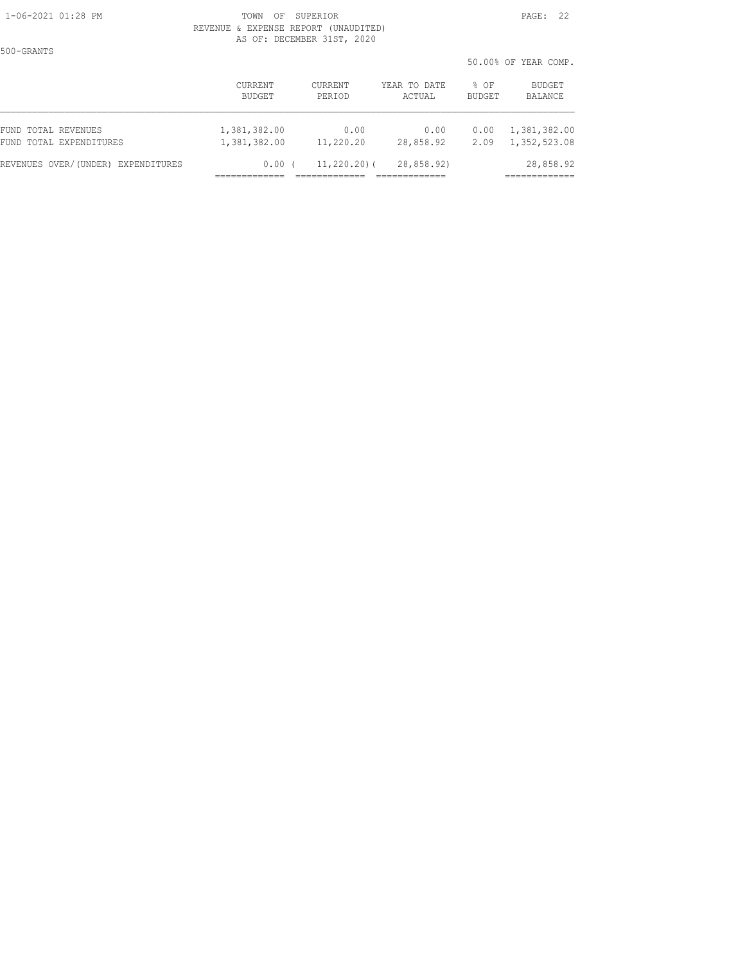500-GRANTS

50.00% OF YEAR COMP.

|                                    | CURRENT<br>BUDGET | CURRENT<br>PERIOD | YEAR TO DATE<br>ACTUAL | % OF<br><b>BUDGET</b> | <b>BUDGET</b><br><b>BALANCE</b> |
|------------------------------------|-------------------|-------------------|------------------------|-----------------------|---------------------------------|
| FUND TOTAL REVENUES                | 1,381,382.00      | 0.00              | 0.00                   | 0.00                  | 1,381,382.00                    |
| FUND TOTAL EXPENDITURES            | 1,381,382.00      | 11,220.20         | 28,858.92              | 2.09                  | 1,352,523.08                    |
| REVENUES OVER/(UNDER) EXPENDITURES | 0.00              | $11, 220, 20)$ (  | 28,858.92)             |                       | 28,858.92                       |
|                                    |                   |                   |                        |                       |                                 |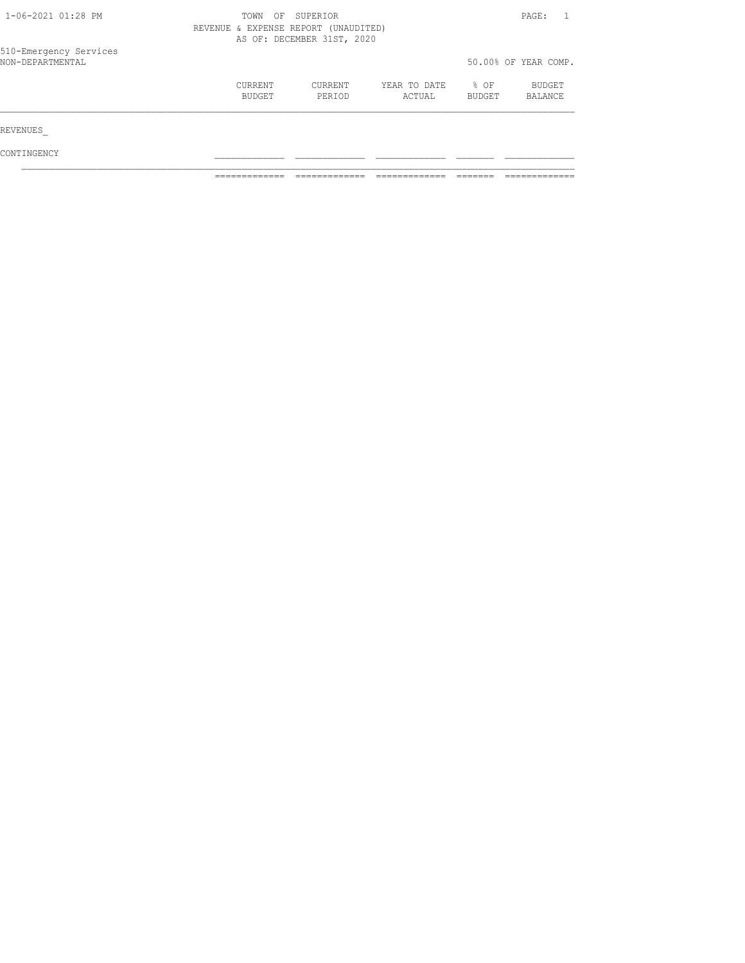| 1-06-2021 01:28 PM                         | TOWN              | SUPERIOR<br>OF<br>REVENUE & EXPENSE REPORT (UNAUDITED)<br>AS OF: DECEMBER 31ST, 2020 |                        |                | PAGE:                |
|--------------------------------------------|-------------------|--------------------------------------------------------------------------------------|------------------------|----------------|----------------------|
| 510-Emergency Services<br>NON-DEPARTMENTAL |                   |                                                                                      |                        |                | 50.00% OF YEAR COMP. |
|                                            | CURRENT<br>BUDGET | CURRENT<br>PERIOD                                                                    | YEAR TO DATE<br>ACTUAL | % OF<br>BUDGET | BUDGET<br>BALANCE    |
| REVENUES                                   |                   |                                                                                      |                        |                |                      |
| CONTINGENCY                                |                   |                                                                                      |                        |                |                      |

============= ============= ============= ======= =============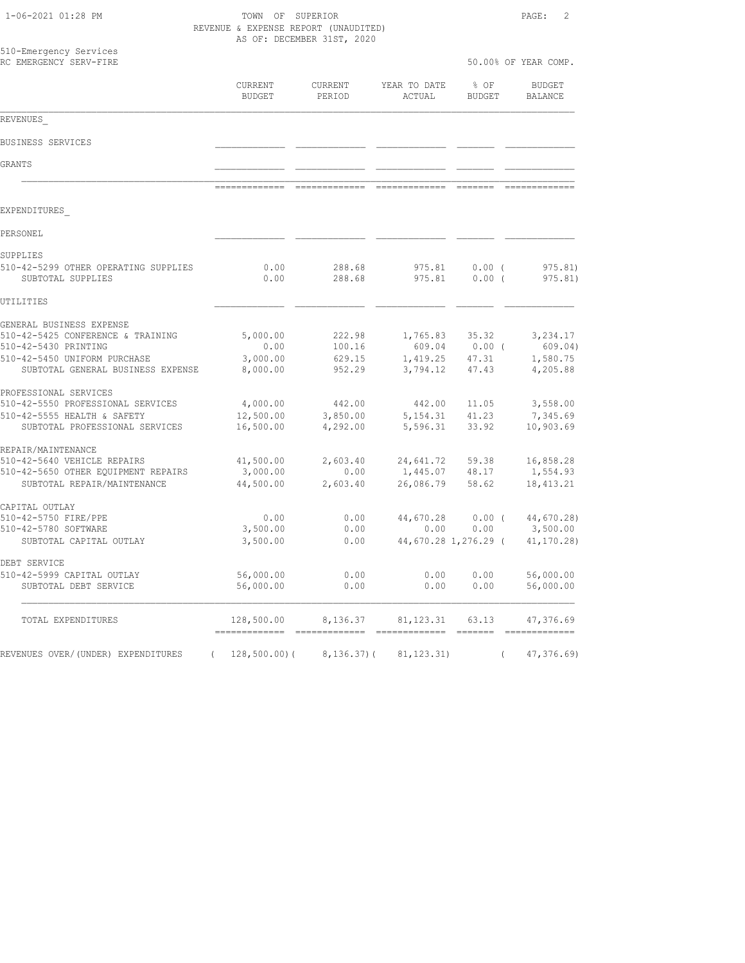| 1-06-2021 01:28 PM |  |  |
|--------------------|--|--|
|--------------------|--|--|

TOWN OF SUPERIOR **PAGE:** 2 REVENUE & EXPENSE REPORT (UNAUDITED) AS OF: DECEMBER 31ST, 2020

| 510-Emergency Services<br>RC EMERGENCY SERV-FIRE                 |                                  |                                                                                                                                                                                                                                                                                                                                                                                                                                                                               |                                                                                                                                                                                                                                                                                                                                                                                                                                                                                        |                       | 50.00% OF YEAR COMP.                                                                                                                                                                                                                                                                                                                                                                                                                                                                   |
|------------------------------------------------------------------|----------------------------------|-------------------------------------------------------------------------------------------------------------------------------------------------------------------------------------------------------------------------------------------------------------------------------------------------------------------------------------------------------------------------------------------------------------------------------------------------------------------------------|----------------------------------------------------------------------------------------------------------------------------------------------------------------------------------------------------------------------------------------------------------------------------------------------------------------------------------------------------------------------------------------------------------------------------------------------------------------------------------------|-----------------------|----------------------------------------------------------------------------------------------------------------------------------------------------------------------------------------------------------------------------------------------------------------------------------------------------------------------------------------------------------------------------------------------------------------------------------------------------------------------------------------|
|                                                                  | CURRENT<br><b>BUDGET</b>         | CURRENT<br>PERIOD                                                                                                                                                                                                                                                                                                                                                                                                                                                             | YEAR TO DATE<br>ACTUAL                                                                                                                                                                                                                                                                                                                                                                                                                                                                 | % OF<br><b>BUDGET</b> | <b>BUDGET</b><br><b>BALANCE</b>                                                                                                                                                                                                                                                                                                                                                                                                                                                        |
| REVENUES                                                         |                                  |                                                                                                                                                                                                                                                                                                                                                                                                                                                                               |                                                                                                                                                                                                                                                                                                                                                                                                                                                                                        |                       |                                                                                                                                                                                                                                                                                                                                                                                                                                                                                        |
| BUSINESS SERVICES                                                |                                  |                                                                                                                                                                                                                                                                                                                                                                                                                                                                               |                                                                                                                                                                                                                                                                                                                                                                                                                                                                                        |                       |                                                                                                                                                                                                                                                                                                                                                                                                                                                                                        |
| GRANTS                                                           |                                  |                                                                                                                                                                                                                                                                                                                                                                                                                                                                               |                                                                                                                                                                                                                                                                                                                                                                                                                                                                                        |                       |                                                                                                                                                                                                                                                                                                                                                                                                                                                                                        |
|                                                                  | -------------                    | $\begin{array}{cccccc} \multicolumn{2}{c}{{\color{red}z}} & \multicolumn{2}{c}{{\color{red}z}} & \multicolumn{2}{c}{{\color{red}z}} & \multicolumn{2}{c}{{\color{red}z}} & \multicolumn{2}{c}{{\color{red}z}} & \multicolumn{2}{c}{{\color{red}z}} & \multicolumn{2}{c}{{\color{red}z}} & \multicolumn{2}{c}{{\color{red}z}} & \multicolumn{2}{c}{{\color{red}z}} & \multicolumn{2}{c}{{\color{red}z}} & \multicolumn{2}{c}{{\color{red}z}} & \multicolumn{2}{c}{{\color{red$ | $\begin{array}{cccccccccc} \multicolumn{2}{c}{} & \multicolumn{2}{c}{} & \multicolumn{2}{c}{} & \multicolumn{2}{c}{} & \multicolumn{2}{c}{} & \multicolumn{2}{c}{} & \multicolumn{2}{c}{} & \multicolumn{2}{c}{} & \multicolumn{2}{c}{} & \multicolumn{2}{c}{} & \multicolumn{2}{c}{} & \multicolumn{2}{c}{} & \multicolumn{2}{c}{} & \multicolumn{2}{c}{} & \multicolumn{2}{c}{} & \multicolumn{2}{c}{} & \multicolumn{2}{c}{} & \multicolumn{2}{c}{} & \multicolumn{2}{c}{} & \mult$ |                       |                                                                                                                                                                                                                                                                                                                                                                                                                                                                                        |
| EXPENDITURES                                                     |                                  |                                                                                                                                                                                                                                                                                                                                                                                                                                                                               |                                                                                                                                                                                                                                                                                                                                                                                                                                                                                        |                       |                                                                                                                                                                                                                                                                                                                                                                                                                                                                                        |
| PERSONEL                                                         |                                  |                                                                                                                                                                                                                                                                                                                                                                                                                                                                               |                                                                                                                                                                                                                                                                                                                                                                                                                                                                                        |                       |                                                                                                                                                                                                                                                                                                                                                                                                                                                                                        |
| SUPPLIES                                                         |                                  |                                                                                                                                                                                                                                                                                                                                                                                                                                                                               |                                                                                                                                                                                                                                                                                                                                                                                                                                                                                        |                       |                                                                                                                                                                                                                                                                                                                                                                                                                                                                                        |
| 510-42-5299 OTHER OPERATING SUPPLIES<br>SUBTOTAL SUPPLIES        | 0.00<br>0.00                     | 288.68<br>288.68                                                                                                                                                                                                                                                                                                                                                                                                                                                              | 975.81<br>975.81                                                                                                                                                                                                                                                                                                                                                                                                                                                                       | 0.00(<br>0.00(        | 975.81<br>975.81)                                                                                                                                                                                                                                                                                                                                                                                                                                                                      |
| UTILITIES                                                        |                                  |                                                                                                                                                                                                                                                                                                                                                                                                                                                                               |                                                                                                                                                                                                                                                                                                                                                                                                                                                                                        |                       |                                                                                                                                                                                                                                                                                                                                                                                                                                                                                        |
| GENERAL BUSINESS EXPENSE                                         |                                  |                                                                                                                                                                                                                                                                                                                                                                                                                                                                               |                                                                                                                                                                                                                                                                                                                                                                                                                                                                                        |                       |                                                                                                                                                                                                                                                                                                                                                                                                                                                                                        |
| 510-42-5425 CONFERENCE & TRAINING<br>510-42-5430 PRINTING        | 5,000.00<br>0.00                 | 222.98<br>100.16                                                                                                                                                                                                                                                                                                                                                                                                                                                              | 1,765.83<br>609.04                                                                                                                                                                                                                                                                                                                                                                                                                                                                     | 35.32<br>$0.00$ (     | 3,234.17<br>609.04)                                                                                                                                                                                                                                                                                                                                                                                                                                                                    |
| 510-42-5450 UNIFORM PURCHASE                                     | 3,000.00                         | 629.15                                                                                                                                                                                                                                                                                                                                                                                                                                                                        | 1,419.25                                                                                                                                                                                                                                                                                                                                                                                                                                                                               | 47.31                 | 1,580.75                                                                                                                                                                                                                                                                                                                                                                                                                                                                               |
| SUBTOTAL GENERAL BUSINESS EXPENSE                                | 8,000.00                         | 952.29                                                                                                                                                                                                                                                                                                                                                                                                                                                                        | 3,794.12                                                                                                                                                                                                                                                                                                                                                                                                                                                                               | 47.43                 | 4,205.88                                                                                                                                                                                                                                                                                                                                                                                                                                                                               |
| PROFESSIONAL SERVICES                                            |                                  |                                                                                                                                                                                                                                                                                                                                                                                                                                                                               |                                                                                                                                                                                                                                                                                                                                                                                                                                                                                        |                       |                                                                                                                                                                                                                                                                                                                                                                                                                                                                                        |
| 510-42-5550 PROFESSIONAL SERVICES<br>510-42-5555 HEALTH & SAFETY | 4,000.00                         | 442.00                                                                                                                                                                                                                                                                                                                                                                                                                                                                        | 442.00                                                                                                                                                                                                                                                                                                                                                                                                                                                                                 | 11.05<br>41.23        | 3,558.00                                                                                                                                                                                                                                                                                                                                                                                                                                                                               |
| SUBTOTAL PROFESSIONAL SERVICES                                   | 12,500.00<br>16,500.00           | 3,850.00<br>4,292.00                                                                                                                                                                                                                                                                                                                                                                                                                                                          | 5, 154.31<br>5,596.31                                                                                                                                                                                                                                                                                                                                                                                                                                                                  | 33.92                 | 7,345.69<br>10,903.69                                                                                                                                                                                                                                                                                                                                                                                                                                                                  |
| REPAIR/MAINTENANCE                                               |                                  |                                                                                                                                                                                                                                                                                                                                                                                                                                                                               |                                                                                                                                                                                                                                                                                                                                                                                                                                                                                        |                       |                                                                                                                                                                                                                                                                                                                                                                                                                                                                                        |
| 510-42-5640 VEHICLE REPAIRS                                      | 41,500.00                        | 2,603.40                                                                                                                                                                                                                                                                                                                                                                                                                                                                      | 24,641.72                                                                                                                                                                                                                                                                                                                                                                                                                                                                              | 59.38                 | 16,858.28                                                                                                                                                                                                                                                                                                                                                                                                                                                                              |
| 510-42-5650 OTHER EQUIPMENT REPAIRS                              | 3,000.00                         | 0.00                                                                                                                                                                                                                                                                                                                                                                                                                                                                          | 1,445.07                                                                                                                                                                                                                                                                                                                                                                                                                                                                               | 48.17                 | 1,554.93                                                                                                                                                                                                                                                                                                                                                                                                                                                                               |
| SUBTOTAL REPAIR/MAINTENANCE                                      | 44,500.00                        | 2,603.40                                                                                                                                                                                                                                                                                                                                                                                                                                                                      | 26,086.79                                                                                                                                                                                                                                                                                                                                                                                                                                                                              | 58.62                 | 18, 413.21                                                                                                                                                                                                                                                                                                                                                                                                                                                                             |
| CAPITAL OUTLAY<br>510-42-5750 FIRE/PPE                           | 0.00                             | 0.00                                                                                                                                                                                                                                                                                                                                                                                                                                                                          | 44,670.28                                                                                                                                                                                                                                                                                                                                                                                                                                                                              | 0.00(                 | 44,670.28)                                                                                                                                                                                                                                                                                                                                                                                                                                                                             |
| 510-42-5780 SOFTWARE                                             | 3,500.00                         | 0.00                                                                                                                                                                                                                                                                                                                                                                                                                                                                          | 0.00                                                                                                                                                                                                                                                                                                                                                                                                                                                                                   | 0.00                  | 3,500.00                                                                                                                                                                                                                                                                                                                                                                                                                                                                               |
| SUBTOTAL CAPITAL OUTLAY                                          | 3,500.00                         | 0.00                                                                                                                                                                                                                                                                                                                                                                                                                                                                          |                                                                                                                                                                                                                                                                                                                                                                                                                                                                                        | 44,670.28 1,276.29 (  | 41,170.28)                                                                                                                                                                                                                                                                                                                                                                                                                                                                             |
| DEBT SERVICE                                                     |                                  |                                                                                                                                                                                                                                                                                                                                                                                                                                                                               |                                                                                                                                                                                                                                                                                                                                                                                                                                                                                        |                       |                                                                                                                                                                                                                                                                                                                                                                                                                                                                                        |
| 510-42-5999 CAPITAL OUTLAY<br>SUBTOTAL DEBT SERVICE              | 56,000.00<br>56,000.00           | 0.00<br>0.00                                                                                                                                                                                                                                                                                                                                                                                                                                                                  | 0.00<br>0.00                                                                                                                                                                                                                                                                                                                                                                                                                                                                           | 0.00<br>0.00          | 56,000.00<br>56,000.00                                                                                                                                                                                                                                                                                                                                                                                                                                                                 |
|                                                                  |                                  |                                                                                                                                                                                                                                                                                                                                                                                                                                                                               |                                                                                                                                                                                                                                                                                                                                                                                                                                                                                        |                       |                                                                                                                                                                                                                                                                                                                                                                                                                                                                                        |
| TOTAL EXPENDITURES                                               | 128,500.00                       | 8,136.37                                                                                                                                                                                                                                                                                                                                                                                                                                                                      | 81, 123.31                                                                                                                                                                                                                                                                                                                                                                                                                                                                             | 63.13                 | 47,376.69                                                                                                                                                                                                                                                                                                                                                                                                                                                                              |
|                                                                  | ================================ |                                                                                                                                                                                                                                                                                                                                                                                                                                                                               | --------------                                                                                                                                                                                                                                                                                                                                                                                                                                                                         |                       | $\begin{array}{cccccccccc} \multicolumn{2}{c}{} & \multicolumn{2}{c}{} & \multicolumn{2}{c}{} & \multicolumn{2}{c}{} & \multicolumn{2}{c}{} & \multicolumn{2}{c}{} & \multicolumn{2}{c}{} & \multicolumn{2}{c}{} & \multicolumn{2}{c}{} & \multicolumn{2}{c}{} & \multicolumn{2}{c}{} & \multicolumn{2}{c}{} & \multicolumn{2}{c}{} & \multicolumn{2}{c}{} & \multicolumn{2}{c}{} & \multicolumn{2}{c}{} & \multicolumn{2}{c}{} & \multicolumn{2}{c}{} & \multicolumn{2}{c}{} & \mult$ |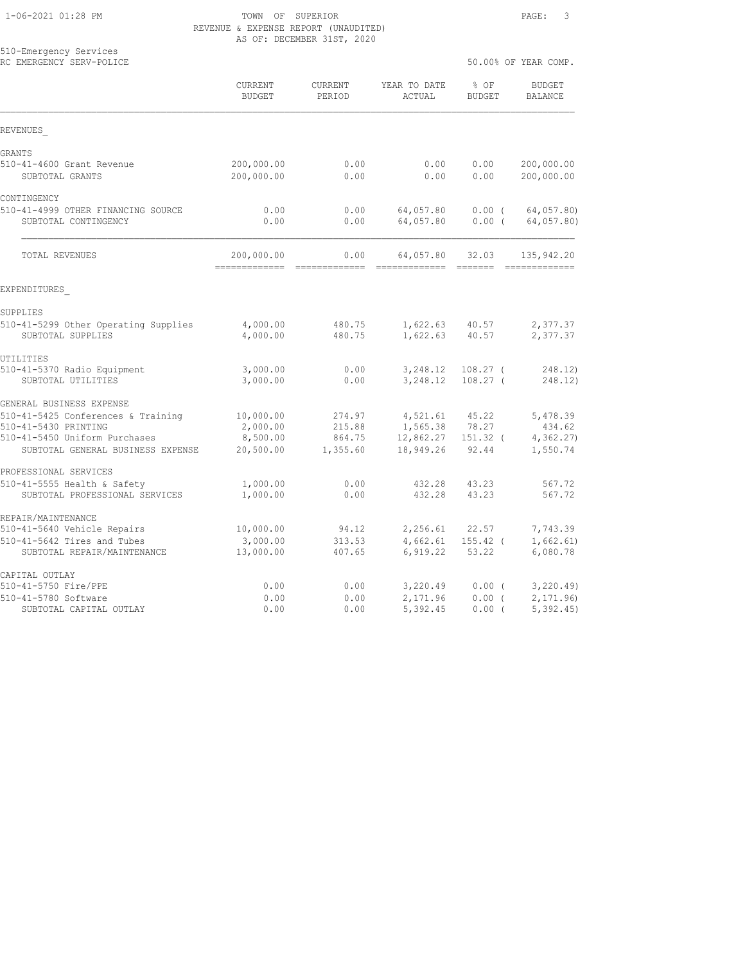|                                                           |                              | VI . DECERBEN JIOI ,                                                                                                                                                                                                                                                                                                                                                                                                                                                                  |                             |                          |                                 |
|-----------------------------------------------------------|------------------------------|---------------------------------------------------------------------------------------------------------------------------------------------------------------------------------------------------------------------------------------------------------------------------------------------------------------------------------------------------------------------------------------------------------------------------------------------------------------------------------------|-----------------------------|--------------------------|---------------------------------|
| 510-Emergency Services<br>RC EMERGENCY SERV-POLICE        |                              |                                                                                                                                                                                                                                                                                                                                                                                                                                                                                       |                             |                          | 50.00% OF YEAR COMP.            |
|                                                           | CURRENT<br><b>BUDGET</b>     | CURRENT<br>PERIOD                                                                                                                                                                                                                                                                                                                                                                                                                                                                     | YEAR TO DATE<br>ACTUAL      | % OF<br><b>BUDGET</b>    | <b>BUDGET</b><br><b>BALANCE</b> |
| REVENUES                                                  |                              |                                                                                                                                                                                                                                                                                                                                                                                                                                                                                       |                             |                          |                                 |
| GRANTS                                                    |                              |                                                                                                                                                                                                                                                                                                                                                                                                                                                                                       |                             |                          |                                 |
| 510-41-4600 Grant Revenue                                 | 200,000.00                   | 0.00                                                                                                                                                                                                                                                                                                                                                                                                                                                                                  | 0.00                        | 0.00                     | 200,000.00                      |
| SUBTOTAL GRANTS                                           | 200,000.00                   | 0.00                                                                                                                                                                                                                                                                                                                                                                                                                                                                                  | 0.00                        | 0.00                     | 200,000.00                      |
| CONTINGENCY                                               |                              |                                                                                                                                                                                                                                                                                                                                                                                                                                                                                       |                             |                          |                                 |
| 510-41-4999 OTHER FINANCING SOURCE                        | 0.00                         | 0.00                                                                                                                                                                                                                                                                                                                                                                                                                                                                                  | 64,057.80                   | $0.00$ (                 | 64,057.80)                      |
| SUBTOTAL CONTINGENCY                                      | 0.00                         | 0.00                                                                                                                                                                                                                                                                                                                                                                                                                                                                                  | 64,057.80                   | 0.00(                    | 64,057.80)                      |
| TOTAL REVENUES                                            | 200,000.00<br>-------------- | 0.00<br>$\begin{array}{cccccc} \multicolumn{2}{c}{{\color{red}z}} & \multicolumn{2}{c}{{\color{red}z}} & \multicolumn{2}{c}{{\color{red}z}} & \multicolumn{2}{c}{{\color{red}z}} & \multicolumn{2}{c}{{\color{red}z}} & \multicolumn{2}{c}{{\color{red}z}} & \multicolumn{2}{c}{{\color{red}z}} & \multicolumn{2}{c}{{\color{red}z}} & \multicolumn{2}{c}{{\color{red}z}} & \multicolumn{2}{c}{{\color{red}z}} & \multicolumn{2}{c}{{\color{red}z}} & \multicolumn{2}{c}{{\color{red$ | 64,057.80<br>-------------- | 32.03                    | 135,942.20<br>-------------     |
| EXPENDITURES                                              |                              |                                                                                                                                                                                                                                                                                                                                                                                                                                                                                       |                             |                          |                                 |
| SUPPLIES                                                  |                              |                                                                                                                                                                                                                                                                                                                                                                                                                                                                                       |                             |                          |                                 |
| 510-41-5299 Other Operating Supplies<br>SUBTOTAL SUPPLIES | 4,000.00<br>4,000.00         | 480.75<br>480.75                                                                                                                                                                                                                                                                                                                                                                                                                                                                      | 1,622.63<br>1,622.63        | 40.57<br>40.57           | 2,377.37<br>2,377.37            |
| UTILITIES                                                 |                              |                                                                                                                                                                                                                                                                                                                                                                                                                                                                                       |                             |                          |                                 |
| 510-41-5370 Radio Equipment<br>SUBTOTAL UTILITIES         | 3,000.00<br>3,000.00         | 0.00<br>0.00                                                                                                                                                                                                                                                                                                                                                                                                                                                                          | 3,248.12<br>3,248.12        | $108.27$ (<br>$108.27$ ( | 248.12)<br>248.12)              |
| GENERAL BUSINESS EXPENSE                                  |                              |                                                                                                                                                                                                                                                                                                                                                                                                                                                                                       |                             |                          |                                 |
| 510-41-5425 Conferences & Training                        | 10,000.00                    | 274.97                                                                                                                                                                                                                                                                                                                                                                                                                                                                                | 4,521.61                    | 45.22                    | 5,478.39                        |
| 510-41-5430 PRINTING                                      | 2,000.00                     | 215.88                                                                                                                                                                                                                                                                                                                                                                                                                                                                                | 1,565.38                    | 78.27                    | 434.62                          |
| 510-41-5450 Uniform Purchases                             | 8,500.00                     | 864.75                                                                                                                                                                                                                                                                                                                                                                                                                                                                                | 12,862.27 151.32 (          |                          | 4,362.27                        |
| SUBTOTAL GENERAL BUSINESS EXPENSE                         | 20,500.00                    | 1,355.60                                                                                                                                                                                                                                                                                                                                                                                                                                                                              | 18,949.26                   | 92.44                    | 1,550.74                        |
| PROFESSIONAL SERVICES                                     |                              |                                                                                                                                                                                                                                                                                                                                                                                                                                                                                       |                             |                          |                                 |
| 510-41-5555 Health & Safety                               | 1,000.00                     | 0.00                                                                                                                                                                                                                                                                                                                                                                                                                                                                                  | 432.28                      | 43.23                    | 567.72                          |
| SUBTOTAL PROFESSIONAL SERVICES                            | 1,000.00                     | 0.00                                                                                                                                                                                                                                                                                                                                                                                                                                                                                  | 432.28                      | 43.23                    | 567.72                          |
| REPAIR/MAINTENANCE                                        |                              |                                                                                                                                                                                                                                                                                                                                                                                                                                                                                       |                             |                          |                                 |
| 510-41-5640 Vehicle Repairs                               | 10,000.00                    | 94.12                                                                                                                                                                                                                                                                                                                                                                                                                                                                                 | 2,256.61                    | 22.57                    | 7,743.39                        |
| 510-41-5642 Tires and Tubes                               | 3,000.00                     | 313.53                                                                                                                                                                                                                                                                                                                                                                                                                                                                                | 4,662.61                    | $155.42$ (               | 1,662.61)                       |
| SUBTOTAL REPAIR/MAINTENANCE                               | 13,000.00                    | 407.65                                                                                                                                                                                                                                                                                                                                                                                                                                                                                | 6,919.22                    | 53.22                    | 6,080.78                        |
| CAPITAL OUTLAY                                            |                              |                                                                                                                                                                                                                                                                                                                                                                                                                                                                                       |                             |                          |                                 |
| 510-41-5750 Fire/PPE                                      | 0.00                         | 0.00                                                                                                                                                                                                                                                                                                                                                                                                                                                                                  | 3,220.49                    | $0.00$ (                 | 3, 220.49                       |
| 510-41-5780 Software                                      | 0.00                         | 0.00                                                                                                                                                                                                                                                                                                                                                                                                                                                                                  | 2,171.96                    | 0.00(                    | 2, 171.96                       |
| SUBTOTAL CAPITAL OUTLAY                                   | 0.00                         | 0.00                                                                                                                                                                                                                                                                                                                                                                                                                                                                                  | 5,392.45                    | 0.00(                    | 5,392.45                        |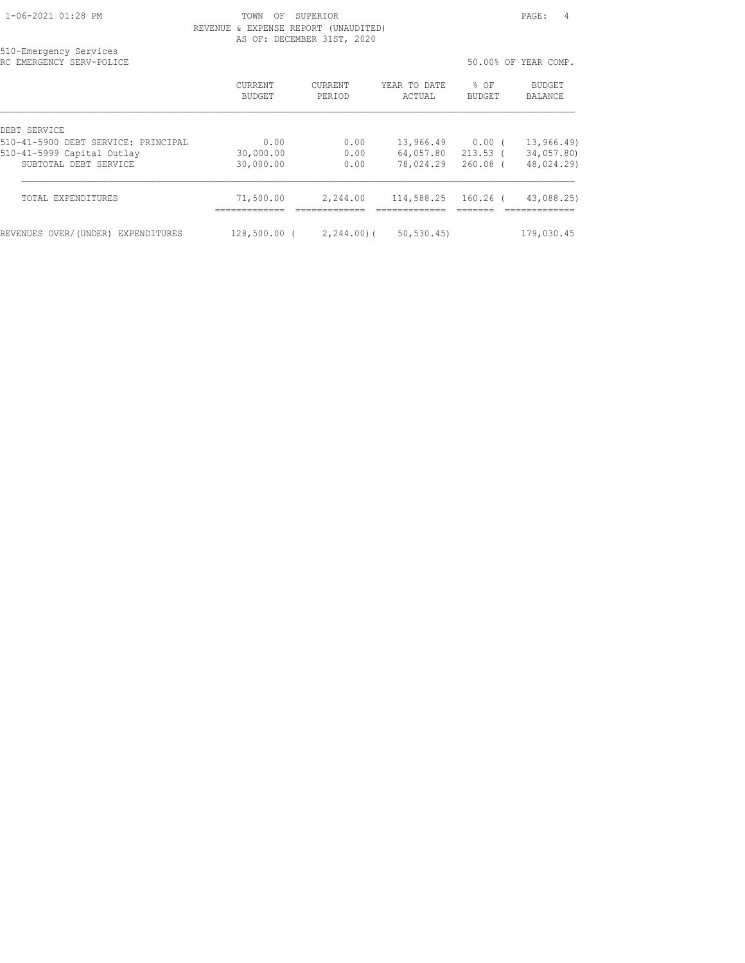| 510-Emergency Services<br>RC EMERGENCY SERV-POLICE |                          |                   |                        |                       | 50.00% OF YEAR COMP. |
|----------------------------------------------------|--------------------------|-------------------|------------------------|-----------------------|----------------------|
|                                                    | <b>CURRENT</b><br>BUDGET | CURRENT<br>PERIOD | YEAR TO DATE<br>ACTUAL | % OF<br><b>BUDGET</b> | BUDGET<br>BALANCE    |
| DEBT SERVICE                                       |                          |                   |                        |                       |                      |
| 510-41-5900 DEBT SERVICE: PRINCIPAL                | 0.00                     | 0.00              | 13,966.49              | $0.00$ (              | 13,966.49)           |
| 510-41-5999 Capital Outlay                         | 30,000.00                | 0.00              | 64,057.80              | $213.53$ (            | 34,057.80)           |
| SUBTOTAL DEBT SERVICE                              | 30,000.00                | 0.00              | 78,024.29              | $260.08$ (            | 48,024.29)           |
| <b>TOTAL EXPENDITURES</b>                          | 71,500.00                | 2,244.00          | 114,588.25             | $160.26$ (            | 43,088.25)           |
| REVENUES OVER/(UNDER) EXPENDITURES                 | $128,500.00$ (           | $2,244,00$ (      | 50, 530, 45            |                       | 179,030.45           |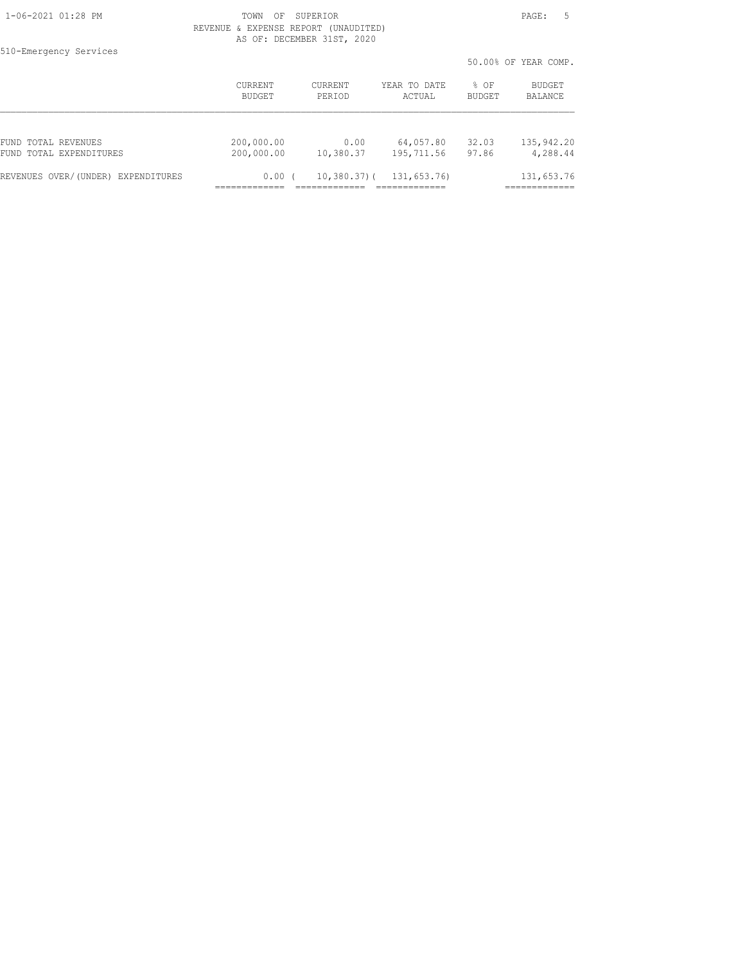| 510-Emergency Services             |                          |                   |                        |                | 50.00% OF YEAR COMP. |
|------------------------------------|--------------------------|-------------------|------------------------|----------------|----------------------|
|                                    | <b>CURRENT</b><br>BUDGET | CURRENT<br>PERIOD | YEAR TO DATE<br>ACTUAL | % OF<br>BUDGET | BUDGET<br>BALANCE    |
|                                    |                          |                   |                        |                |                      |
| FUND TOTAL REVENUES                | 200,000.00               | 0.00              | 64,057.80              | 32.03          | 135, 942.20          |
| FUND TOTAL EXPENDITURES            | 200,000.00               | 10,380.37         | 195,711.56             | 97.86          | 4,288.44             |
| REVENUES OVER/(UNDER) EXPENDITURES | 0.00                     | $10,380.37$ ) (   | 131,653.76)            |                | 131,653.76           |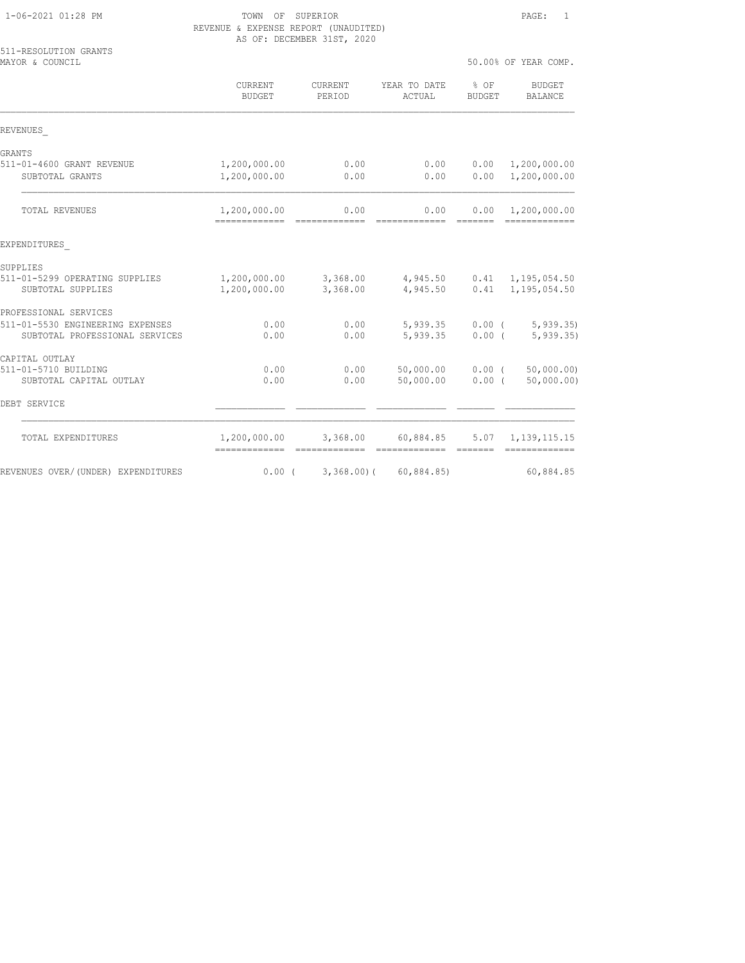| 511-RESOLUTION GRANTS<br>MAYOR & COUNCIL |                          |                   |                                     |                | 50.00% OF YEAR COMP.            |
|------------------------------------------|--------------------------|-------------------|-------------------------------------|----------------|---------------------------------|
|                                          | CURRENT<br><b>BUDGET</b> | CURRENT<br>PERIOD | YEAR TO DATE<br>ACTUAL              | % OF<br>BUDGET | <b>BUDGET</b><br><b>BALANCE</b> |
| REVENUES                                 |                          |                   |                                     |                |                                 |
| GRANTS                                   |                          |                   |                                     |                |                                 |
| 511-01-4600 GRANT REVENUE                | 1,200,000.00             | 0.00              |                                     | 0.00 0.00      | 1,200,000.00                    |
| SUBTOTAL GRANTS                          | 1,200,000.00             | 0.00              | 0.00                                | 0.00           | 1,200,000.00                    |
| TOTAL REVENUES                           | 1,200,000.00             | 0.00              | 0.00                                |                | $0.00 \quad 1,200,000.00$       |
| EXPENDITURES                             |                          |                   |                                     |                |                                 |
| SUPPLIES                                 |                          |                   |                                     |                |                                 |
| 511-01-5299 OPERATING SUPPLIES           | 1,200,000.00             |                   | 3,368.00 4,945.50 0.41 1,195,054.50 |                |                                 |
| SUBTOTAL SUPPLIES                        | 1,200,000.00             | 3,368.00          | 4,945.50                            |                | $0.41$ 1, 195, 054.50           |
| PROFESSIONAL SERVICES                    |                          |                   |                                     |                |                                 |
| 511-01-5530 ENGINEERING EXPENSES         | 0.00                     | 0.00              |                                     |                | $5,939.35$ 0.00 ( $5,939.35$ )  |
| SUBTOTAL PROFESSIONAL SERVICES           | 0.00                     | 0.00              | $5,939.35$ 0.00 (                   |                | 5,939.35                        |
| CAPITAL OUTLAY                           |                          |                   |                                     |                |                                 |
| 511-01-5710 BUILDING                     | 0.00                     | 0.00              | 50,000.00 0.00 (                    |                | 50,000.00)                      |
| SUBTOTAL CAPITAL OUTLAY                  | 0.00                     | 0.00              | 50,000.00                           | $0.00$ (       | 50,000.00)                      |
| DEBT SERVICE                             |                          |                   |                                     |                |                                 |
| TOTAL EXPENDITURES                       | 1,200,000.00 3,368.00    |                   | 60,884.85 5.07 1,139,115.15         |                |                                 |
| REVENUES OVER/(UNDER) EXPENDITURES       | $0.00$ (                 | $3,368,00$ (      | 60,884.85)                          |                | 60,884.85                       |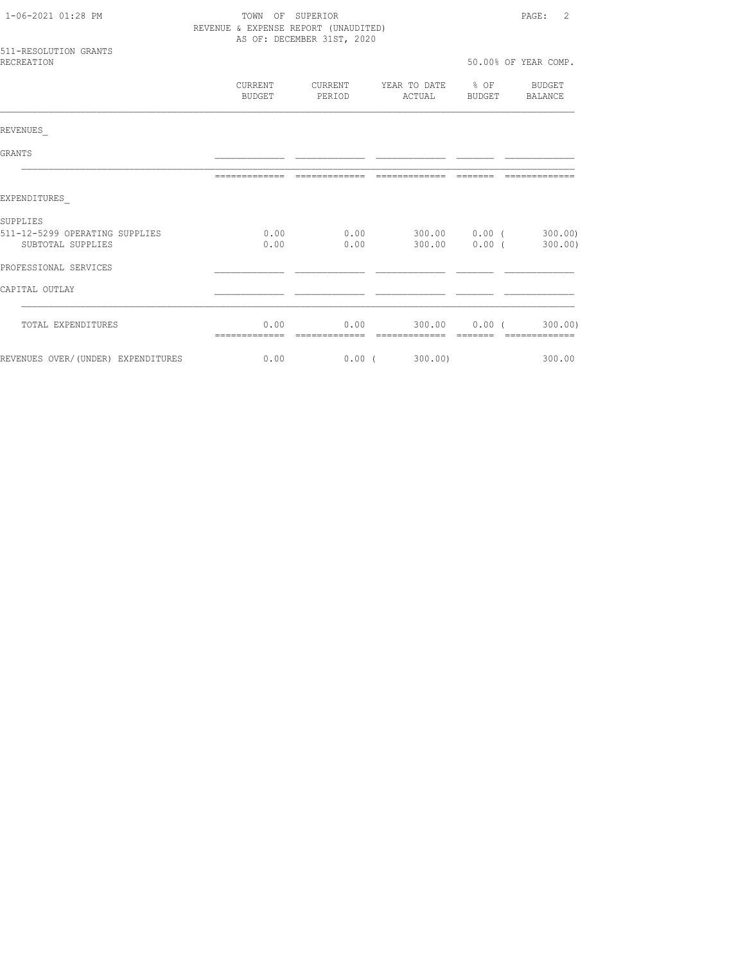| 1-06-2021 01:28 PM                                  |                   | TOWN OF SUPERIOR<br>REVENUE & EXPENSE REPORT (UNAUDITED) |                                                                                      |                 |                      |  |
|-----------------------------------------------------|-------------------|----------------------------------------------------------|--------------------------------------------------------------------------------------|-----------------|----------------------|--|
|                                                     |                   | AS OF: DECEMBER 31ST, 2020                               |                                                                                      |                 |                      |  |
| 511-RESOLUTION GRANTS<br><b>RECREATION</b>          |                   |                                                          |                                                                                      |                 | 50.00% OF YEAR COMP. |  |
|                                                     | CURRENT<br>BUDGET | PERIOD                                                   | CURRENT YEAR TO DATE 8 OF BUDGET<br>ACTUAL                                           |                 | BUDGET BALANCE       |  |
| REVENUES                                            |                   |                                                          |                                                                                      |                 |                      |  |
| GRANTS                                              |                   |                                                          |                                                                                      |                 |                      |  |
|                                                     | --------------    |                                                          |                                                                                      |                 | ------               |  |
| EXPENDITURES                                        |                   |                                                          |                                                                                      |                 |                      |  |
| SUPPLIES                                            |                   |                                                          |                                                                                      |                 |                      |  |
| 511-12-5299 OPERATING SUPPLIES<br>SUBTOTAL SUPPLIES |                   |                                                          | $0.00$ $0.00$ $0.00$ $0.00$ $0.00$ $0.00$ $0.00$ $0.00$<br>$0.00$ 0.00 300.00 0.00 ( |                 | 300.00)              |  |
| PROFESSIONAL SERVICES                               |                   |                                                          |                                                                                      |                 |                      |  |
| CAPITAL OUTLAY                                      |                   |                                                          |                                                                                      |                 |                      |  |
| TOTAL EXPENDITURES                                  | 0.00              | 0.00                                                     |                                                                                      | $300.00$ 0.00 ( | 300.00)              |  |
| REVENUES OVER/(UNDER) EXPENDITURES                  | 0.00              | 0.00(                                                    | 300.00)                                                                              |                 | 300.00               |  |
|                                                     |                   |                                                          |                                                                                      |                 |                      |  |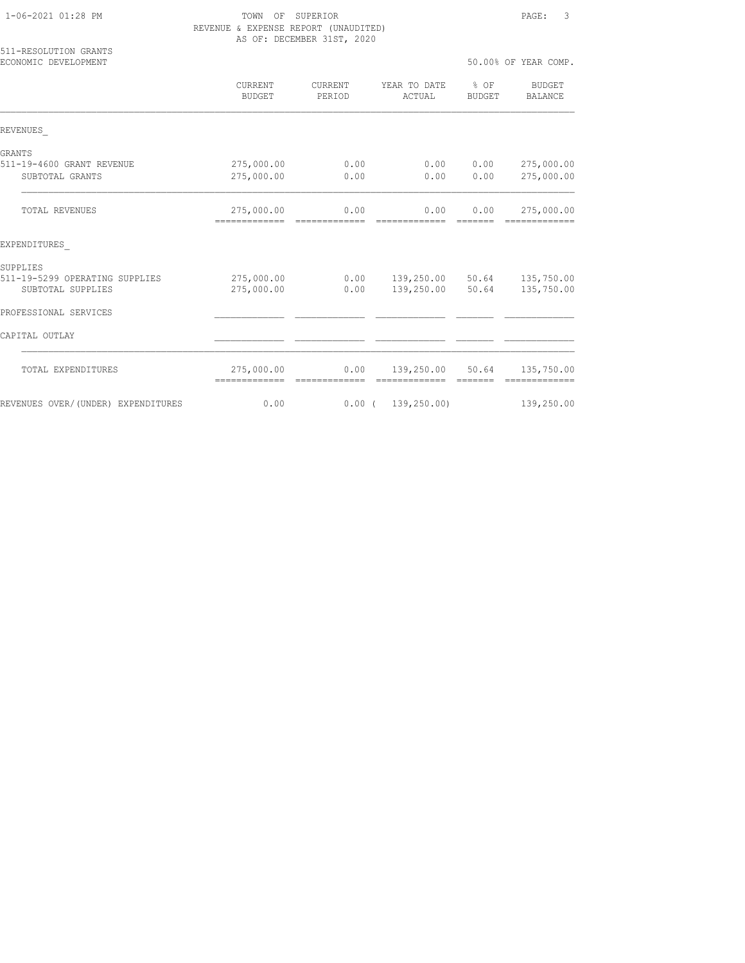| 1-06-2021 01:28 PM |  |  |
|--------------------|--|--|
|                    |  |  |

## TOWN OF SUPERIOR PAGE: 3 REVENUE & EXPENSE REPORT (UNAUDITED) AS OF: DECEMBER 31ST, 2020

| 511-RESOLUTION GRANTS<br>ECONOMIC DEVELOPMENT |                                            |                          |                             | 50.00% OF YEAR COMP. |                                                                                                                                                                                                                                                                                                                                                                                                                                                                                                      |  |
|-----------------------------------------------|--------------------------------------------|--------------------------|-----------------------------|----------------------|------------------------------------------------------------------------------------------------------------------------------------------------------------------------------------------------------------------------------------------------------------------------------------------------------------------------------------------------------------------------------------------------------------------------------------------------------------------------------------------------------|--|
|                                               | <b>CURRENT</b><br><b>BUDGET</b>            | <b>CURRENT</b><br>PERIOD | YEAR TO DATE<br>ACTUAL      | $8$ OF<br>BUDGET     | <b>BUDGET</b><br>BALANCE                                                                                                                                                                                                                                                                                                                                                                                                                                                                             |  |
| REVENUES                                      |                                            |                          |                             |                      |                                                                                                                                                                                                                                                                                                                                                                                                                                                                                                      |  |
| GRANTS                                        |                                            |                          |                             |                      |                                                                                                                                                                                                                                                                                                                                                                                                                                                                                                      |  |
| 511-19-4600 GRANT REVENUE                     | 275,000.00                                 | 0.00                     | 0.00                        | 0.00                 | 275,000.00                                                                                                                                                                                                                                                                                                                                                                                                                                                                                           |  |
| SUBTOTAL GRANTS                               | 275,000.00                                 | 0.00                     | 0.00                        | 0.00                 | 275,000.00                                                                                                                                                                                                                                                                                                                                                                                                                                                                                           |  |
| <b>TOTAL REVENUES</b>                         | 275,000.00<br>------------- -------------- | 0.00                     | 0.00<br>-------------       | 0.00<br>=======      | 275,000.00<br>$\begin{array}{cccccccccccccc} \multicolumn{2}{c}{} & \multicolumn{2}{c}{} & \multicolumn{2}{c}{} & \multicolumn{2}{c}{} & \multicolumn{2}{c}{} & \multicolumn{2}{c}{} & \multicolumn{2}{c}{} & \multicolumn{2}{c}{} & \multicolumn{2}{c}{} & \multicolumn{2}{c}{} & \multicolumn{2}{c}{} & \multicolumn{2}{c}{} & \multicolumn{2}{c}{} & \multicolumn{2}{c}{} & \multicolumn{2}{c}{} & \multicolumn{2}{c}{} & \multicolumn{2}{c}{} & \multicolumn{2}{c}{} & \multicolumn{2}{c}{} & \$ |  |
| EXPENDITURES                                  |                                            |                          |                             |                      |                                                                                                                                                                                                                                                                                                                                                                                                                                                                                                      |  |
| SUPPLIES                                      |                                            |                          |                             |                      |                                                                                                                                                                                                                                                                                                                                                                                                                                                                                                      |  |
| 511-19-5299 OPERATING SUPPLIES                | 275,000.00                                 | 0.00                     | 139,250.00 50.64 135,750.00 |                      |                                                                                                                                                                                                                                                                                                                                                                                                                                                                                                      |  |
| SUBTOTAL SUPPLIES                             | 275,000.00                                 | 0.00                     | 139,250.00                  | 50.64                | 135,750.00                                                                                                                                                                                                                                                                                                                                                                                                                                                                                           |  |
| PROFESSIONAL SERVICES                         |                                            |                          |                             |                      |                                                                                                                                                                                                                                                                                                                                                                                                                                                                                                      |  |
| CAPITAL OUTLAY                                |                                            |                          |                             |                      |                                                                                                                                                                                                                                                                                                                                                                                                                                                                                                      |  |
| TOTAL EXPENDITURES                            | 275,000.00<br>-------------                | 0.00<br>=============    | 139,250.00 50.64            | =======              | 135,750.00<br>=============                                                                                                                                                                                                                                                                                                                                                                                                                                                                          |  |
| REVENUES OVER/(UNDER) EXPENDITURES            | 0.00                                       |                          | 0.00(139, 250.00)           |                      | 139,250.00                                                                                                                                                                                                                                                                                                                                                                                                                                                                                           |  |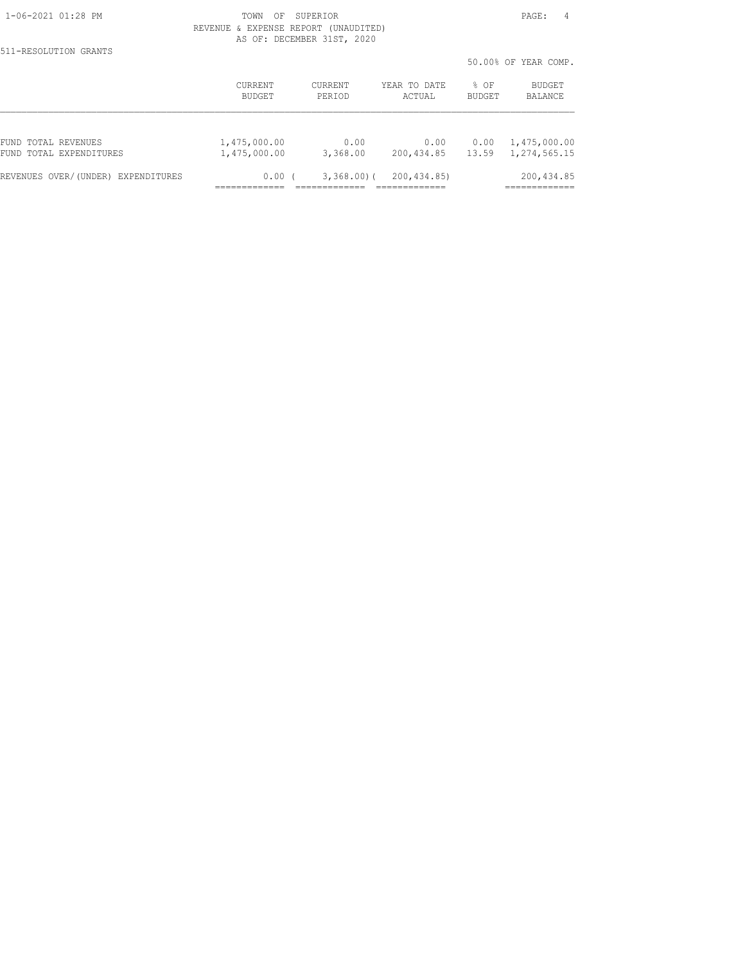511-RESOLUTION GRANTS

|                                       |                |                |              |        | 50.00% OF YEAR COMP. |
|---------------------------------------|----------------|----------------|--------------|--------|----------------------|
|                                       | <b>CURRENT</b> | <b>CURRENT</b> | YEAR TO DATE | % OF   | <b>BUDGET</b>        |
|                                       | BUDGET         | PERIOD         | ACTUAL       | BUDGET | BALANCE              |
| FUND TOTAL REVENUES                   | 1,475,000.00   | 0.00           | 0.00         | 0.00   | 1,475,000.00         |
| FUND TOTAL EXPENDITURES               | 1,475,000.00   | 3,368.00       | 200, 434.85  | 13.59  | 1,274,565.15         |
| REVENUES OVER/(UNDER)<br>EXPENDITURES | 0.00           | 3,368.00(      | 200, 434.85) |        | 200, 434.85          |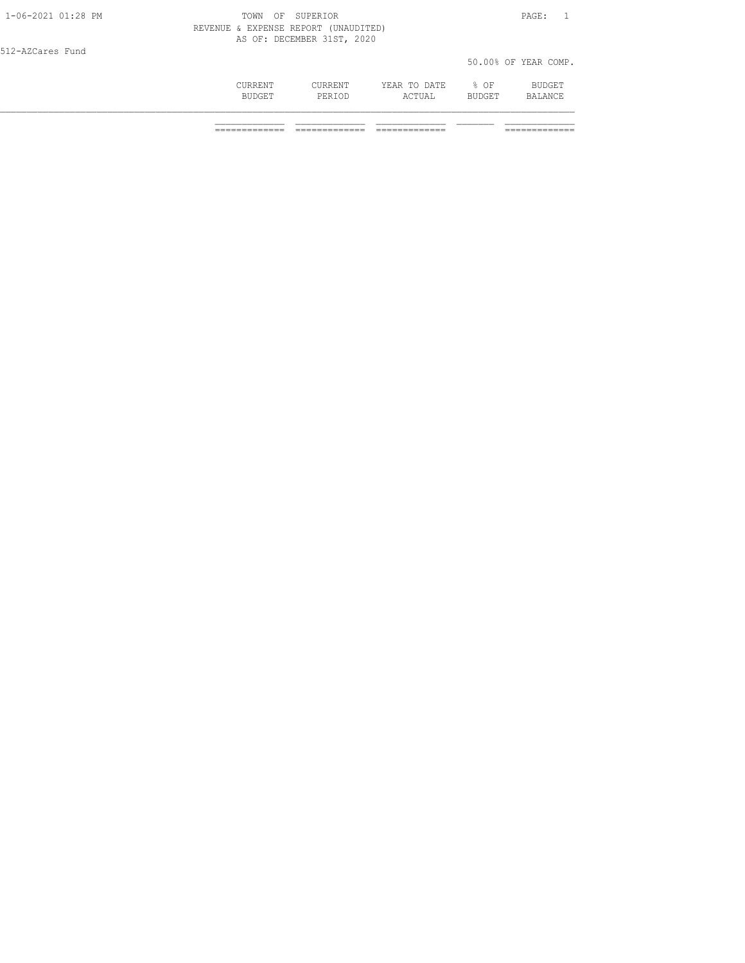| 1-06-2021 01:28 PM | TOWN    | SUPERIOR<br>OF                                                     |              |        | PAGE:                |
|--------------------|---------|--------------------------------------------------------------------|--------------|--------|----------------------|
|                    |         | REVENUE & EXPENSE REPORT (UNAUDITED)<br>AS OF: DECEMBER 31ST, 2020 |              |        |                      |
| 512-AZCares Fund   |         |                                                                    |              |        |                      |
|                    |         |                                                                    |              |        | 50.00% OF YEAR COMP. |
|                    | CURRENT | CURRENT                                                            | YEAR TO DATE | % OF   | BUDGET               |
|                    | BUDGET  | PERIOD                                                             | ACTUAL       | BUDGET | BALANCE              |
|                    |         |                                                                    |              |        |                      |

============= ============= ============= =============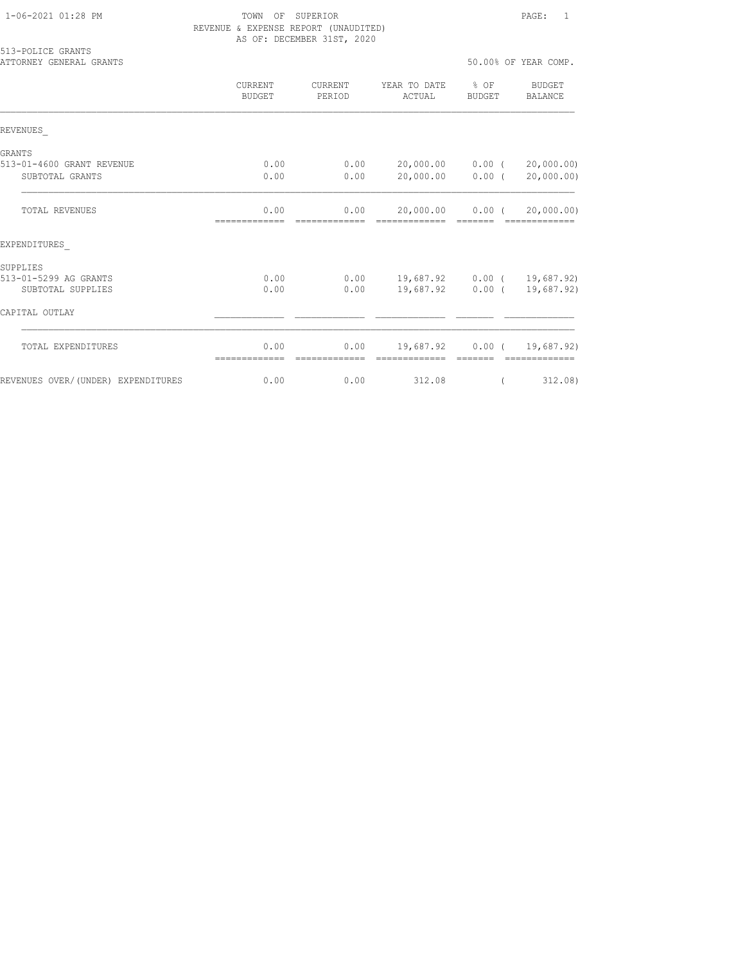| 513-POLICE GRANTS<br>ATTORNEY GENERAL GRANTS |                          |                   |                                                                              |        | 50.00% OF YEAR COMP.        |
|----------------------------------------------|--------------------------|-------------------|------------------------------------------------------------------------------|--------|-----------------------------|
|                                              | CURRENT<br><b>BUDGET</b> | CURRENT<br>PERIOD | YEAR TO DATE % OF<br>ACTUAL                                                  | BUDGET | BUDGET<br>BALANCE           |
| REVENUES                                     |                          |                   |                                                                              |        |                             |
| GRANTS                                       | 0.00                     | 0.00              |                                                                              |        |                             |
| 513-01-4600 GRANT REVENUE<br>SUBTOTAL GRANTS | 0.00                     | 0.00              | 20,000.00   0.00   (   20,000.00)<br>20,000.00 0.00 (                        |        | 20,000.00)                  |
| <b>TOTAL REVENUES</b>                        | 0.00<br>--------------   | --------------    | $0.00$ 20,000.00 0.00 ( 20,000.00)<br>====================================== |        |                             |
| EXPENDITURES                                 |                          |                   |                                                                              |        |                             |
| SUPPLIES                                     |                          |                   |                                                                              |        |                             |
| 513-01-5299 AG GRANTS<br>SUBTOTAL SUPPLIES   | 0.00<br>0.00             | 0.00              | $0.00$ 19,687.92 0.00 ( 19,687.92)                                           |        | 19,687.92 0.00 ( 19,687.92) |
| CAPITAL OUTLAY                               |                          |                   |                                                                              |        |                             |
| TOTAL EXPENDITURES                           | 0.00                     | 0.00              | 19,687.92 0.00 ( 19,687.92)                                                  |        |                             |
| REVENUES OVER/(UNDER) EXPENDITURES           | 0.00                     | 0.00              | 312.08                                                                       |        | 312,08)                     |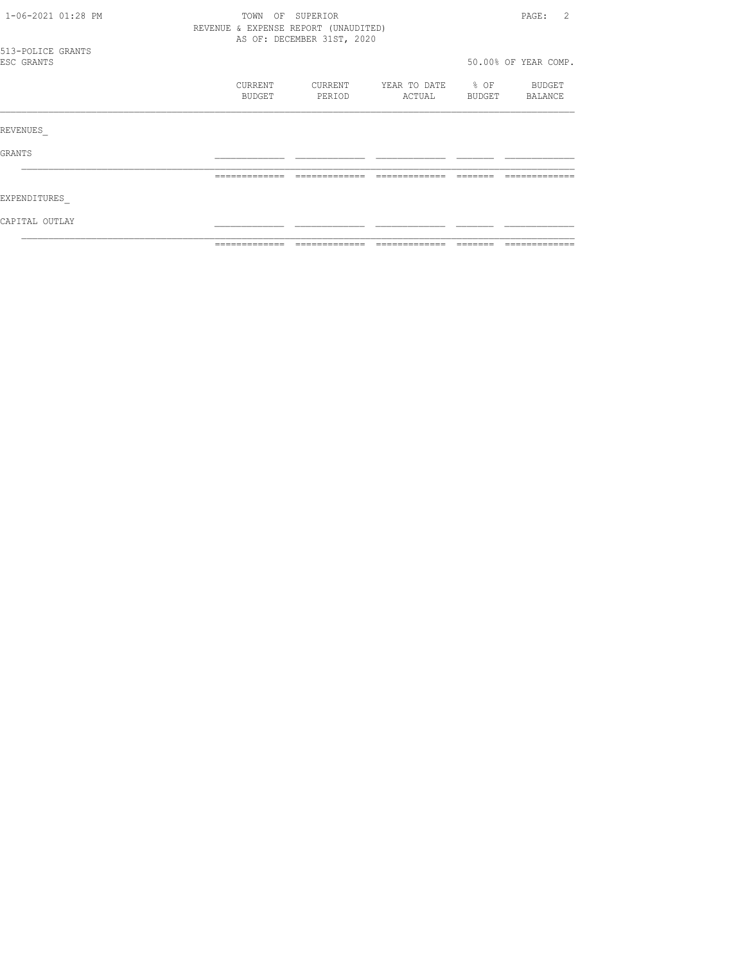| 1-06-2021 01:28 PM              |  | OF SUPERIOR<br>TOWN<br>REVENUE & EXPENSE REPORT (UNAUDITED)<br>AS OF: DECEMBER 31ST, 2020 |                   |                   |                        |                     |                      |
|---------------------------------|--|-------------------------------------------------------------------------------------------|-------------------|-------------------|------------------------|---------------------|----------------------|
| 513-POLICE GRANTS<br>ESC GRANTS |  |                                                                                           |                   |                   |                        |                     | 50.00% OF YEAR COMP. |
|                                 |  |                                                                                           | CURRENT<br>BUDGET | CURRENT<br>PERIOD | YEAR TO DATE<br>ACTUAL | $\div$ OF<br>BUDGET | BUDGET<br>BALANCE    |
| REVENUES                        |  |                                                                                           |                   |                   |                        |                     |                      |
| GRANTS                          |  |                                                                                           |                   |                   |                        |                     |                      |
|                                 |  |                                                                                           | -------------     |                   |                        |                     |                      |
| EXPENDITURES                    |  |                                                                                           |                   |                   |                        |                     |                      |
| CAPITAL OUTLAY                  |  |                                                                                           |                   |                   |                        |                     |                      |
|                                 |  |                                                                                           | =============     | -------------     |                        |                     | -------------        |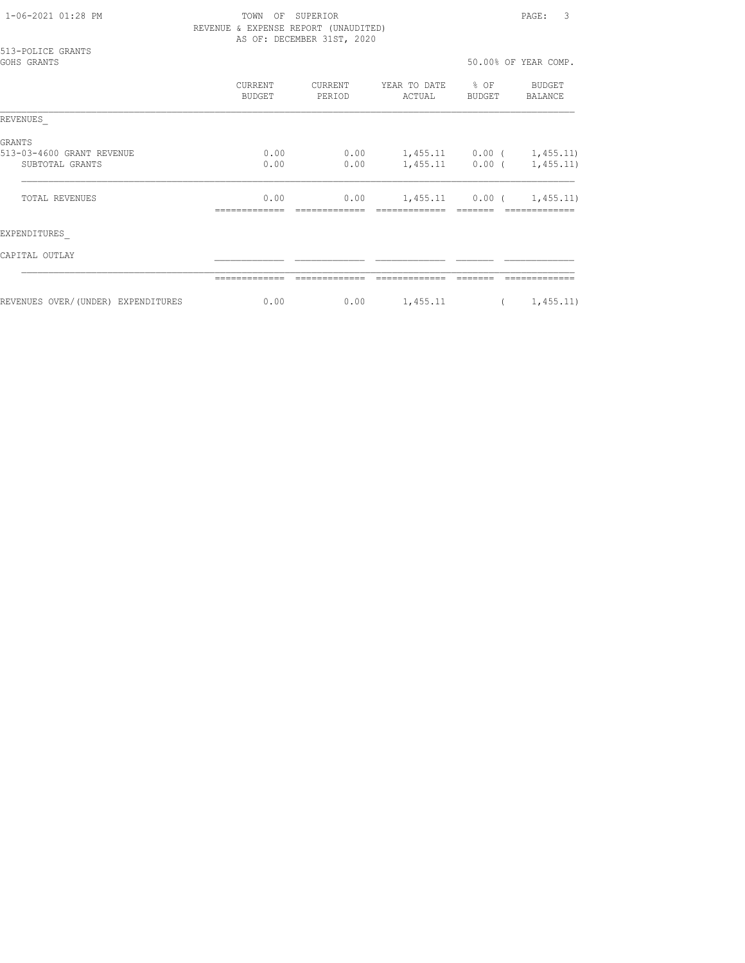| 1-06-2021 01:28 PM |  |  |
|--------------------|--|--|
|                    |  |  |

## TOWN OF SUPERIOR PAGE: 3 REVENUE & EXPENSE REPORT (UNAUDITED) AS OF: DECEMBER 31ST, 2020

|             | 513-POLICE GRANTS |
|-------------|-------------------|
| GOHS GRANTS |                   |

| GOHS GRANTS                                                   |                   |                   |                        |                         | 50.00% OF YEAR COMP.     |
|---------------------------------------------------------------|-------------------|-------------------|------------------------|-------------------------|--------------------------|
|                                                               | CURRENT<br>BUDGET | CURRENT<br>PERIOD | YEAR TO DATE<br>ACTUAL | $8$ OF<br><b>BUDGET</b> | <b>BUDGET</b><br>BALANCE |
| <b>REVENUES</b>                                               |                   |                   |                        |                         |                          |
| <b>GRANTS</b><br>513-03-4600 GRANT REVENUE<br>SUBTOTAL GRANTS | 0.00<br>0.00      | 0.00<br>0.00      | 1,455.11<br>1,455.11   | $0.00$ (<br>$0.00$ (    | 1,455.11)<br>1,455.11)   |
| <b>TOTAL REVENUES</b>                                         | 0.00              | 0.00              | 1,455.11               | $0.00$ (                | 1,455.11)                |
| EXPENDITURES                                                  |                   |                   |                        |                         |                          |

CAPITAL OUTLAY \_\_\_\_\_\_\_\_\_\_\_\_\_ \_\_\_\_\_\_\_\_\_\_\_\_\_ \_\_\_\_\_\_\_\_\_\_\_\_\_ \_\_\_\_\_\_\_ \_\_\_\_\_\_\_\_\_\_\_\_\_

|                                                              | __       |      |          |                    |
|--------------------------------------------------------------|----------|------|----------|--------------------|
| OVER/<br>(UNDER)<br>FYPRNDT<br>REVENUES<br>'ת קווידי<br>---- | n n<br>∩ | 0.00 | 1,455.11 | 455.11<br><u>_</u> |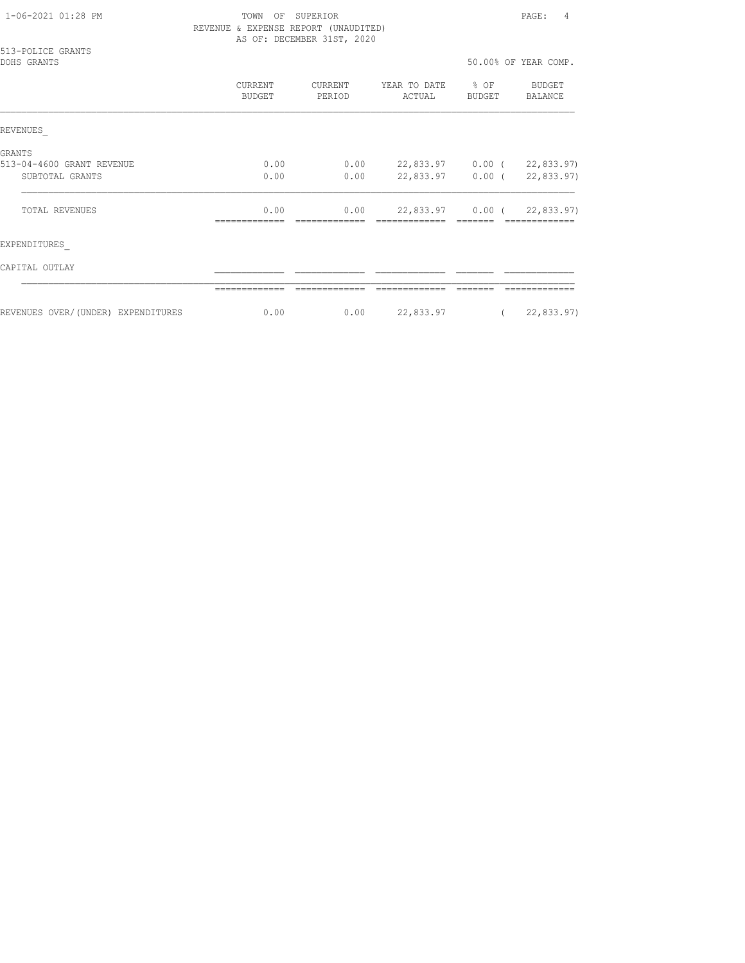| 1-06-2021 01:28 PM |  |
|--------------------|--|
|                    |  |

# TOWN OF SUPERIOR PAGE: 4 REVENUE & EXPENSE REPORT (UNAUDITED) AS OF: DECEMBER 31ST, 2020

| 513-POLICE GRANTS<br>DOHS GRANTS   |                   |                   |                            |                  | 50.00% OF YEAR COMP.       |
|------------------------------------|-------------------|-------------------|----------------------------|------------------|----------------------------|
|                                    | CURRENT<br>BUDGET | CURRENT<br>PERIOD | YEAR TO DATE<br>ACTUAL     | $8$ OF<br>BUDGET | BUDGET<br>BALANCE          |
| REVENUES                           |                   |                   |                            |                  |                            |
| GRANTS                             |                   |                   |                            |                  |                            |
| 513-04-4600 GRANT REVENUE          | 0.00              | 0.00              | 22,833.97 0.00 (22,833.97) |                  |                            |
| SUBTOTAL GRANTS                    | 0.00              | 0.00              |                            |                  | 22,833.97 0.00 (22,833.97) |
| <b>TOTAL REVENUES</b>              | 0.00              | 0.00              | 22,833.97 0.00 (           |                  | 22,833.97)                 |
| EXPENDITURES                       |                   |                   |                            |                  |                            |
| CAPITAL OUTLAY                     |                   |                   |                            |                  |                            |
|                                    |                   |                   |                            |                  |                            |
| REVENUES OVER/(UNDER) EXPENDITURES | 0.00              | 0.00              | 22,833.97                  |                  | 22,833.97)                 |
|                                    |                   |                   |                            |                  |                            |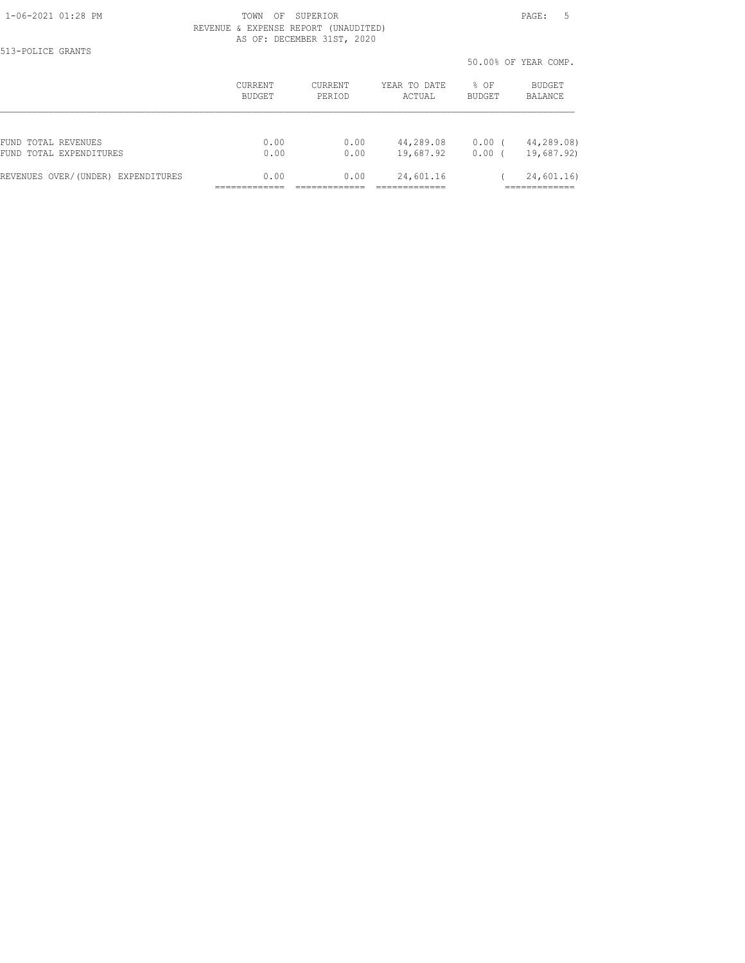513-POLICE GRANTS

#### 1-06-2021 01:28 PM TOWN OF SUPERIOR PAGE: 5 REVENUE & EXPENSE REPORT (UNAUDITED) AS OF: DECEMBER 31ST, 2020

50.00% OF YEAR COMP.

|                                    |                |         |              | 50.00% OF YEAR COMP. |            |  |
|------------------------------------|----------------|---------|--------------|----------------------|------------|--|
|                                    | <b>CURRENT</b> | CURRENT | YEAR TO DATE | $8$ OF               | BUDGET     |  |
|                                    | BUDGET         | PERIOD  | ACTUAL       | <b>BUDGET</b>        | BALANCE    |  |
| FUND TOTAL REVENUES                | 0.00           | 0.00    | 44,289.08    | $0.00$ (             | 44,289.08) |  |
| FUND TOTAL EXPENDITURES            | 0.00           | 0.00    | 19,687.92    | 0.00                 | 19,687.92) |  |
| REVENUES OVER/(UNDER) EXPENDITURES | 0.00           | 0.00    | 24,601.16    |                      | 24,601.16) |  |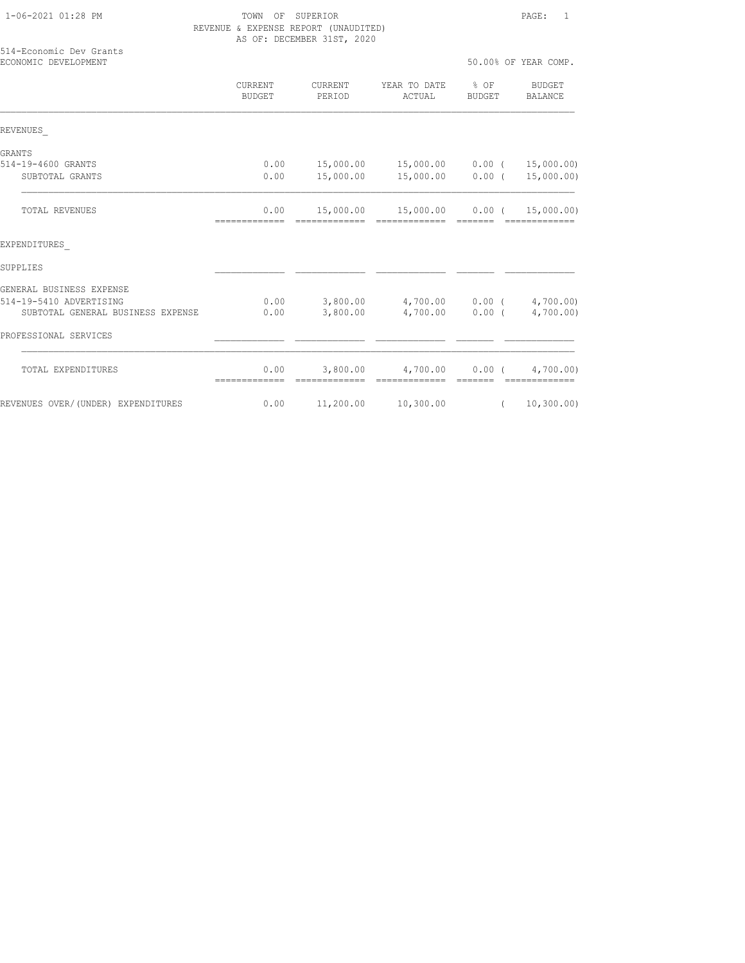| 514-Economic Dev Grants<br>ECONOMIC DEVELOPMENT |                          |                   |                                   |                | 50.00% OF YEAR COMP.            |
|-------------------------------------------------|--------------------------|-------------------|-----------------------------------|----------------|---------------------------------|
|                                                 | CURRENT<br><b>BUDGET</b> | CURRENT<br>PERIOD | YEAR TO DATE<br>ACTUAL            | % OF<br>BUDGET | <b>BUDGET</b><br><b>BALANCE</b> |
| REVENUES                                        |                          |                   |                                   |                |                                 |
| GRANTS                                          |                          |                   |                                   |                |                                 |
| 514-19-4600 GRANTS                              | 0.00                     | 15,000.00         | 15,000.00  0.00  ( 15,000.00)     |                |                                 |
| SUBTOTAL GRANTS                                 | 0.00                     | 15,000.00         | 15,000.00 0.00 (                  |                | 15,000.00)                      |
| <b>TOTAL REVENUES</b>                           | 0.00<br>=============    | 15,000.00         | 15,000.00   0.00 $($ 15,000.00)   |                |                                 |
| EXPENDITURES                                    |                          |                   |                                   |                |                                 |
| SUPPLIES                                        |                          |                   |                                   |                |                                 |
| GENERAL BUSINESS EXPENSE                        |                          |                   |                                   |                |                                 |
| 514-19-5410 ADVERTISING                         | 0.00                     |                   | 3,800.00 4,700.00 0.00 (4,700.00) |                |                                 |
| SUBTOTAL GENERAL BUSINESS EXPENSE               | 0.00                     | 3,800.00          | 4,700.00 0.00 (                   |                | 4,700.00)                       |
| PROFESSIONAL SERVICES                           |                          |                   |                                   |                |                                 |
| TOTAL EXPENDITURES                              | 0.00                     | 3,800.00          | 4,700.00 0.00 (                   |                | 4,700.00)                       |
| REVENUES OVER/(UNDER) EXPENDITURES              | 0.00                     | 11,200.00         | 10,300.00                         | $\sqrt{2}$     | 10, 300.00)                     |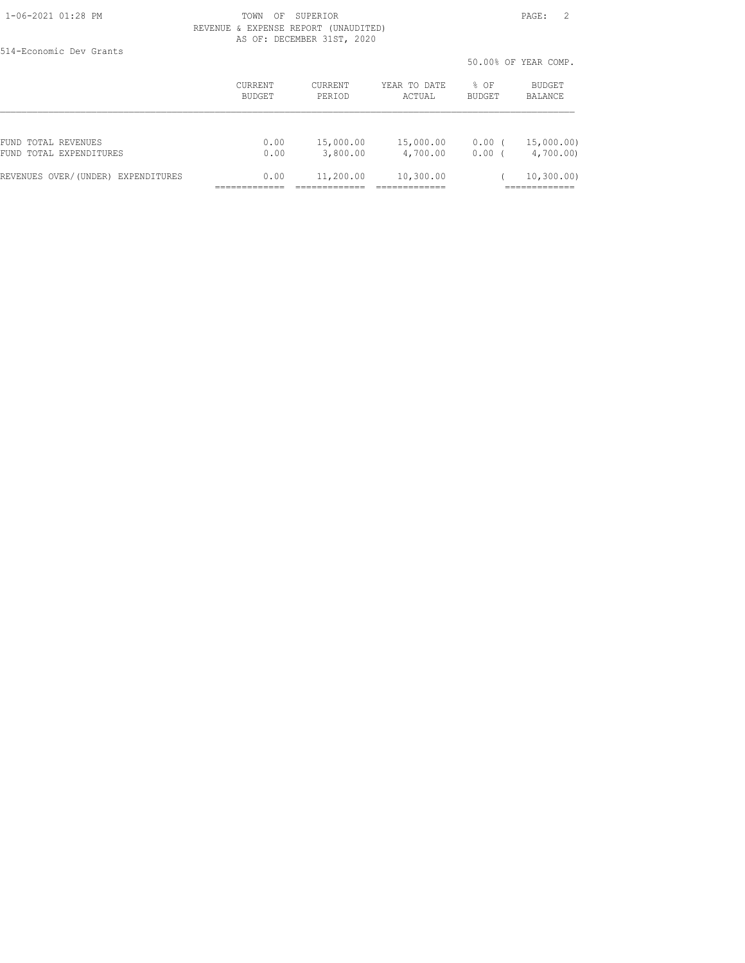514-Economic Dev Grants

|                                    |                |           |              |               | 50.00% OF YEAR COMP.       |
|------------------------------------|----------------|-----------|--------------|---------------|----------------------------|
|                                    | <b>CURRENT</b> | CURRENT   | YEAR TO DATE | % OF          | BUDGET                     |
|                                    | BUDGET         | PERIOD    | ACTUAL       | <b>BUDGET</b> | <b>BALANCE</b>             |
| FUND TOTAL REVENUES                | 0.00           | 15,000.00 | 15,000.00    | $0.00$ (      | 15,000.00)                 |
| FUND TOTAL EXPENDITURES            | 0.00           | 3,800.00  | 4,700.00     | 0.00          | 4,700.00)                  |
| REVENUES OVER/(UNDER) EXPENDITURES | 0.00           | 11,200.00 | 10,300.00    |               | 10, 300.00)<br>___________ |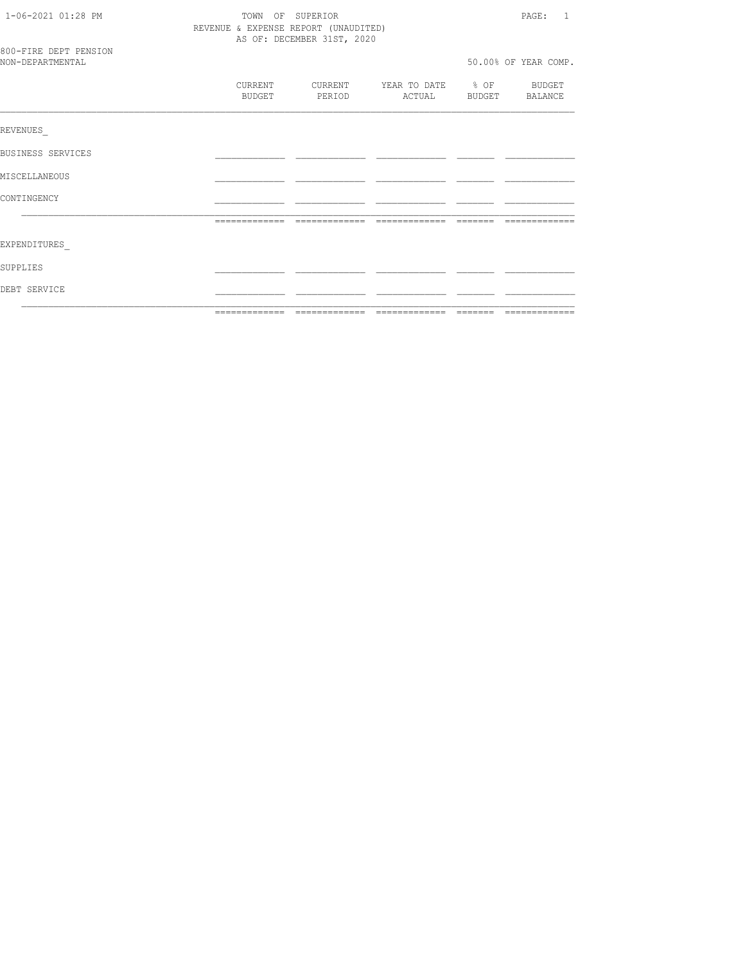| 1-06-2021 01:28 PM                        | TOWN OF SUPERIOR<br>REVENUE & EXPENSE REPORT (UNAUDITED)<br>AS OF: DECEMBER 31ST, 2020 | PAGE: 1 |                                            |  |                      |
|-------------------------------------------|----------------------------------------------------------------------------------------|---------|--------------------------------------------|--|----------------------|
| 800-FIRE DEPT PENSION<br>NON-DEPARTMENTAL |                                                                                        |         |                                            |  | 50.00% OF YEAR COMP. |
|                                           | CURRENT<br>BUDGET                                                                      | PERIOD  | CURRENT YEAR TO DATE % OF BUDGET<br>ACTUAL |  | BUDGET BALANCE       |
| REVENUES                                  |                                                                                        |         |                                            |  |                      |
| BUSINESS SERVICES                         |                                                                                        |         |                                            |  |                      |
| MISCELLANEOUS                             |                                                                                        |         |                                            |  |                      |
| CONTINGENCY                               |                                                                                        |         |                                            |  |                      |
|                                           |                                                                                        |         |                                            |  |                      |
| EXPENDITURES                              |                                                                                        |         |                                            |  |                      |
| SUPPLIES                                  |                                                                                        |         |                                            |  |                      |
| DEBT SERVICE                              |                                                                                        |         |                                            |  |                      |
|                                           |                                                                                        |         |                                            |  |                      |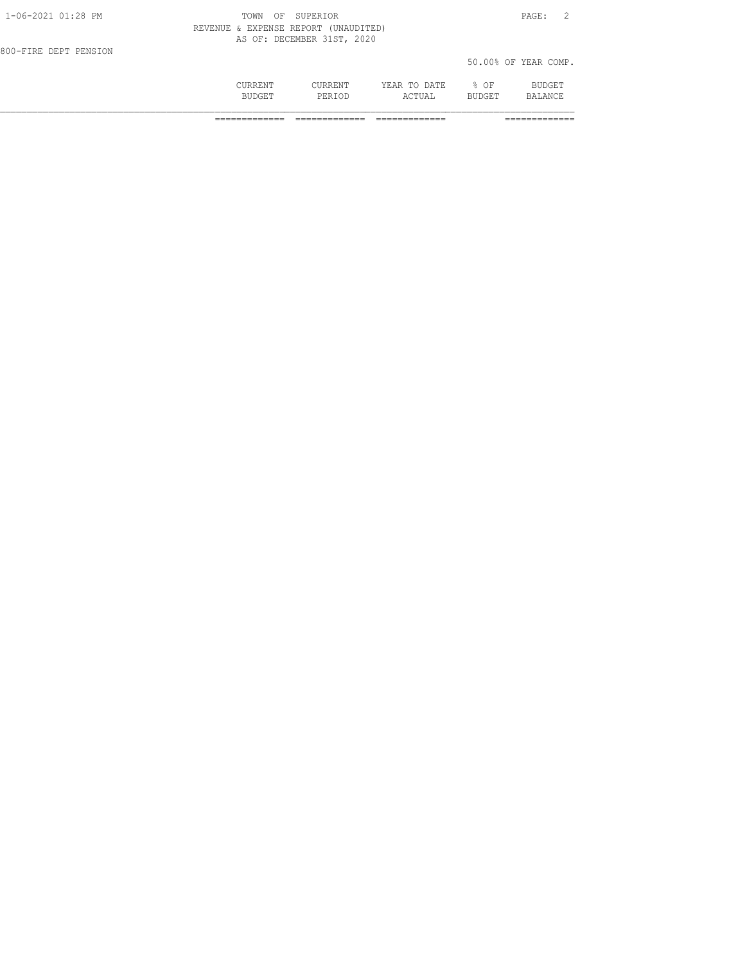|                       | CURRENT<br><b>BUDGET</b>             | CURRENT<br>PERTOD          | YEAR TO DATE<br>ACTUAL | % OF<br><b>BUDGET</b> | BUDGET<br>BALANCE    |  |
|-----------------------|--------------------------------------|----------------------------|------------------------|-----------------------|----------------------|--|
| 800-FIRE DEPT PENSION |                                      |                            |                        |                       | 50.00% OF YEAR COMP. |  |
|                       | REVENUE & EXPENSE REPORT (UNAUDITED) | AS OF: DECEMBER 31ST, 2020 |                        |                       |                      |  |
| 1-06-2021 01:28 PM    | TOWN<br>OF                           | SUPERIOR                   |                        |                       | PAGE:                |  |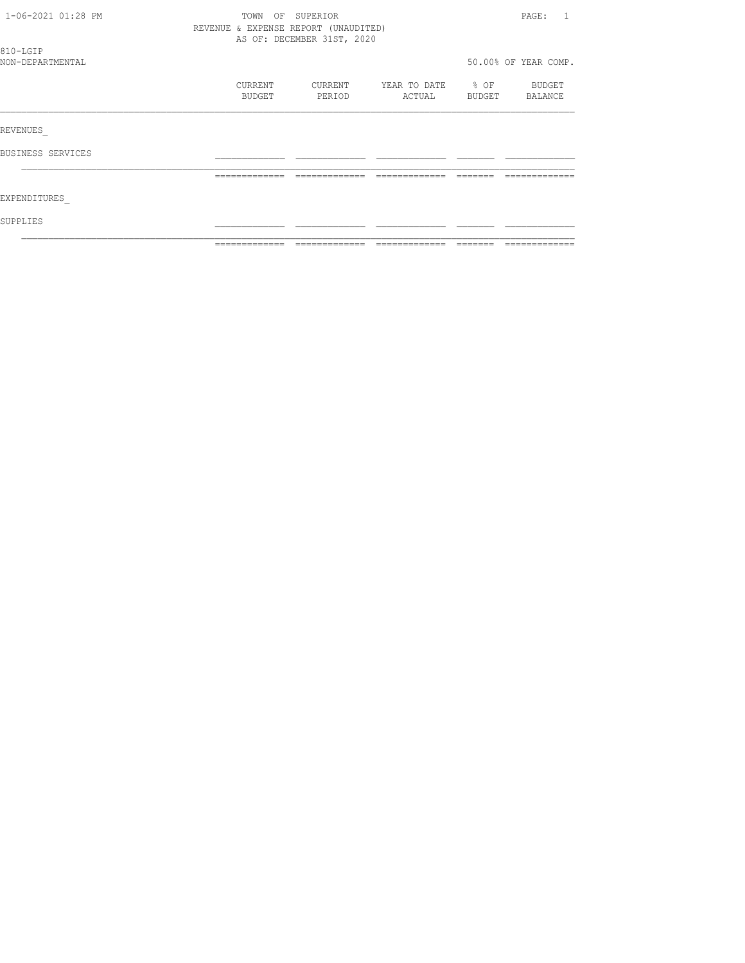| 1-06-2021 01:28 PM           | TOWN<br>OF                           | SUPERIOR                   |                        |                     | PAGE:                |
|------------------------------|--------------------------------------|----------------------------|------------------------|---------------------|----------------------|
|                              | REVENUE & EXPENSE REPORT (UNAUDITED) | AS OF: DECEMBER 31ST, 2020 |                        |                     |                      |
| 810-LGIP<br>NON-DEPARTMENTAL |                                      |                            |                        |                     | 50.00% OF YEAR COMP. |
|                              | CURRENT<br>BUDGET                    | CURRENT<br>PERIOD          | YEAR TO DATE<br>ACTUAL | $\div$ OF<br>BUDGET | BUDGET<br>BALANCE    |
| REVENUES                     |                                      |                            |                        |                     |                      |
| BUSINESS SERVICES            |                                      |                            |                        |                     |                      |
|                              | -------------                        |                            |                        |                     |                      |
| EXPENDITURES                 |                                      |                            |                        |                     |                      |
| SUPPLIES                     |                                      |                            |                        |                     |                      |
|                              | -------------                        |                            |                        |                     |                      |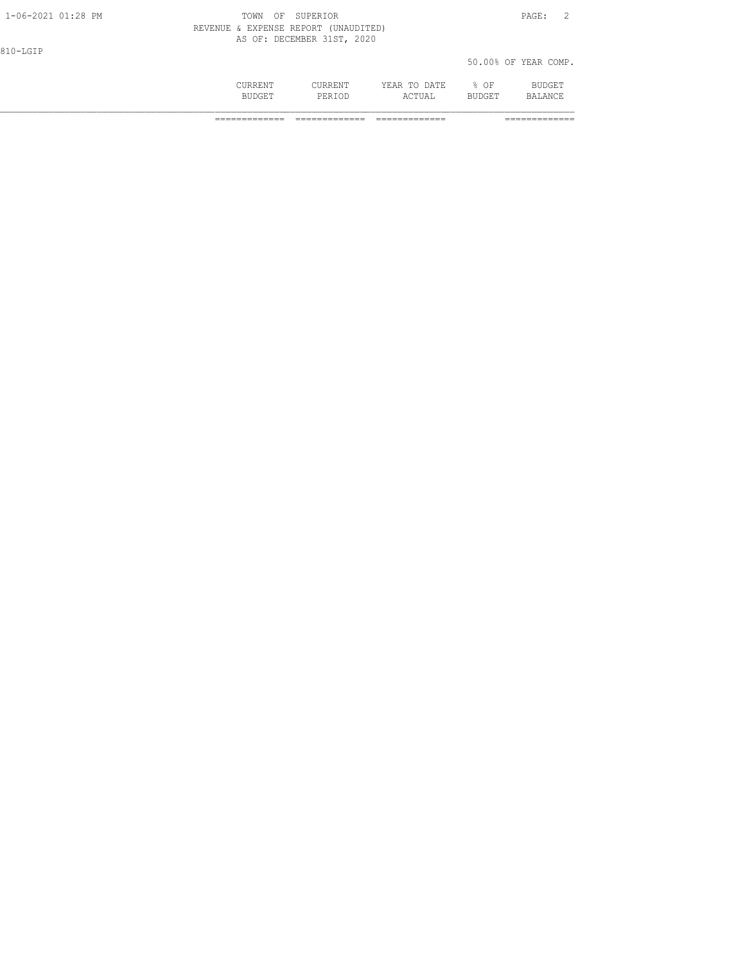|                    | <b>CURRENT</b><br><b>BUDGET</b> | CURRENT<br>PERTOD                                                  | YEAR TO DATE<br>ACTUAL | 8 OF<br><b>BUDGET</b> | BUDGET<br>BALANCE    |  |
|--------------------|---------------------------------|--------------------------------------------------------------------|------------------------|-----------------------|----------------------|--|
| 810-LGIP           |                                 |                                                                    |                        |                       | 50.00% OF YEAR COMP. |  |
|                    |                                 | REVENUE & EXPENSE REPORT (UNAUDITED)<br>AS OF: DECEMBER 31ST, 2020 |                        |                       |                      |  |
| 1-06-2021 01:28 PM | TOWN                            | OF SUPERIOR                                                        |                        |                       | PAGE:                |  |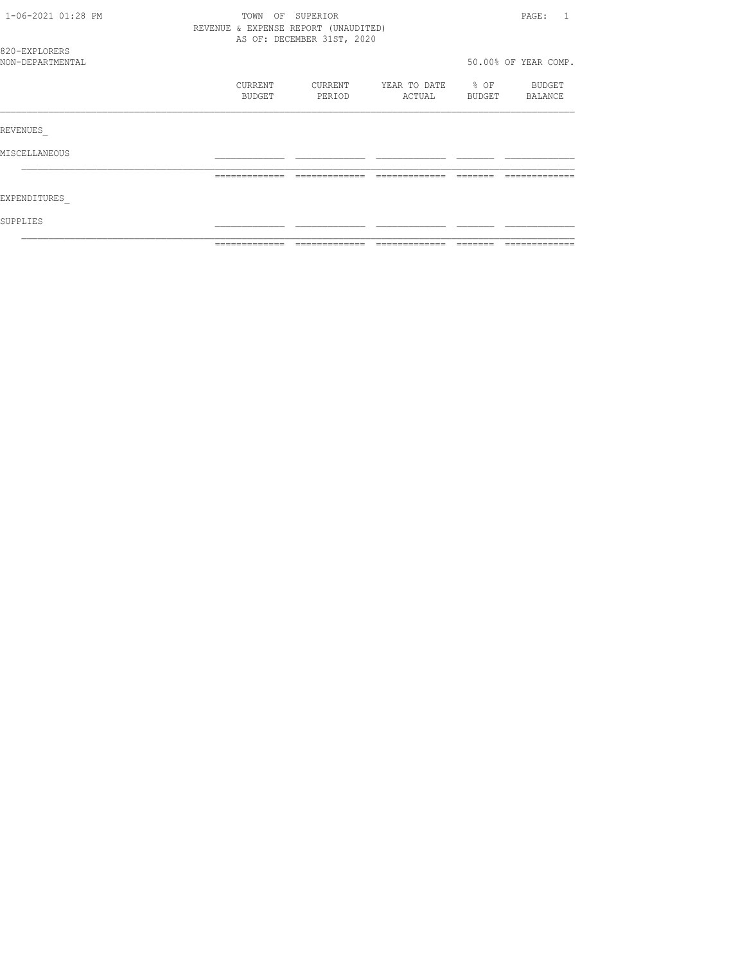| 1-06-2021 01:28 PM                | TOWN<br>REVENUE & EXPENSE REPORT (UNAUDITED) | OF SUPERIOR<br>AS OF: DECEMBER 31ST, 2020 |                        |                            | PAGE:                |
|-----------------------------------|----------------------------------------------|-------------------------------------------|------------------------|----------------------------|----------------------|
| 820-EXPLORERS<br>NON-DEPARTMENTAL |                                              |                                           |                        |                            | 50.00% OF YEAR COMP. |
|                                   | CURRENT<br>BUDGET                            | CURRENT<br>PERIOD                         | YEAR TO DATE<br>ACTUAL | $\frac{1}{2}$ OF<br>BUDGET | BUDGET<br>BALANCE    |
| REVENUES                          |                                              |                                           |                        |                            |                      |
| MISCELLANEOUS                     |                                              |                                           |                        |                            |                      |
|                                   |                                              |                                           |                        |                            |                      |
| EXPENDITURES                      |                                              |                                           |                        |                            |                      |
| SUPPLIES                          |                                              |                                           |                        |                            |                      |
|                                   | -------------                                |                                           |                        |                            |                      |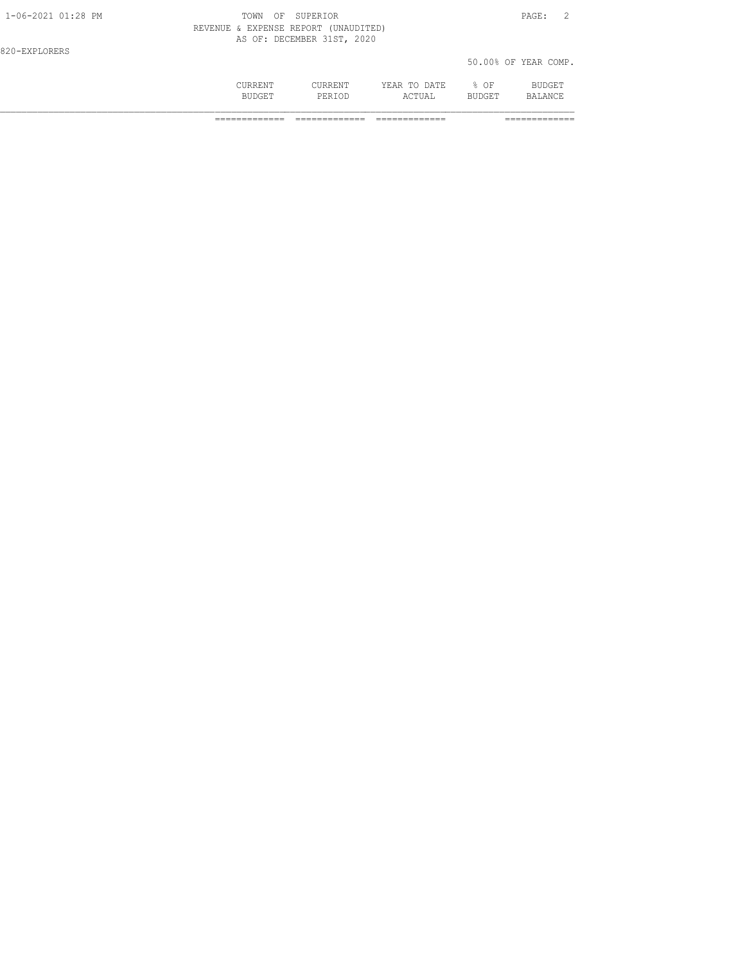|                    | CURRENT<br><b>BUDGET</b>             | CURRENT<br>PERTOD          | YEAR TO DATE<br>ACTUAL | $8$ OF<br><b>BUDGET</b> | BUDGET<br>BALANCE    |
|--------------------|--------------------------------------|----------------------------|------------------------|-------------------------|----------------------|
| 820-EXPLORERS      |                                      |                            |                        |                         | 50.00% OF YEAR COMP. |
|                    | REVENUE & EXPENSE REPORT (UNAUDITED) | AS OF: DECEMBER 31ST, 2020 |                        |                         |                      |
| 1-06-2021 01:28 PM | <b>TOWN</b><br>ΟF                    | SUPERIOR                   |                        |                         | PAGE:                |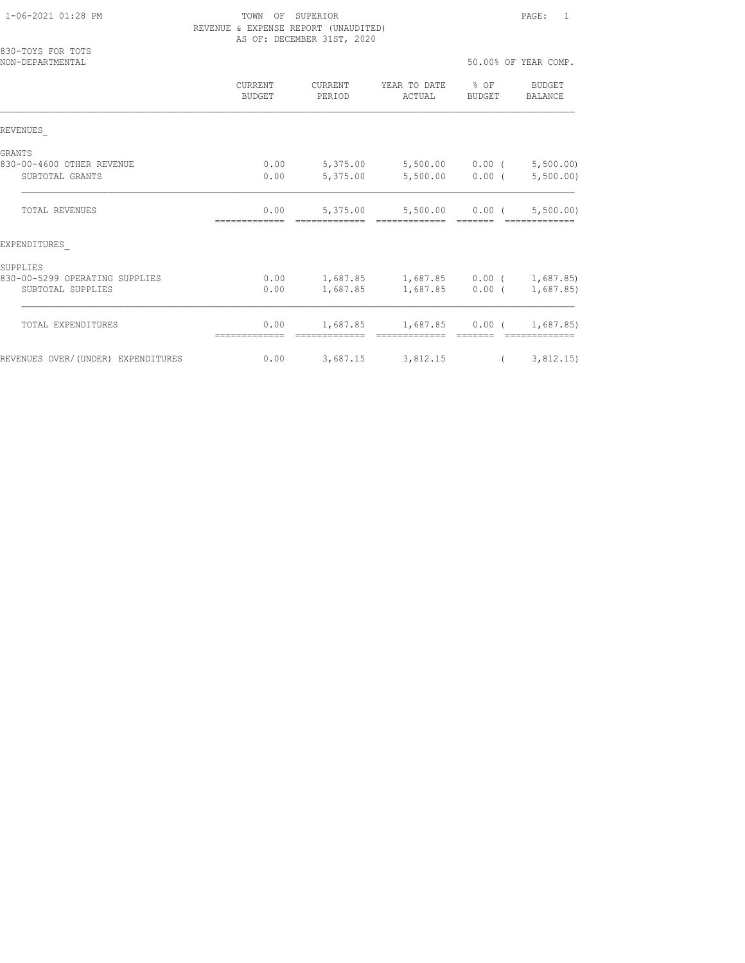| 830-TOYS FOR TOTS<br>NON-DEPARTMENTAL |                          |                       |                                             |          | 50.00% OF YEAR COMP.           |
|---------------------------------------|--------------------------|-----------------------|---------------------------------------------|----------|--------------------------------|
|                                       | <b>CURRENT</b><br>BUDGET | CURRENT<br>PERIOD     | YEAR TO DATE % OF<br>ACTUAL                 | BUDGET   | BUDGET<br>BALANCE              |
| REVENUES                              |                          |                       |                                             |          |                                |
| <b>GRANTS</b>                         |                          |                       |                                             |          |                                |
| 830-00-4600 OTHER REVENUE             | 0.00                     | 5,375.00              |                                             |          | $5,500.00$ 0.00 ( $5,500.00$ ) |
| SUBTOTAL GRANTS                       | 0.00                     | 5,375.00              | 5,500.00                                    | $0.00$ ( | 5,500.00)                      |
| <b>TOTAL REVENUES</b>                 | 0.00                     |                       | 5,375.00 5,500.00 0.00 (5,500.00)           |          |                                |
| EXPENDITURES                          |                          |                       |                                             |          |                                |
| SUPPLIES                              |                          |                       |                                             |          |                                |
| 830-00-5299 OPERATING SUPPLIES        | 0.00                     |                       | $1,687.85$ $1,687.85$ $0.00$ ( $1,687.85$ ) |          |                                |
| SUBTOTAL SUPPLIES                     | 0.00                     |                       | $1,687.85$ $1,687.85$ 0.00 ( 1,687.85)      |          |                                |
| TOTAL EXPENDITURES                    | 0.00                     |                       | $1,687.85$ $1,687.85$ 0.00 ( 1,687.85)      |          |                                |
|                                       |                          |                       |                                             |          |                                |
| REVENUES OVER/(UNDER) EXPENDITURES    | 0.00                     | $3,687.15$ $3,812.15$ |                                             |          | (3, 812.15)                    |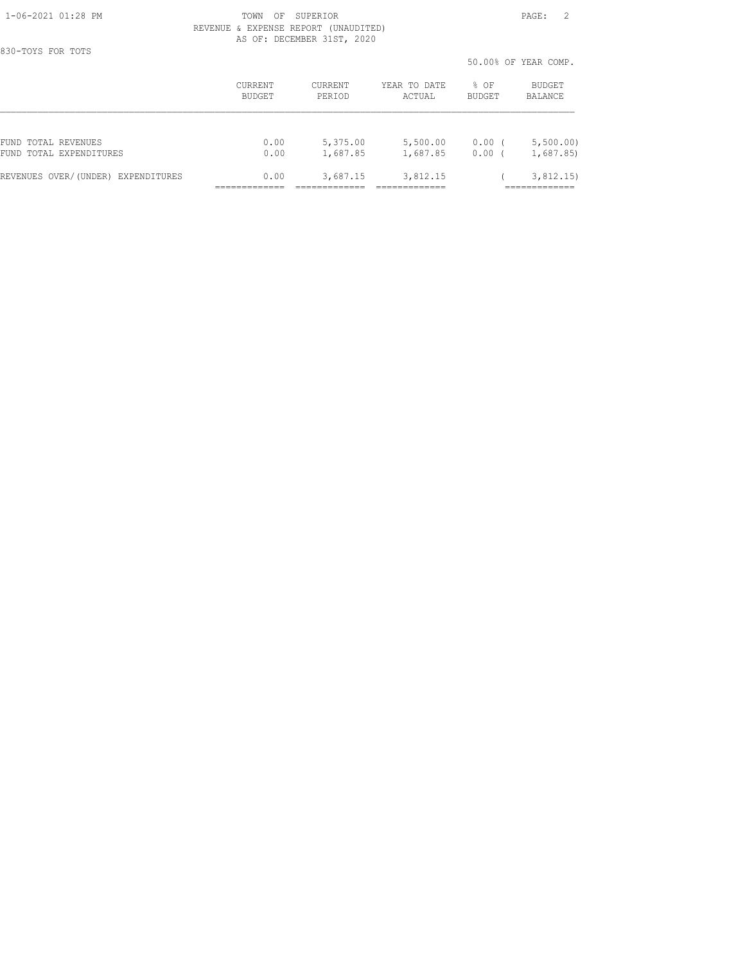830-TOYS FOR TOTS

#### 1-06-2021 01:28 PM TOWN OF SUPERIOR PAGE: 2 REVENUE & EXPENSE REPORT (UNAUDITED) AS OF: DECEMBER 31ST, 2020

50.00% OF YEAR COMP.

|                                    |         |                |              | JU.VUG UP IEAR CUMF. |           |
|------------------------------------|---------|----------------|--------------|----------------------|-----------|
|                                    | CURRENT | <b>CURRENT</b> | YEAR TO DATE | % OF                 | BUDGET    |
|                                    | BUDGET  | PERIOD         | ACTUAL       | BUDGET               | BALANCE   |
| FUND TOTAL REVENUES                | 0.00    | 5,375.00       | 5,500.00     | $0.00$ (             | 5,500.00) |
| FUND TOTAL EXPENDITURES            | 0.00    | 1,687.85       | 1,687.85     | 0.00                 | 1,687.85  |
| REVENUES OVER/(UNDER) EXPENDITURES | 0.00    | 3,687.15       | 3,812.15     |                      | 3,812.15) |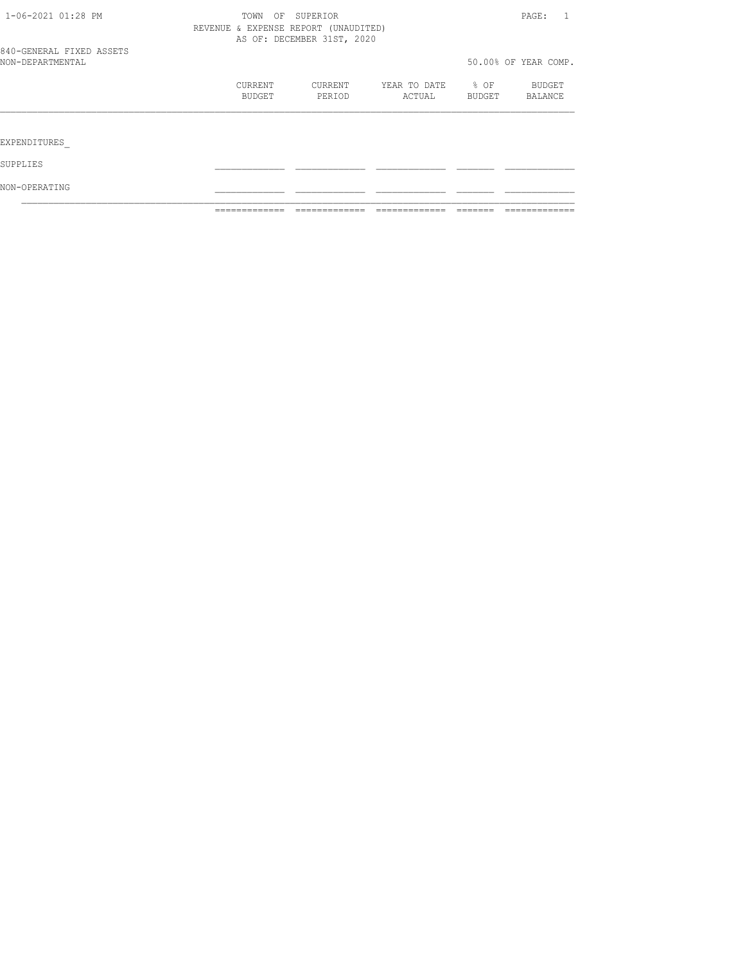| NON-OPERATING                                |                   |                                                                    |                        |                  |                      |
|----------------------------------------------|-------------------|--------------------------------------------------------------------|------------------------|------------------|----------------------|
| SUPPLIES                                     |                   |                                                                    |                        |                  |                      |
| EXPENDITURES                                 |                   |                                                                    |                        |                  |                      |
|                                              |                   |                                                                    |                        |                  |                      |
|                                              | CURRENT<br>BUDGET | CURRENT<br>PERIOD                                                  | YEAR TO DATE<br>ACTUAL | $8$ OF<br>BUDGET | BUDGET<br>BALANCE    |
| 840-GENERAL FIXED ASSETS<br>NON-DEPARTMENTAL |                   |                                                                    |                        |                  | 50.00% OF YEAR COMP. |
|                                              |                   | REVENUE & EXPENSE REPORT (UNAUDITED)<br>AS OF: DECEMBER 31ST, 2020 |                        |                  |                      |
| 1-06-2021 01:28 PM                           | TOWN              | SUPERIOR<br>OF                                                     |                        |                  | PAGE:<br>1           |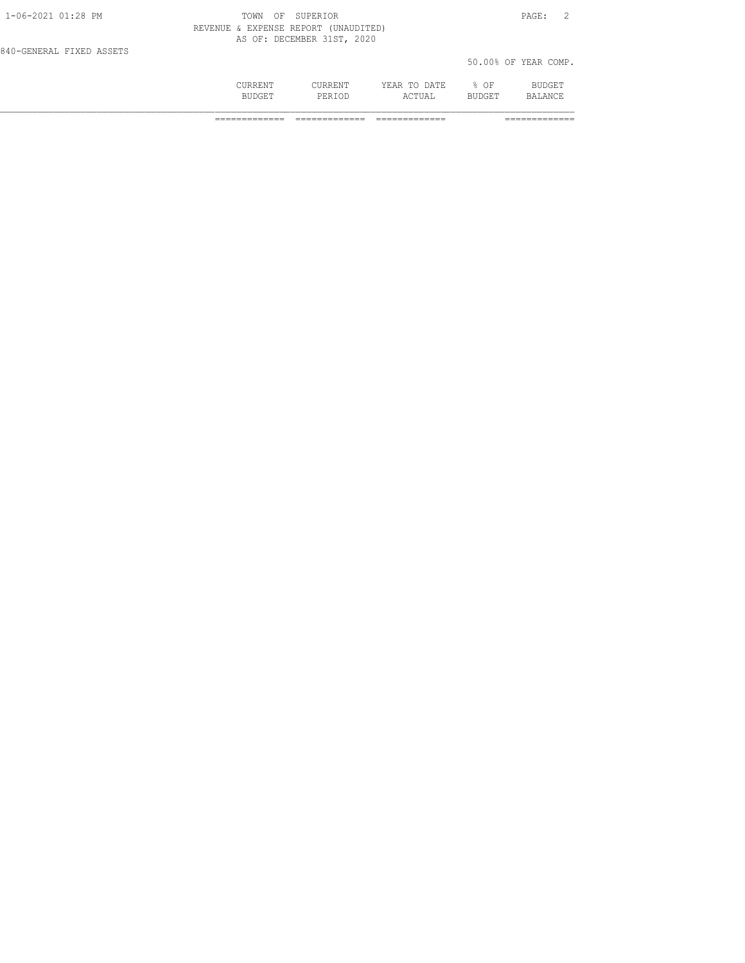|                          | CURRENT<br><b>BUDGET</b>             | <b>CURRENT</b><br>PERTOD   | YEAR TO DATE<br>ACTUAL | $8$ OF<br><b>BUDGET</b> | <b>BUDGET</b><br>BALANCE. |  |
|--------------------------|--------------------------------------|----------------------------|------------------------|-------------------------|---------------------------|--|
| 840-GENERAL FIXED ASSETS |                                      |                            |                        |                         | 50.00% OF YEAR COMP.      |  |
|                          | REVENUE & EXPENSE REPORT (UNAUDITED) | AS OF: DECEMBER 31ST, 2020 |                        |                         |                           |  |
| $1 - 06 - 2021$ 01:28 PM | OF.<br>TOWN                          | SUPERTOR                   |                        |                         | PAGE:                     |  |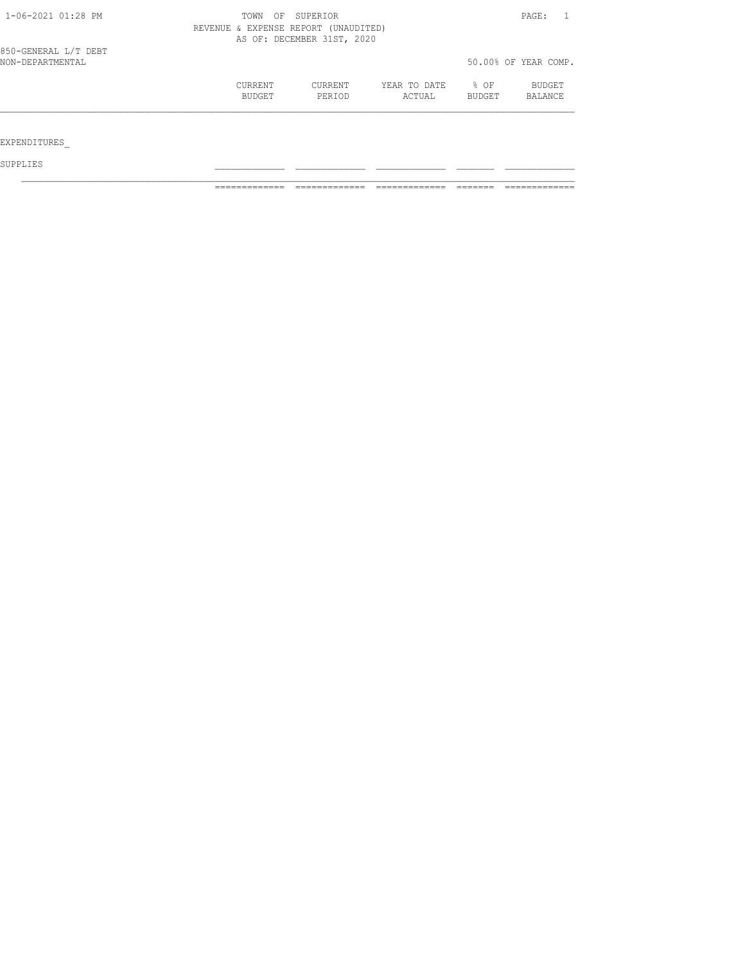| 1-06-2021 01:28 PM                       | TOWN<br>REVENUE & EXPENSE REPORT (UNAUDITED) | OF SUPERIOR<br>AS OF: DECEMBER 31ST, 2020 |                        |                       | PAGE:                    |
|------------------------------------------|----------------------------------------------|-------------------------------------------|------------------------|-----------------------|--------------------------|
| 850-GENERAL L/T DEBT<br>NON-DEPARTMENTAL |                                              |                                           |                        |                       | 50.00% OF YEAR COMP.     |
|                                          | <b>CURRENT</b><br>BUDGET                     | CURRENT<br>PERIOD                         | YEAR TO DATE<br>ACTUAL | % OF<br><b>BUDGET</b> | BUDGET<br><b>BALANCE</b> |
| EXPENDITURES                             |                                              |                                           |                        |                       |                          |

SUPPLIES \_\_\_\_\_\_\_\_\_\_\_\_\_ \_\_\_\_\_\_\_\_\_\_\_\_\_ \_\_\_\_\_\_\_\_\_\_\_\_\_ \_\_\_\_\_\_\_ \_\_\_\_\_\_\_\_\_\_\_\_\_

============= ============= ============= ======= =============